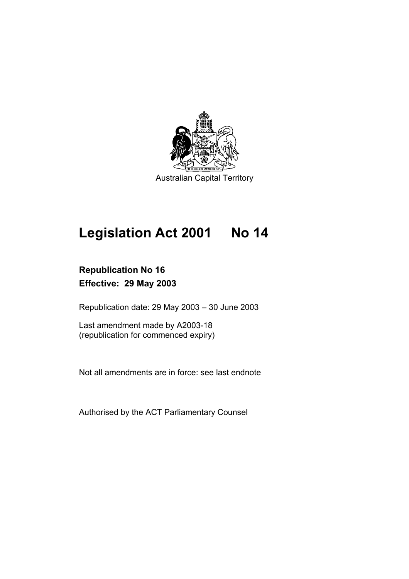

# **Legislation Act 2001 No 14**

# **Republication No 16 Effective: 29 May 2003**

Republication date: 29 May 2003 – 30 June 2003

Last amendment made by A2003-18 (republication for commenced expiry)

Not all amendments are in force: see last endnote

Authorised by the ACT Parliamentary Counsel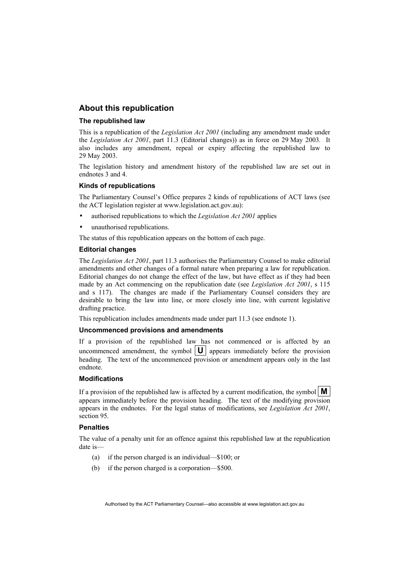# **About this republication**

#### **The republished law**

This is a republication of the *Legislation Act 2001* (including any amendment made under the *Legislation Act 2001*, part 11.3 (Editorial changes)) as in force on 29 May 2003*.* It also includes any amendment, repeal or expiry affecting the republished law to 29 May 2003.

The legislation history and amendment history of the republished law are set out in endnotes 3 and 4.

#### **Kinds of republications**

The Parliamentary Counsel's Office prepares 2 kinds of republications of ACT laws (see the ACT legislation register at www.legislation.act.gov.au):

- authorised republications to which the *Legislation Act 2001* applies
- unauthorised republications.

The status of this republication appears on the bottom of each page.

#### **Editorial changes**

The *Legislation Act 2001*, part 11.3 authorises the Parliamentary Counsel to make editorial amendments and other changes of a formal nature when preparing a law for republication. Editorial changes do not change the effect of the law, but have effect as if they had been made by an Act commencing on the republication date (see *Legislation Act 2001*, s 115 and s 117). The changes are made if the Parliamentary Counsel considers they are desirable to bring the law into line, or more closely into line, with current legislative drafting practice.

This republication includes amendments made under part 11.3 (see endnote 1).

#### **Uncommenced provisions and amendments**

If a provision of the republished law has not commenced or is affected by an uncommenced amendment, the symbol  $\|\mathbf{U}\|$  appears immediately before the provision heading. The text of the uncommenced provision or amendment appears only in the last endnote.

#### **Modifications**

If a provision of the republished law is affected by a current modification, the symbol  $\mathbf{M}$ appears immediately before the provision heading. The text of the modifying provision appears in the endnotes. For the legal status of modifications, see *Legislation Act 2001*, section 95.

#### **Penalties**

The value of a penalty unit for an offence against this republished law at the republication date is—

- (a) if the person charged is an individual—\$100; or
- (b) if the person charged is a corporation—\$500.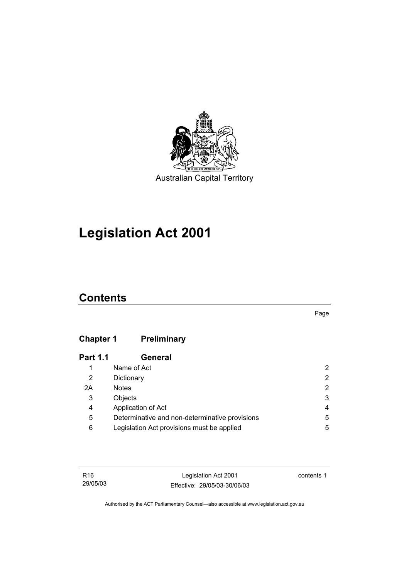

# **Legislation Act 2001**

# **Contents**

Page

# **Chapter 1 Preliminary**

| <b>Part 1.1</b> | <b>General</b>                                 |   |
|-----------------|------------------------------------------------|---|
| 1               | Name of Act                                    | 2 |
| 2               | Dictionary                                     | 2 |
| 2A              | <b>Notes</b>                                   | 2 |
| 3               | Objects                                        | 3 |
| 4               | Application of Act                             | 4 |
| 5               | Determinative and non-determinative provisions | 5 |
| 6               | Legislation Act provisions must be applied     | 5 |

Legislation Act 2001 Effective: 29/05/03-30/06/03 contents 1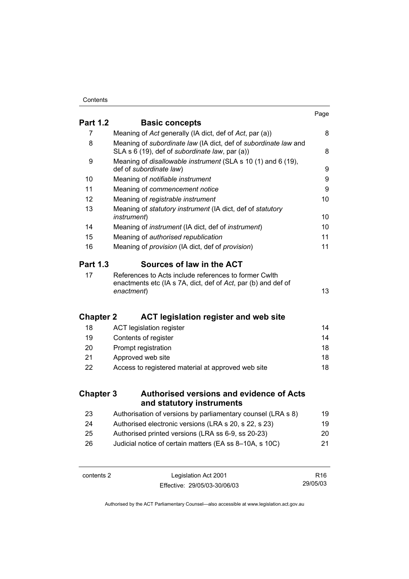| <b>Part 1.2</b>  |                                                                                                                                      | Page |
|------------------|--------------------------------------------------------------------------------------------------------------------------------------|------|
|                  | <b>Basic concepts</b>                                                                                                                |      |
| 7                | Meaning of Act generally (IA dict, def of Act, par (a))                                                                              | 8    |
| 8                | Meaning of subordinate law (IA dict, def of subordinate law and<br>SLA s 6 (19), def of subordinate law, par (a))                    | 8    |
| 9                | Meaning of disallowable instrument (SLA s 10 (1) and 6 (19),<br>def of subordinate law)                                              | 9    |
| 10               | Meaning of notifiable instrument                                                                                                     | 9    |
| 11               | Meaning of commencement notice                                                                                                       | 9    |
| 12               | Meaning of registrable instrument                                                                                                    | 10   |
| 13               | Meaning of statutory instrument (IA dict, def of statutory<br><i>instrument</i> )                                                    | 10   |
| 14               | Meaning of <i>instrument</i> (IA dict, def of <i>instrument</i> )                                                                    | 10   |
| 15               | Meaning of authorised republication                                                                                                  | 11   |
| 16               | Meaning of provision (IA dict, def of provision)                                                                                     | 11   |
| <b>Part 1.3</b>  | Sources of law in the ACT                                                                                                            |      |
| 17               | References to Acts include references to former Cwlth<br>enactments etc (IA s 7A, dict, def of Act, par (b) and def of<br>enactment) | 13   |
| <b>Chapter 2</b> | <b>ACT legislation register and web site</b>                                                                                         |      |
| 18               | <b>ACT legislation register</b>                                                                                                      | 14   |
| 19               | Contents of register                                                                                                                 | 14   |
| 20               | Prompt registration                                                                                                                  | 18   |
| 21               | Approved web site                                                                                                                    | 18   |
| 22               | Access to registered material at approved web site                                                                                   | 18   |
| <b>Chapter 3</b> | <b>Authorised versions and evidence of Acts</b><br>and statutory instruments                                                         |      |
| 23               | Authorisation of versions by parliamentary counsel (LRA s 8)                                                                         | 19   |
| 24               | Authorised electronic versions (LRA s 20, s 22, s 23)                                                                                | 19   |
| 25               | Authorised printed versions (LRA ss 6-9, ss 20-23)                                                                                   | 20   |
| 26               | Judicial notice of certain matters (EA ss 8-10A, s 10C)                                                                              | 21   |
|                  |                                                                                                                                      |      |

contents 2 Legislation Act 2001 Effective: 29/05/03-30/06/03

R16 29/05/03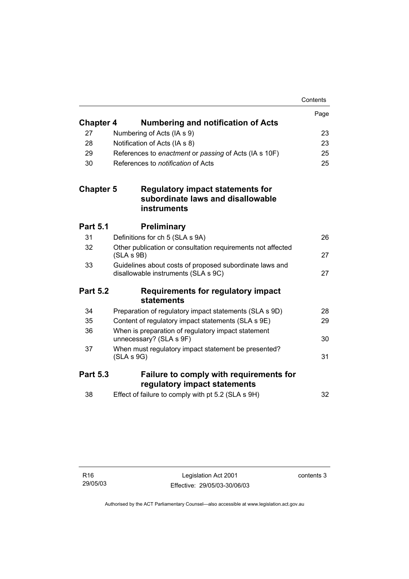|                  |            |                                                                                                | Contents |
|------------------|------------|------------------------------------------------------------------------------------------------|----------|
|                  |            |                                                                                                | Page     |
| <b>Chapter 4</b> |            | <b>Numbering and notification of Acts</b>                                                      |          |
| 27               |            | Numbering of Acts (IA s 9)                                                                     | 23       |
| 28               |            | Notification of Acts (IA s 8)                                                                  | 23       |
| 29               |            | References to enactment or passing of Acts (IA s 10F)                                          | 25       |
| 30               |            | References to <i>notification</i> of Acts                                                      | 25       |
| <b>Chapter 5</b> |            | Regulatory impact statements for<br>subordinate laws and disallowable<br><b>instruments</b>    |          |
| <b>Part 5.1</b>  |            | <b>Preliminary</b>                                                                             |          |
| 31               |            | Definitions for ch 5 (SLA s 9A)                                                                | 26       |
| 32               | (SLA S 9B) | Other publication or consultation requirements not affected                                    | 27       |
| 33               |            | Guidelines about costs of proposed subordinate laws and<br>disallowable instruments (SLA s 9C) | 27       |
| <b>Part 5.2</b>  |            | <b>Requirements for regulatory impact</b><br>statements                                        |          |
| 34               |            | Preparation of regulatory impact statements (SLA s 9D)                                         | 28       |
| 35               |            | Content of regulatory impact statements (SLA s 9E)                                             | 29       |
| 36               |            | When is preparation of regulatory impact statement<br>unnecessary? (SLA s 9F)                  | 30       |
| 37               | (SLA S 9G) | When must regulatory impact statement be presented?                                            | 31       |
| <b>Part 5.3</b>  |            | Failure to comply with requirements for                                                        |          |
|                  |            | regulatory impact statements                                                                   |          |
| 38               |            | Effect of failure to comply with pt 5.2 (SLA s 9H)                                             | 32       |

contents 3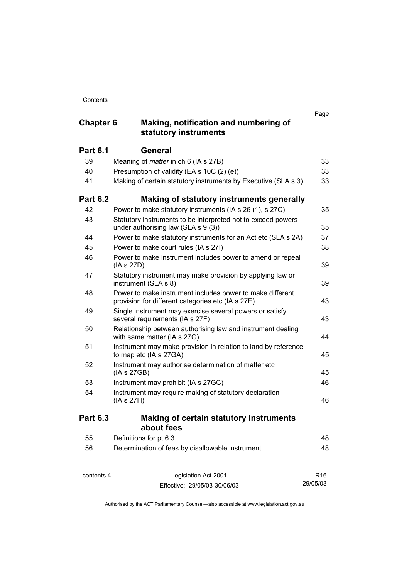# **Chapter 6 Making, notification and numbering of statutory instruments**

|                 | sialului yhmisli ulliellis                                                                                     |    |
|-----------------|----------------------------------------------------------------------------------------------------------------|----|
| <b>Part 6.1</b> | <b>General</b>                                                                                                 |    |
| 39              | Meaning of <i>matter</i> in ch 6 (IA s 27B)                                                                    | 33 |
| 40              | Presumption of validity (EA s 10C (2) (e))                                                                     | 33 |
| 41              | Making of certain statutory instruments by Executive (SLA s 3)                                                 | 33 |
| <b>Part 6.2</b> | Making of statutory instruments generally                                                                      |    |
| 42              | Power to make statutory instruments (IA s 26 (1), s 27C)                                                       | 35 |
| 43              | Statutory instruments to be interpreted not to exceed powers<br>under authorising law (SLA s 9 (3))            | 35 |
| 44              | Power to make statutory instruments for an Act etc (SLA s 2A)                                                  | 37 |
| 45              | Power to make court rules (IA s 27I)                                                                           | 38 |
| 46              | Power to make instrument includes power to amend or repeal<br>(IA s 27D)                                       | 39 |
| 47              | Statutory instrument may make provision by applying law or<br>instrument (SLA s 8)                             | 39 |
| 48              | Power to make instrument includes power to make different<br>provision for different categories etc (IA s 27E) | 43 |
| 49              | Single instrument may exercise several powers or satisfy<br>several requirements (IA s 27F)                    | 43 |
| 50              | Relationship between authorising law and instrument dealing<br>with same matter (IA s 27G)                     | 44 |
| 51              | Instrument may make provision in relation to land by reference<br>to map etc (IA s 27GA)                       | 45 |
| 52              | Instrument may authorise determination of matter etc<br>(IA s 27GB)                                            | 45 |
| 53              | Instrument may prohibit (IA s 27GC)                                                                            | 46 |
| 54              | Instrument may require making of statutory declaration<br>(IA s 27H)                                           | 46 |
| <b>Part 6.3</b> | <b>Making of certain statutory instruments</b><br>about fees                                                   |    |
| 55              | Definitions for pt 6.3                                                                                         | 48 |
| 56              | Determination of fees by disallowable instrument                                                               | 48 |
|                 |                                                                                                                |    |

contents 4 Legislation Act 2001 Effective: 29/05/03-30/06/03

R16 29/05/03

Page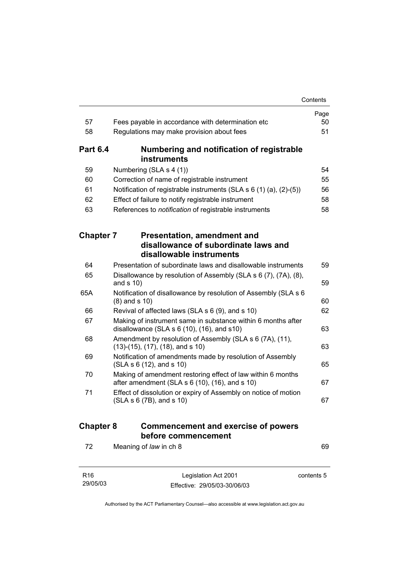|                  |                                                                                                                   | Contents   |
|------------------|-------------------------------------------------------------------------------------------------------------------|------------|
|                  |                                                                                                                   | Page       |
| 57               | Fees payable in accordance with determination etc                                                                 | 50         |
| 58               | Regulations may make provision about fees                                                                         | 51         |
| <b>Part 6.4</b>  | Numbering and notification of registrable<br><b>instruments</b>                                                   |            |
| 59               |                                                                                                                   | 54         |
| 60               | Numbering (SLA s 4 (1))<br>Correction of name of registrable instrument                                           | 55         |
| 61               | Notification of registrable instruments (SLA $s$ 6 (1) (a), (2)-(5))                                              | 56         |
| 62               | Effect of failure to notify registrable instrument                                                                | 58         |
| 63               | References to notification of registrable instruments                                                             | 58         |
|                  |                                                                                                                   |            |
| <b>Chapter 7</b> | <b>Presentation, amendment and</b>                                                                                |            |
|                  | disallowance of subordinate laws and                                                                              |            |
|                  | disallowable instruments                                                                                          |            |
| 64               | Presentation of subordinate laws and disallowable instruments                                                     | 59         |
| 65               | Disallowance by resolution of Assembly (SLA s 6 (7), (7A), (8),<br>and $s$ 10)                                    | 59         |
| 65A              | Notification of disallowance by resolution of Assembly (SLA s 6<br>$(8)$ and s 10)                                | 60         |
| 66               | Revival of affected laws (SLA s 6 (9), and s 10)                                                                  | 62         |
| 67               | Making of instrument same in substance within 6 months after<br>disallowance (SLA $s$ 6 (10), (16), and $s$ 10)   | 63         |
| 68               | Amendment by resolution of Assembly (SLA s 6 (7A), (11),<br>$(13)-(15)$ , $(17)$ , $(18)$ , and s 10)             | 63         |
| 69               | Notification of amendments made by resolution of Assembly<br>(SLA s 6 (12), and s 10)                             | 65         |
| 70               | Making of amendment restoring effect of law within 6 months<br>after amendment (SLA $s$ 6 (10), (16), and $s$ 10) | 67         |
| 71               | Effect of dissolution or expiry of Assembly on notice of motion<br>(SLA S 6 (7B), and S 10)                       | 67         |
| <b>Chapter 8</b> | <b>Commencement and exercise of powers</b><br>before commencement                                                 |            |
| 72               | Meaning of law in ch 8                                                                                            | 69         |
| R <sub>16</sub>  | Legislation Act 2001                                                                                              | contents 5 |

Authorised by the ACT Parliamentary Counsel—also accessible at www.legislation.act.gov.au

Effective: 29/05/03-30/06/03

29/05/03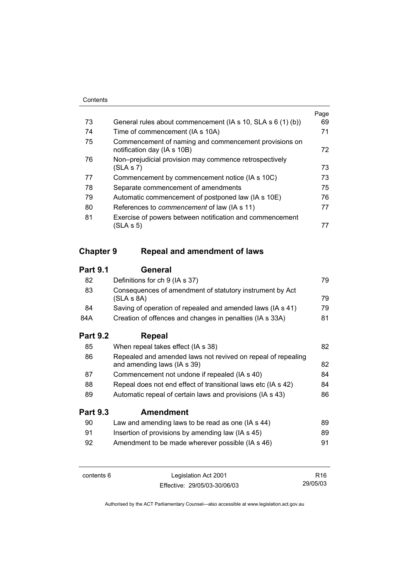|    |                                                                                      | Page |
|----|--------------------------------------------------------------------------------------|------|
| 73 | General rules about commencement (IA s 10, SLA s 6 (1) (b))                          | 69   |
| 74 | Time of commencement (IA s 10A)                                                      | 71   |
| 75 | Commencement of naming and commencement provisions on<br>notification day (IA s 10B) | 72   |
| 76 | Non-prejudicial provision may commence retrospectively                               |      |
|    | (SLA S 7)                                                                            | 73   |
| 77 | Commencement by commencement notice (IA s 10C)                                       | 73   |
| 78 | Separate commencement of amendments                                                  | 75   |
| 79 | Automatic commencement of postponed law (IA s 10E)                                   | 76   |
| 80 | References to <i>commencement</i> of law (IA s 11)                                   | 77   |
| 81 | Exercise of powers between notification and commencement                             |      |
|    | (SLA s 5)                                                                            |      |

# **Chapter 9 Repeal and amendment of laws**

# **Part 9.1 General**

| 82              | Definitions for ch 9 (IA s 37)                                         | 79 |
|-----------------|------------------------------------------------------------------------|----|
| 83              | Consequences of amendment of statutory instrument by Act<br>(SLA S 8A) | 79 |
| 84              | Saving of operation of repealed and amended laws (IA s 41)             | 79 |
| 84A             | Creation of offences and changes in penalties (IA s 33A)               | 81 |
| <b>Part 9.2</b> | Repeal                                                                 |    |
| 85              | When repeal takes effect (IA s 38)                                     | 82 |
| 86              | Repealed and amended laws not revived on repeal of repealing           |    |

|     | and amending laws (IA s 39)                                   | 82  |
|-----|---------------------------------------------------------------|-----|
| -87 | Commencement not undone if repealed (IA s 40)                 | 84. |
| 88  | Repeal does not end effect of transitional laws etc (IA s 42) | 84. |

89 Automatic repeal of certain laws and provisions (IA s 43) 86

### **Part 9.3 Amendment**

| 90 | Law and amending laws to be read as one (IA s 44) | 89  |
|----|---------------------------------------------------|-----|
| 91 | Insertion of provisions by amending law (IA s 45) | 89  |
| 92 | Amendment to be made wherever possible (IA s 46)  | 91. |

contents 6 Legislation Act 2001 Effective: 29/05/03-30/06/03

R16 29/05/03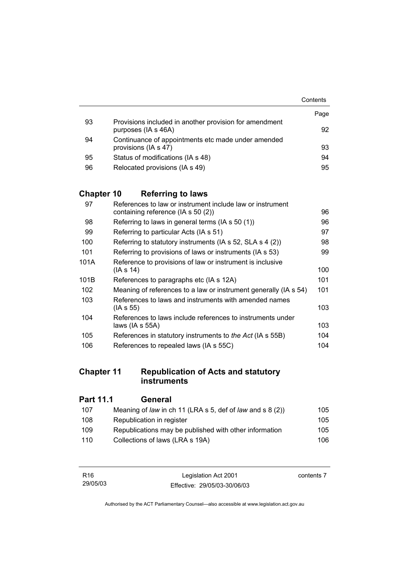|    |                                                                               | Contents |
|----|-------------------------------------------------------------------------------|----------|
|    |                                                                               | Page     |
| 93 | Provisions included in another provision for amendment<br>purposes (IA s 46A) | 92       |
| 94 | Continuance of appointments etc made under amended<br>provisions (IA s 47)    | 93       |
| 95 | Status of modifications (IA s 48)                                             | 94       |
| 96 | Relocated provisions (IA s 49)                                                | 95       |

# **Chapter 10 Referring to laws**

| 97   | References to law or instrument include law or instrument        |     |
|------|------------------------------------------------------------------|-----|
|      | containing reference (IA s 50 (2))                               | 96  |
| 98   | Referring to laws in general terms (IA s 50 (1))                 | 96  |
| 99   | Referring to particular Acts (IA s 51)                           | 97  |
| 100  | Referring to statutory instruments (IA s 52, SLA s 4 (2))        | 98  |
| 101  | Referring to provisions of laws or instruments (IA s 53)         | 99  |
| 101A | Reference to provisions of law or instrument is inclusive        |     |
|      | (IA s 14)                                                        | 100 |
| 101B | References to paragraphs etc (IA s 12A)                          | 101 |
| 102  | Meaning of references to a law or instrument generally (IA s 54) | 101 |
| 103  | References to laws and instruments with amended names            |     |
|      | (IA s 55)                                                        | 103 |
| 104  | References to laws include references to instruments under       |     |
|      | laws (IA s $55A$ )                                               | 103 |
| 105  | References in statutory instruments to the Act (IA s 55B)        | 104 |
| 106  | References to repealed laws (IA s 55C)                           | 104 |

# **Chapter 11 Republication of Acts and statutory instruments**

| <b>Part 11.1</b> | General                                                   |      |
|------------------|-----------------------------------------------------------|------|
| 107              | Meaning of law in ch 11 (LRA s 5, def of law and s 8 (2)) | 105  |
| 108              | Republication in register                                 | 105  |
| 109              | Republications may be published with other information    | 105  |
| 110              | Collections of laws (LRA s 19A)                           | 106. |
|                  |                                                           |      |

| R <sub>16</sub> | Legislation Act 2001         | contents 7 |
|-----------------|------------------------------|------------|
| 29/05/03        | Effective: 29/05/03-30/06/03 |            |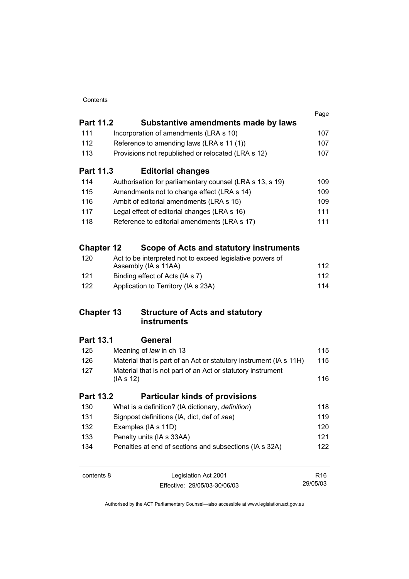|                   |                                                                    | Page            |
|-------------------|--------------------------------------------------------------------|-----------------|
| <b>Part 11.2</b>  | Substantive amendments made by laws                                |                 |
| 111               | Incorporation of amendments (LRA s 10)                             | 107             |
| 112               | Reference to amending laws (LRA s 11 (1))                          | 107             |
| 113               | Provisions not republished or relocated (LRA s 12)                 | 107             |
| <b>Part 11.3</b>  | <b>Editorial changes</b>                                           |                 |
| 114               | Authorisation for parliamentary counsel (LRA s 13, s 19)           | 109             |
| 115               | Amendments not to change effect (LRA s 14)                         | 109             |
| 116               | Ambit of editorial amendments (LRA s 15)                           | 109             |
| 117               | Legal effect of editorial changes (LRA s 16)                       | 111             |
| 118               | Reference to editorial amendments (LRA s 17)                       | 111             |
| <b>Chapter 12</b> | Scope of Acts and statutory instruments                            |                 |
| 120               | Act to be interpreted not to exceed legislative powers of          |                 |
|                   | Assembly (IA s 11AA)                                               | 112             |
| 121               | Binding effect of Acts (IA s 7)                                    | 112             |
| 122               | Application to Territory (IA s 23A)                                | 114             |
| <b>Chapter 13</b> | <b>Structure of Acts and statutory</b><br>instruments              |                 |
| <b>Part 13.1</b>  | <b>General</b>                                                     |                 |
| 125               | Meaning of law in ch 13                                            | 115             |
| 126               | Material that is part of an Act or statutory instrument (IA s 11H) | 115             |
| 127               | Material that is not part of an Act or statutory instrument        |                 |
|                   | (IAs 12)                                                           | 116             |
| <b>Part 13.2</b>  | <b>Particular kinds of provisions</b>                              |                 |
| 130               | What is a definition? (IA dictionary, definition)                  | 118             |
| 131               | Signpost definitions (IA, dict, def of see)                        | 119             |
| 132               | Examples (IA s 11D)                                                | 120             |
| 133               | Penalty units (IA s 33AA)                                          | 121             |
| 134               | Penalties at end of sections and subsections (IA s 32A)            | 122             |
| contents 8        | Legislation Act 2001                                               | R <sub>16</sub> |

Authorised by the ACT Parliamentary Counsel—also accessible at www.legislation.act.gov.au

29/05/03

Effective: 29/05/03-30/06/03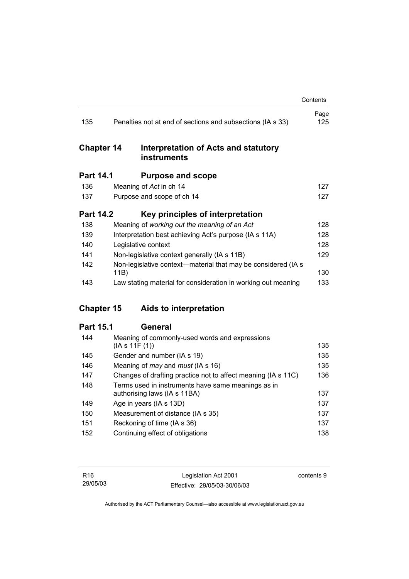|                   |                                                                                    | Contents    |
|-------------------|------------------------------------------------------------------------------------|-------------|
| 135               | Penalties not at end of sections and subsections (IA s 33)                         | Page<br>125 |
| <b>Chapter 14</b> | Interpretation of Acts and statutory<br><b>instruments</b>                         |             |
| <b>Part 14.1</b>  | <b>Purpose and scope</b>                                                           |             |
| 136               | Meaning of Act in ch 14                                                            | 127         |
| 137               | Purpose and scope of ch 14                                                         | 127         |
| <b>Part 14.2</b>  | Key principles of interpretation                                                   |             |
| 138               | Meaning of working out the meaning of an Act                                       | 128         |
| 139               | Interpretation best achieving Act's purpose (IA s 11A)                             | 128         |
| 140               | Legislative context                                                                | 128         |
| 141               | Non-legislative context generally (IA s 11B)                                       | 129         |
| 142               | Non-legislative context—material that may be considered (IA s<br>11B)              | 130         |
| 143               | Law stating material for consideration in working out meaning                      | 133         |
| <b>Chapter 15</b> | Aids to interpretation                                                             |             |
| <b>Part 15.1</b>  | <b>General</b>                                                                     |             |
| 144               | Meaning of commonly-used words and expressions<br>(IAs 11F(1))                     | 135         |
| 145               | Gender and number (IA s 19)                                                        | 135         |
| 146               | Meaning of <i>may</i> and <i>must</i> (IA s 16)                                    | 135         |
| 147               | Changes of drafting practice not to affect meaning (IA s 11C)                      | 136         |
| 148               | Terms used in instruments have same meanings as in<br>authorising laws (IA s 11BA) | 137         |
| 149               | Age in years (IA s 13D)                                                            | 137         |
| 150               | Measurement of distance (IA s 35)                                                  | 137         |
| 151               | Reckoning of time (IA s 36)                                                        | 137         |
|                   |                                                                                    |             |

| .   | $1.6$ contenting of anno $1.76$ corp. | .   |
|-----|---------------------------------------|-----|
| 152 | Continuing effect of obligations      | 138 |

contents 9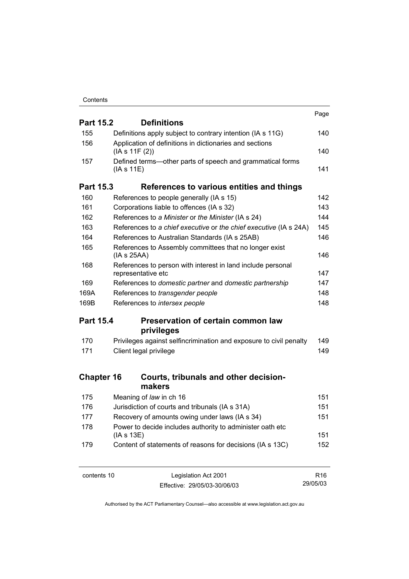|                   |                                                                                   | Page |
|-------------------|-----------------------------------------------------------------------------------|------|
| <b>Part 15.2</b>  | <b>Definitions</b>                                                                |      |
| 155               | Definitions apply subject to contrary intention (IA s 11G)                        | 140  |
| 156               | Application of definitions in dictionaries and sections<br>(IA s 11F (2))         | 140  |
| 157               | Defined terms—other parts of speech and grammatical forms<br>(IAs 11E)            | 141  |
| <b>Part 15.3</b>  | References to various entities and things                                         |      |
| 160               | References to people generally (IA s 15)                                          | 142  |
| 161               | Corporations liable to offences (IA s 32)                                         | 143  |
| 162               | References to a Minister or the Minister (IA s 24)                                | 144  |
| 163               | References to a chief executive or the chief executive (IA s 24A)                 | 145  |
| 164               | References to Australian Standards (IA s 25AB)                                    | 146  |
| 165               | References to Assembly committees that no longer exist                            |      |
|                   | (IA s 25AA)                                                                       | 146  |
| 168               | References to person with interest in land include personal<br>representative etc | 147  |
| 169               | References to domestic partner and domestic partnership                           | 147  |
| 169A              | References to transgender people                                                  | 148  |
| 169B              | References to intersex people                                                     | 148  |
| <b>Part 15.4</b>  | <b>Preservation of certain common law</b>                                         |      |
|                   | privileges                                                                        |      |
| 170               | Privileges against selfincrimination and exposure to civil penalty                | 149  |
| 171               | Client legal privilege                                                            | 149  |
| <b>Chapter 16</b> | Courts, tribunals and other decision-<br>makers                                   |      |
| 175               | Meaning of law in ch 16                                                           | 151  |
| 176               | Jurisdiction of courts and tribunals (IA s 31A)                                   | 151  |
| 177               | Recovery of amounts owing under laws (IA s 34)                                    | 151  |
| 178               | Power to decide includes authority to administer oath etc<br>(IA s 13E)           | 151  |
| 179               | Content of statements of reasons for decisions (IA s 13C)                         | 152  |
|                   |                                                                                   |      |

contents 10 Legislation Act 2001 Effective: 29/05/03-30/06/03

R16 29/05/03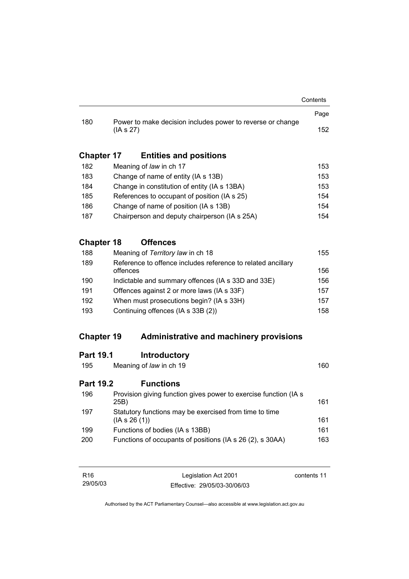|                   |                                                                        | Contents |
|-------------------|------------------------------------------------------------------------|----------|
|                   |                                                                        | Page     |
| 180               | Power to make decision includes power to reverse or change<br>(IAS 27) | 152      |
| <b>Chapter 17</b> | <b>Entities and positions</b>                                          |          |
| 182               | Meaning of law in ch 17                                                | 153      |
| 183               | Change of name of entity (IA s 13B)                                    | 153      |
| 184               | Change in constitution of entity (IA s 13BA)                           | 153      |
| 185               | References to occupant of position (IA s 25)                           | 154      |

186 Change of name of position (IA s 13B) 154 187 Chairperson and deputy chairperson (IA s 25A) 154

# **Chapter 18 Offences**

| 188 | Meaning of Territory law in ch 18                                        | 155 |
|-----|--------------------------------------------------------------------------|-----|
| 189 | Reference to offence includes reference to related ancillary<br>offences | 156 |
| 190 | Indictable and summary offences (IA s 33D and 33E)                       | 156 |
| 191 | Offences against 2 or more laws (IA s 33F)                               | 157 |
| 192 | When must prosecutions begin? (IA s 33H)                                 | 157 |
| 193 | Continuing offences (IA s 33B (2))                                       | 158 |

# **Chapter 19 Administrative and machinery provisions**

# **Part 19.1 Introductory**

| 195              | Meaning of law in ch 19                                                   | 160 |
|------------------|---------------------------------------------------------------------------|-----|
| <b>Part 19.2</b> | <b>Functions</b>                                                          |     |
| 196              | Provision giving function gives power to exercise function (IA s)<br>25B) | 161 |
| 197              | Statutory functions may be exercised from time to time<br>(IAS 26(1))     | 161 |
| 199              | Functions of bodies (IA s 13BB)                                           | 161 |
| 200              | Functions of occupants of positions (IA s 26 (2), s 30AA)                 | 163 |

| R16      | Legislation Act 2001         | contents 11 |
|----------|------------------------------|-------------|
| 29/05/03 | Effective: 29/05/03-30/06/03 |             |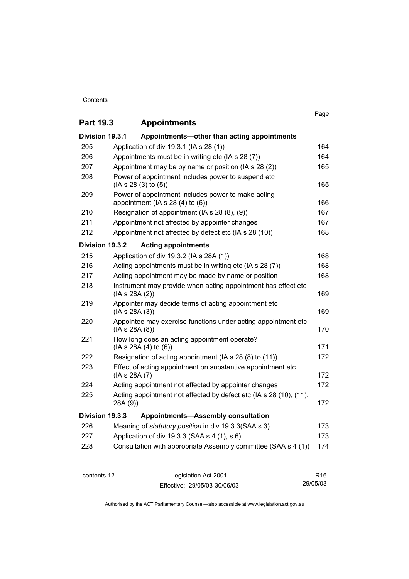#### **Contents**

# Page **Part 19.3 Appointments Division 19.3.1 Appointments—other than acting appointments** 205 Application of div 19.3.1 (IA s 28 (1)) 164 206 Appointments must be in writing etc (IA s 28 (7)) 464 207 Appointment may be by name or position (IA s 28 (2)) 465 208 Power of appointment includes power to suspend etc  $(IA S 28 (3) to (5))$  165 209 Power of appointment includes power to make acting appointment  $(IAs 28 (4) to (6))$  166 210 Resignation of appointment (IA s 28 (8), (9)) Resignation of appointment (IA s 28 (8), (9)) 211 Appointment not affected by appointer changes 167 212 Appointment not affected by defect etc (IA s 28 (10)) 468 **Division 19.3.2 Acting appointments** 215 Application of div 19.3.2 (IA s 28A (1)) 168 216 Acting appointments must be in writing etc (IA s 28 (7)) 168 217 Acting appointment may be made by name or position 168 218 Instrument may provide when acting appointment has effect etc  $(IA S 28A (2))$  169 219 Appointer may decide terms of acting appointment etc  $(IA S 28A (3))$  169 220 Appointee may exercise functions under acting appointment etc  $(IA S 28A (8))$  170 221 How long does an acting appointment operate?  $(IA S 28A (4) to (6))$  171 222 Resignation of acting appointment (IA s 28 (8) to (11)) 172 223 Effect of acting appointment on substantive appointment etc  $(IA S 28A (7)$  172 224 Acting appointment not affected by appointer changes 172 225 Acting appointment not affected by defect etc (IA s 28 (10), (11), 28A (9)) 172 **Division 19.3.3 Appointments—Assembly consultation** 226 Meaning of *statutory position* in div 19.3.3(SAA s 3) 173 227 Application of div 19.3.3 (SAA s 4 (1), s 6) 173 228 Consultation with appropriate Assembly committee (SAA s 4 (1)) 174

contents 12 Legislation Act 2001 Effective: 29/05/03-30/06/03

R16 29/05/03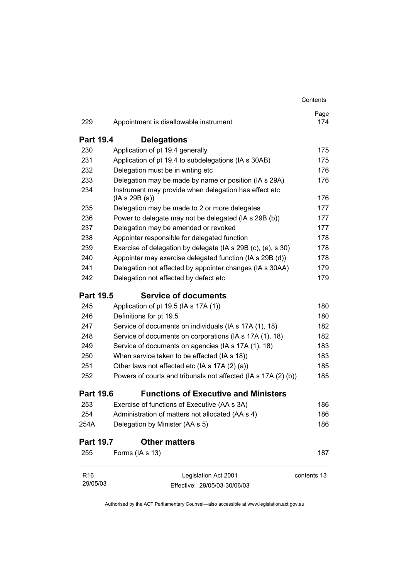|                  |                                                                       | Contents    |
|------------------|-----------------------------------------------------------------------|-------------|
| 229              | Appointment is disallowable instrument                                | Page<br>174 |
| <b>Part 19.4</b> | <b>Delegations</b>                                                    |             |
| 230              | Application of pt 19.4 generally                                      | 175         |
| 231              | Application of pt 19.4 to subdelegations (IA s 30AB)                  | 175         |
| 232              | Delegation must be in writing etc                                     | 176         |
| 233              | Delegation may be made by name or position (IA s 29A)                 | 176         |
| 234              | Instrument may provide when delegation has effect etc<br>(IAs 29B(a)) | 176         |
| 235              | Delegation may be made to 2 or more delegates                         | 177         |
| 236              | Power to delegate may not be delegated (IA s 29B (b))                 | 177         |
| 237              | Delegation may be amended or revoked                                  | 177         |
| 238              | Appointer responsible for delegated function                          | 178         |
| 239              | Exercise of delegation by delegate (IA s 29B (c), (e), s 30)          | 178         |
| 240              | Appointer may exercise delegated function (IA s 29B (d))              | 178         |
| 241              | Delegation not affected by appointer changes (IA s 30AA)              | 179         |
| 242              | Delegation not affected by defect etc                                 | 179         |
| <b>Part 19.5</b> | <b>Service of documents</b>                                           |             |
| 245              | Application of pt 19.5 (IA s 17A (1))                                 | 180         |
| 246              | Definitions for pt 19.5                                               | 180         |
| 247              | Service of documents on individuals (IA s 17A (1), 18)                | 182         |
| 248              | Service of documents on corporations (IA s 17A (1), 18)               | 182         |
| 249              | Service of documents on agencies (IA s 17A (1), 18)                   | 183         |
| 250              | When service taken to be effected (IA s 18))                          | 183         |
| 251              | Other laws not affected etc (IA s 17A (2) (a))                        | 185         |
| 252              | Powers of courts and tribunals not affected (IA s 17A (2) (b))        | 185         |
| <b>Part 19.6</b> | <b>Functions of Executive and Ministers</b>                           |             |
| 253              | Exercise of functions of Executive (AA s 3A)                          | 186         |
| 254              | Administration of matters not allocated (AA s 4)                      | 186         |
| 254A             | Delegation by Minister (AA s 5)                                       | 186         |
| <b>Part 19.7</b> | <b>Other matters</b>                                                  |             |
| 255              | Forms (IA s 13)                                                       | 187         |
| R <sub>16</sub>  | Legislation Act 2001                                                  | contents 13 |
| 29/05/03         | Effective: 29/05/03-30/06/03                                          |             |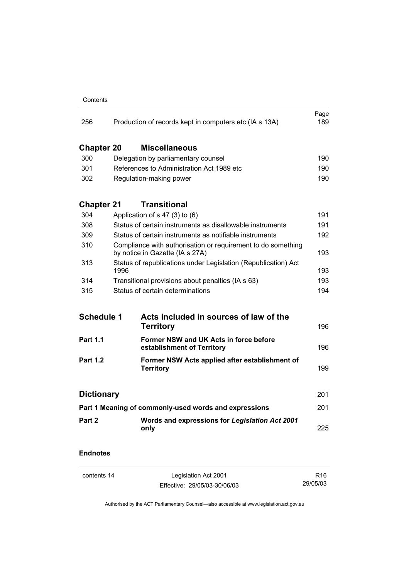| Contents |
|----------|
|          |

| 256                                                   | Production of records kept in computers etc (IA s 13A)                                          | Page<br>189 |
|-------------------------------------------------------|-------------------------------------------------------------------------------------------------|-------------|
| <b>Chapter 20</b>                                     | <b>Miscellaneous</b>                                                                            |             |
| 300                                                   | Delegation by parliamentary counsel                                                             | 190         |
| 301                                                   | References to Administration Act 1989 etc                                                       | 190         |
| 302                                                   | Regulation-making power                                                                         | 190         |
| <b>Chapter 21</b>                                     | <b>Transitional</b>                                                                             |             |
| 304                                                   | Application of $s$ 47 (3) to (6)                                                                | 191         |
| 308                                                   | Status of certain instruments as disallowable instruments                                       | 191         |
| 309                                                   | Status of certain instruments as notifiable instruments                                         | 192         |
| 310                                                   | Compliance with authorisation or requirement to do something<br>by notice in Gazette (IA s 27A) | 193         |
| 313                                                   | Status of republications under Legislation (Republication) Act<br>1996                          | 193         |
| 314                                                   | Transitional provisions about penalties (IA s 63)                                               | 193         |
| 315                                                   | Status of certain determinations                                                                | 194         |
| <b>Schedule 1</b>                                     | Acts included in sources of law of the<br><b>Territory</b>                                      | 196         |
| <b>Part 1.1</b>                                       | Former NSW and UK Acts in force before<br>establishment of Territory                            | 196         |
| <b>Part 1.2</b>                                       | Former NSW Acts applied after establishment of<br><b>Territory</b>                              | 199         |
| <b>Dictionary</b>                                     |                                                                                                 | 201         |
| Part 1 Meaning of commonly-used words and expressions |                                                                                                 |             |
| Part 2                                                | Words and expressions for Legislation Act 2001<br>only                                          | 225         |

# **Endnotes**

| contents 14 | Legislation Act 2001         | R16      |
|-------------|------------------------------|----------|
|             | Effective: 29/05/03-30/06/03 | 29/05/03 |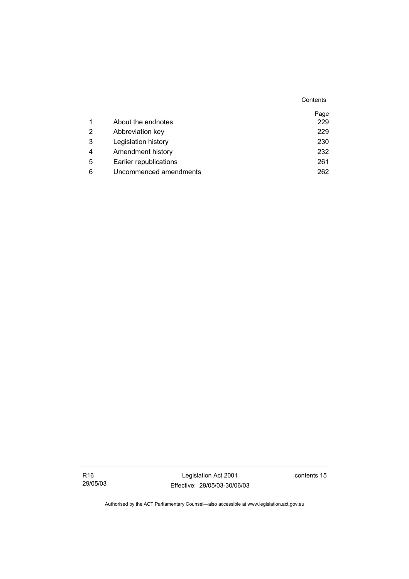|   |                        | Contents |
|---|------------------------|----------|
|   |                        | Page     |
| 1 | About the endnotes     | 229      |
| 2 | Abbreviation key       | 229      |
| 3 | Legislation history    | 230      |
| 4 | Amendment history      | 232      |
| 5 | Earlier republications | 261      |
| 6 | Uncommenced amendments | 262      |

Legislation Act 2001 Effective: 29/05/03-30/06/03 contents 15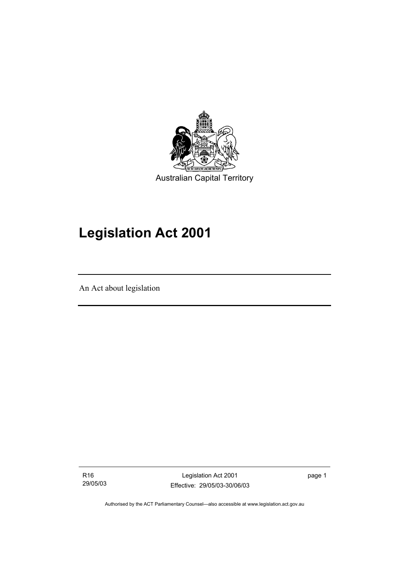

# **Legislation Act 2001**

An Act about legislation

R16 29/05/03

Legislation Act 2001 Effective: 29/05/03-30/06/03 page 1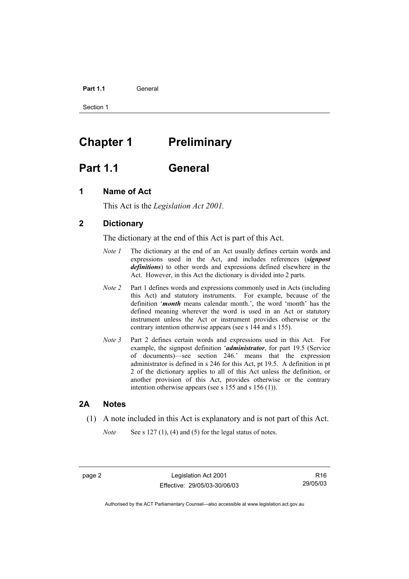#### Part 1.1 **General**

Section 1

# **Chapter 1** Preliminary

# **Part 1.1 General**

# **1 Name of Act**

This Act is the *Legislation Act 2001.* 

# **2 Dictionary**

The dictionary at the end of this Act is part of this Act.

- *Note 1* The dictionary at the end of an Act usually defines certain words and expressions used in the Act, and includes references (*signpost definitions*) to other words and expressions defined elsewhere in the Act. However, in this Act the dictionary is divided into 2 parts.
- *Note 2* Part 1 defines words and expressions commonly used in Acts (including this Act) and statutory instruments. For example, because of the definition '*month* means calendar month.', the word 'month' has the defined meaning wherever the word is used in an Act or statutory instrument unless the Act or instrument provides otherwise or the contrary intention otherwise appears (see s 144 and s 155).
- *Note 3* Part 2 defines certain words and expressions used in this Act. For example, the signpost definition '*administrator*, for part 19.5 (Service of documents)—see section 246.' means that the expression administrator is defined in s 246 for this Act, pt 19.5. A definition in pt 2 of the dictionary applies to all of this Act unless the definition, or another provision of this Act, provides otherwise or the contrary intention otherwise appears (see s 155 and s 156 (1)).

### **2A Notes**

- (1) A note included in this Act is explanatory and is not part of this Act.
	- *Note* See s 127 (1), (4) and (5) for the legal status of notes.

page 2 Legislation Act 2001 Effective: 29/05/03-30/06/03

R16 29/05/03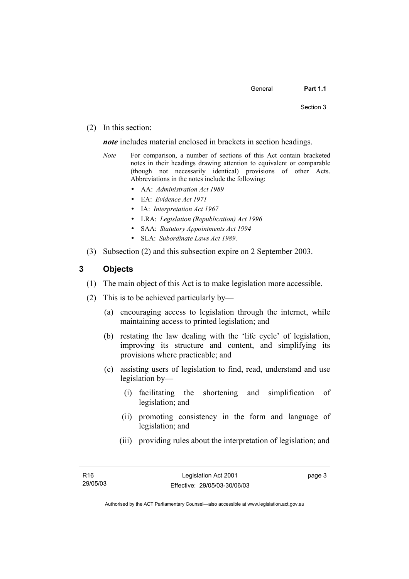(2) In this section:

*note* includes material enclosed in brackets in section headings.

- *Note* For comparison, a number of sections of this Act contain bracketed notes in their headings drawing attention to equivalent or comparable (though not necessarily identical) provisions of other Acts. Abbreviations in the notes include the following:
	- AA: *Administration Act 1989*
	- EA: *Evidence Act 1971*
	- IA: *Interpretation Act 1967*
	- LRA: *Legislation (Republication) Act 1996*
	- SAA: *Statutory Appointments Act 1994*
	- SLA: *Subordinate Laws Act 1989*.
- (3) Subsection (2) and this subsection expire on 2 September 2003.

# **3 Objects**

- (1) The main object of this Act is to make legislation more accessible.
- (2) This is to be achieved particularly by—
	- (a) encouraging access to legislation through the internet, while maintaining access to printed legislation; and
	- (b) restating the law dealing with the 'life cycle' of legislation, improving its structure and content, and simplifying its provisions where practicable; and
	- (c) assisting users of legislation to find, read, understand and use legislation by—
		- (i) facilitating the shortening and simplification of legislation; and
		- (ii) promoting consistency in the form and language of legislation; and
		- (iii) providing rules about the interpretation of legislation; and

page 3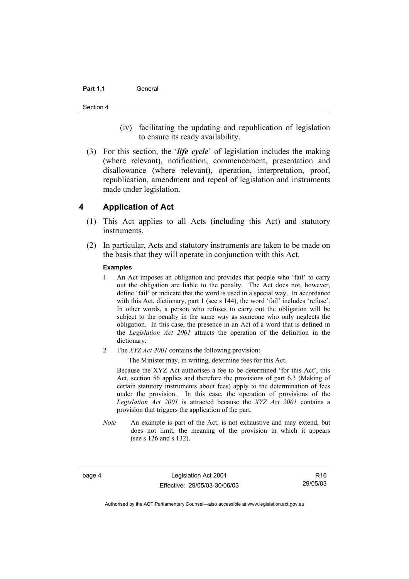#### Part 1.1 **General**

#### Section 4

- (iv) facilitating the updating and republication of legislation to ensure its ready availability.
- (3) For this section, the '*life cycle*' of legislation includes the making (where relevant), notification, commencement, presentation and disallowance (where relevant), operation, interpretation, proof, republication, amendment and repeal of legislation and instruments made under legislation.

## **4 Application of Act**

- (1) This Act applies to all Acts (including this Act) and statutory instruments.
- (2) In particular, Acts and statutory instruments are taken to be made on the basis that they will operate in conjunction with this Act.

#### **Examples**

- 1 An Act imposes an obligation and provides that people who 'fail' to carry out the obligation are liable to the penalty. The Act does not, however, define 'fail' or indicate that the word is used in a special way. In accordance with this Act, dictionary, part 1 (see s 144), the word 'fail' includes 'refuse'. In other words, a person who refuses to carry out the obligation will be subject to the penalty in the same way as someone who only neglects the obligation. In this case, the presence in an Act of a word that is defined in the *Legislation Act 2001* attracts the operation of the definition in the dictionary.
- 2 The *XYZ Act 2001* contains the following provision:

The Minister may, in writing, determine fees for this Act.

Because the XYZ Act authorises a fee to be determined 'for this Act', this Act, section 56 applies and therefore the provisions of part 6.3 (Making of certain statutory instruments about fees) apply to the determination of fees under the provision. In this case, the operation of provisions of the *Legislation Act 2001* is attracted because the *XYZ Act 2001* contains a provision that triggers the application of the part.

*Note* An example is part of the Act, is not exhaustive and may extend, but does not limit, the meaning of the provision in which it appears (see s 126 and s 132).

page 4 Legislation Act 2001 Effective: 29/05/03-30/06/03

R16 29/05/03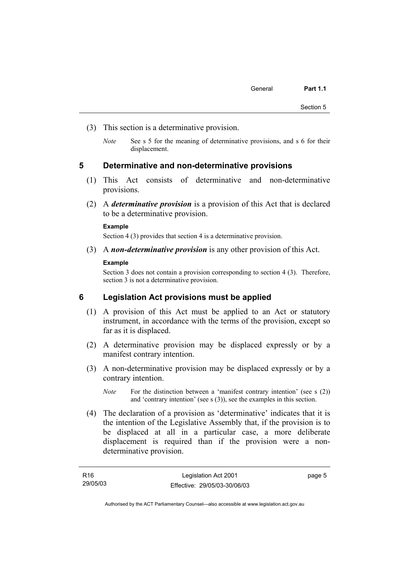- (3) This section is a determinative provision.
	- *Note* See s 5 for the meaning of determinative provisions, and s 6 for their displacement.

#### **5 Determinative and non-determinative provisions**

- (1) This Act consists of determinative and non-determinative provisions.
- (2) A *determinative provision* is a provision of this Act that is declared to be a determinative provision.

#### **Example**

Section 4 (3) provides that section 4 is a determinative provision.

(3) A *non-determinative provision* is any other provision of this Act.

#### **Example**

Section 3 does not contain a provision corresponding to section 4 (3). Therefore, section 3 is not a determinative provision.

### **6 Legislation Act provisions must be applied**

- (1) A provision of this Act must be applied to an Act or statutory instrument, in accordance with the terms of the provision, except so far as it is displaced.
- (2) A determinative provision may be displaced expressly or by a manifest contrary intention.
- (3) A non-determinative provision may be displaced expressly or by a contrary intention.
	- *Note* For the distinction between a 'manifest contrary intention' (see s (2)) and 'contrary intention' (see s (3)), see the examples in this section.
- (4) The declaration of a provision as 'determinative' indicates that it is the intention of the Legislative Assembly that, if the provision is to be displaced at all in a particular case, a more deliberate displacement is required than if the provision were a nondeterminative provision.

| R16      | Legislation Act 2001         | page 5 |
|----------|------------------------------|--------|
| 29/05/03 | Effective: 29/05/03-30/06/03 |        |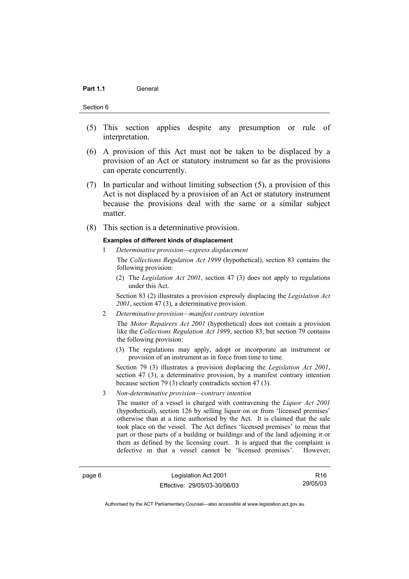#### Part 1.1 **General**

#### Section 6

- (5) This section applies despite any presumption or rule of interpretation.
- (6) A provision of this Act must not be taken to be displaced by a provision of an Act or statutory instrument so far as the provisions can operate concurrently.
- (7) In particular and without limiting subsection (5), a provision of this Act is not displaced by a provision of an Act or statutory instrument because the provisions deal with the same or a similar subject matter.
- (8) This section is a determinative provision.

#### **Examples of different kinds of displacement**

1 *Determinative provision—express displacement*

The *Collections Regulation Act 1999* (hypothetical), section 83 contains the following provision:

(2) The *Legislation Act 2001*, section 47 (3) does not apply to regulations under this Act.

Section 83 (2) illustrates a provision expressly displacing the *Legislation Act 2001*, section 47 (3), a determinative provision.

2 *Determinative provision—manifest contrary intention*

The *Motor Repairers Act 2001* (hypothetical) does not contain a provision like the *Collections Regulation Act 1999*, section 83, but section 79 contains the following provision:

(3) The regulations may apply, adopt or incorporate an instrument or provision of an instrument as in force from time to time.

Section 79 (3) illustrates a provision displacing the *Legislation Act 2001*, section 47 (3), a determinative provision, by a manifest contrary intention because section 79 (3) clearly contradicts section 47 (3).

3 *Non-determinative provision—contrary intention*

The master of a vessel is charged with contravening the *Liquor Act 2001* (hypothetical), section 126 by selling liquor on or from 'licensed premises' otherwise than at a time authorised by the Act. It is claimed that the sale took place on the vessel. The Act defines 'licensed premises' to mean that part or those parts of a building or buildings and of the land adjoining it or them as defined by the licensing court. It is argued that the complaint is defective in that a vessel cannot be 'licensed premises'. However,

page 6 Legislation Act 2001 Effective: 29/05/03-30/06/03

R16 29/05/03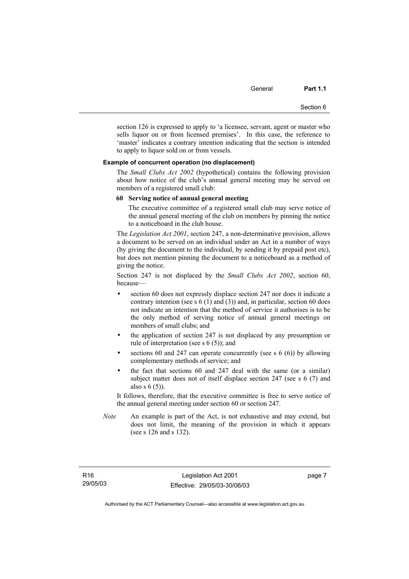General **Part 1.1** 

section 126 is expressed to apply to 'a licensee, servant, agent or master who sells liquor on or from licensed premises'. In this case, the reference to 'master' indicates a contrary intention indicating that the section is intended to apply to liquor sold on or from vessels.

#### **Example of concurrent operation (no displacement)**

The *Small Clubs Act 2002* (hypothetical) contains the following provision about how notice of the club's annual general meeting may be served on members of a registered small club:

#### **60 Serving notice of annual general meeting**

The executive committee of a registered small club may serve notice of the annual general meeting of the club on members by pinning the notice to a noticeboard in the club house.

The *Legislation Act 2001*, section 247, a non-determinative provision, allows a document to be served on an individual under an Act in a number of ways (by giving the document to the individual, by sending it by prepaid post etc), but does not mention pinning the document to a noticeboard as a method of giving the notice.

Section 247 is not displaced by the *Small Clubs Act 2002*, section 60, because—

- section 60 does not expressly displace section 247 nor does it indicate a contrary intention (see s 6 (1) and (3)) and, in particular, section 60 does not indicate an intention that the method of service it authorises is to be the only method of serving notice of annual general meetings on members of small clubs; and
- the application of section 247 is not displaced by any presumption or rule of interpretation (see s 6 (5)); and
- sections 60 and 247 can operate concurrently (see s  $6(6)$ ) by allowing complementary methods of service; and
- the fact that sections 60 and 247 deal with the same (or a similar) subject matter does not of itself displace section 247 (see s 6 (7) and also s 6 (5)).

It follows, therefore, that the executive committee is free to serve notice of the annual general meeting under section 60 or section 247.

*Note* An example is part of the Act, is not exhaustive and may extend, but does not limit, the meaning of the provision in which it appears (see s 126 and s 132).

page 7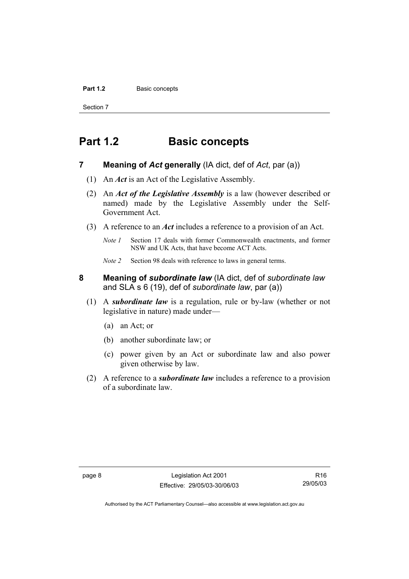#### Part 1.2 **Basic concepts**

Section 7

# **Part 1.2 Basic concepts**

- **7 Meaning of** *Act* **generally** (IA dict, def of *Act*, par (a))
	- (1) An *Act* is an Act of the Legislative Assembly.
	- (2) An *Act of the Legislative Assembly* is a law (however described or named) made by the Legislative Assembly under the Self-Government Act.
	- (3) A reference to an *Act* includes a reference to a provision of an Act.
		- *Note 1* Section 17 deals with former Commonwealth enactments, and former NSW and UK Acts, that have become ACT Acts.
		- *Note 2* Section 98 deals with reference to laws in general terms.
- **8 Meaning of** *subordinate law* (IA dict, def of *subordinate law* and SLA s 6 (19), def of *subordinate law*, par (a))
	- (1) A *subordinate law* is a regulation, rule or by-law (whether or not legislative in nature) made under—
		- (a) an Act; or
		- (b) another subordinate law; or
		- (c) power given by an Act or subordinate law and also power given otherwise by law.
	- (2) A reference to a *subordinate law* includes a reference to a provision of a subordinate law.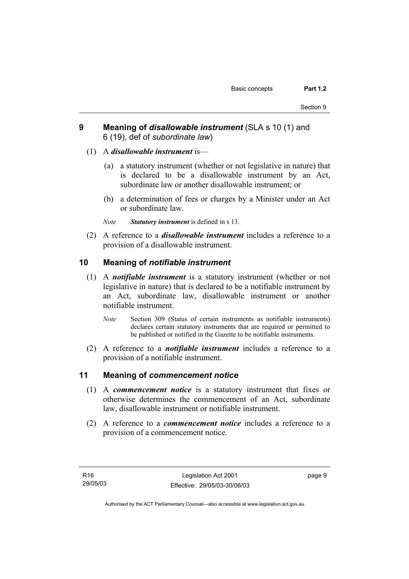- **9 Meaning of** *disallowable instrument* (SLA s 10 (1) and 6 (19), def of *subordinate law*)
	- (1) A *disallowable instrument* is—
		- (a) a statutory instrument (whether or not legislative in nature) that is declared to be a disallowable instrument by an Act, subordinate law or another disallowable instrument; or
		- (b) a determination of fees or charges by a Minister under an Act or subordinate law.

*Note Statutory instrument* is defined in s 13.

 (2) A reference to a *disallowable instrument* includes a reference to a provision of a disallowable instrument.

## **10 Meaning of** *notifiable instrument*

- (1) A *notifiable instrument* is a statutory instrument (whether or not legislative in nature) that is declared to be a notifiable instrument by an Act, subordinate law, disallowable instrument or another notifiable instrument.
	- *Note* Section 309 (Status of certain instruments as notifiable instruments) declares certain statutory instruments that are required or permitted to be published or notified in the Gazette to be notifiable instruments.
- (2) A reference to a *notifiable instrument* includes a reference to a provision of a notifiable instrument.

## **11 Meaning of** *commencement notice*

- (1) A *commencement notice* is a statutory instrument that fixes or otherwise determines the commencement of an Act, subordinate law, disallowable instrument or notifiable instrument.
- (2) A reference to a *commencement notice* includes a reference to a provision of a commencement notice.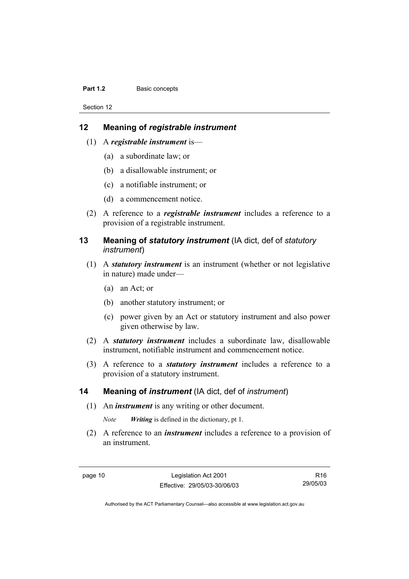#### **Part 1.2 Basic concepts**

Section 12

# **12 Meaning of** *registrable instrument*

- (1) A *registrable instrument* is—
	- (a) a subordinate law; or
	- (b) a disallowable instrument; or
	- (c) a notifiable instrument; or
	- (d) a commencement notice.
- (2) A reference to a *registrable instrument* includes a reference to a provision of a registrable instrument.

# **13 Meaning of** *statutory instrument* (IA dict, def of *statutory instrument*)

- (1) A *statutory instrument* is an instrument (whether or not legislative in nature) made under—
	- (a) an Act; or
	- (b) another statutory instrument; or
	- (c) power given by an Act or statutory instrument and also power given otherwise by law.
- (2) A *statutory instrument* includes a subordinate law, disallowable instrument, notifiable instrument and commencement notice.
- (3) A reference to a *statutory instrument* includes a reference to a provision of a statutory instrument.

# **14 Meaning of** *instrument* (IA dict, def of *instrument*)

(1) An *instrument* is any writing or other document.

*Note Writing* is defined in the dictionary, pt 1.

 (2) A reference to an *instrument* includes a reference to a provision of an instrument.

page 10 Legislation Act 2001 Effective: 29/05/03-30/06/03

R16 29/05/03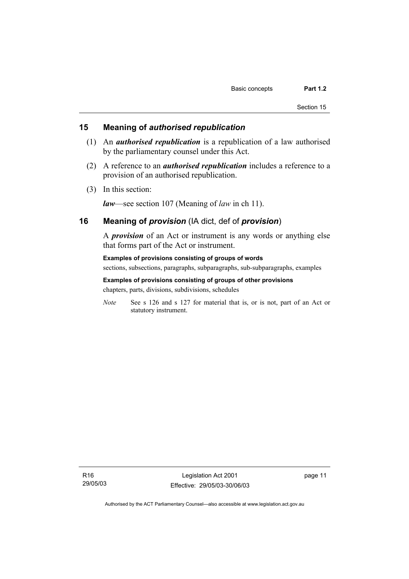## **15 Meaning of** *authorised republication*

- (1) An *authorised republication* is a republication of a law authorised by the parliamentary counsel under this Act.
- (2) A reference to an *authorised republication* includes a reference to a provision of an authorised republication.
- (3) In this section:

*law*—see section 107 (Meaning of *law* in ch 11).

# **16 Meaning of** *provision* (IA dict, def of *provision*)

A *provision* of an Act or instrument is any words or anything else that forms part of the Act or instrument.

#### **Examples of provisions consisting of groups of words**

sections, subsections, paragraphs, subparagraphs, sub-subparagraphs, examples

# **Examples of provisions consisting of groups of other provisions**

chapters, parts, divisions, subdivisions, schedules

*Note* See s 126 and s 127 for material that is, or is not, part of an Act or statutory instrument.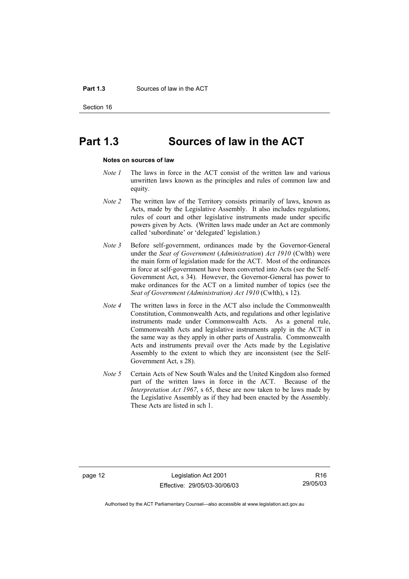#### **Part 1.3** Sources of law in the ACT

Section 16

# **Part 1.3 Sources of law in the ACT**

#### **Notes on sources of law**

- *Note 1* The laws in force in the ACT consist of the written law and various unwritten laws known as the principles and rules of common law and equity.
- *Note 2* The written law of the Territory consists primarily of laws, known as Acts, made by the Legislative Assembly. It also includes regulations, rules of court and other legislative instruments made under specific powers given by Acts. (Written laws made under an Act are commonly called 'subordinate' or 'delegated' legislation.)
- *Note 3* Before self-government, ordinances made by the Governor-General under the *Seat of Government* (*Administration*) *Act 1910* (Cwlth) were the main form of legislation made for the ACT. Most of the ordinances in force at self-government have been converted into Acts (see the Self-Government Act, s 34). However, the Governor-General has power to make ordinances for the ACT on a limited number of topics (see the *Seat of Government (Administration) Act 1910* (Cwlth), s 12).
- *Note 4* The written laws in force in the ACT also include the Commonwealth Constitution, Commonwealth Acts, and regulations and other legislative instruments made under Commonwealth Acts. As a general rule, Commonwealth Acts and legislative instruments apply in the ACT in the same way as they apply in other parts of Australia. Commonwealth Acts and instruments prevail over the Acts made by the Legislative Assembly to the extent to which they are inconsistent (see the Self-Government Act, s 28).
- *Note 5* Certain Acts of New South Wales and the United Kingdom also formed part of the written laws in force in the ACT. Because of the *Interpretation Act 1967*, s 65, these are now taken to be laws made by the Legislative Assembly as if they had been enacted by the Assembly. These Acts are listed in sch 1.

page 12 Legislation Act 2001 Effective: 29/05/03-30/06/03

R16 29/05/03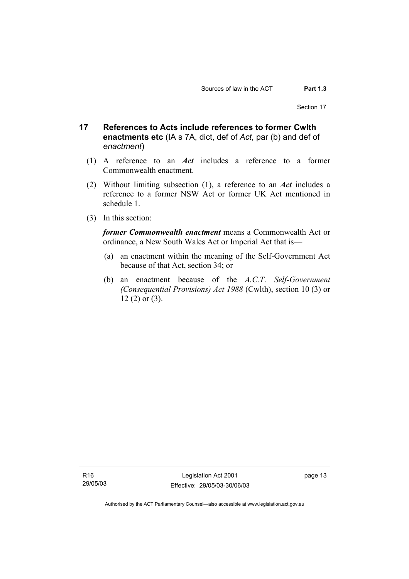Section 17

- **17 References to Acts include references to former Cwlth enactments etc** (IA s 7A, dict, def of *Act*, par (b) and def of *enactment*)
	- (1) A reference to an *Act* includes a reference to a former Commonwealth enactment.
	- (2) Without limiting subsection (1), a reference to an *Act* includes a reference to a former NSW Act or former UK Act mentioned in schedule 1.
	- (3) In this section:

*former Commonwealth enactment* means a Commonwealth Act or ordinance, a New South Wales Act or Imperial Act that is—

- (a) an enactment within the meaning of the Self-Government Act because of that Act, section 34; or
- (b) an enactment because of the *A.C.T*. *Self-Government (Consequential Provisions) Act 1988* (Cwlth), section 10 (3) or 12 (2) or (3).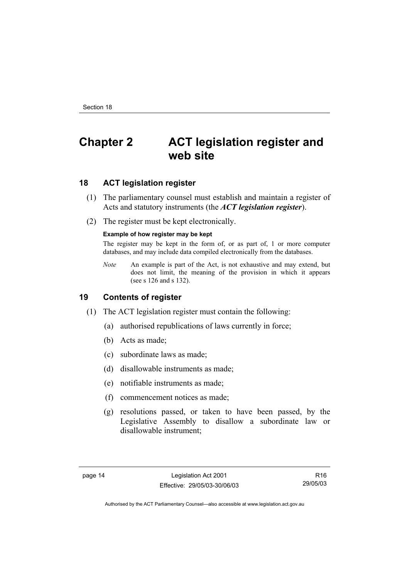# **Chapter 2 ACT legislation register and web site**

# **18 ACT legislation register**

- (1) The parliamentary counsel must establish and maintain a register of Acts and statutory instruments (the *ACT legislation register*).
- (2) The register must be kept electronically.

#### **Example of how register may be kept**

The register may be kept in the form of, or as part of, 1 or more computer databases, and may include data compiled electronically from the databases.

*Note* An example is part of the Act, is not exhaustive and may extend, but does not limit, the meaning of the provision in which it appears (see s 126 and s 132).

## **19 Contents of register**

- (1) The ACT legislation register must contain the following:
	- (a) authorised republications of laws currently in force;
	- (b) Acts as made;
	- (c) subordinate laws as made;
	- (d) disallowable instruments as made;
	- (e) notifiable instruments as made;
	- (f) commencement notices as made;
	- (g) resolutions passed, or taken to have been passed, by the Legislative Assembly to disallow a subordinate law or disallowable instrument;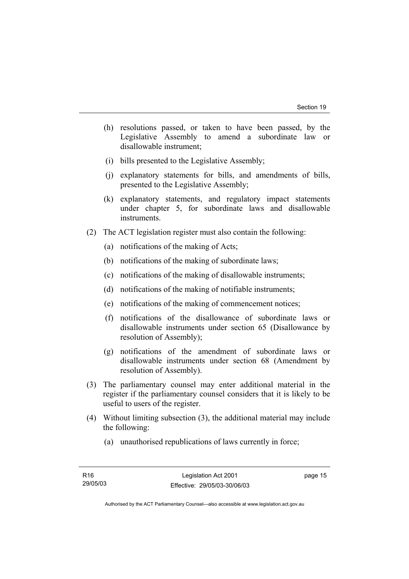- (h) resolutions passed, or taken to have been passed, by the Legislative Assembly to amend a subordinate law or disallowable instrument;
- (i) bills presented to the Legislative Assembly;
- (j) explanatory statements for bills, and amendments of bills, presented to the Legislative Assembly;
- (k) explanatory statements, and regulatory impact statements under chapter 5, for subordinate laws and disallowable instruments.
- (2) The ACT legislation register must also contain the following:
	- (a) notifications of the making of Acts;
	- (b) notifications of the making of subordinate laws;
	- (c) notifications of the making of disallowable instruments;
	- (d) notifications of the making of notifiable instruments;
	- (e) notifications of the making of commencement notices;
	- (f) notifications of the disallowance of subordinate laws or disallowable instruments under section 65 (Disallowance by resolution of Assembly);
	- (g) notifications of the amendment of subordinate laws or disallowable instruments under section 68 (Amendment by resolution of Assembly).
- (3) The parliamentary counsel may enter additional material in the register if the parliamentary counsel considers that it is likely to be useful to users of the register.
- (4) Without limiting subsection (3), the additional material may include the following:
	- (a) unauthorised republications of laws currently in force;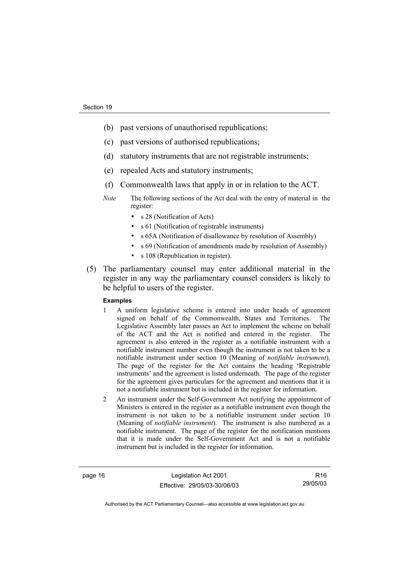- (b) past versions of unauthorised republications;
- (c) past versions of authorised republications;
- (d) statutory instruments that are not registrable instruments;
- (e) repealed Acts and statutory instruments;
- (f) Commonwealth laws that apply in or in relation to the ACT.
- *Note* The following sections of the Act deal with the entry of material in the register:
	- s 28 (Notification of Acts)
	- s 61 (Notification of registrable instruments)
	- s 65A (Notification of disallowance by resolution of Assembly)
	- s 69 (Notification of amendments made by resolution of Assembly)
	- s 108 (Republication in register).
- (5) The parliamentary counsel may enter additional material in the register in any way the parliamentary counsel considers is likely to be helpful to users of the register.

#### **Examples**

- 1 A uniform legislative scheme is entered into under heads of agreement signed on behalf of the Commonwealth, States and Territories. The Legislative Assembly later passes an Act to implement the scheme on behalf of the ACT and the Act is notified and entered in the register. The agreement is also entered in the register as a notifiable instrument with a notifiable instrument number even though the instrument is not taken to be a notifiable instrument under section 10 (Meaning of *notifiable instrument*). The page of the register for the Act contains the heading 'Registrable instruments' and the agreement is listed underneath. The page of the register for the agreement gives particulars for the agreement and mentions that it is not a notifiable instrument but is included in the register for information.
- 2 An instrument under the Self-Government Act notifying the appointment of Ministers is entered in the register as a notifiable instrument even though the instrument is not taken to be a notifiable instrument under section 10 (Meaning of *notifiable instrument*). The instrument is also numbered as a notifiable instrument. The page of the register for the notification mentions that it is made under the Self-Government Act and is not a notifiable instrument but is included in the register for information.

page 16 Legislation Act 2001 Effective: 29/05/03-30/06/03

R16 29/05/03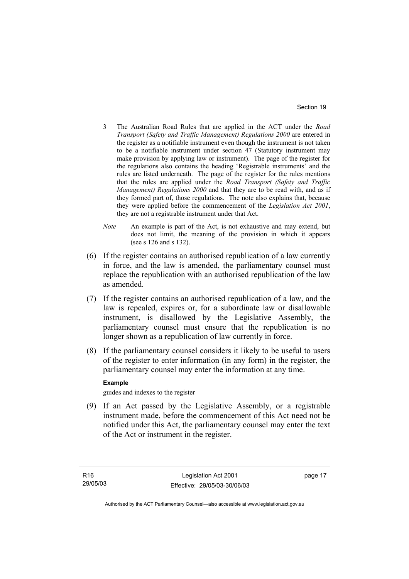- 3 The Australian Road Rules that are applied in the ACT under the *Road Transport (Safety and Traffic Management) Regulations 2000* are entered in the register as a notifiable instrument even though the instrument is not taken to be a notifiable instrument under section 47 (Statutory instrument may make provision by applying law or instrument). The page of the register for the regulations also contains the heading 'Registrable instruments' and the rules are listed underneath. The page of the register for the rules mentions that the rules are applied under the *Road Transport (Safety and Traffic Management) Regulations 2000* and that they are to be read with, and as if they formed part of, those regulations. The note also explains that, because they were applied before the commencement of the *Legislation Act 2001*, they are not a registrable instrument under that Act.
- *Note* An example is part of the Act, is not exhaustive and may extend, but does not limit, the meaning of the provision in which it appears (see s 126 and s 132).
- (6) If the register contains an authorised republication of a law currently in force, and the law is amended, the parliamentary counsel must replace the republication with an authorised republication of the law as amended.
- (7) If the register contains an authorised republication of a law, and the law is repealed, expires or, for a subordinate law or disallowable instrument, is disallowed by the Legislative Assembly, the parliamentary counsel must ensure that the republication is no longer shown as a republication of law currently in force.
- (8) If the parliamentary counsel considers it likely to be useful to users of the register to enter information (in any form) in the register, the parliamentary counsel may enter the information at any time.

#### **Example**

guides and indexes to the register

 (9) If an Act passed by the Legislative Assembly, or a registrable instrument made, before the commencement of this Act need not be notified under this Act, the parliamentary counsel may enter the text of the Act or instrument in the register.

page 17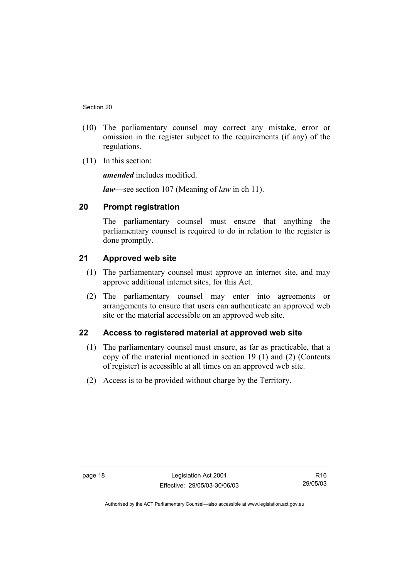- (10) The parliamentary counsel may correct any mistake, error or omission in the register subject to the requirements (if any) of the regulations.
- (11) In this section:

*amended* includes modified.

*law*—see section 107 (Meaning of *law* in ch 11).

## **20 Prompt registration**

The parliamentary counsel must ensure that anything the parliamentary counsel is required to do in relation to the register is done promptly.

## **21 Approved web site**

- (1) The parliamentary counsel must approve an internet site, and may approve additional internet sites, for this Act.
- (2) The parliamentary counsel may enter into agreements or arrangements to ensure that users can authenticate an approved web site or the material accessible on an approved web site.

## **22 Access to registered material at approved web site**

- (1) The parliamentary counsel must ensure, as far as practicable, that a copy of the material mentioned in section 19 (1) and (2) (Contents of register) is accessible at all times on an approved web site.
- (2) Access is to be provided without charge by the Territory.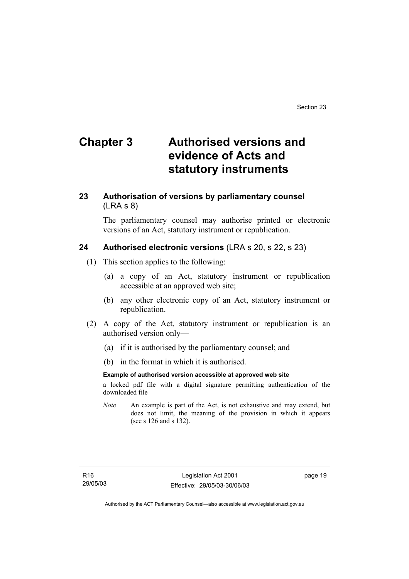# **Chapter 3 Authorised versions and evidence of Acts and statutory instruments**

## **23 Authorisation of versions by parliamentary counsel**  (LRA s 8)

The parliamentary counsel may authorise printed or electronic versions of an Act, statutory instrument or republication.

## **24 Authorised electronic versions** (LRA s 20, s 22, s 23)

- (1) This section applies to the following:
	- (a) a copy of an Act, statutory instrument or republication accessible at an approved web site;
	- (b) any other electronic copy of an Act, statutory instrument or republication.
- (2) A copy of the Act, statutory instrument or republication is an authorised version only—
	- (a) if it is authorised by the parliamentary counsel; and
	- (b) in the format in which it is authorised.

#### **Example of authorised version accessible at approved web site**

a locked pdf file with a digital signature permitting authentication of the downloaded file

*Note* An example is part of the Act, is not exhaustive and may extend, but does not limit, the meaning of the provision in which it appears (see s 126 and s 132).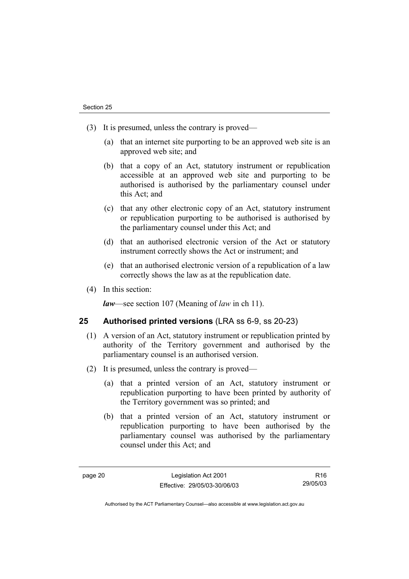- (3) It is presumed, unless the contrary is proved—
	- (a) that an internet site purporting to be an approved web site is an approved web site; and
	- (b) that a copy of an Act, statutory instrument or republication accessible at an approved web site and purporting to be authorised is authorised by the parliamentary counsel under this Act; and
	- (c) that any other electronic copy of an Act, statutory instrument or republication purporting to be authorised is authorised by the parliamentary counsel under this Act; and
	- (d) that an authorised electronic version of the Act or statutory instrument correctly shows the Act or instrument; and
	- (e) that an authorised electronic version of a republication of a law correctly shows the law as at the republication date.
- (4) In this section:

*law*—see section 107 (Meaning of *law* in ch 11).

### **25 Authorised printed versions** (LRA ss 6-9, ss 20-23)

- (1) A version of an Act, statutory instrument or republication printed by authority of the Territory government and authorised by the parliamentary counsel is an authorised version.
- (2) It is presumed, unless the contrary is proved—
	- (a) that a printed version of an Act, statutory instrument or republication purporting to have been printed by authority of the Territory government was so printed; and
	- (b) that a printed version of an Act, statutory instrument or republication purporting to have been authorised by the parliamentary counsel was authorised by the parliamentary counsel under this Act; and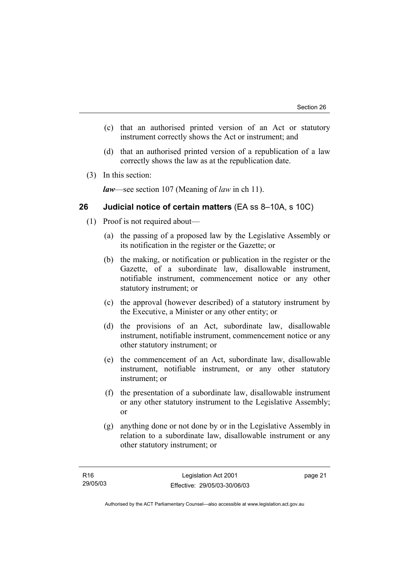- (c) that an authorised printed version of an Act or statutory instrument correctly shows the Act or instrument; and
- (d) that an authorised printed version of a republication of a law correctly shows the law as at the republication date.
- (3) In this section:

*law*—see section 107 (Meaning of *law* in ch 11).

### **26 Judicial notice of certain matters** (EA ss 8–10A, s 10C)

- (1) Proof is not required about—
	- (a) the passing of a proposed law by the Legislative Assembly or its notification in the register or the Gazette; or
	- (b) the making, or notification or publication in the register or the Gazette, of a subordinate law, disallowable instrument, notifiable instrument, commencement notice or any other statutory instrument; or
	- (c) the approval (however described) of a statutory instrument by the Executive, a Minister or any other entity; or
	- (d) the provisions of an Act, subordinate law, disallowable instrument, notifiable instrument, commencement notice or any other statutory instrument; or
	- (e) the commencement of an Act, subordinate law, disallowable instrument, notifiable instrument, or any other statutory instrument; or
	- (f) the presentation of a subordinate law, disallowable instrument or any other statutory instrument to the Legislative Assembly; or
	- (g) anything done or not done by or in the Legislative Assembly in relation to a subordinate law, disallowable instrument or any other statutory instrument; or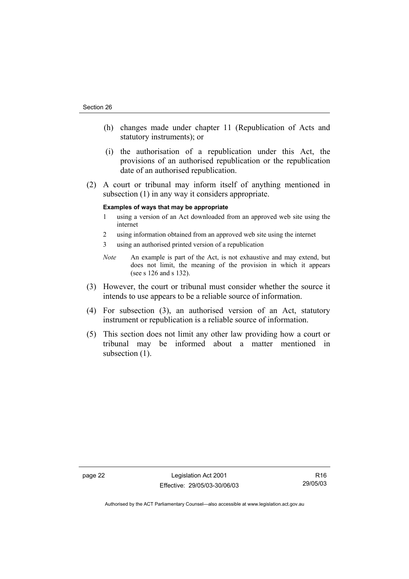- (h) changes made under chapter 11 (Republication of Acts and statutory instruments); or
- (i) the authorisation of a republication under this Act, the provisions of an authorised republication or the republication date of an authorised republication.
- (2) A court or tribunal may inform itself of anything mentioned in subsection (1) in any way it considers appropriate.

#### **Examples of ways that may be appropriate**

- 1 using a version of an Act downloaded from an approved web site using the internet
- 2 using information obtained from an approved web site using the internet
- 3 using an authorised printed version of a republication
- *Note* An example is part of the Act, is not exhaustive and may extend, but does not limit, the meaning of the provision in which it appears (see s 126 and s 132).
- (3) However, the court or tribunal must consider whether the source it intends to use appears to be a reliable source of information.
- (4) For subsection (3), an authorised version of an Act, statutory instrument or republication is a reliable source of information.
- (5) This section does not limit any other law providing how a court or tribunal may be informed about a matter mentioned in subsection  $(1)$ .

page 22 Legislation Act 2001 Effective: 29/05/03-30/06/03

R16 29/05/03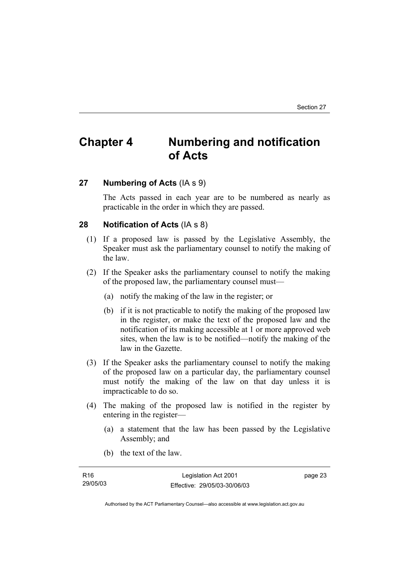# **Chapter 4 Numbering and notification of Acts**

## **27 Numbering of Acts** (IA s 9)

The Acts passed in each year are to be numbered as nearly as practicable in the order in which they are passed.

## **28 Notification of Acts** (IA s 8)

- (1) If a proposed law is passed by the Legislative Assembly, the Speaker must ask the parliamentary counsel to notify the making of the law.
- (2) If the Speaker asks the parliamentary counsel to notify the making of the proposed law, the parliamentary counsel must—
	- (a) notify the making of the law in the register; or
	- (b) if it is not practicable to notify the making of the proposed law in the register, or make the text of the proposed law and the notification of its making accessible at 1 or more approved web sites, when the law is to be notified—notify the making of the law in the Gazette.
- (3) If the Speaker asks the parliamentary counsel to notify the making of the proposed law on a particular day, the parliamentary counsel must notify the making of the law on that day unless it is impracticable to do so.
- (4) The making of the proposed law is notified in the register by entering in the register—
	- (a) a statement that the law has been passed by the Legislative Assembly; and
	- (b) the text of the law.

| R16      | Legislation Act 2001         | page 23 |
|----------|------------------------------|---------|
| 29/05/03 | Effective: 29/05/03-30/06/03 |         |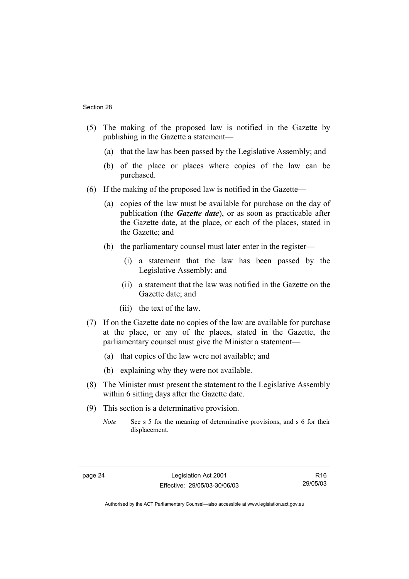- (5) The making of the proposed law is notified in the Gazette by publishing in the Gazette a statement—
	- (a) that the law has been passed by the Legislative Assembly; and
	- (b) of the place or places where copies of the law can be purchased.
- (6) If the making of the proposed law is notified in the Gazette—
	- (a) copies of the law must be available for purchase on the day of publication (the *Gazette date*), or as soon as practicable after the Gazette date, at the place, or each of the places, stated in the Gazette; and
	- (b) the parliamentary counsel must later enter in the register—
		- (i) a statement that the law has been passed by the Legislative Assembly; and
		- (ii) a statement that the law was notified in the Gazette on the Gazette date; and
		- (iii) the text of the law.
- (7) If on the Gazette date no copies of the law are available for purchase at the place, or any of the places, stated in the Gazette, the parliamentary counsel must give the Minister a statement—
	- (a) that copies of the law were not available; and
	- (b) explaining why they were not available.
- (8) The Minister must present the statement to the Legislative Assembly within 6 sitting days after the Gazette date.
- (9) This section is a determinative provision.
	- *Note* See s 5 for the meaning of determinative provisions, and s 6 for their displacement.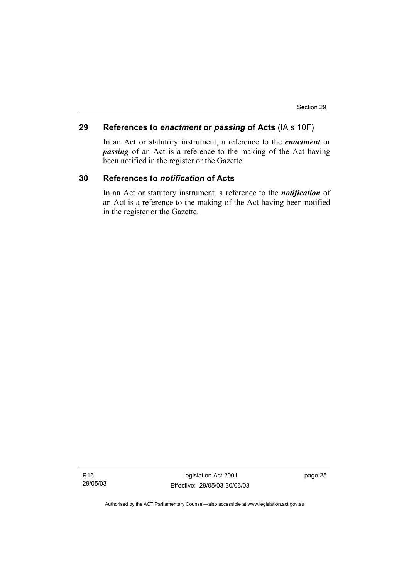#### **29 References to** *enactment* **or** *passing* **of Acts** (IA s 10F)

In an Act or statutory instrument, a reference to the *enactment* or *passing* of an Act is a reference to the making of the Act having been notified in the register or the Gazette.

## **30 References to** *notification* **of Acts**

In an Act or statutory instrument, a reference to the *notification* of an Act is a reference to the making of the Act having been notified in the register or the Gazette.

Legislation Act 2001 Effective: 29/05/03-30/06/03 page 25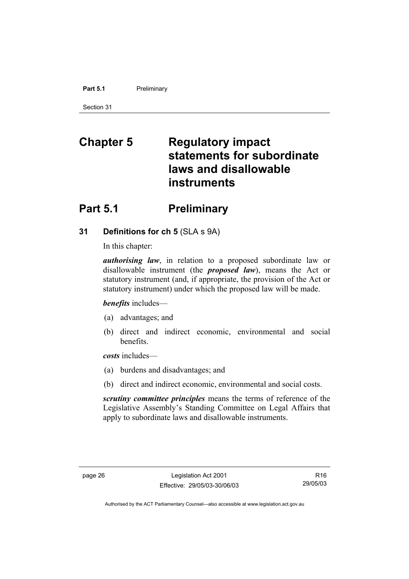#### **Part 5.1** Preliminary

Section 31

# **Chapter 5 Regulatory impact statements for subordinate laws and disallowable instruments**

## **Part 5.1** Preliminary

## **31 Definitions for ch 5** (SLA s 9A)

In this chapter:

*authorising law*, in relation to a proposed subordinate law or disallowable instrument (the *proposed law*), means the Act or statutory instrument (and, if appropriate, the provision of the Act or statutory instrument) under which the proposed law will be made.

*benefits* includes—

- (a) advantages; and
- (b) direct and indirect economic, environmental and social benefits.

*costs* includes—

- (a) burdens and disadvantages; and
- (b) direct and indirect economic, environmental and social costs.

*scrutiny committee principles* means the terms of reference of the Legislative Assembly's Standing Committee on Legal Affairs that apply to subordinate laws and disallowable instruments.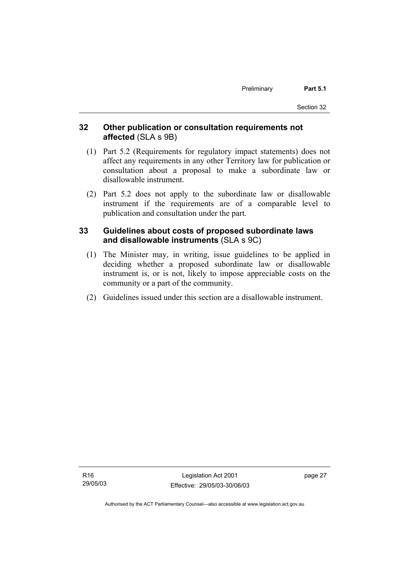## **32 Other publication or consultation requirements not affected** (SLA s 9B)

- (1) Part 5.2 (Requirements for regulatory impact statements) does not affect any requirements in any other Territory law for publication or consultation about a proposal to make a subordinate law or disallowable instrument.
- (2) Part 5.2 does not apply to the subordinate law or disallowable instrument if the requirements are of a comparable level to publication and consultation under the part.

## **33 Guidelines about costs of proposed subordinate laws and disallowable instruments** (SLA s 9C)

- (1) The Minister may, in writing, issue guidelines to be applied in deciding whether a proposed subordinate law or disallowable instrument is, or is not, likely to impose appreciable costs on the community or a part of the community.
- (2) Guidelines issued under this section are a disallowable instrument.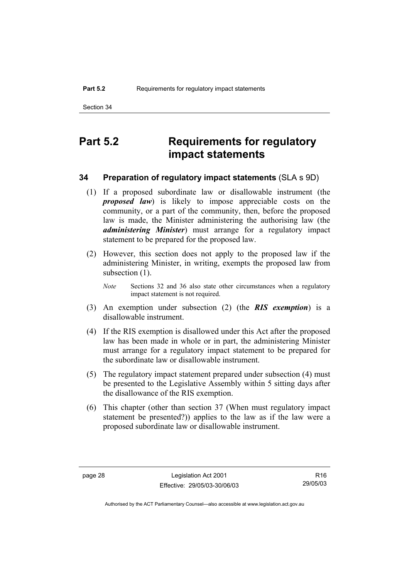## **Part 5.2 Requirements for regulatory impact statements**

## **34 Preparation of regulatory impact statements** (SLA s 9D)

- (1) If a proposed subordinate law or disallowable instrument (the *proposed law*) is likely to impose appreciable costs on the community, or a part of the community, then, before the proposed law is made, the Minister administering the authorising law (the *administering Minister*) must arrange for a regulatory impact statement to be prepared for the proposed law.
- (2) However, this section does not apply to the proposed law if the administering Minister, in writing, exempts the proposed law from subsection  $(1)$ .
	- *Note* Sections 32 and 36 also state other circumstances when a regulatory impact statement is not required.
- (3) An exemption under subsection (2) (the *RIS exemption*) is a disallowable instrument.
- (4) If the RIS exemption is disallowed under this Act after the proposed law has been made in whole or in part, the administering Minister must arrange for a regulatory impact statement to be prepared for the subordinate law or disallowable instrument.
- (5) The regulatory impact statement prepared under subsection (4) must be presented to the Legislative Assembly within 5 sitting days after the disallowance of the RIS exemption.
- (6) This chapter (other than section 37 (When must regulatory impact statement be presented?)) applies to the law as if the law were a proposed subordinate law or disallowable instrument.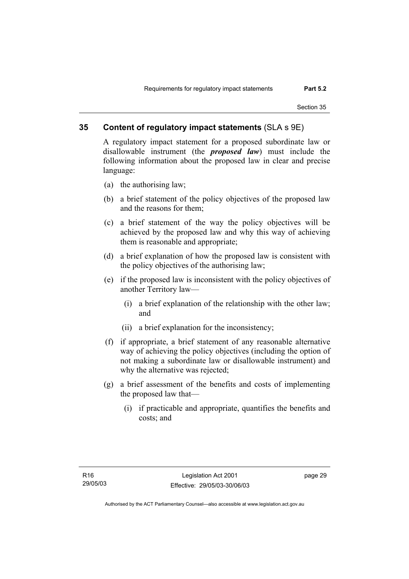## **35 Content of regulatory impact statements** (SLA s 9E)

A regulatory impact statement for a proposed subordinate law or disallowable instrument (the *proposed law*) must include the following information about the proposed law in clear and precise language:

- (a) the authorising law;
- (b) a brief statement of the policy objectives of the proposed law and the reasons for them;
- (c) a brief statement of the way the policy objectives will be achieved by the proposed law and why this way of achieving them is reasonable and appropriate;
- (d) a brief explanation of how the proposed law is consistent with the policy objectives of the authorising law;
- (e) if the proposed law is inconsistent with the policy objectives of another Territory law—
	- (i) a brief explanation of the relationship with the other law; and
	- (ii) a brief explanation for the inconsistency;
- (f) if appropriate, a brief statement of any reasonable alternative way of achieving the policy objectives (including the option of not making a subordinate law or disallowable instrument) and why the alternative was rejected;
- (g) a brief assessment of the benefits and costs of implementing the proposed law that—
	- (i) if practicable and appropriate, quantifies the benefits and costs; and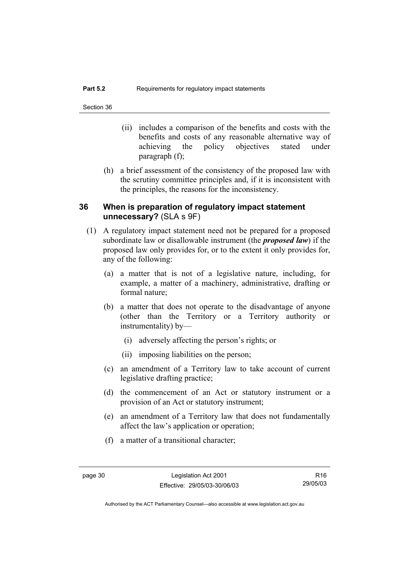- (ii) includes a comparison of the benefits and costs with the benefits and costs of any reasonable alternative way of achieving the policy objectives stated under paragraph (f);
- (h) a brief assessment of the consistency of the proposed law with the scrutiny committee principles and, if it is inconsistent with the principles, the reasons for the inconsistency.

## **36 When is preparation of regulatory impact statement unnecessary?** (SLA s 9F)

- (1) A regulatory impact statement need not be prepared for a proposed subordinate law or disallowable instrument (the *proposed law*) if the proposed law only provides for, or to the extent it only provides for, any of the following:
	- (a) a matter that is not of a legislative nature, including, for example, a matter of a machinery, administrative, drafting or formal nature;
	- (b) a matter that does not operate to the disadvantage of anyone (other than the Territory or a Territory authority or instrumentality) by—
		- (i) adversely affecting the person's rights; or
		- (ii) imposing liabilities on the person;
	- (c) an amendment of a Territory law to take account of current legislative drafting practice;
	- (d) the commencement of an Act or statutory instrument or a provision of an Act or statutory instrument;
	- (e) an amendment of a Territory law that does not fundamentally affect the law's application or operation;
	- (f) a matter of a transitional character;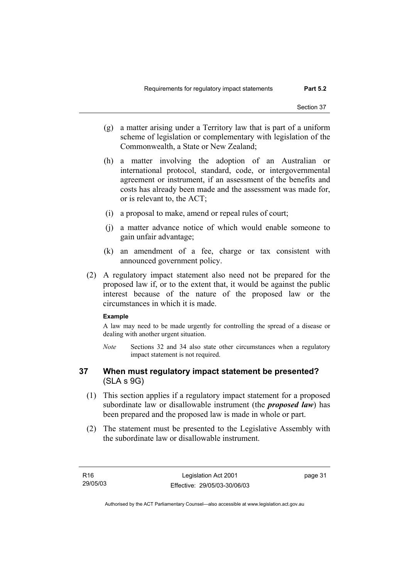- (g) a matter arising under a Territory law that is part of a uniform scheme of legislation or complementary with legislation of the Commonwealth, a State or New Zealand;
- (h) a matter involving the adoption of an Australian or international protocol, standard, code, or intergovernmental agreement or instrument, if an assessment of the benefits and costs has already been made and the assessment was made for, or is relevant to, the ACT;
- (i) a proposal to make, amend or repeal rules of court;
- (j) a matter advance notice of which would enable someone to gain unfair advantage;
- (k) an amendment of a fee, charge or tax consistent with announced government policy.
- (2) A regulatory impact statement also need not be prepared for the proposed law if, or to the extent that, it would be against the public interest because of the nature of the proposed law or the circumstances in which it is made.

#### **Example**

A law may need to be made urgently for controlling the spread of a disease or dealing with another urgent situation.

*Note* Sections 32 and 34 also state other circumstances when a regulatory impact statement is not required.

### **37 When must regulatory impact statement be presented?**  (SLA s 9G)

- (1) This section applies if a regulatory impact statement for a proposed subordinate law or disallowable instrument (the *proposed law*) has been prepared and the proposed law is made in whole or part.
- (2) The statement must be presented to the Legislative Assembly with the subordinate law or disallowable instrument.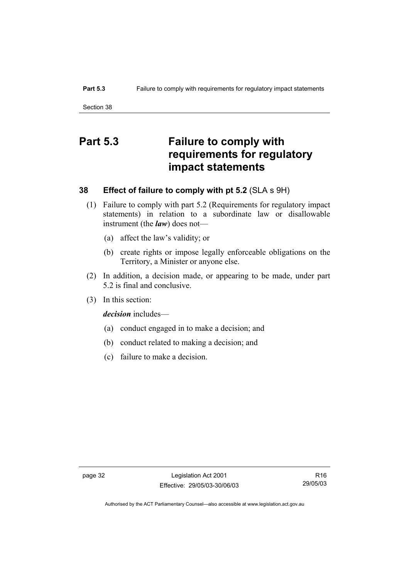# **Part 5.3 Failure to comply with requirements for regulatory impact statements**

## **38 Effect of failure to comply with pt 5.2** (SLA s 9H)

- (1) Failure to comply with part 5.2 (Requirements for regulatory impact statements) in relation to a subordinate law or disallowable instrument (the *law*) does not—
	- (a) affect the law's validity; or
	- (b) create rights or impose legally enforceable obligations on the Territory, a Minister or anyone else.
- (2) In addition, a decision made, or appearing to be made, under part 5.2 is final and conclusive.
- (3) In this section:

*decision* includes—

- (a) conduct engaged in to make a decision; and
- (b) conduct related to making a decision; and
- (c) failure to make a decision.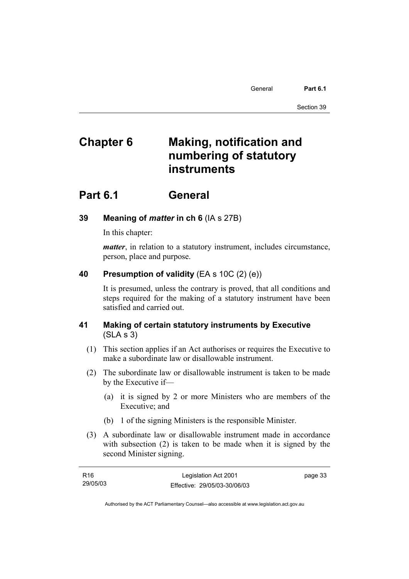General **Part 6.1** 

Section 39

# **Chapter 6 Making, notification and numbering of statutory instruments**

## **Part 6.1 General**

## **39 Meaning of** *matter* **in ch 6** (IA s 27B)

In this chapter:

*matter*, in relation to a statutory instrument, includes circumstance, person, place and purpose.

## **40 Presumption of validity** (EA s 10C (2) (e))

It is presumed, unless the contrary is proved, that all conditions and steps required for the making of a statutory instrument have been satisfied and carried out.

## **41 Making of certain statutory instruments by Executive**  (SLA s 3)

- (1) This section applies if an Act authorises or requires the Executive to make a subordinate law or disallowable instrument.
- (2) The subordinate law or disallowable instrument is taken to be made by the Executive if—
	- (a) it is signed by 2 or more Ministers who are members of the Executive; and
	- (b) 1 of the signing Ministers is the responsible Minister.
- (3) A subordinate law or disallowable instrument made in accordance with subsection (2) is taken to be made when it is signed by the second Minister signing.

| R16      | Legislation Act 2001         | page 33 |
|----------|------------------------------|---------|
| 29/05/03 | Effective: 29/05/03-30/06/03 |         |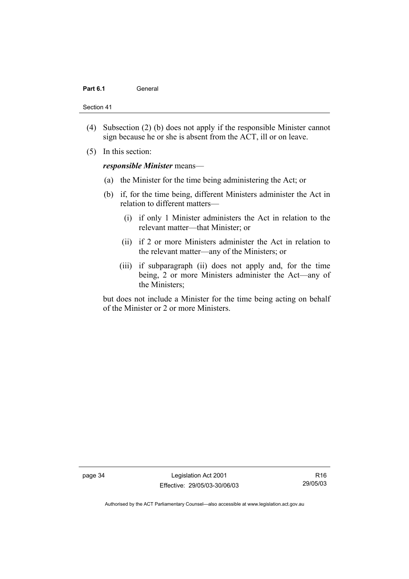#### Part 6.1 **General**

Section 41

- (4) Subsection (2) (b) does not apply if the responsible Minister cannot sign because he or she is absent from the ACT, ill or on leave.
- (5) In this section:

#### *responsible Minister* means—

- (a) the Minister for the time being administering the Act; or
- (b) if, for the time being, different Ministers administer the Act in relation to different matters—
	- (i) if only 1 Minister administers the Act in relation to the relevant matter—that Minister; or
	- (ii) if 2 or more Ministers administer the Act in relation to the relevant matter—any of the Ministers; or
	- (iii) if subparagraph (ii) does not apply and, for the time being, 2 or more Ministers administer the Act—any of the Ministers;

but does not include a Minister for the time being acting on behalf of the Minister or 2 or more Ministers.

page 34 Legislation Act 2001 Effective: 29/05/03-30/06/03

R16 29/05/03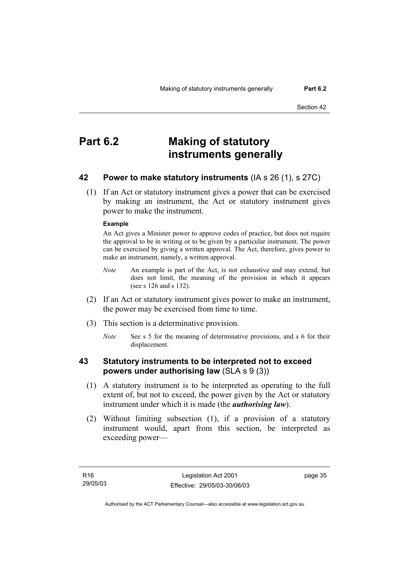# **Part 6.2 Making of statutory instruments generally**

## **42 Power to make statutory instruments** (IA s 26 (1), s 27C)

 (1) If an Act or statutory instrument gives a power that can be exercised by making an instrument, the Act or statutory instrument gives power to make the instrument.

#### **Example**

An Act gives a Minister power to approve codes of practice, but does not require the approval to be in writing or to be given by a particular instrument. The power can be exercised by giving a written approval. The Act, therefore, gives power to make an instrument, namely, a written approval.

- *Note* An example is part of the Act, is not exhaustive and may extend, but does not limit, the meaning of the provision in which it appears (see s 126 and s 132).
- (2) If an Act or statutory instrument gives power to make an instrument, the power may be exercised from time to time.
- (3) This section is a determinative provision.
	- *Note* See s 5 for the meaning of determinative provisions, and s 6 for their displacement.

## **43 Statutory instruments to be interpreted not to exceed powers under authorising law** (SLA s 9 (3))

- (1) A statutory instrument is to be interpreted as operating to the full extent of, but not to exceed, the power given by the Act or statutory instrument under which it is made (the *authorising law*).
- (2) Without limiting subsection (1), if a provision of a statutory instrument would, apart from this section, be interpreted as exceeding power—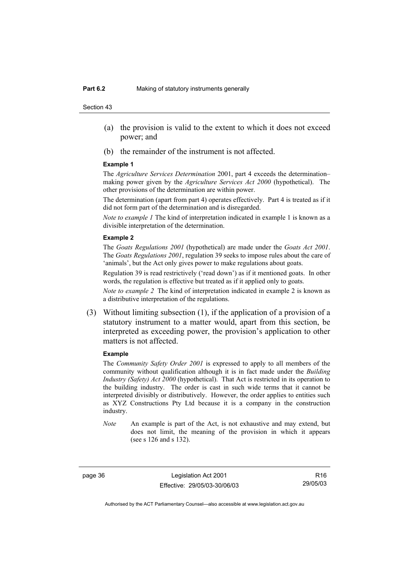- (a) the provision is valid to the extent to which it does not exceed power; and
- (b) the remainder of the instrument is not affected.

#### **Example 1**

The *Agriculture Services Determination* 2001, part 4 exceeds the determination– making power given by the *Agriculture Services Act 2000* (hypothetical). The other provisions of the determination are within power.

The determination (apart from part 4) operates effectively. Part 4 is treated as if it did not form part of the determination and is disregarded.

*Note to example 1* The kind of interpretation indicated in example 1 is known as a divisible interpretation of the determination.

#### **Example 2**

The *Goats Regulations 2001* (hypothetical) are made under the *Goats Act 2001*. The *Goats Regulations 2001*, regulation 39 seeks to impose rules about the care of 'animals', but the Act only gives power to make regulations about goats.

Regulation 39 is read restrictively ('read down') as if it mentioned goats. In other words, the regulation is effective but treated as if it applied only to goats.

*Note to example 2* The kind of interpretation indicated in example 2 is known as a distributive interpretation of the regulations.

 (3) Without limiting subsection (1), if the application of a provision of a statutory instrument to a matter would, apart from this section, be interpreted as exceeding power, the provision's application to other matters is not affected.

#### **Example**

The *Community Safety Order 2001* is expressed to apply to all members of the community without qualification although it is in fact made under the *Building Industry (Safety) Act 2000* (hypothetical). That Act is restricted in its operation to the building industry. The order is cast in such wide terms that it cannot be interpreted divisibly or distributively. However, the order applies to entities such as XYZ Constructions Pty Ltd because it is a company in the construction industry.

*Note* An example is part of the Act, is not exhaustive and may extend, but does not limit, the meaning of the provision in which it appears (see s 126 and s 132).

page 36 Legislation Act 2001 Effective: 29/05/03-30/06/03

R16 29/05/03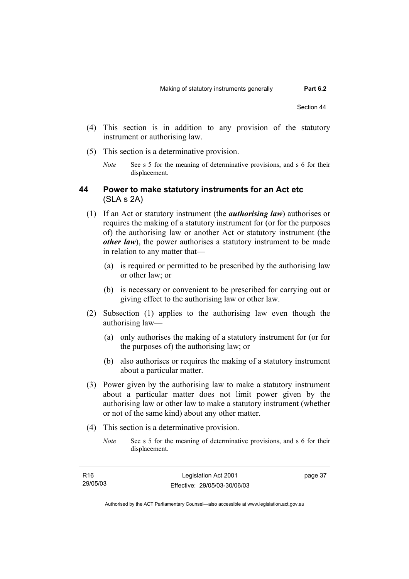- (4) This section is in addition to any provision of the statutory instrument or authorising law.
- (5) This section is a determinative provision.
	- *Note* See s 5 for the meaning of determinative provisions, and s 6 for their displacement.

### **44 Power to make statutory instruments for an Act etc**  (SLA s 2A)

- (1) If an Act or statutory instrument (the *authorising law*) authorises or requires the making of a statutory instrument for (or for the purposes of) the authorising law or another Act or statutory instrument (the *other law*), the power authorises a statutory instrument to be made in relation to any matter that—
	- (a) is required or permitted to be prescribed by the authorising law or other law; or
	- (b) is necessary or convenient to be prescribed for carrying out or giving effect to the authorising law or other law.
- (2) Subsection (1) applies to the authorising law even though the authorising law—
	- (a) only authorises the making of a statutory instrument for (or for the purposes of) the authorising law; or
	- (b) also authorises or requires the making of a statutory instrument about a particular matter.
- (3) Power given by the authorising law to make a statutory instrument about a particular matter does not limit power given by the authorising law or other law to make a statutory instrument (whether or not of the same kind) about any other matter.
- (4) This section is a determinative provision.
	- *Note* See s 5 for the meaning of determinative provisions, and s 6 for their displacement.

| R16      | Legislation Act 2001         | page 37 |
|----------|------------------------------|---------|
| 29/05/03 | Effective: 29/05/03-30/06/03 |         |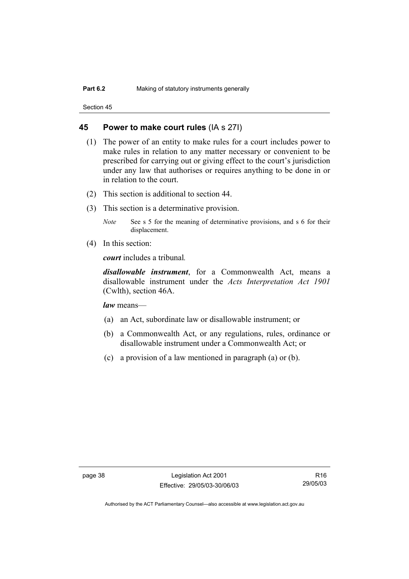#### **45 Power to make court rules** (IA s 27I)

- (1) The power of an entity to make rules for a court includes power to make rules in relation to any matter necessary or convenient to be prescribed for carrying out or giving effect to the court's jurisdiction under any law that authorises or requires anything to be done in or in relation to the court.
- (2) This section is additional to section 44.
- (3) This section is a determinative provision.
	- *Note* See s 5 for the meaning of determinative provisions, and s 6 for their displacement.
- (4) In this section:

*court* includes a tribunal*.*

*disallowable instrument*, for a Commonwealth Act, means a disallowable instrument under the *Acts Interpretation Act 1901* (Cwlth), section 46A.

*law* means—

- (a) an Act, subordinate law or disallowable instrument; or
- (b) a Commonwealth Act, or any regulations, rules, ordinance or disallowable instrument under a Commonwealth Act; or
- (c) a provision of a law mentioned in paragraph (a) or (b).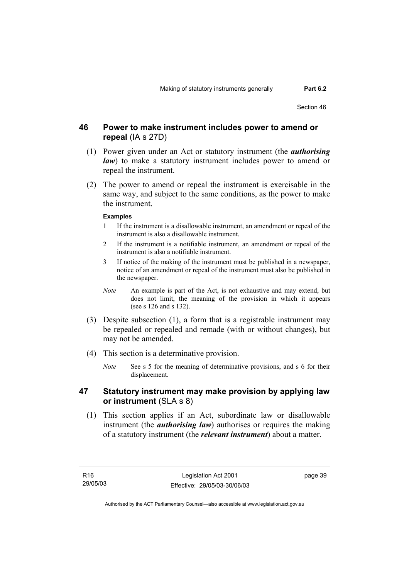## **46 Power to make instrument includes power to amend or repeal** (IA s 27D)

- (1) Power given under an Act or statutory instrument (the *authorising law*) to make a statutory instrument includes power to amend or repeal the instrument.
- (2) The power to amend or repeal the instrument is exercisable in the same way, and subject to the same conditions, as the power to make the instrument.

#### **Examples**

- 1 If the instrument is a disallowable instrument, an amendment or repeal of the instrument is also a disallowable instrument.
- 2 If the instrument is a notifiable instrument, an amendment or repeal of the instrument is also a notifiable instrument.
- 3 If notice of the making of the instrument must be published in a newspaper, notice of an amendment or repeal of the instrument must also be published in the newspaper.
- *Note* An example is part of the Act, is not exhaustive and may extend, but does not limit, the meaning of the provision in which it appears (see s 126 and s 132).
- (3) Despite subsection (1), a form that is a registrable instrument may be repealed or repealed and remade (with or without changes), but may not be amended.
- (4) This section is a determinative provision.
	- *Note* See s 5 for the meaning of determinative provisions, and s 6 for their displacement.

## **47 Statutory instrument may make provision by applying law or instrument** (SLA s 8)

 (1) This section applies if an Act, subordinate law or disallowable instrument (the *authorising law*) authorises or requires the making of a statutory instrument (the *relevant instrument*) about a matter.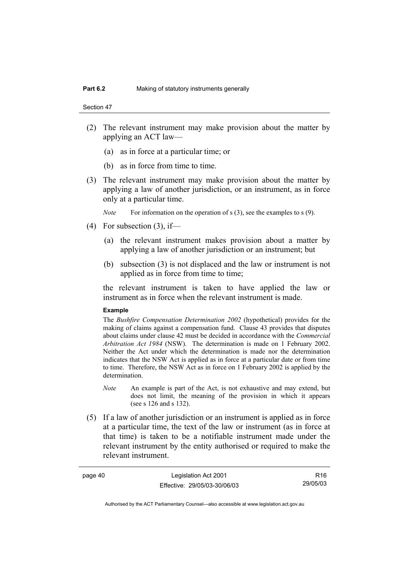```
Section 47
```
- (2) The relevant instrument may make provision about the matter by applying an ACT law—
	- (a) as in force at a particular time; or
	- (b) as in force from time to time.
- (3) The relevant instrument may make provision about the matter by applying a law of another jurisdiction, or an instrument, as in force only at a particular time.
	- *Note* For information on the operation of s (3), see the examples to s (9).
- $(4)$  For subsection  $(3)$ , if—
	- (a) the relevant instrument makes provision about a matter by applying a law of another jurisdiction or an instrument; but
	- (b) subsection (3) is not displaced and the law or instrument is not applied as in force from time to time;

the relevant instrument is taken to have applied the law or instrument as in force when the relevant instrument is made.

#### **Example**

The *Bushfire Compensation Determination 2002* (hypothetical) provides for the making of claims against a compensation fund. Clause 43 provides that disputes about claims under clause 42 must be decided in accordance with the *Commercial Arbitration Act 1984* (NSW). The determination is made on 1 February 2002. Neither the Act under which the determination is made nor the determination indicates that the NSW Act is applied as in force at a particular date or from time to time. Therefore, the NSW Act as in force on 1 February 2002 is applied by the determination.

- *Note* An example is part of the Act, is not exhaustive and may extend, but does not limit, the meaning of the provision in which it appears (see s 126 and s 132).
- (5) If a law of another jurisdiction or an instrument is applied as in force at a particular time, the text of the law or instrument (as in force at that time) is taken to be a notifiable instrument made under the relevant instrument by the entity authorised or required to make the relevant instrument.

| page 40 | Legislation Act 2001         | R <sub>16</sub> |
|---------|------------------------------|-----------------|
|         | Effective: 29/05/03-30/06/03 | 29/05/03        |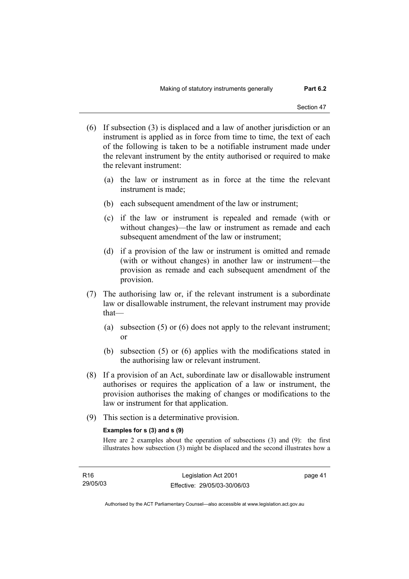- (6) If subsection (3) is displaced and a law of another jurisdiction or an instrument is applied as in force from time to time, the text of each of the following is taken to be a notifiable instrument made under the relevant instrument by the entity authorised or required to make the relevant instrument:
	- (a) the law or instrument as in force at the time the relevant instrument is made;
	- (b) each subsequent amendment of the law or instrument;
	- (c) if the law or instrument is repealed and remade (with or without changes)—the law or instrument as remade and each subsequent amendment of the law or instrument;
	- (d) if a provision of the law or instrument is omitted and remade (with or without changes) in another law or instrument—the provision as remade and each subsequent amendment of the provision.
- (7) The authorising law or, if the relevant instrument is a subordinate law or disallowable instrument, the relevant instrument may provide that—
	- (a) subsection (5) or (6) does not apply to the relevant instrument; or
	- (b) subsection (5) or (6) applies with the modifications stated in the authorising law or relevant instrument.
- (8) If a provision of an Act, subordinate law or disallowable instrument authorises or requires the application of a law or instrument, the provision authorises the making of changes or modifications to the law or instrument for that application.
- (9) This section is a determinative provision.

#### **Examples for s (3) and s (9)**

Here are 2 examples about the operation of subsections (3) and (9): the first illustrates how subsection (3) might be displaced and the second illustrates how a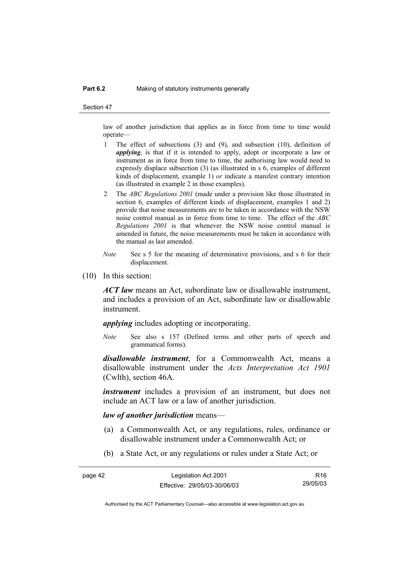#### **Part 6.2** Making of statutory instruments generally

Section 47

law of another jurisdiction that applies as in force from time to time would operate—

- 1 The effect of subsections (3) and (9), and subsection (10), definition of *applying*, is that if it is intended to apply, adopt or incorporate a law or instrument as in force from time to time, the authorising law would need to expressly displace subsection (3) (as illustrated in s 6, examples of different kinds of displacement, example 1) *or* indicate a manifest contrary intention (as illustrated in example 2 in those examples).
- 2 The *ABC Regulations 2001* (made under a provision like those illustrated in section 6, examples of different kinds of displacement, examples 1 and 2) provide that noise measurements are to be taken in accordance with the NSW noise control manual as in force from time to time. The effect of the *ABC Regulations 2001* is that whenever the NSW noise control manual is amended in future, the noise measurements must be taken in accordance with the manual as last amended.
- *Note* See s 5 for the meaning of determinative provisions, and s 6 for their displacement.
- (10) In this section:

*ACT law* means an Act, subordinate law or disallowable instrument, and includes a provision of an Act, subordinate law or disallowable instrument.

*applying* includes adopting or incorporating.

*Note* See also s 157 (Defined terms and other parts of speech and grammatical forms).

*disallowable instrument*, for a Commonwealth Act, means a disallowable instrument under the *Acts Interpretation Act 1901* (Cwlth), section 46A.

*instrument* includes a provision of an instrument, but does not include an ACT law or a law of another jurisdiction.

#### *law of another jurisdiction* means—

- (a) a Commonwealth Act, or any regulations, rules, ordinance or disallowable instrument under a Commonwealth Act; or
- (b) a State Act, or any regulations or rules under a State Act; or

| page 42 | Legislation Act 2001         | R <sub>16</sub> |
|---------|------------------------------|-----------------|
|         | Effective: 29/05/03-30/06/03 | 29/05/03        |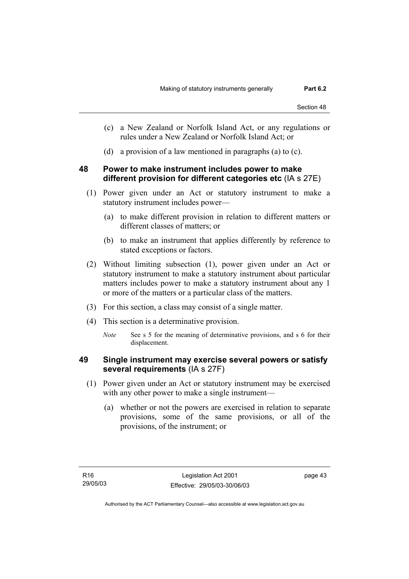- (c) a New Zealand or Norfolk Island Act, or any regulations or rules under a New Zealand or Norfolk Island Act; or
- (d) a provision of a law mentioned in paragraphs (a) to (c).

## **48 Power to make instrument includes power to make different provision for different categories etc** (IA s 27E)

- (1) Power given under an Act or statutory instrument to make a statutory instrument includes power—
	- (a) to make different provision in relation to different matters or different classes of matters; or
	- (b) to make an instrument that applies differently by reference to stated exceptions or factors.
- (2) Without limiting subsection (1), power given under an Act or statutory instrument to make a statutory instrument about particular matters includes power to make a statutory instrument about any 1 or more of the matters or a particular class of the matters.
- (3) For this section, a class may consist of a single matter.
- (4) This section is a determinative provision.
	- *Note* See s 5 for the meaning of determinative provisions, and s 6 for their displacement.

## **49 Single instrument may exercise several powers or satisfy several requirements** (IA s 27F)

- (1) Power given under an Act or statutory instrument may be exercised with any other power to make a single instrument—
	- (a) whether or not the powers are exercised in relation to separate provisions, some of the same provisions, or all of the provisions, of the instrument; or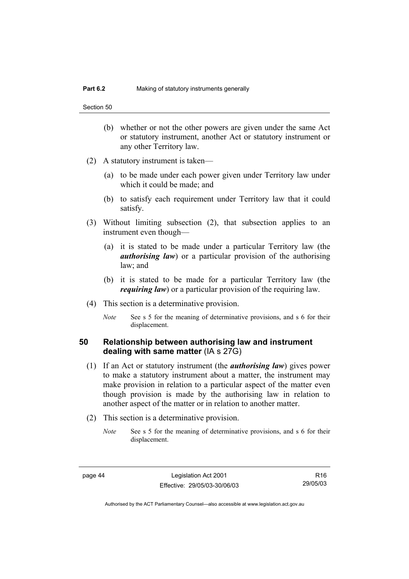- (b) whether or not the other powers are given under the same Act or statutory instrument, another Act or statutory instrument or any other Territory law.
- (2) A statutory instrument is taken—
	- (a) to be made under each power given under Territory law under which it could be made; and
	- (b) to satisfy each requirement under Territory law that it could satisfy.
- (3) Without limiting subsection (2), that subsection applies to an instrument even though—
	- (a) it is stated to be made under a particular Territory law (the *authorising law*) or a particular provision of the authorising law; and
	- (b) it is stated to be made for a particular Territory law (the *requiring law*) or a particular provision of the requiring law.
- (4) This section is a determinative provision.
	- *Note* See s 5 for the meaning of determinative provisions, and s 6 for their displacement.

## **50 Relationship between authorising law and instrument dealing with same matter** (IA s 27G)

- (1) If an Act or statutory instrument (the *authorising law*) gives power to make a statutory instrument about a matter, the instrument may make provision in relation to a particular aspect of the matter even though provision is made by the authorising law in relation to another aspect of the matter or in relation to another matter.
- (2) This section is a determinative provision.
	- *Note* See s 5 for the meaning of determinative provisions, and s 6 for their displacement.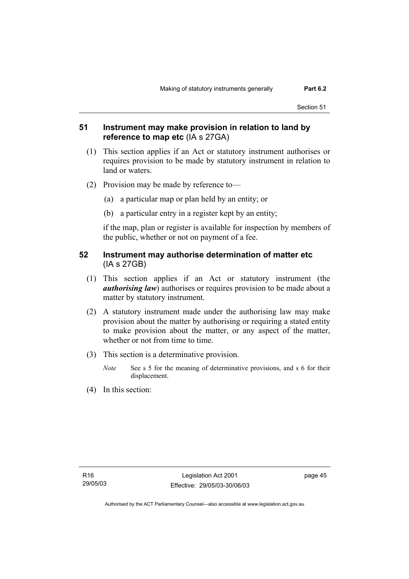## **51 Instrument may make provision in relation to land by reference to map etc** (IA s 27GA)

- (1) This section applies if an Act or statutory instrument authorises or requires provision to be made by statutory instrument in relation to land or waters.
- (2) Provision may be made by reference to—
	- (a) a particular map or plan held by an entity; or
	- (b) a particular entry in a register kept by an entity;

if the map, plan or register is available for inspection by members of the public, whether or not on payment of a fee.

### **52 Instrument may authorise determination of matter etc**  (IA s 27GB)

- (1) This section applies if an Act or statutory instrument (the *authorising law*) authorises or requires provision to be made about a matter by statutory instrument.
- (2) A statutory instrument made under the authorising law may make provision about the matter by authorising or requiring a stated entity to make provision about the matter, or any aspect of the matter, whether or not from time to time.
- (3) This section is a determinative provision.
	- *Note* See s 5 for the meaning of determinative provisions, and s 6 for their displacement.
- (4) In this section: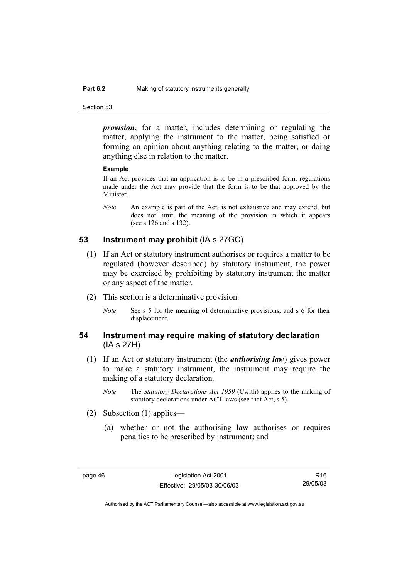#### **Part 6.2** Making of statutory instruments generally

Section 53

*provision*, for a matter, includes determining or regulating the matter, applying the instrument to the matter, being satisfied or forming an opinion about anything relating to the matter, or doing anything else in relation to the matter.

#### **Example**

If an Act provides that an application is to be in a prescribed form, regulations made under the Act may provide that the form is to be that approved by the Minister.

*Note* An example is part of the Act, is not exhaustive and may extend, but does not limit, the meaning of the provision in which it appears (see s 126 and s 132).

## **53 Instrument may prohibit** (IA s 27GC)

- (1) If an Act or statutory instrument authorises or requires a matter to be regulated (however described) by statutory instrument, the power may be exercised by prohibiting by statutory instrument the matter or any aspect of the matter.
- (2) This section is a determinative provision.
	- *Note* See s 5 for the meaning of determinative provisions, and s 6 for their displacement.

### **54 Instrument may require making of statutory declaration**  (IA s 27H)

- (1) If an Act or statutory instrument (the *authorising law*) gives power to make a statutory instrument, the instrument may require the making of a statutory declaration.
	- *Note* The *Statutory Declarations Act 1959* (Cwlth) applies to the making of statutory declarations under ACT laws (see that Act, s 5).
- (2) Subsection (1) applies—
	- (a) whether or not the authorising law authorises or requires penalties to be prescribed by instrument; and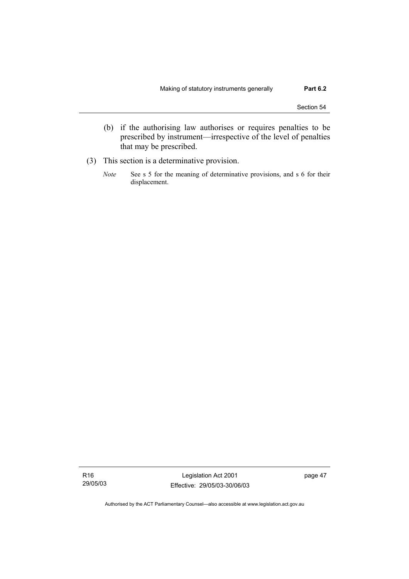- (b) if the authorising law authorises or requires penalties to be prescribed by instrument—irrespective of the level of penalties that may be prescribed.
- (3) This section is a determinative provision.
	- *Note* See s 5 for the meaning of determinative provisions, and s 6 for their displacement.

Legislation Act 2001 Effective: 29/05/03-30/06/03 page 47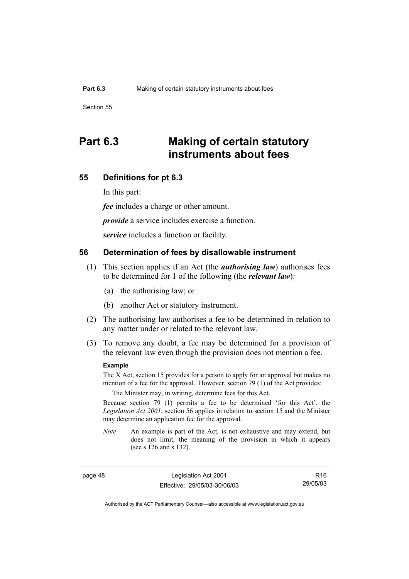# **Part 6.3 Making of certain statutory instruments about fees**

#### **55 Definitions for pt 6.3**

In this part:

*fee* includes a charge or other amount.

*provide* a service includes exercise a function.

*service* includes a function or facility.

### **56 Determination of fees by disallowable instrument**

- (1) This section applies if an Act (the *authorising law*) authorises fees to be determined for 1 of the following (the *relevant law*):
	- (a) the authorising law; or
	- (b) another Act or statutory instrument.
- (2) The authorising law authorises a fee to be determined in relation to any matter under or related to the relevant law.
- (3) To remove any doubt, a fee may be determined for a provision of the relevant law even though the provision does not mention a fee.

#### **Example**

The X Act, section 15 provides for a person to apply for an approval but makes no mention of a fee for the approval. However, section 79 (1) of the Act provides:

The Minister may, in writing, determine fees for this Act.

Because section 79 (1) permits a fee to be determined 'for this Act', the *Legislation Act 2001*, section 56 applies in relation to section 15 and the Minister may determine an application fee for the approval.

*Note* An example is part of the Act, is not exhaustive and may extend, but does not limit, the meaning of the provision in which it appears (see s 126 and s 132).

page 48 Legislation Act 2001 Effective: 29/05/03-30/06/03

R16 29/05/03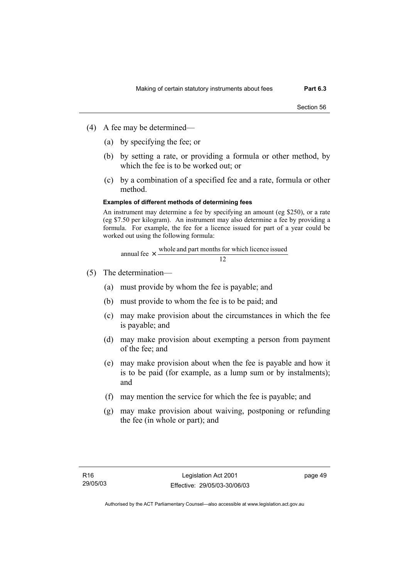- (4) A fee may be determined—
	- (a) by specifying the fee; or
	- (b) by setting a rate, or providing a formula or other method, by which the fee is to be worked out; or
	- (c) by a combination of a specified fee and a rate, formula or other method.

#### **Examples of different methods of determining fees**

An instrument may determine a fee by specifying an amount (eg \$250), or a rate (eg \$7.50 per kilogram). An instrument may also determine a fee by providing a formula. For example, the fee for a licence issued for part of a year could be worked out using the following formula:

12 annual fee  $\times$  whole and part months for which licence issued

- (5) The determination—
	- (a) must provide by whom the fee is payable; and
	- (b) must provide to whom the fee is to be paid; and
	- (c) may make provision about the circumstances in which the fee is payable; and
	- (d) may make provision about exempting a person from payment of the fee; and
	- (e) may make provision about when the fee is payable and how it is to be paid (for example, as a lump sum or by instalments); and
	- (f) may mention the service for which the fee is payable; and
	- (g) may make provision about waiving, postponing or refunding the fee (in whole or part); and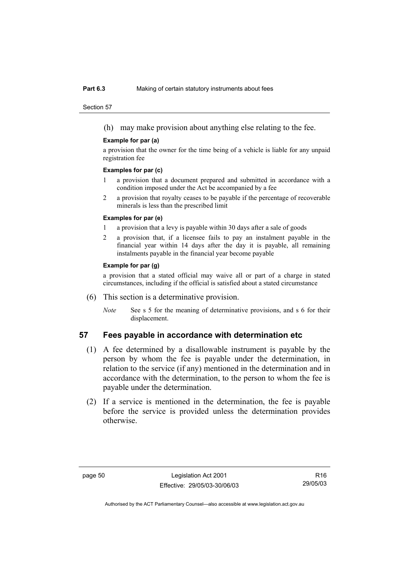#### **Part 6.3** Making of certain statutory instruments about fees

Section 57

(h) may make provision about anything else relating to the fee.

#### **Example for par (a)**

a provision that the owner for the time being of a vehicle is liable for any unpaid registration fee

#### **Examples for par (c)**

- 1 a provision that a document prepared and submitted in accordance with a condition imposed under the Act be accompanied by a fee
- 2 a provision that royalty ceases to be payable if the percentage of recoverable minerals is less than the prescribed limit

#### **Examples for par (e)**

- 1 a provision that a levy is payable within 30 days after a sale of goods
- 2 a provision that, if a licensee fails to pay an instalment payable in the financial year within 14 days after the day it is payable, all remaining instalments payable in the financial year become payable

#### **Example for par (g)**

a provision that a stated official may waive all or part of a charge in stated circumstances, including if the official is satisfied about a stated circumstance

- (6) This section is a determinative provision.
	- *Note* See s 5 for the meaning of determinative provisions, and s 6 for their displacement.

#### **57 Fees payable in accordance with determination etc**

- (1) A fee determined by a disallowable instrument is payable by the person by whom the fee is payable under the determination, in relation to the service (if any) mentioned in the determination and in accordance with the determination, to the person to whom the fee is payable under the determination.
- (2) If a service is mentioned in the determination, the fee is payable before the service is provided unless the determination provides otherwise.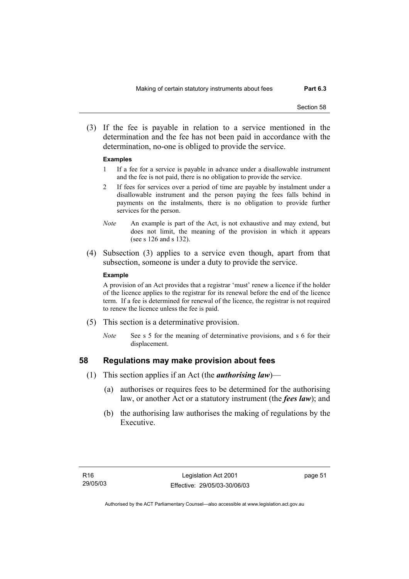(3) If the fee is payable in relation to a service mentioned in the determination and the fee has not been paid in accordance with the determination, no-one is obliged to provide the service.

#### **Examples**

- 1 If a fee for a service is payable in advance under a disallowable instrument and the fee is not paid, there is no obligation to provide the service.
- 2 If fees for services over a period of time are payable by instalment under a disallowable instrument and the person paying the fees falls behind in payments on the instalments, there is no obligation to provide further services for the person.
- *Note* An example is part of the Act, is not exhaustive and may extend, but does not limit, the meaning of the provision in which it appears (see s 126 and s 132).
- (4) Subsection (3) applies to a service even though, apart from that subsection, someone is under a duty to provide the service.

#### **Example**

A provision of an Act provides that a registrar 'must' renew a licence if the holder of the licence applies to the registrar for its renewal before the end of the licence term. If a fee is determined for renewal of the licence, the registrar is not required to renew the licence unless the fee is paid.

- (5) This section is a determinative provision.
	- *Note* See s 5 for the meaning of determinative provisions, and s 6 for their displacement.

#### **58 Regulations may make provision about fees**

- (1) This section applies if an Act (the *authorising law*)—
	- (a) authorises or requires fees to be determined for the authorising law, or another Act or a statutory instrument (the *fees law*); and
	- (b) the authorising law authorises the making of regulations by the Executive.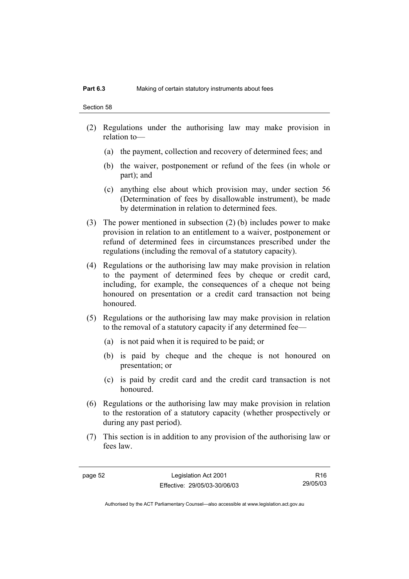- (2) Regulations under the authorising law may make provision in relation to—
	- (a) the payment, collection and recovery of determined fees; and
	- (b) the waiver, postponement or refund of the fees (in whole or part); and
	- (c) anything else about which provision may, under section 56 (Determination of fees by disallowable instrument), be made by determination in relation to determined fees.
- (3) The power mentioned in subsection (2) (b) includes power to make provision in relation to an entitlement to a waiver, postponement or refund of determined fees in circumstances prescribed under the regulations (including the removal of a statutory capacity).
- (4) Regulations or the authorising law may make provision in relation to the payment of determined fees by cheque or credit card, including, for example, the consequences of a cheque not being honoured on presentation or a credit card transaction not being honoured.
- (5) Regulations or the authorising law may make provision in relation to the removal of a statutory capacity if any determined fee—
	- (a) is not paid when it is required to be paid; or
	- (b) is paid by cheque and the cheque is not honoured on presentation; or
	- (c) is paid by credit card and the credit card transaction is not honoured.
- (6) Regulations or the authorising law may make provision in relation to the restoration of a statutory capacity (whether prospectively or during any past period).
- (7) This section is in addition to any provision of the authorising law or fees law.

page 52 Legislation Act 2001 Effective: 29/05/03-30/06/03

R16 29/05/03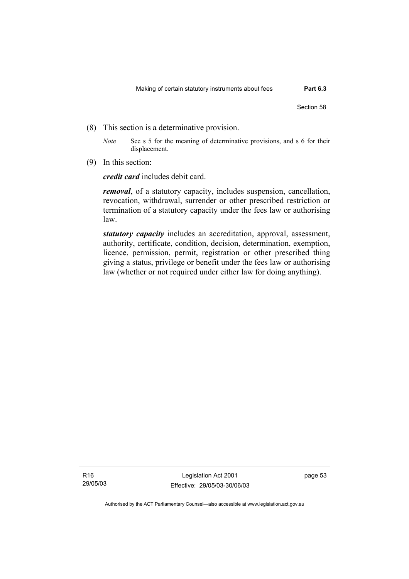- (8) This section is a determinative provision.
	- *Note* See s 5 for the meaning of determinative provisions, and s 6 for their displacement.
- (9) In this section:

*credit card* includes debit card.

*removal*, of a statutory capacity, includes suspension, cancellation, revocation, withdrawal, surrender or other prescribed restriction or termination of a statutory capacity under the fees law or authorising law.

*statutory capacity* includes an accreditation, approval, assessment, authority, certificate, condition, decision, determination, exemption, licence, permission, permit, registration or other prescribed thing giving a status, privilege or benefit under the fees law or authorising law (whether or not required under either law for doing anything).

R16 29/05/03

Legislation Act 2001 Effective: 29/05/03-30/06/03 page 53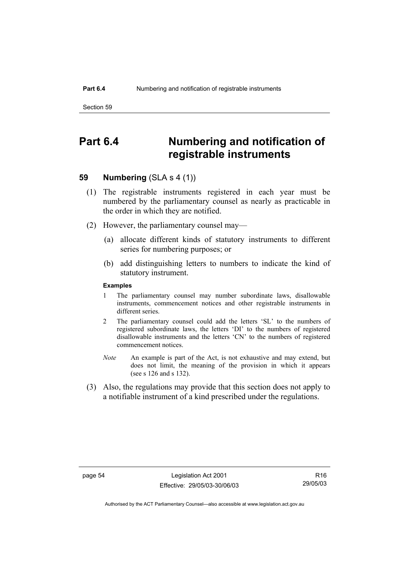## **Part 6.4 Numbering and notification of registrable instruments**

## **59 Numbering** (SLA s 4 (1))

- (1) The registrable instruments registered in each year must be numbered by the parliamentary counsel as nearly as practicable in the order in which they are notified.
- (2) However, the parliamentary counsel may—
	- (a) allocate different kinds of statutory instruments to different series for numbering purposes; or
	- (b) add distinguishing letters to numbers to indicate the kind of statutory instrument.

#### **Examples**

- 1 The parliamentary counsel may number subordinate laws, disallowable instruments, commencement notices and other registrable instruments in different series.
- 2 The parliamentary counsel could add the letters 'SL' to the numbers of registered subordinate laws, the letters 'DI' to the numbers of registered disallowable instruments and the letters 'CN' to the numbers of registered commencement notices.
- *Note* An example is part of the Act, is not exhaustive and may extend, but does not limit, the meaning of the provision in which it appears (see s 126 and s 132).
- (3) Also, the regulations may provide that this section does not apply to a notifiable instrument of a kind prescribed under the regulations.

page 54 Legislation Act 2001 Effective: 29/05/03-30/06/03

R16 29/05/03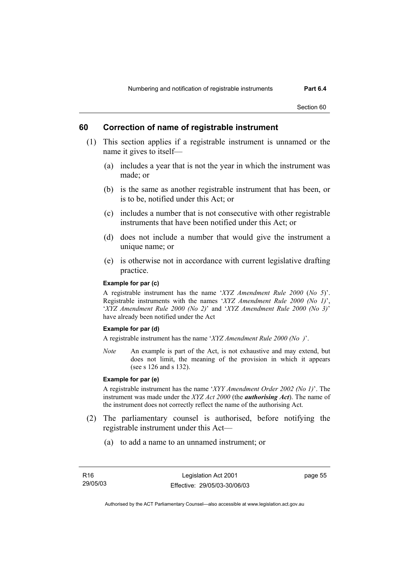Section 60

### **60 Correction of name of registrable instrument**

- (1) This section applies if a registrable instrument is unnamed or the name it gives to itself—
	- (a) includes a year that is not the year in which the instrument was made; or
	- (b) is the same as another registrable instrument that has been, or is to be, notified under this Act; or
	- (c) includes a number that is not consecutive with other registrable instruments that have been notified under this Act; or
	- (d) does not include a number that would give the instrument a unique name; or
	- (e) is otherwise not in accordance with current legislative drafting practice.

#### **Example for par (c)**

A registrable instrument has the name '*XYZ Amendment Rule 2000* (*No 5*)'. Registrable instruments with the names '*XYZ Amendment Rule 2000 (No 1)*', '*XYZ Amendment Rule 2000 (No 2)*' and '*XYZ Amendment Rule 2000 (No 3)*' have already been notified under the Act

#### **Example for par (d)**

A registrable instrument has the name '*XYZ Amendment Rule 2000 (No )*'.

*Note* An example is part of the Act, is not exhaustive and may extend, but does not limit, the meaning of the provision in which it appears (see s 126 and s 132).

#### **Example for par (e)**

A registrable instrument has the name '*XYY Amendment Order 2002 (No 1)*'. The instrument was made under the *XYZ Act 2000* (the *authorising Act*). The name of the instrument does not correctly reflect the name of the authorising Act.

- (2) The parliamentary counsel is authorised, before notifying the registrable instrument under this Act—
	- (a) to add a name to an unnamed instrument; or

page 55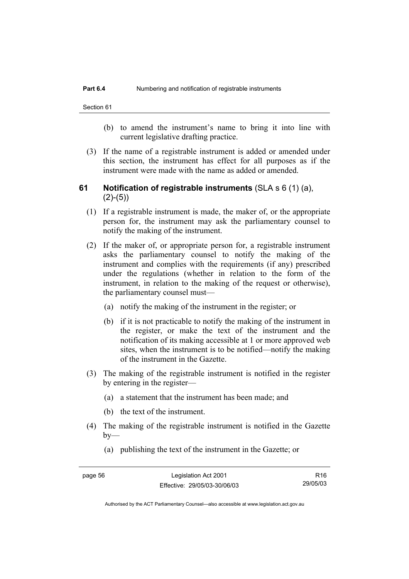Section 61

- (b) to amend the instrument's name to bring it into line with current legislative drafting practice.
- (3) If the name of a registrable instrument is added or amended under this section, the instrument has effect for all purposes as if the instrument were made with the name as added or amended.

### **61 Notification of registrable instruments** (SLA s 6 (1) (a),  $(2)-(5)$

- (1) If a registrable instrument is made, the maker of, or the appropriate person for, the instrument may ask the parliamentary counsel to notify the making of the instrument.
- (2) If the maker of, or appropriate person for, a registrable instrument asks the parliamentary counsel to notify the making of the instrument and complies with the requirements (if any) prescribed under the regulations (whether in relation to the form of the instrument, in relation to the making of the request or otherwise), the parliamentary counsel must—
	- (a) notify the making of the instrument in the register; or
	- (b) if it is not practicable to notify the making of the instrument in the register, or make the text of the instrument and the notification of its making accessible at 1 or more approved web sites, when the instrument is to be notified—notify the making of the instrument in the Gazette.
- (3) The making of the registrable instrument is notified in the register by entering in the register—
	- (a) a statement that the instrument has been made; and
	- (b) the text of the instrument.
- (4) The making of the registrable instrument is notified in the Gazette  $by-$ 
	- (a) publishing the text of the instrument in the Gazette; or

page 56 Legislation Act 2001 Effective: 29/05/03-30/06/03

R16 29/05/03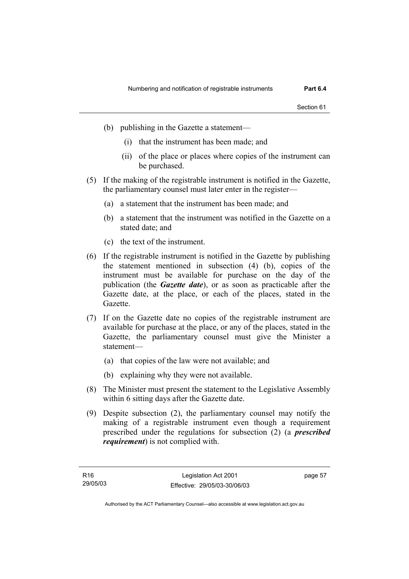- (b) publishing in the Gazette a statement—
	- (i) that the instrument has been made; and
	- (ii) of the place or places where copies of the instrument can be purchased.
- (5) If the making of the registrable instrument is notified in the Gazette, the parliamentary counsel must later enter in the register—
	- (a) a statement that the instrument has been made; and
	- (b) a statement that the instrument was notified in the Gazette on a stated date; and
	- (c) the text of the instrument.
- (6) If the registrable instrument is notified in the Gazette by publishing the statement mentioned in subsection (4) (b), copies of the instrument must be available for purchase on the day of the publication (the *Gazette date*), or as soon as practicable after the Gazette date, at the place, or each of the places, stated in the Gazette.
- (7) If on the Gazette date no copies of the registrable instrument are available for purchase at the place, or any of the places, stated in the Gazette, the parliamentary counsel must give the Minister a statement—
	- (a) that copies of the law were not available; and
	- (b) explaining why they were not available.
- (8) The Minister must present the statement to the Legislative Assembly within 6 sitting days after the Gazette date.
- (9) Despite subsection (2), the parliamentary counsel may notify the making of a registrable instrument even though a requirement prescribed under the regulations for subsection (2) (a *prescribed requirement*) is not complied with.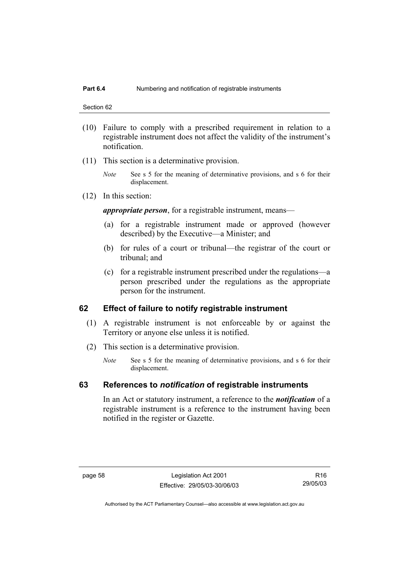#### **Part 6.4** Numbering and notification of registrable instruments

Section 62

- (10) Failure to comply with a prescribed requirement in relation to a registrable instrument does not affect the validity of the instrument's notification.
- (11) This section is a determinative provision.
	- *Note* See s 5 for the meaning of determinative provisions, and s 6 for their displacement.
- (12) In this section:

*appropriate person*, for a registrable instrument, means—

- (a) for a registrable instrument made or approved (however described) by the Executive—a Minister; and
- (b) for rules of a court or tribunal—the registrar of the court or tribunal; and
- (c) for a registrable instrument prescribed under the regulations—a person prescribed under the regulations as the appropriate person for the instrument.

### **62 Effect of failure to notify registrable instrument**

- (1) A registrable instrument is not enforceable by or against the Territory or anyone else unless it is notified.
- (2) This section is a determinative provision.
	- *Note* See s 5 for the meaning of determinative provisions, and s 6 for their displacement.

### **63 References to** *notification* **of registrable instruments**

In an Act or statutory instrument, a reference to the *notification* of a registrable instrument is a reference to the instrument having been notified in the register or Gazette.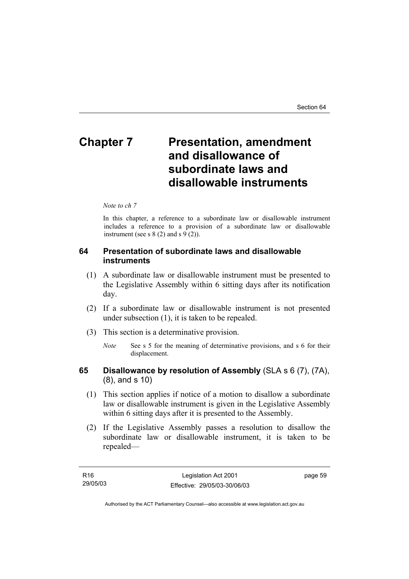# **Chapter 7** Presentation, amendment **and disallowance of subordinate laws and disallowable instruments**

#### *Note to ch 7*

In this chapter, a reference to a subordinate law or disallowable instrument includes a reference to a provision of a subordinate law or disallowable instrument (see s  $8(2)$  and s  $9(2)$ ).

### **64 Presentation of subordinate laws and disallowable instruments**

- (1) A subordinate law or disallowable instrument must be presented to the Legislative Assembly within 6 sitting days after its notification day.
- (2) If a subordinate law or disallowable instrument is not presented under subsection (1), it is taken to be repealed.
- (3) This section is a determinative provision.
	- *Note* See s 5 for the meaning of determinative provisions, and s 6 for their displacement.

### **65 Disallowance by resolution of Assembly** (SLA s 6 (7), (7A), (8), and s 10)

- (1) This section applies if notice of a motion to disallow a subordinate law or disallowable instrument is given in the Legislative Assembly within 6 sitting days after it is presented to the Assembly.
- (2) If the Legislative Assembly passes a resolution to disallow the subordinate law or disallowable instrument, it is taken to be repealed—

| R16      | Legislation Act 2001         | page 59 |
|----------|------------------------------|---------|
| 29/05/03 | Effective: 29/05/03-30/06/03 |         |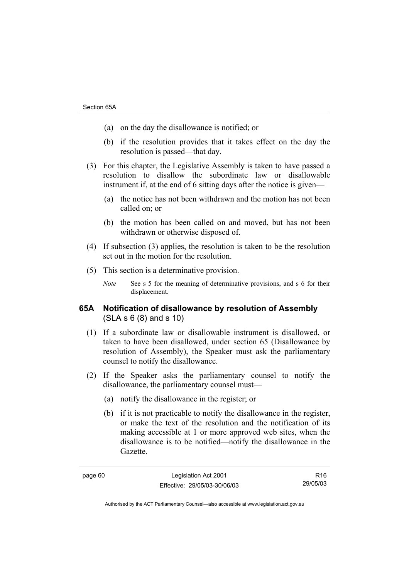- (a) on the day the disallowance is notified; or
- (b) if the resolution provides that it takes effect on the day the resolution is passed—that day.
- (3) For this chapter, the Legislative Assembly is taken to have passed a resolution to disallow the subordinate law or disallowable instrument if, at the end of 6 sitting days after the notice is given—
	- (a) the notice has not been withdrawn and the motion has not been called on; or
	- (b) the motion has been called on and moved, but has not been withdrawn or otherwise disposed of.
- (4) If subsection (3) applies, the resolution is taken to be the resolution set out in the motion for the resolution.
- (5) This section is a determinative provision.
	- *Note* See s 5 for the meaning of determinative provisions, and s 6 for their displacement.

### **65A Notification of disallowance by resolution of Assembly**  (SLA s 6 (8) and s 10)

- (1) If a subordinate law or disallowable instrument is disallowed, or taken to have been disallowed, under section 65 (Disallowance by resolution of Assembly), the Speaker must ask the parliamentary counsel to notify the disallowance.
- (2) If the Speaker asks the parliamentary counsel to notify the disallowance, the parliamentary counsel must—
	- (a) notify the disallowance in the register; or
	- (b) if it is not practicable to notify the disallowance in the register, or make the text of the resolution and the notification of its making accessible at 1 or more approved web sites, when the disallowance is to be notified—notify the disallowance in the Gazette.

R16 29/05/03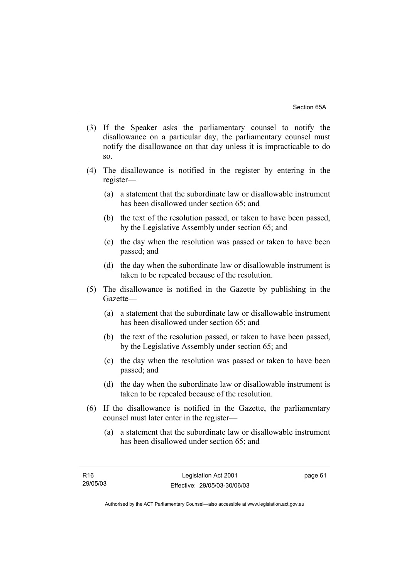- (3) If the Speaker asks the parliamentary counsel to notify the disallowance on a particular day, the parliamentary counsel must notify the disallowance on that day unless it is impracticable to do so.
- (4) The disallowance is notified in the register by entering in the register—
	- (a) a statement that the subordinate law or disallowable instrument has been disallowed under section 65; and
	- (b) the text of the resolution passed, or taken to have been passed, by the Legislative Assembly under section 65; and
	- (c) the day when the resolution was passed or taken to have been passed; and
	- (d) the day when the subordinate law or disallowable instrument is taken to be repealed because of the resolution.
- (5) The disallowance is notified in the Gazette by publishing in the Gazette—
	- (a) a statement that the subordinate law or disallowable instrument has been disallowed under section 65; and
	- (b) the text of the resolution passed, or taken to have been passed, by the Legislative Assembly under section 65; and
	- (c) the day when the resolution was passed or taken to have been passed; and
	- (d) the day when the subordinate law or disallowable instrument is taken to be repealed because of the resolution.
- (6) If the disallowance is notified in the Gazette, the parliamentary counsel must later enter in the register—
	- (a) a statement that the subordinate law or disallowable instrument has been disallowed under section 65; and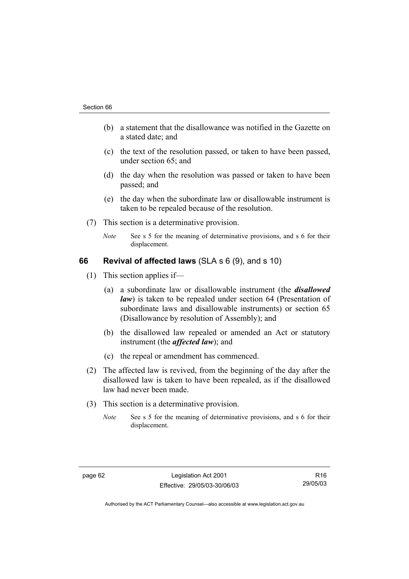- (b) a statement that the disallowance was notified in the Gazette on a stated date; and
- (c) the text of the resolution passed, or taken to have been passed, under section 65; and
- (d) the day when the resolution was passed or taken to have been passed; and
- (e) the day when the subordinate law or disallowable instrument is taken to be repealed because of the resolution.
- (7) This section is a determinative provision.
	- *Note* See s 5 for the meaning of determinative provisions, and s 6 for their displacement.

### **66 Revival of affected laws** (SLA s 6 (9), and s 10)

- (1) This section applies if—
	- (a) a subordinate law or disallowable instrument (the *disallowed law*) is taken to be repealed under section 64 (Presentation of subordinate laws and disallowable instruments) or section 65 (Disallowance by resolution of Assembly); and
	- (b) the disallowed law repealed or amended an Act or statutory instrument (the *affected law*); and
	- (c) the repeal or amendment has commenced.
- (2) The affected law is revived, from the beginning of the day after the disallowed law is taken to have been repealed, as if the disallowed law had never been made.
- (3) This section is a determinative provision.
	- *Note* See s 5 for the meaning of determinative provisions, and s 6 for their displacement.

R16 29/05/03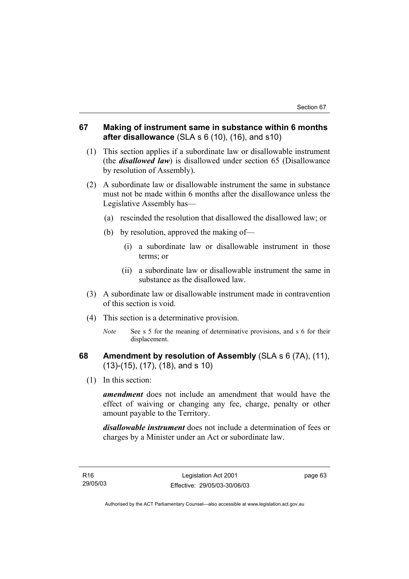### **67 Making of instrument same in substance within 6 months after disallowance** (SLA s 6 (10), (16), and s10)

- (1) This section applies if a subordinate law or disallowable instrument (the *disallowed law*) is disallowed under section 65 (Disallowance by resolution of Assembly).
- (2) A subordinate law or disallowable instrument the same in substance must not be made within 6 months after the disallowance unless the Legislative Assembly has—
	- (a) rescinded the resolution that disallowed the disallowed law; or
	- (b) by resolution, approved the making of—
		- (i) a subordinate law or disallowable instrument in those terms; or
		- (ii) a subordinate law or disallowable instrument the same in substance as the disallowed law.
- (3) A subordinate law or disallowable instrument made in contravention of this section is void.
- (4) This section is a determinative provision.
	- *Note* See s 5 for the meaning of determinative provisions, and s 6 for their displacement.

### **68 Amendment by resolution of Assembly** (SLA s 6 (7A), (11), (13)-(15), (17), (18), and s 10)

(1) In this section:

*amendment* does not include an amendment that would have the effect of waiving or changing any fee, charge, penalty or other amount payable to the Territory.

*disallowable instrument* does not include a determination of fees or charges by a Minister under an Act or subordinate law.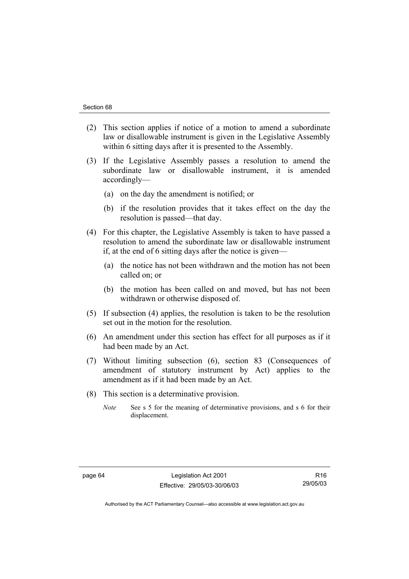- (2) This section applies if notice of a motion to amend a subordinate law or disallowable instrument is given in the Legislative Assembly within 6 sitting days after it is presented to the Assembly.
- (3) If the Legislative Assembly passes a resolution to amend the subordinate law or disallowable instrument, it is amended accordingly—
	- (a) on the day the amendment is notified; or
	- (b) if the resolution provides that it takes effect on the day the resolution is passed—that day.
- (4) For this chapter, the Legislative Assembly is taken to have passed a resolution to amend the subordinate law or disallowable instrument if, at the end of 6 sitting days after the notice is given—
	- (a) the notice has not been withdrawn and the motion has not been called on; or
	- (b) the motion has been called on and moved, but has not been withdrawn or otherwise disposed of.
- (5) If subsection (4) applies, the resolution is taken to be the resolution set out in the motion for the resolution.
- (6) An amendment under this section has effect for all purposes as if it had been made by an Act.
- (7) Without limiting subsection (6), section 83 (Consequences of amendment of statutory instrument by Act) applies to the amendment as if it had been made by an Act.
- (8) This section is a determinative provision.
	- *Note* See s 5 for the meaning of determinative provisions, and s 6 for their displacement.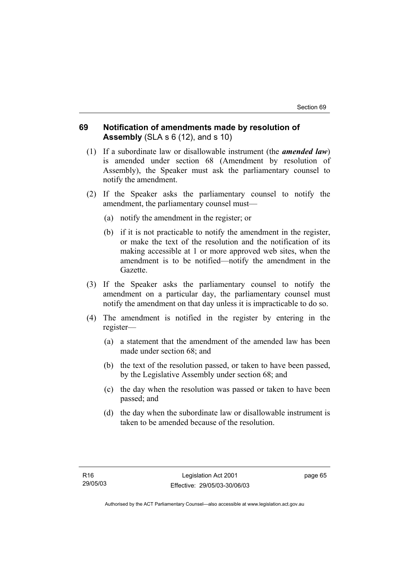### **69 Notification of amendments made by resolution of Assembly** (SLA s 6 (12), and s 10)

- (1) If a subordinate law or disallowable instrument (the *amended law*) is amended under section 68 (Amendment by resolution of Assembly), the Speaker must ask the parliamentary counsel to notify the amendment.
- (2) If the Speaker asks the parliamentary counsel to notify the amendment, the parliamentary counsel must—
	- (a) notify the amendment in the register; or
	- (b) if it is not practicable to notify the amendment in the register, or make the text of the resolution and the notification of its making accessible at 1 or more approved web sites, when the amendment is to be notified—notify the amendment in the Gazette.
- (3) If the Speaker asks the parliamentary counsel to notify the amendment on a particular day, the parliamentary counsel must notify the amendment on that day unless it is impracticable to do so.
- (4) The amendment is notified in the register by entering in the register—
	- (a) a statement that the amendment of the amended law has been made under section 68; and
	- (b) the text of the resolution passed, or taken to have been passed, by the Legislative Assembly under section 68; and
	- (c) the day when the resolution was passed or taken to have been passed; and
	- (d) the day when the subordinate law or disallowable instrument is taken to be amended because of the resolution.

page 65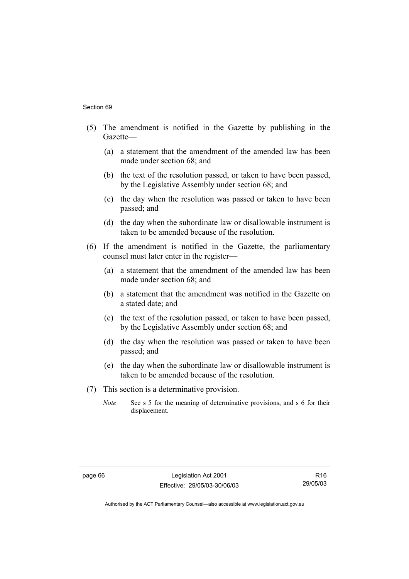- (5) The amendment is notified in the Gazette by publishing in the Gazette—
	- (a) a statement that the amendment of the amended law has been made under section 68; and
	- (b) the text of the resolution passed, or taken to have been passed, by the Legislative Assembly under section 68; and
	- (c) the day when the resolution was passed or taken to have been passed; and
	- (d) the day when the subordinate law or disallowable instrument is taken to be amended because of the resolution.
- (6) If the amendment is notified in the Gazette, the parliamentary counsel must later enter in the register—
	- (a) a statement that the amendment of the amended law has been made under section 68; and
	- (b) a statement that the amendment was notified in the Gazette on a stated date; and
	- (c) the text of the resolution passed, or taken to have been passed, by the Legislative Assembly under section 68; and
	- (d) the day when the resolution was passed or taken to have been passed; and
	- (e) the day when the subordinate law or disallowable instrument is taken to be amended because of the resolution.
- (7) This section is a determinative provision.
	- *Note* See s 5 for the meaning of determinative provisions, and s 6 for their displacement.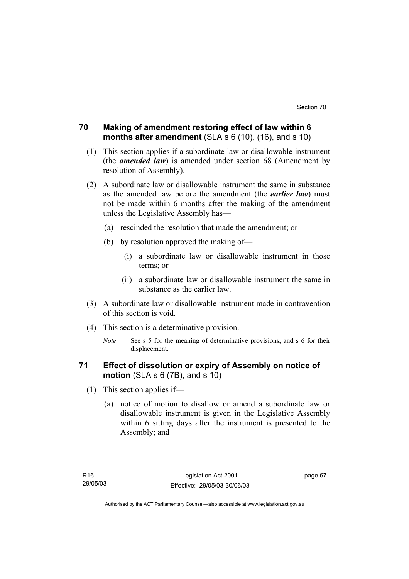### **70 Making of amendment restoring effect of law within 6 months after amendment** (SLA s 6 (10), (16), and s 10)

- (1) This section applies if a subordinate law or disallowable instrument (the *amended law*) is amended under section 68 (Amendment by resolution of Assembly).
- (2) A subordinate law or disallowable instrument the same in substance as the amended law before the amendment (the *earlier law*) must not be made within 6 months after the making of the amendment unless the Legislative Assembly has—
	- (a) rescinded the resolution that made the amendment; or
	- (b) by resolution approved the making of—
		- (i) a subordinate law or disallowable instrument in those terms; or
		- (ii) a subordinate law or disallowable instrument the same in substance as the earlier law.
- (3) A subordinate law or disallowable instrument made in contravention of this section is void.
- (4) This section is a determinative provision.
	- *Note* See s 5 for the meaning of determinative provisions, and s 6 for their displacement.

## **71 Effect of dissolution or expiry of Assembly on notice of motion** (SLA s 6 (7B), and s 10)

- (1) This section applies if—
	- (a) notice of motion to disallow or amend a subordinate law or disallowable instrument is given in the Legislative Assembly within 6 sitting days after the instrument is presented to the Assembly; and

page 67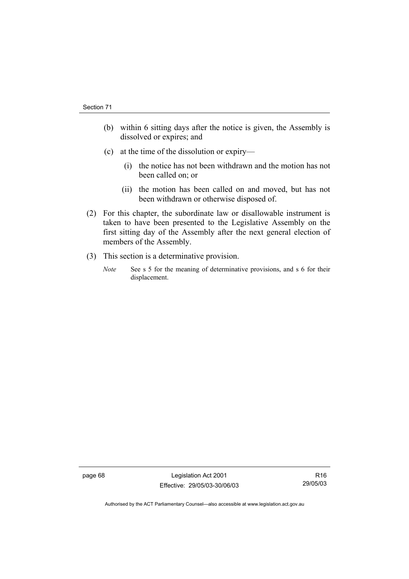- (b) within 6 sitting days after the notice is given, the Assembly is dissolved or expires; and
- (c) at the time of the dissolution or expiry—
	- (i) the notice has not been withdrawn and the motion has not been called on; or
	- (ii) the motion has been called on and moved, but has not been withdrawn or otherwise disposed of.
- (2) For this chapter, the subordinate law or disallowable instrument is taken to have been presented to the Legislative Assembly on the first sitting day of the Assembly after the next general election of members of the Assembly.
- (3) This section is a determinative provision.
	- *Note* See s 5 for the meaning of determinative provisions, and s 6 for their displacement.

page 68 Legislation Act 2001 Effective: 29/05/03-30/06/03

R16 29/05/03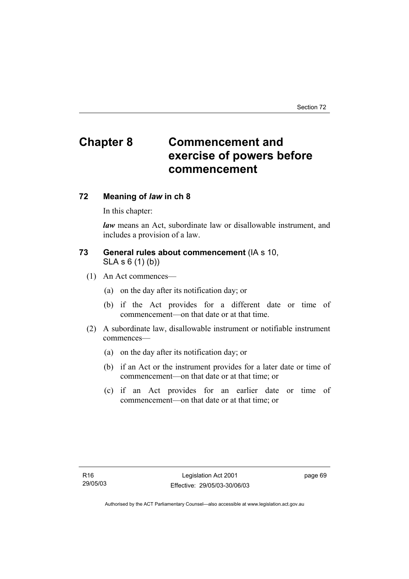# **Chapter 8 Commencement and exercise of powers before commencement**

### **72 Meaning of** *law* **in ch 8**

In this chapter:

*law* means an Act, subordinate law or disallowable instrument, and includes a provision of a law.

### **73 General rules about commencement** (IA s 10, SLA s 6 (1) (b))

- (1) An Act commences—
	- (a) on the day after its notification day; or
	- (b) if the Act provides for a different date or time of commencement—on that date or at that time.
- (2) A subordinate law, disallowable instrument or notifiable instrument commences—
	- (a) on the day after its notification day; or
	- (b) if an Act or the instrument provides for a later date or time of commencement—on that date or at that time; or
	- (c) if an Act provides for an earlier date or time of commencement—on that date or at that time; or

page 69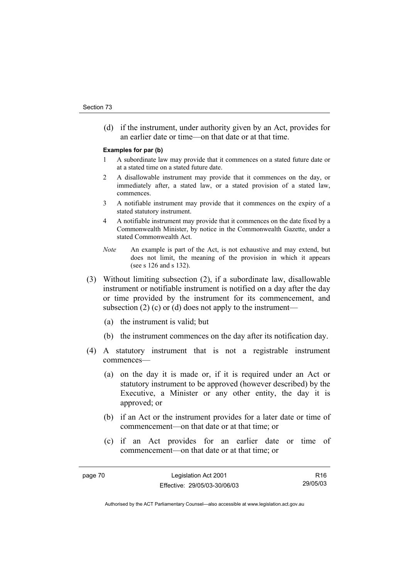(d) if the instrument, under authority given by an Act, provides for an earlier date or time—on that date or at that time.

#### **Examples for par (b)**

- 1 A subordinate law may provide that it commences on a stated future date or at a stated time on a stated future date.
- 2 A disallowable instrument may provide that it commences on the day, or immediately after, a stated law, or a stated provision of a stated law, commences.
- 3 A notifiable instrument may provide that it commences on the expiry of a stated statutory instrument.
- 4 A notifiable instrument may provide that it commences on the date fixed by a Commonwealth Minister, by notice in the Commonwealth Gazette, under a stated Commonwealth Act.
- *Note* An example is part of the Act, is not exhaustive and may extend, but does not limit, the meaning of the provision in which it appears (see s 126 and s 132).
- (3) Without limiting subsection (2), if a subordinate law, disallowable instrument or notifiable instrument is notified on a day after the day or time provided by the instrument for its commencement, and subsection (2) (c) or (d) does not apply to the instrument—
	- (a) the instrument is valid; but
	- (b) the instrument commences on the day after its notification day.
- (4) A statutory instrument that is not a registrable instrument commences—
	- (a) on the day it is made or, if it is required under an Act or statutory instrument to be approved (however described) by the Executive, a Minister or any other entity, the day it is approved; or
	- (b) if an Act or the instrument provides for a later date or time of commencement—on that date or at that time; or
	- (c) if an Act provides for an earlier date or time of commencement—on that date or at that time; or

page 70 Legislation Act 2001 Effective: 29/05/03-30/06/03 R16 29/05/03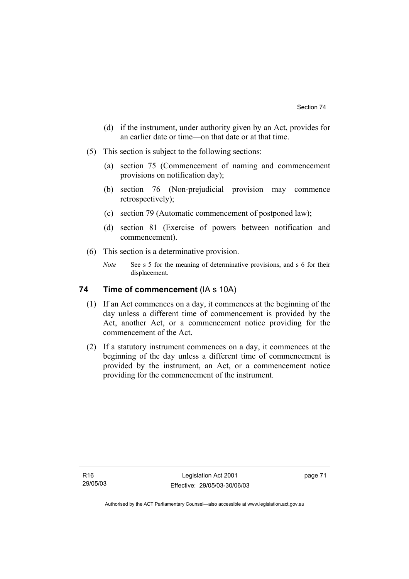- (d) if the instrument, under authority given by an Act, provides for an earlier date or time—on that date or at that time.
- (5) This section is subject to the following sections:
	- (a) section 75 (Commencement of naming and commencement provisions on notification day);
	- (b) section 76 (Non-prejudicial provision may commence retrospectively);
	- (c) section 79 (Automatic commencement of postponed law);
	- (d) section 81 (Exercise of powers between notification and commencement).
- (6) This section is a determinative provision.
	- *Note* See s 5 for the meaning of determinative provisions, and s 6 for their displacement.

### **74 Time of commencement (IA s 10A)**

- (1) If an Act commences on a day, it commences at the beginning of the day unless a different time of commencement is provided by the Act, another Act, or a commencement notice providing for the commencement of the Act.
- (2) If a statutory instrument commences on a day, it commences at the beginning of the day unless a different time of commencement is provided by the instrument, an Act, or a commencement notice providing for the commencement of the instrument.

page 71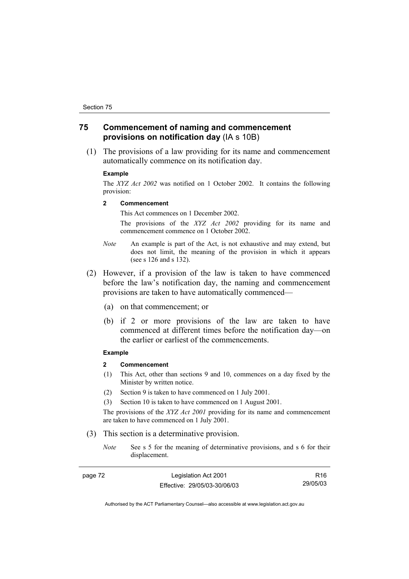### **75 Commencement of naming and commencement provisions on notification day** (IA s 10B)

 (1) The provisions of a law providing for its name and commencement automatically commence on its notification day.

#### **Example**

The *XYZ Act 2002* was notified on 1 October 2002. It contains the following provision:

#### **2 Commencement**

This Act commences on 1 December 2002.

 The provisions of the *XYZ Act 2002* providing for its name and commencement commence on 1 October 2002.

- *Note* An example is part of the Act, is not exhaustive and may extend, but does not limit, the meaning of the provision in which it appears (see s 126 and s 132).
- (2) However, if a provision of the law is taken to have commenced before the law's notification day, the naming and commencement provisions are taken to have automatically commenced—
	- (a) on that commencement; or
	- (b) if 2 or more provisions of the law are taken to have commenced at different times before the notification day—on the earlier or earliest of the commencements.

#### **Example**

#### **2 Commencement**

- (1) This Act, other than sections 9 and 10, commences on a day fixed by the Minister by written notice.
- (2) Section 9 is taken to have commenced on 1 July 2001.
- (3) Section 10 is taken to have commenced on 1 August 2001.

The provisions of the *XYZ Act 2001* providing for its name and commencement are taken to have commenced on 1 July 2001.

- (3) This section is a determinative provision.
	- *Note* See s 5 for the meaning of determinative provisions, and s 6 for their displacement.

| page 72 | Legislation Act 2001         | R16      |
|---------|------------------------------|----------|
|         | Effective: 29/05/03-30/06/03 | 29/05/03 |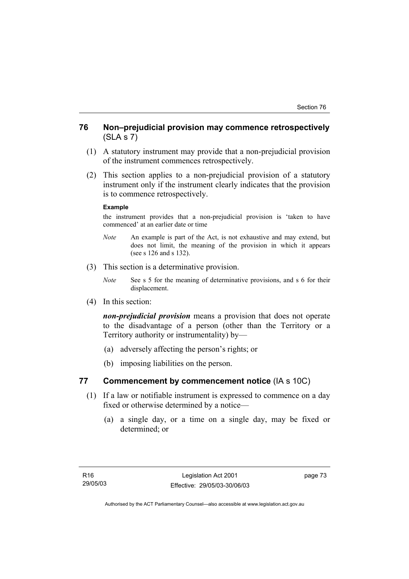### **76 Non–prejudicial provision may commence retrospectively**  (SLA s 7)

- (1) A statutory instrument may provide that a non-prejudicial provision of the instrument commences retrospectively.
- (2) This section applies to a non-prejudicial provision of a statutory instrument only if the instrument clearly indicates that the provision is to commence retrospectively.

#### **Example**

the instrument provides that a non-prejudicial provision is 'taken to have commenced' at an earlier date or time

- *Note* An example is part of the Act, is not exhaustive and may extend, but does not limit, the meaning of the provision in which it appears (see s 126 and s 132).
- (3) This section is a determinative provision.
	- *Note* See s 5 for the meaning of determinative provisions, and s 6 for their displacement.
- (4) In this section:

*non-prejudicial provision* means a provision that does not operate to the disadvantage of a person (other than the Territory or a Territory authority or instrumentality) by—

- (a) adversely affecting the person's rights; or
- (b) imposing liabilities on the person.

### **77 Commencement by commencement notice** (IA s 10C)

- (1) If a law or notifiable instrument is expressed to commence on a day fixed or otherwise determined by a notice—
	- (a) a single day, or a time on a single day, may be fixed or determined; or

page 73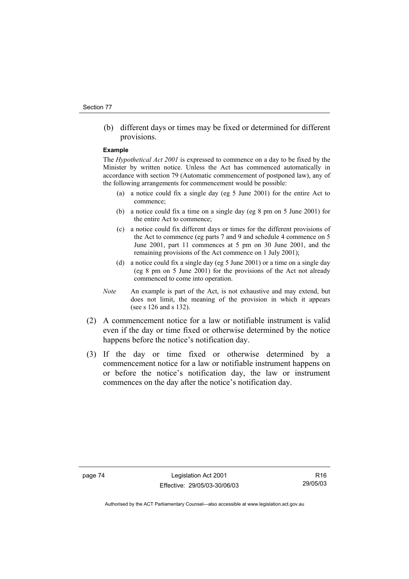(b) different days or times may be fixed or determined for different provisions.

#### **Example**

The *Hypothetical Act 2001* is expressed to commence on a day to be fixed by the Minister by written notice. Unless the Act has commenced automatically in accordance with section 79 (Automatic commencement of postponed law), any of the following arrangements for commencement would be possible:

- (a) a notice could fix a single day (eg 5 June 2001) for the entire Act to commence;
- (b) a notice could fix a time on a single day (eg 8 pm on 5 June 2001) for the entire Act to commence;
- (c) a notice could fix different days or times for the different provisions of the Act to commence (eg parts 7 and 9 and schedule 4 commence on 5 June 2001, part 11 commences at 5 pm on 30 June 2001, and the remaining provisions of the Act commence on 1 July 2001);
- (d) a notice could fix a single day (eg 5 June 2001) or a time on a single day (eg 8 pm on 5 June 2001) for the provisions of the Act not already commenced to come into operation.
- *Note* An example is part of the Act, is not exhaustive and may extend, but does not limit, the meaning of the provision in which it appears (see s 126 and s 132).
- (2) A commencement notice for a law or notifiable instrument is valid even if the day or time fixed or otherwise determined by the notice happens before the notice's notification day.
- (3) If the day or time fixed or otherwise determined by a commencement notice for a law or notifiable instrument happens on or before the notice's notification day, the law or instrument commences on the day after the notice's notification day.

page 74 Legislation Act 2001 Effective: 29/05/03-30/06/03

R16 29/05/03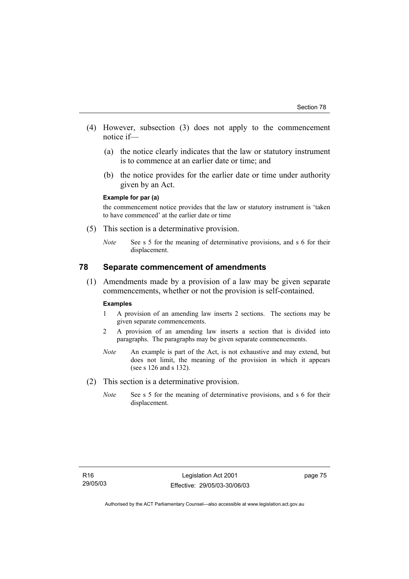- (4) However, subsection (3) does not apply to the commencement notice if—
	- (a) the notice clearly indicates that the law or statutory instrument is to commence at an earlier date or time; and
	- (b) the notice provides for the earlier date or time under authority given by an Act.

#### **Example for par (a)**

the commencement notice provides that the law or statutory instrument is 'taken to have commenced' at the earlier date or time

- (5) This section is a determinative provision.
	- *Note* See s 5 for the meaning of determinative provisions, and s 6 for their displacement.

### **78 Separate commencement of amendments**

 (1) Amendments made by a provision of a law may be given separate commencements, whether or not the provision is self-contained.

#### **Examples**

- 1 A provision of an amending law inserts 2 sections. The sections may be given separate commencements.
- 2 A provision of an amending law inserts a section that is divided into paragraphs. The paragraphs may be given separate commencements.
- *Note* An example is part of the Act, is not exhaustive and may extend, but does not limit, the meaning of the provision in which it appears (see s 126 and s 132).
- (2) This section is a determinative provision.
	- *Note* See s 5 for the meaning of determinative provisions, and s 6 for their displacement.

page 75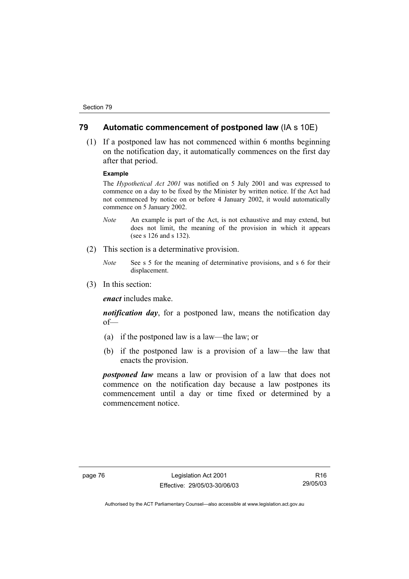### **79 Automatic commencement of postponed law** (IA s 10E)

 (1) If a postponed law has not commenced within 6 months beginning on the notification day, it automatically commences on the first day after that period.

#### **Example**

The *Hypothetical Act 2001* was notified on 5 July 2001 and was expressed to commence on a day to be fixed by the Minister by written notice. If the Act had not commenced by notice on or before 4 January 2002, it would automatically commence on 5 January 2002.

- *Note* An example is part of the Act, is not exhaustive and may extend, but does not limit, the meaning of the provision in which it appears (see s 126 and s 132).
- (2) This section is a determinative provision.
	- *Note* See s 5 for the meaning of determinative provisions, and s 6 for their displacement.
- (3) In this section:

*enact* includes make.

*notification day*, for a postponed law, means the notification day of—

- (a) if the postponed law is a law—the law; or
- (b) if the postponed law is a provision of a law—the law that enacts the provision.

*postponed law* means a law or provision of a law that does not commence on the notification day because a law postpones its commencement until a day or time fixed or determined by a commencement notice.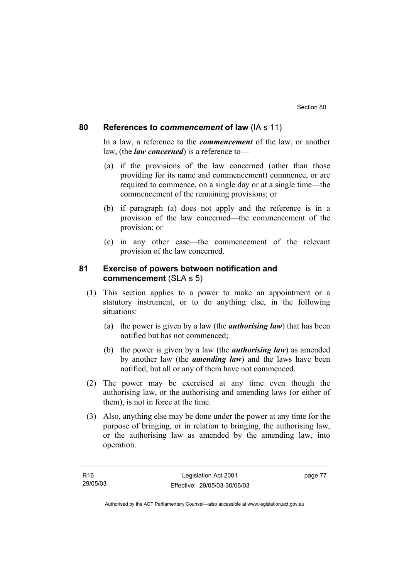### **80 References to** *commencement* **of law** (IA s 11)

In a law, a reference to the *commencement* of the law, or another law, (the *law concerned*) is a reference to—

- (a) if the provisions of the law concerned (other than those providing for its name and commencement) commence, or are required to commence, on a single day or at a single time—the commencement of the remaining provisions; or
- (b) if paragraph (a) does not apply and the reference is in a provision of the law concerned—the commencement of the provision; or
- (c) in any other case—the commencement of the relevant provision of the law concerned.

### **81 Exercise of powers between notification and commencement** (SLA s 5)

- (1) This section applies to a power to make an appointment or a statutory instrument, or to do anything else, in the following situations:
	- (a) the power is given by a law (the *authorising law*) that has been notified but has not commenced;
	- (b) the power is given by a law (the *authorising law*) as amended by another law (the *amending law*) and the laws have been notified, but all or any of them have not commenced.
- (2) The power may be exercised at any time even though the authorising law, or the authorising and amending laws (or either of them), is not in force at the time.
- (3) Also, anything else may be done under the power at any time for the purpose of bringing, or in relation to bringing, the authorising law, or the authorising law as amended by the amending law, into operation.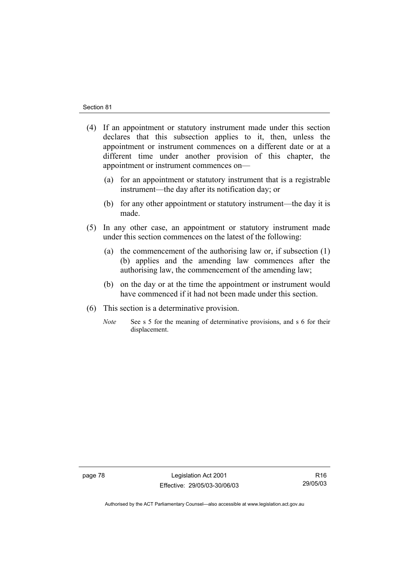- (4) If an appointment or statutory instrument made under this section declares that this subsection applies to it, then, unless the appointment or instrument commences on a different date or at a different time under another provision of this chapter, the appointment or instrument commences on—
	- (a) for an appointment or statutory instrument that is a registrable instrument—the day after its notification day; or
	- (b) for any other appointment or statutory instrument—the day it is made.
- (5) In any other case, an appointment or statutory instrument made under this section commences on the latest of the following:
	- (a) the commencement of the authorising law or, if subsection (1) (b) applies and the amending law commences after the authorising law, the commencement of the amending law;
	- (b) on the day or at the time the appointment or instrument would have commenced if it had not been made under this section.
- (6) This section is a determinative provision.
	- *Note* See s 5 for the meaning of determinative provisions, and s 6 for their displacement.

page 78 Legislation Act 2001 Effective: 29/05/03-30/06/03

R16 29/05/03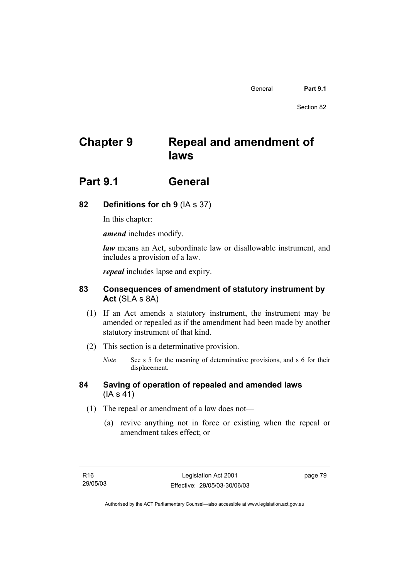General **Part 9.1** 

Section 82

# **Chapter 9 Repeal and amendment of laws**

# **Part 9.1 General**

## **82 Definitions for ch 9** (IA s 37)

In this chapter:

*amend* includes modify.

*law* means an Act, subordinate law or disallowable instrument, and includes a provision of a law.

*repeal* includes lapse and expiry.

### **83 Consequences of amendment of statutory instrument by Act** (SLA s 8A)

- (1) If an Act amends a statutory instrument, the instrument may be amended or repealed as if the amendment had been made by another statutory instrument of that kind.
- (2) This section is a determinative provision.
	- *Note* See s 5 for the meaning of determinative provisions, and s 6 for their displacement.
- **84 Saving of operation of repealed and amended laws** (IA s 41)
	- (1) The repeal or amendment of a law does not—
		- (a) revive anything not in force or existing when the repeal or amendment takes effect; or

page 79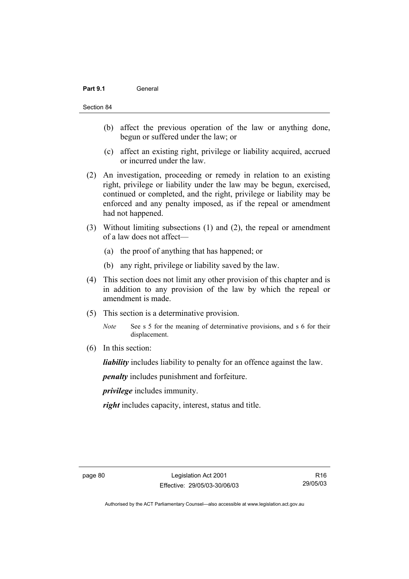### Part 9.1 **General**

#### Section 84

- (b) affect the previous operation of the law or anything done, begun or suffered under the law; or
- (c) affect an existing right, privilege or liability acquired, accrued or incurred under the law.
- (2) An investigation, proceeding or remedy in relation to an existing right, privilege or liability under the law may be begun, exercised, continued or completed, and the right, privilege or liability may be enforced and any penalty imposed, as if the repeal or amendment had not happened.
- (3) Without limiting subsections (1) and (2), the repeal or amendment of a law does not affect—
	- (a) the proof of anything that has happened; or
	- (b) any right, privilege or liability saved by the law.
- (4) This section does not limit any other provision of this chapter and is in addition to any provision of the law by which the repeal or amendment is made.
- (5) This section is a determinative provision.
	- *Note* See s 5 for the meaning of determinative provisions, and s 6 for their displacement.
- (6) In this section:

*liability* includes liability to penalty for an offence against the law.

*penalty* includes punishment and forfeiture.

*privilege* includes immunity.

*right* includes capacity, interest, status and title.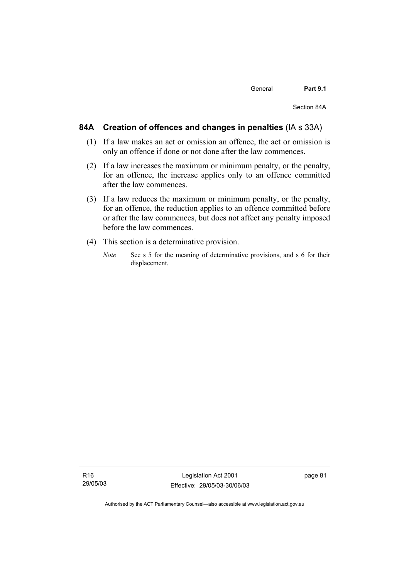### **84A Creation of offences and changes in penalties** (IA s 33A)

- (1) If a law makes an act or omission an offence, the act or omission is only an offence if done or not done after the law commences.
- (2) If a law increases the maximum or minimum penalty, or the penalty, for an offence, the increase applies only to an offence committed after the law commences.
- (3) If a law reduces the maximum or minimum penalty, or the penalty, for an offence, the reduction applies to an offence committed before or after the law commences, but does not affect any penalty imposed before the law commences.
- (4) This section is a determinative provision.
	- *Note* See s 5 for the meaning of determinative provisions, and s 6 for their displacement.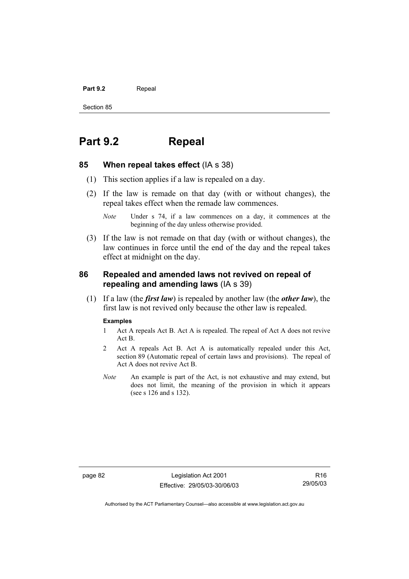#### Part 9.2 **Repeal**

Section 85

# **Part 9.2 Repeal**

#### **85 When repeal takes effect** (IA s 38)

- (1) This section applies if a law is repealed on a day.
- (2) If the law is remade on that day (with or without changes), the repeal takes effect when the remade law commences.

 (3) If the law is not remade on that day (with or without changes), the law continues in force until the end of the day and the repeal takes effect at midnight on the day.

### **86 Repealed and amended laws not revived on repeal of repealing and amending laws** (IA s 39)

 (1) If a law (the *first law*) is repealed by another law (the *other law*), the first law is not revived only because the other law is repealed.

### **Examples**

- 1 Act A repeals Act B. Act A is repealed. The repeal of Act A does not revive Act B.
- 2 Act A repeals Act B. Act A is automatically repealed under this Act, section 89 (Automatic repeal of certain laws and provisions). The repeal of Act A does not revive Act B.
- *Note* An example is part of the Act, is not exhaustive and may extend, but does not limit, the meaning of the provision in which it appears (see s 126 and s 132).

page 82 Legislation Act 2001 Effective: 29/05/03-30/06/03

R16 29/05/03

*Note* Under s 74, if a law commences on a day, it commences at the beginning of the day unless otherwise provided.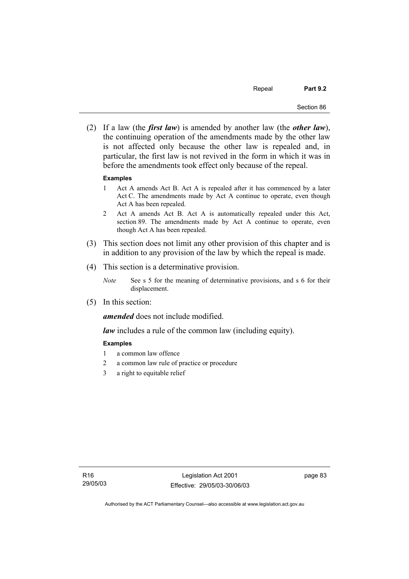Repeal **Part 9.2** 

 (2) If a law (the *first law*) is amended by another law (the *other law*), the continuing operation of the amendments made by the other law is not affected only because the other law is repealed and, in particular, the first law is not revived in the form in which it was in before the amendments took effect only because of the repeal.

#### **Examples**

- 1 Act A amends Act B. Act A is repealed after it has commenced by a later Act C. The amendments made by Act A continue to operate, even though Act A has been repealed.
- 2 Act A amends Act B. Act A is automatically repealed under this Act, section 89. The amendments made by Act A continue to operate, even though Act A has been repealed.
- (3) This section does not limit any other provision of this chapter and is in addition to any provision of the law by which the repeal is made.
- (4) This section is a determinative provision.
	- *Note* See s 5 for the meaning of determinative provisions, and s 6 for their displacement.
- (5) In this section:

*amended* does not include modified.

*law* includes a rule of the common law (including equity).

#### **Examples**

- 1 a common law offence
- 2 a common law rule of practice or procedure
- 3 a right to equitable relief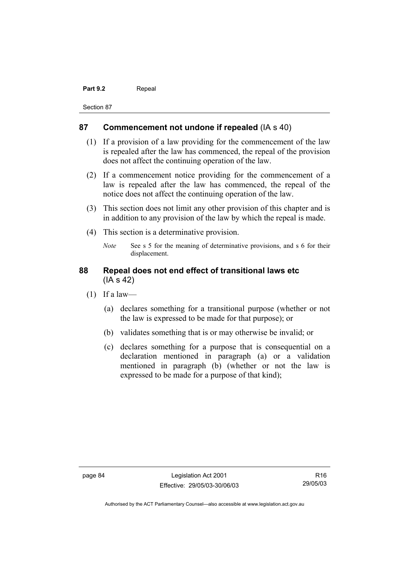#### Part 9.2 **Repeal**

Section 87

### **87 Commencement not undone if repealed** (IA s 40)

- (1) If a provision of a law providing for the commencement of the law is repealed after the law has commenced, the repeal of the provision does not affect the continuing operation of the law.
- (2) If a commencement notice providing for the commencement of a law is repealed after the law has commenced, the repeal of the notice does not affect the continuing operation of the law.
- (3) This section does not limit any other provision of this chapter and is in addition to any provision of the law by which the repeal is made.
- (4) This section is a determinative provision.
	- *Note* See s 5 for the meaning of determinative provisions, and s 6 for their displacement.

### **88 Repeal does not end effect of transitional laws etc**  (IA s 42)

- $(1)$  If a law—
	- (a) declares something for a transitional purpose (whether or not the law is expressed to be made for that purpose); or
	- (b) validates something that is or may otherwise be invalid; or
	- (c) declares something for a purpose that is consequential on a declaration mentioned in paragraph (a) or a validation mentioned in paragraph (b) (whether or not the law is expressed to be made for a purpose of that kind);

page 84 Legislation Act 2001 Effective: 29/05/03-30/06/03

R16 29/05/03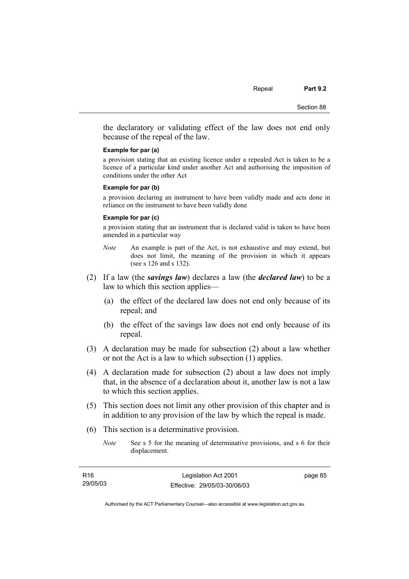the declaratory or validating effect of the law does not end only because of the repeal of the law.

#### **Example for par (a)**

a provision stating that an existing licence under a repealed Act is taken to be a licence of a particular kind under another Act and authorising the imposition of conditions under the other Act

#### **Example for par (b)**

a provision declaring an instrument to have been validly made and acts done in reliance on the instrument to have been validly done

#### **Example for par (c)**

a provision stating that an instrument that is declared valid is taken to have been amended in a particular way

- *Note* An example is part of the Act, is not exhaustive and may extend, but does not limit, the meaning of the provision in which it appears (see s 126 and s 132).
- (2) If a law (the *savings law*) declares a law (the *declared law*) to be a law to which this section applies—
	- (a) the effect of the declared law does not end only because of its repeal; and
	- (b) the effect of the savings law does not end only because of its repeal.
- (3) A declaration may be made for subsection (2) about a law whether or not the Act is a law to which subsection (1) applies.
- (4) A declaration made for subsection (2) about a law does not imply that, in the absence of a declaration about it, another law is not a law to which this section applies.
- (5) This section does not limit any other provision of this chapter and is in addition to any provision of the law by which the repeal is made.
- (6) This section is a determinative provision.
	- *Note* See s 5 for the meaning of determinative provisions, and s 6 for their displacement.

| R16      | Legislation Act 2001         | page 85 |
|----------|------------------------------|---------|
| 29/05/03 | Effective: 29/05/03-30/06/03 |         |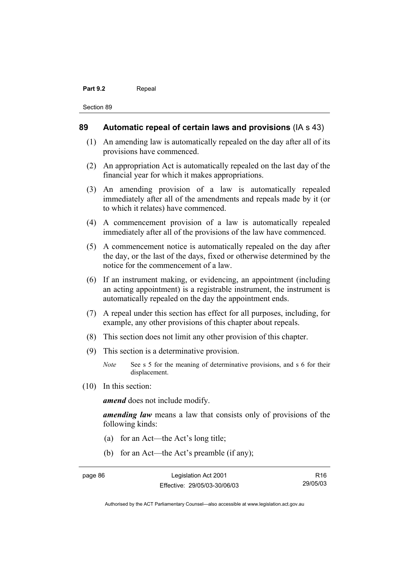#### Part 9.2 **Repeal**

Section 89

#### **89 Automatic repeal of certain laws and provisions** (IA s 43)

- (1) An amending law is automatically repealed on the day after all of its provisions have commenced.
- (2) An appropriation Act is automatically repealed on the last day of the financial year for which it makes appropriations.
- (3) An amending provision of a law is automatically repealed immediately after all of the amendments and repeals made by it (or to which it relates) have commenced.
- (4) A commencement provision of a law is automatically repealed immediately after all of the provisions of the law have commenced.
- (5) A commencement notice is automatically repealed on the day after the day, or the last of the days, fixed or otherwise determined by the notice for the commencement of a law.
- (6) If an instrument making, or evidencing, an appointment (including an acting appointment) is a registrable instrument, the instrument is automatically repealed on the day the appointment ends.
- (7) A repeal under this section has effect for all purposes, including, for example, any other provisions of this chapter about repeals.
- (8) This section does not limit any other provision of this chapter.
- (9) This section is a determinative provision.
	- *Note* See s 5 for the meaning of determinative provisions, and s 6 for their displacement.
- (10) In this section:

*amend* does not include modify.

*amending law* means a law that consists only of provisions of the following kinds:

- (a) for an Act—the Act's long title;
- (b) for an Act—the Act's preamble (if any);

page 86 Legislation Act 2001 Effective: 29/05/03-30/06/03 R16 29/05/03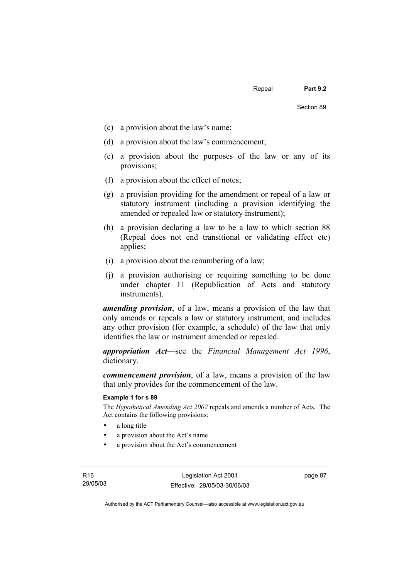- (c) a provision about the law's name;
- (d) a provision about the law's commencement;
- (e) a provision about the purposes of the law or any of its provisions;
- (f) a provision about the effect of notes;
- (g) a provision providing for the amendment or repeal of a law or statutory instrument (including a provision identifying the amended or repealed law or statutory instrument);
- (h) a provision declaring a law to be a law to which section 88 (Repeal does not end transitional or validating effect etc) applies;
- (i) a provision about the renumbering of a law;
- (j) a provision authorising or requiring something to be done under chapter 11 (Republication of Acts and statutory instruments).

*amending provision*, of a law, means a provision of the law that only amends or repeals a law or statutory instrument, and includes any other provision (for example, a schedule) of the law that only identifies the law or instrument amended or repealed.

*appropriation Act*—see the *Financial Management Act 1996*, dictionary.

*commencement provision*, of a law, means a provision of the law that only provides for the commencement of the law.

#### **Example 1 for s 89**

The *Hypothetical Amending Act 2002* repeals and amends a number of Acts. The Act contains the following provisions:

- a long title
- a provision about the Act's name
- a provision about the Act's commencement

page 87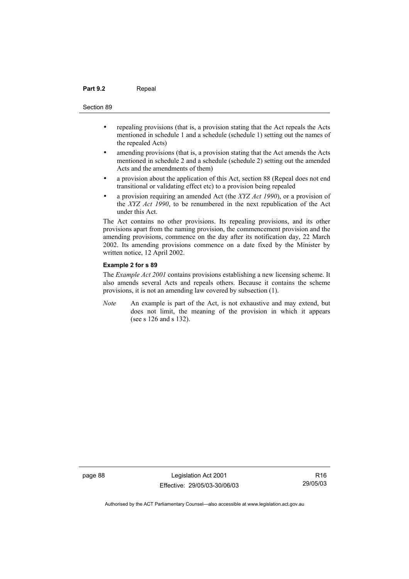#### Part 9.2 **Repeal**

#### Section 89

- repealing provisions (that is, a provision stating that the Act repeals the Acts mentioned in schedule 1 and a schedule (schedule 1) setting out the names of the repealed Acts)
- amending provisions (that is, a provision stating that the Act amends the Acts mentioned in schedule 2 and a schedule (schedule 2) setting out the amended Acts and the amendments of them)
- a provision about the application of this Act, section 88 (Repeal does not end transitional or validating effect etc) to a provision being repealed
- a provision requiring an amended Act (the *XYZ Act 1990*), or a provision of the *XYZ Act 1990*, to be renumbered in the next republication of the Act under this Act.

The Act contains no other provisions. Its repealing provisions, and its other provisions apart from the naming provision, the commencement provision and the amending provisions, commence on the day after its notification day, 22 March 2002. Its amending provisions commence on a date fixed by the Minister by written notice, 12 April 2002.

#### **Example 2 for s 89**

The *Example Act 2001* contains provisions establishing a new licensing scheme. It also amends several Acts and repeals others. Because it contains the scheme provisions, it is not an amending law covered by subsection (1).

*Note* An example is part of the Act, is not exhaustive and may extend, but does not limit, the meaning of the provision in which it appears (see s 126 and s 132).

page 88 Legislation Act 2001 Effective: 29/05/03-30/06/03

R16 29/05/03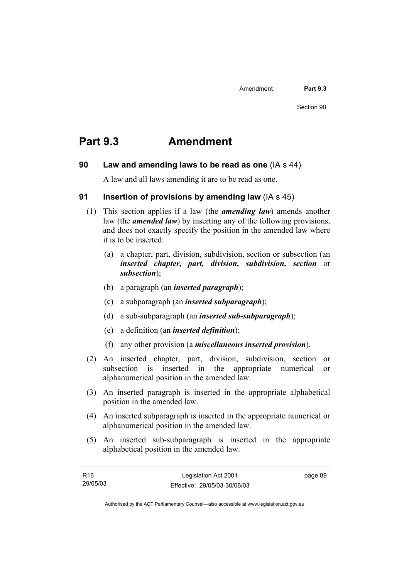# **Part 9.3 Amendment**

### **90 Law and amending laws to be read as one** (IA s 44)

A law and all laws amending it are to be read as one.

### **91 Insertion of provisions by amending law** (IA s 45)

- (1) This section applies if a law (the *amending law*) amends another law (the *amended law*) by inserting any of the following provisions, and does not exactly specify the position in the amended law where it is to be inserted:
	- (a) a chapter, part, division, subdivision, section or subsection (an *inserted chapter, part, division, subdivision, section* or *subsection*);
	- (b) a paragraph (an *inserted paragraph*);
	- (c) a subparagraph (an *inserted subparagraph*);
	- (d) a sub-subparagraph (an *inserted sub-subparagraph*);
	- (e) a definition (an *inserted definition*);
	- (f) any other provision (a *miscellaneous inserted provision*).
- (2) An inserted chapter, part, division, subdivision, section or subsection is inserted in the appropriate numerical or alphanumerical position in the amended law.
- (3) An inserted paragraph is inserted in the appropriate alphabetical position in the amended law.
- (4) An inserted subparagraph is inserted in the appropriate numerical or alphanumerical position in the amended law.
- (5) An inserted sub-subparagraph is inserted in the appropriate alphabetical position in the amended law.

| R16      | Legislation Act 2001         | page 89 |
|----------|------------------------------|---------|
| 29/05/03 | Effective: 29/05/03-30/06/03 |         |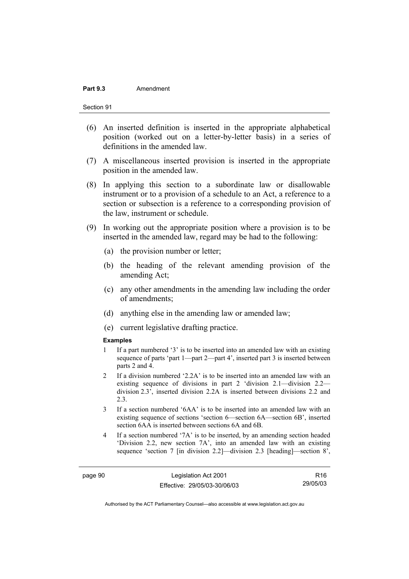#### Part 9.3 **Amendment**

Section 91

- (6) An inserted definition is inserted in the appropriate alphabetical position (worked out on a letter-by-letter basis) in a series of definitions in the amended law.
- (7) A miscellaneous inserted provision is inserted in the appropriate position in the amended law.
- (8) In applying this section to a subordinate law or disallowable instrument or to a provision of a schedule to an Act, a reference to a section or subsection is a reference to a corresponding provision of the law, instrument or schedule.
- (9) In working out the appropriate position where a provision is to be inserted in the amended law, regard may be had to the following:
	- (a) the provision number or letter;
	- (b) the heading of the relevant amending provision of the amending Act;
	- (c) any other amendments in the amending law including the order of amendments;
	- (d) anything else in the amending law or amended law;
	- (e) current legislative drafting practice.

#### **Examples**

- 1 If a part numbered '3' is to be inserted into an amended law with an existing sequence of parts 'part 1—part 2—part 4', inserted part 3 is inserted between parts 2 and 4.
- 2 If a division numbered '2.2A' is to be inserted into an amended law with an existing sequence of divisions in part 2 'division 2.1—division 2.2 division 2.3', inserted division 2.2A is inserted between divisions 2.2 and 2.3.
- 3 If a section numbered '6AA' is to be inserted into an amended law with an existing sequence of sections 'section 6—section 6A—section 6B', inserted section 6AA is inserted between sections 6A and 6B.
- 4 If a section numbered '7A' is to be inserted, by an amending section headed 'Division 2.2, new section 7A', into an amended law with an existing sequence 'section 7 [in division 2.2]—division 2.3 [heading]—section 8',

page 90 Legislation Act 2001 Effective: 29/05/03-30/06/03

R16 29/05/03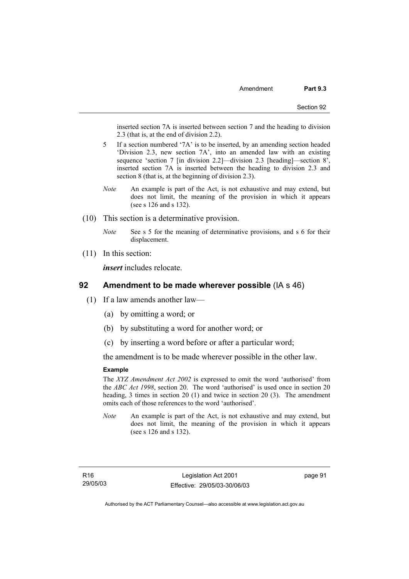inserted section 7A is inserted between section 7 and the heading to division 2.3 (that is, at the end of division 2.2).

- 5 If a section numbered '7A' is to be inserted, by an amending section headed 'Division 2.3, new section 7A', into an amended law with an existing sequence 'section 7 [in division 2.2]—division 2.3 [heading]—section 8', inserted section 7A is inserted between the heading to division 2.3 and section 8 (that is, at the beginning of division 2.3).
- *Note* An example is part of the Act, is not exhaustive and may extend, but does not limit, the meaning of the provision in which it appears (see s 126 and s 132).
- (10) This section is a determinative provision.
	- *Note* See s 5 for the meaning of determinative provisions, and s 6 for their displacement.
- (11) In this section:

*insert* includes relocate.

#### **92 Amendment to be made wherever possible** (IA s 46)

- (1) If a law amends another law—
	- (a) by omitting a word; or
	- (b) by substituting a word for another word; or
	- (c) by inserting a word before or after a particular word;

the amendment is to be made wherever possible in the other law.

#### **Example**

The *XYZ Amendment Act 2002* is expressed to omit the word 'authorised' from the *ABC Act 1998*, section 20. The word 'authorised' is used once in section 20 heading, 3 times in section 20 (1) and twice in section 20 (3). The amendment omits each of those references to the word 'authorised'.

*Note* An example is part of the Act, is not exhaustive and may extend, but does not limit, the meaning of the provision in which it appears (see s 126 and s 132).

page 91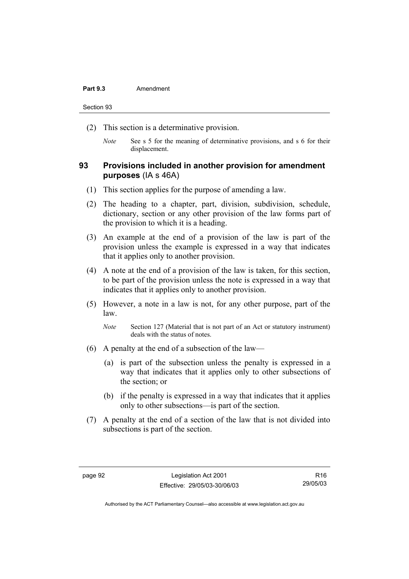#### Part 9.3 **Amendment**

Section 93

- (2) This section is a determinative provision.
	- *Note* See s 5 for the meaning of determinative provisions, and s 6 for their displacement.

## **93 Provisions included in another provision for amendment purposes** (IA s 46A)

- (1) This section applies for the purpose of amending a law.
- (2) The heading to a chapter, part, division, subdivision, schedule, dictionary, section or any other provision of the law forms part of the provision to which it is a heading.
- (3) An example at the end of a provision of the law is part of the provision unless the example is expressed in a way that indicates that it applies only to another provision.
- (4) A note at the end of a provision of the law is taken, for this section, to be part of the provision unless the note is expressed in a way that indicates that it applies only to another provision.
- (5) However, a note in a law is not, for any other purpose, part of the law.
	- *Note* Section 127 (Material that is not part of an Act or statutory instrument) deals with the status of notes.
- (6) A penalty at the end of a subsection of the law—
	- (a) is part of the subsection unless the penalty is expressed in a way that indicates that it applies only to other subsections of the section; or
	- (b) if the penalty is expressed in a way that indicates that it applies only to other subsections—is part of the section.
- (7) A penalty at the end of a section of the law that is not divided into subsections is part of the section.

R16 29/05/03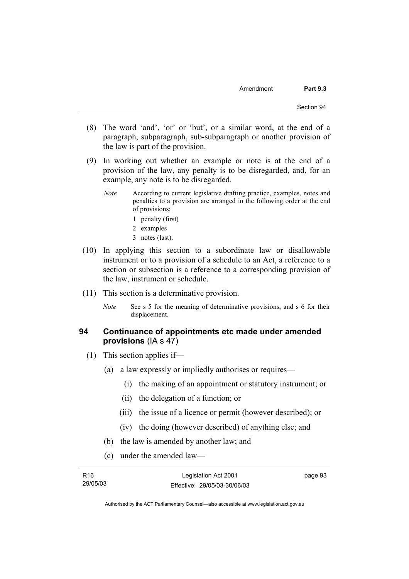- (8) The word 'and', 'or' or 'but', or a similar word, at the end of a paragraph, subparagraph, sub-subparagraph or another provision of the law is part of the provision.
- (9) In working out whether an example or note is at the end of a provision of the law, any penalty is to be disregarded, and, for an example, any note is to be disregarded.
	- *Note* According to current legislative drafting practice, examples, notes and penalties to a provision are arranged in the following order at the end of provisions:
		- 1 penalty (first)
		- 2 examples
		- 3 notes (last).
- (10) In applying this section to a subordinate law or disallowable instrument or to a provision of a schedule to an Act, a reference to a section or subsection is a reference to a corresponding provision of the law, instrument or schedule.
- (11) This section is a determinative provision.
	- *Note* See s 5 for the meaning of determinative provisions, and s 6 for their displacement.

## **94 Continuance of appointments etc made under amended provisions** (IA s 47)

- (1) This section applies if—
	- (a) a law expressly or impliedly authorises or requires—
		- (i) the making of an appointment or statutory instrument; or
		- (ii) the delegation of a function; or
		- (iii) the issue of a licence or permit (however described); or
		- (iv) the doing (however described) of anything else; and
	- (b) the law is amended by another law; and
	- (c) under the amended law—

| R <sub>16</sub> | Legislation Act 2001         | page 93 |
|-----------------|------------------------------|---------|
| 29/05/03        | Effective: 29/05/03-30/06/03 |         |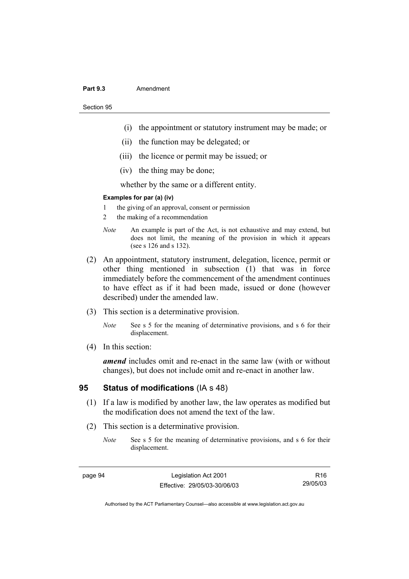#### Part 9.3 **Amendment**

Section 95

- (i) the appointment or statutory instrument may be made; or
- (ii) the function may be delegated; or
- (iii) the licence or permit may be issued; or
- (iv) the thing may be done;

whether by the same or a different entity.

#### **Examples for par (a) (iv)**

- 1 the giving of an approval, consent or permission
- 2 the making of a recommendation
- *Note* An example is part of the Act, is not exhaustive and may extend, but does not limit, the meaning of the provision in which it appears (see s 126 and s 132).
- (2) An appointment, statutory instrument, delegation, licence, permit or other thing mentioned in subsection (1) that was in force immediately before the commencement of the amendment continues to have effect as if it had been made, issued or done (however described) under the amended law.
- (3) This section is a determinative provision.
	- *Note* See s 5 for the meaning of determinative provisions, and s 6 for their displacement.
- (4) In this section:

*amend* includes omit and re-enact in the same law (with or without changes), but does not include omit and re-enact in another law.

### **95 Status of modifications** (IA s 48)

- (1) If a law is modified by another law, the law operates as modified but the modification does not amend the text of the law.
- (2) This section is a determinative provision.
	- *Note* See s 5 for the meaning of determinative provisions, and s 6 for their displacement.

page 94 Legislation Act 2001 Effective: 29/05/03-30/06/03

R16 29/05/03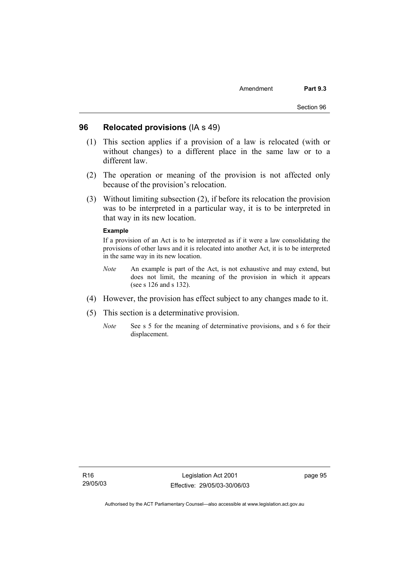#### **96 Relocated provisions** (IA s 49)

- (1) This section applies if a provision of a law is relocated (with or without changes) to a different place in the same law or to a different law.
- (2) The operation or meaning of the provision is not affected only because of the provision's relocation.
- (3) Without limiting subsection (2), if before its relocation the provision was to be interpreted in a particular way, it is to be interpreted in that way in its new location.

#### **Example**

If a provision of an Act is to be interpreted as if it were a law consolidating the provisions of other laws and it is relocated into another Act, it is to be interpreted in the same way in its new location.

- *Note* An example is part of the Act, is not exhaustive and may extend, but does not limit, the meaning of the provision in which it appears (see s 126 and s 132).
- (4) However, the provision has effect subject to any changes made to it.
- (5) This section is a determinative provision.
	- *Note* See s 5 for the meaning of determinative provisions, and s 6 for their displacement.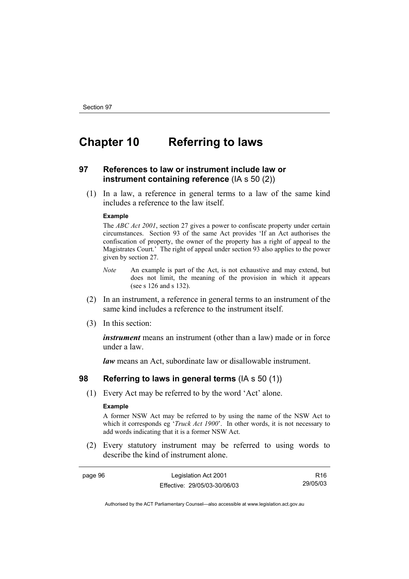# **Chapter 10 Referring to laws**

## **97 References to law or instrument include law or instrument containing reference** (IA s 50 (2))

 (1) In a law, a reference in general terms to a law of the same kind includes a reference to the law itself.

#### **Example**

The *ABC Act 2001*, section 27 gives a power to confiscate property under certain circumstances. Section 93 of the same Act provides 'If an Act authorises the confiscation of property, the owner of the property has a right of appeal to the Magistrates Court.' The right of appeal under section 93 also applies to the power given by section 27.

- *Note* An example is part of the Act, is not exhaustive and may extend, but does not limit, the meaning of the provision in which it appears (see s 126 and s 132).
- (2) In an instrument, a reference in general terms to an instrument of the same kind includes a reference to the instrument itself.
- (3) In this section:

*instrument* means an instrument (other than a law) made or in force under a law.

*law* means an Act, subordinate law or disallowable instrument.

#### **98 Referring to laws in general terms** (IA s 50 (1))

(1) Every Act may be referred to by the word 'Act' alone.

#### **Example**

A former NSW Act may be referred to by using the name of the NSW Act to which it corresponds eg '*Truck Act 1900*'. In other words, it is not necessary to add words indicating that it is a former NSW Act.

 (2) Every statutory instrument may be referred to using words to describe the kind of instrument alone.

| page 96 | Legislation Act 2001         | R16      |
|---------|------------------------------|----------|
|         | Effective: 29/05/03-30/06/03 | 29/05/03 |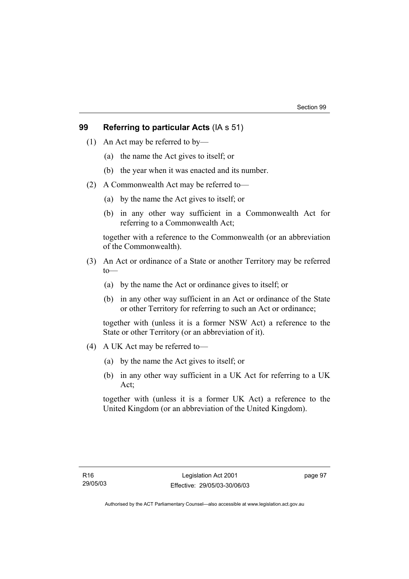## **99 Referring to particular Acts** (IA s 51)

- (1) An Act may be referred to by—
	- (a) the name the Act gives to itself; or
	- (b) the year when it was enacted and its number.
- (2) A Commonwealth Act may be referred to—
	- (a) by the name the Act gives to itself; or
	- (b) in any other way sufficient in a Commonwealth Act for referring to a Commonwealth Act;

together with a reference to the Commonwealth (or an abbreviation of the Commonwealth).

- (3) An Act or ordinance of a State or another Territory may be referred to—
	- (a) by the name the Act or ordinance gives to itself; or
	- (b) in any other way sufficient in an Act or ordinance of the State or other Territory for referring to such an Act or ordinance;

together with (unless it is a former NSW Act) a reference to the State or other Territory (or an abbreviation of it).

- (4) A UK Act may be referred to—
	- (a) by the name the Act gives to itself; or
	- (b) in any other way sufficient in a UK Act for referring to a UK Act;

together with (unless it is a former UK Act) a reference to the United Kingdom (or an abbreviation of the United Kingdom).

page 97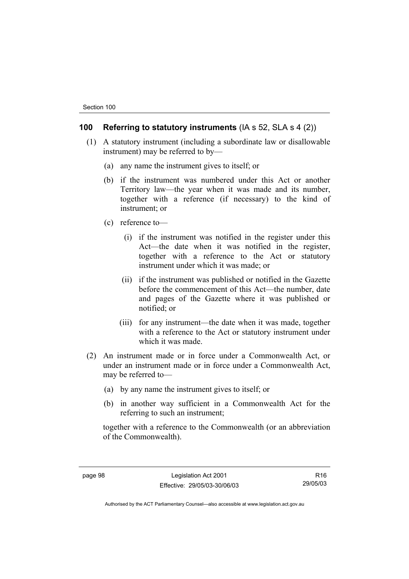## **100 Referring to statutory instruments** (IA s 52, SLA s 4 (2))

- (1) A statutory instrument (including a subordinate law or disallowable instrument) may be referred to by—
	- (a) any name the instrument gives to itself; or
	- (b) if the instrument was numbered under this Act or another Territory law—the year when it was made and its number, together with a reference (if necessary) to the kind of instrument; or
	- (c) reference to—
		- (i) if the instrument was notified in the register under this Act—the date when it was notified in the register, together with a reference to the Act or statutory instrument under which it was made; or
		- (ii) if the instrument was published or notified in the Gazette before the commencement of this Act—the number, date and pages of the Gazette where it was published or notified; or
		- (iii) for any instrument—the date when it was made, together with a reference to the Act or statutory instrument under which it was made.
- (2) An instrument made or in force under a Commonwealth Act, or under an instrument made or in force under a Commonwealth Act, may be referred to—
	- (a) by any name the instrument gives to itself; or
	- (b) in another way sufficient in a Commonwealth Act for the referring to such an instrument;

together with a reference to the Commonwealth (or an abbreviation of the Commonwealth).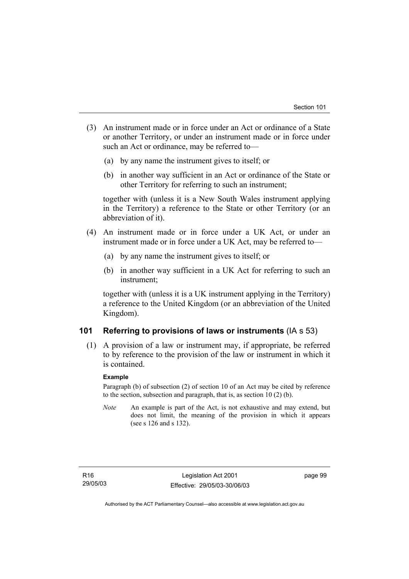- (3) An instrument made or in force under an Act or ordinance of a State or another Territory, or under an instrument made or in force under such an Act or ordinance, may be referred to—
	- (a) by any name the instrument gives to itself; or
	- (b) in another way sufficient in an Act or ordinance of the State or other Territory for referring to such an instrument;

together with (unless it is a New South Wales instrument applying in the Territory) a reference to the State or other Territory (or an abbreviation of it).

- (4) An instrument made or in force under a UK Act, or under an instrument made or in force under a UK Act, may be referred to—
	- (a) by any name the instrument gives to itself; or
	- (b) in another way sufficient in a UK Act for referring to such an instrument;

together with (unless it is a UK instrument applying in the Territory) a reference to the United Kingdom (or an abbreviation of the United Kingdom).

## **101 Referring to provisions of laws or instruments** (IA s 53)

 (1) A provision of a law or instrument may, if appropriate, be referred to by reference to the provision of the law or instrument in which it is contained.

#### **Example**

Paragraph (b) of subsection (2) of section 10 of an Act may be cited by reference to the section, subsection and paragraph, that is, as section 10 (2) (b).

*Note* An example is part of the Act, is not exhaustive and may extend, but does not limit, the meaning of the provision in which it appears (see s 126 and s 132).

page 99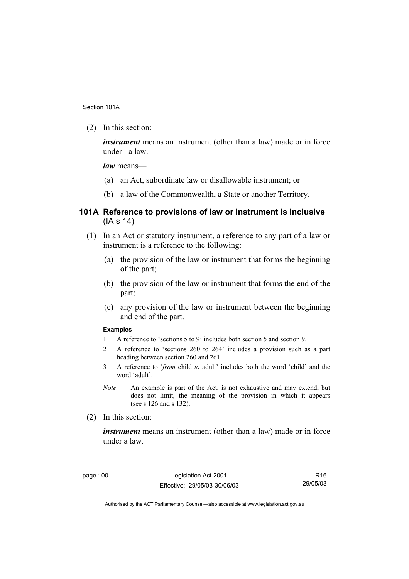(2) In this section:

*instrument* means an instrument (other than a law) made or in force under a law.

*law* means—

- (a) an Act, subordinate law or disallowable instrument; or
- (b) a law of the Commonwealth, a State or another Territory.

### **101A Reference to provisions of law or instrument is inclusive**  (IA s 14)

- (1) In an Act or statutory instrument, a reference to any part of a law or instrument is a reference to the following:
	- (a) the provision of the law or instrument that forms the beginning of the part;
	- (b) the provision of the law or instrument that forms the end of the part;
	- (c) any provision of the law or instrument between the beginning and end of the part.

#### **Examples**

- 1 A reference to 'sections 5 to 9' includes both section 5 and section 9.
- 2 A reference to 'sections 260 to 264' includes a provision such as a part heading between section 260 and 261.
- 3 A reference to '*from* child *to* adult' includes both the word 'child' and the word 'adult'.
- *Note* An example is part of the Act, is not exhaustive and may extend, but does not limit, the meaning of the provision in which it appears (see s 126 and s 132).
- (2) In this section:

*instrument* means an instrument (other than a law) made or in force under a law.

page 100 Legislation Act 2001 Effective: 29/05/03-30/06/03

R16 29/05/03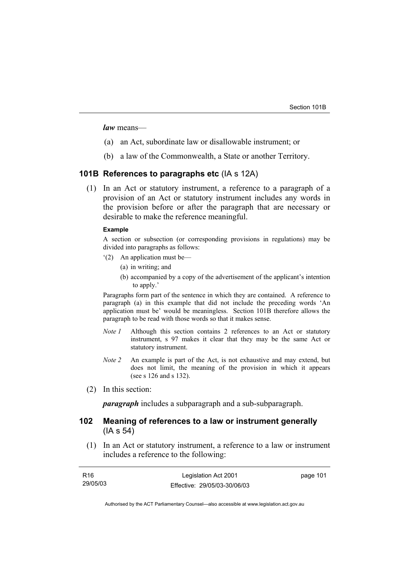*law* means—

- (a) an Act, subordinate law or disallowable instrument; or
- (b) a law of the Commonwealth, a State or another Territory.

#### **101B References to paragraphs etc** (IA s 12A)

 (1) In an Act or statutory instrument, a reference to a paragraph of a provision of an Act or statutory instrument includes any words in the provision before or after the paragraph that are necessary or desirable to make the reference meaningful.

#### **Example**

A section or subsection (or corresponding provisions in regulations) may be divided into paragraphs as follows:

- '(2) An application must be—
	- (a) in writing; and
	- (b) accompanied by a copy of the advertisement of the applicant's intention to apply.'

Paragraphs form part of the sentence in which they are contained. A reference to paragraph (a) in this example that did not include the preceding words 'An application must be' would be meaningless. Section 101B therefore allows the paragraph to be read with those words so that it makes sense.

- *Note 1* Although this section contains 2 references to an Act or statutory instrument, s 97 makes it clear that they may be the same Act or statutory instrument.
- *Note 2* An example is part of the Act, is not exhaustive and may extend, but does not limit, the meaning of the provision in which it appears (see s 126 and s 132).
- (2) In this section:

*paragraph* includes a subparagraph and a sub-subparagraph.

### **102 Meaning of references to a law or instrument generally**  (IA s 54)

 (1) In an Act or statutory instrument, a reference to a law or instrument includes a reference to the following:

| R16      | Legislation Act 2001         | page 101 |
|----------|------------------------------|----------|
| 29/05/03 | Effective: 29/05/03-30/06/03 |          |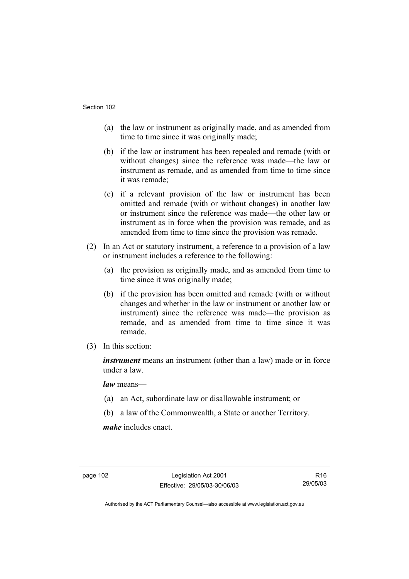- (a) the law or instrument as originally made, and as amended from time to time since it was originally made;
- (b) if the law or instrument has been repealed and remade (with or without changes) since the reference was made—the law or instrument as remade, and as amended from time to time since it was remade;
- (c) if a relevant provision of the law or instrument has been omitted and remade (with or without changes) in another law or instrument since the reference was made—the other law or instrument as in force when the provision was remade, and as amended from time to time since the provision was remade.
- (2) In an Act or statutory instrument, a reference to a provision of a law or instrument includes a reference to the following:
	- (a) the provision as originally made, and as amended from time to time since it was originally made;
	- (b) if the provision has been omitted and remade (with or without changes and whether in the law or instrument or another law or instrument) since the reference was made—the provision as remade, and as amended from time to time since it was remade.
- (3) In this section:

*instrument* means an instrument (other than a law) made or in force under a law.

*law* means—

- (a) an Act, subordinate law or disallowable instrument; or
- (b) a law of the Commonwealth, a State or another Territory.

*make* includes enact.

page 102 Legislation Act 2001 Effective: 29/05/03-30/06/03

R16 29/05/03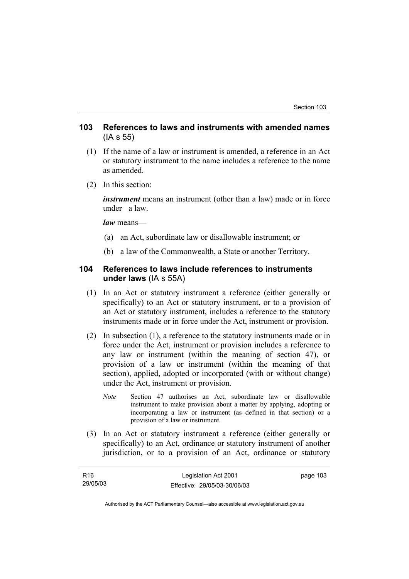## **103 References to laws and instruments with amended names**  (IA s 55)

- (1) If the name of a law or instrument is amended, a reference in an Act or statutory instrument to the name includes a reference to the name as amended.
- (2) In this section:

*instrument* means an instrument (other than a law) made or in force under a law.

*law* means—

- (a) an Act, subordinate law or disallowable instrument; or
- (b) a law of the Commonwealth, a State or another Territory.

## **104 References to laws include references to instruments under laws** (IA s 55A)

- (1) In an Act or statutory instrument a reference (either generally or specifically) to an Act or statutory instrument, or to a provision of an Act or statutory instrument, includes a reference to the statutory instruments made or in force under the Act, instrument or provision.
- (2) In subsection (1), a reference to the statutory instruments made or in force under the Act, instrument or provision includes a reference to any law or instrument (within the meaning of section 47), or provision of a law or instrument (within the meaning of that section), applied, adopted or incorporated (with or without change) under the Act, instrument or provision.
	- *Note* Section 47 authorises an Act, subordinate law or disallowable instrument to make provision about a matter by applying, adopting or incorporating a law or instrument (as defined in that section) or a provision of a law or instrument.
- (3) In an Act or statutory instrument a reference (either generally or specifically) to an Act, ordinance or statutory instrument of another jurisdiction, or to a provision of an Act, ordinance or statutory

| R16      | Legislation Act 2001         | page 103 |
|----------|------------------------------|----------|
| 29/05/03 | Effective: 29/05/03-30/06/03 |          |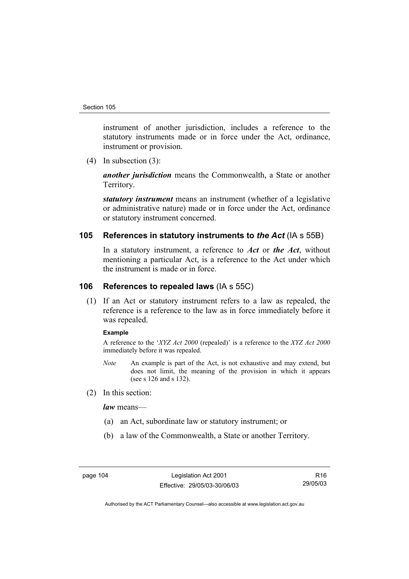instrument of another jurisdiction, includes a reference to the statutory instruments made or in force under the Act, ordinance, instrument or provision.

(4) In subsection (3):

*another jurisdiction* means the Commonwealth, a State or another Territory.

*statutory instrument* means an instrument (whether of a legislative or administrative nature) made or in force under the Act, ordinance or statutory instrument concerned.

## **105 References in statutory instruments to** *the Act* (IA s 55B)

In a statutory instrument, a reference to *Act* or *the Act*, without mentioning a particular Act, is a reference to the Act under which the instrument is made or in force.

## **106 References to repealed laws** (IA s 55C)

 (1) If an Act or statutory instrument refers to a law as repealed, the reference is a reference to the law as in force immediately before it was repealed.

#### **Example**

A reference to the '*XYZ Act 2000* (repealed)' is a reference to the *XYZ Act 2000* immediately before it was repealed.

- *Note* An example is part of the Act, is not exhaustive and may extend, but does not limit, the meaning of the provision in which it appears (see s 126 and s 132).
- (2) In this section:

*law* means—

- (a) an Act, subordinate law or statutory instrument; or
- (b) a law of the Commonwealth, a State or another Territory.

page 104 Legislation Act 2001 Effective: 29/05/03-30/06/03

R16 29/05/03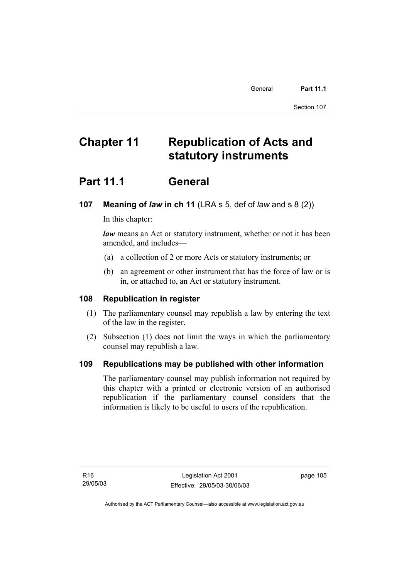# **Chapter 11 Republication of Acts and statutory instruments**

## **Part 11.1 General**

## **107 Meaning of** *law* **in ch 11** (LRA s 5, def of *law* and s 8 (2))

In this chapter:

*law* means an Act or statutory instrument, whether or not it has been amended, and includes—

- (a) a collection of 2 or more Acts or statutory instruments; or
- (b) an agreement or other instrument that has the force of law or is in, or attached to, an Act or statutory instrument.

## **108 Republication in register**

- (1) The parliamentary counsel may republish a law by entering the text of the law in the register.
- (2) Subsection (1) does not limit the ways in which the parliamentary counsel may republish a law.

## **109 Republications may be published with other information**

The parliamentary counsel may publish information not required by this chapter with a printed or electronic version of an authorised republication if the parliamentary counsel considers that the information is likely to be useful to users of the republication.

page 105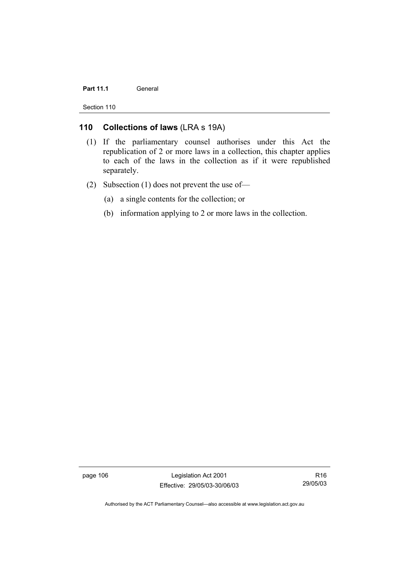#### Part 11.1 **General**

Section 110

## **110 Collections of laws** (LRA s 19A)

- (1) If the parliamentary counsel authorises under this Act the republication of 2 or more laws in a collection, this chapter applies to each of the laws in the collection as if it were republished separately.
- (2) Subsection (1) does not prevent the use of—
	- (a) a single contents for the collection; or
	- (b) information applying to 2 or more laws in the collection.

page 106 Legislation Act 2001 Effective: 29/05/03-30/06/03

R16 29/05/03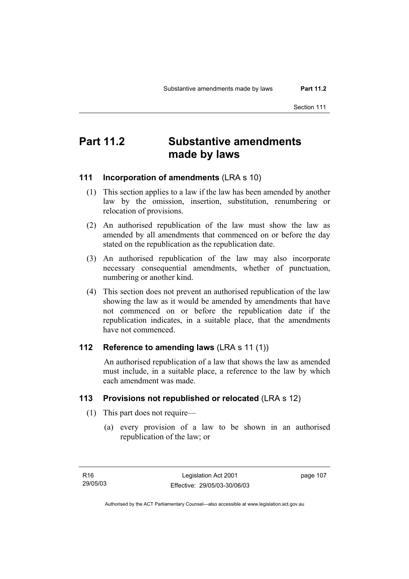## **Part 11.2 Substantive amendments made by laws**

## **111 Incorporation of amendments** (LRA s 10)

- (1) This section applies to a law if the law has been amended by another law by the omission, insertion, substitution, renumbering or relocation of provisions.
- (2) An authorised republication of the law must show the law as amended by all amendments that commenced on or before the day stated on the republication as the republication date.
- (3) An authorised republication of the law may also incorporate necessary consequential amendments, whether of punctuation, numbering or another kind.
- (4) This section does not prevent an authorised republication of the law showing the law as it would be amended by amendments that have not commenced on or before the republication date if the republication indicates, in a suitable place, that the amendments have not commenced.

#### **112 Reference to amending laws** (LRA s 11 (1))

 An authorised republication of a law that shows the law as amended must include, in a suitable place, a reference to the law by which each amendment was made.

## **113 Provisions not republished or relocated** (LRA s 12)

- (1) This part does not require—
	- (a) every provision of a law to be shown in an authorised republication of the law; or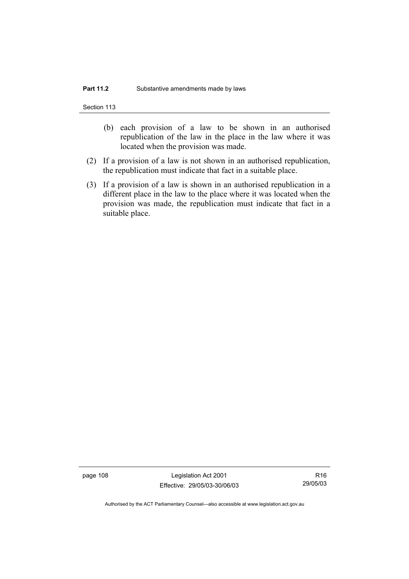Section 113

- (b) each provision of a law to be shown in an authorised republication of the law in the place in the law where it was located when the provision was made.
- (2) If a provision of a law is not shown in an authorised republication, the republication must indicate that fact in a suitable place.
- (3) If a provision of a law is shown in an authorised republication in a different place in the law to the place where it was located when the provision was made, the republication must indicate that fact in a suitable place.

page 108 Legislation Act 2001 Effective: 29/05/03-30/06/03

R16 29/05/03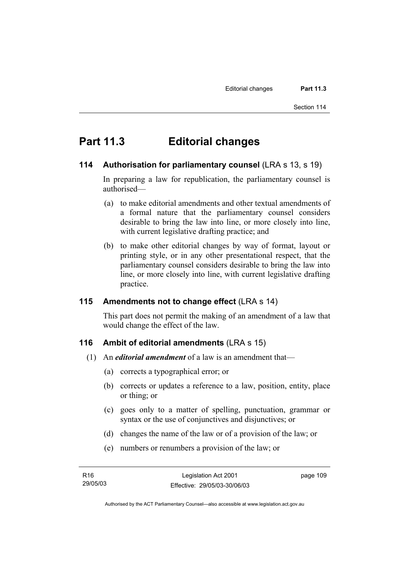## **Part 11.3 Editorial changes**

## **114 Authorisation for parliamentary counsel** (LRA s 13, s 19)

In preparing a law for republication, the parliamentary counsel is authorised—

- (a) to make editorial amendments and other textual amendments of a formal nature that the parliamentary counsel considers desirable to bring the law into line, or more closely into line, with current legislative drafting practice; and
- (b) to make other editorial changes by way of format, layout or printing style, or in any other presentational respect, that the parliamentary counsel considers desirable to bring the law into line, or more closely into line, with current legislative drafting practice.

## **115 Amendments not to change effect** (LRA s 14)

This part does not permit the making of an amendment of a law that would change the effect of the law.

## **116 Ambit of editorial amendments** (LRA s 15)

- (1) An *editorial amendment* of a law is an amendment that—
	- (a) corrects a typographical error; or
	- (b) corrects or updates a reference to a law, position, entity, place or thing; or
	- (c) goes only to a matter of spelling, punctuation, grammar or syntax or the use of conjunctives and disjunctives; or
	- (d) changes the name of the law or of a provision of the law; or
	- (e) numbers or renumbers a provision of the law; or

| R16      | Legislation Act 2001         | page 109 |
|----------|------------------------------|----------|
| 29/05/03 | Effective: 29/05/03-30/06/03 |          |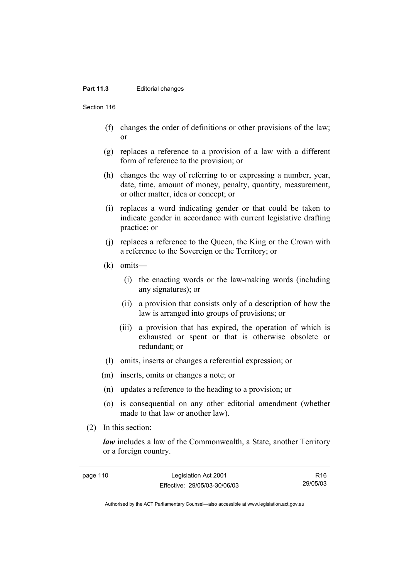#### Part 11.3 **Editorial changes**

Section 116

- (f) changes the order of definitions or other provisions of the law; or
- (g) replaces a reference to a provision of a law with a different form of reference to the provision; or
- (h) changes the way of referring to or expressing a number, year, date, time, amount of money, penalty, quantity, measurement, or other matter, idea or concept; or
- (i) replaces a word indicating gender or that could be taken to indicate gender in accordance with current legislative drafting practice; or
- (j) replaces a reference to the Queen, the King or the Crown with a reference to the Sovereign or the Territory; or
- (k) omits—
	- (i) the enacting words or the law-making words (including any signatures); or
	- (ii) a provision that consists only of a description of how the law is arranged into groups of provisions; or
	- (iii) a provision that has expired, the operation of which is exhausted or spent or that is otherwise obsolete or redundant; or
- (l) omits, inserts or changes a referential expression; or
- (m) inserts, omits or changes a note; or
- (n) updates a reference to the heading to a provision; or
- (o) is consequential on any other editorial amendment (whether made to that law or another law).
- (2) In this section:

*law* includes a law of the Commonwealth, a State, another Territory or a foreign country.

R16

page 110 Legislation Act 2001 Effective: 29/05/03-30/06/03 29/05/03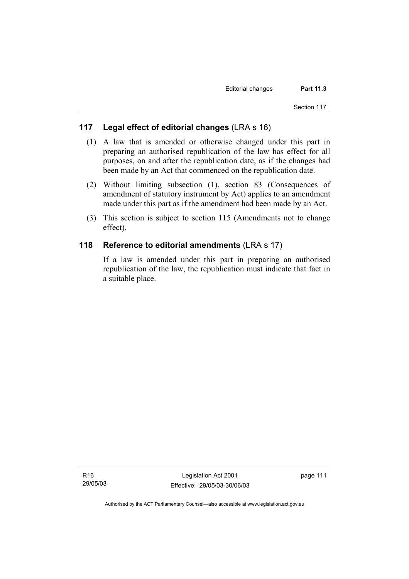## **117 Legal effect of editorial changes** (LRA s 16)

- (1) A law that is amended or otherwise changed under this part in preparing an authorised republication of the law has effect for all purposes, on and after the republication date, as if the changes had been made by an Act that commenced on the republication date.
- (2) Without limiting subsection (1), section 83 (Consequences of amendment of statutory instrument by Act) applies to an amendment made under this part as if the amendment had been made by an Act.
- (3) This section is subject to section 115 (Amendments not to change effect).

## **118 Reference to editorial amendments** (LRA s 17)

If a law is amended under this part in preparing an authorised republication of the law, the republication must indicate that fact in a suitable place.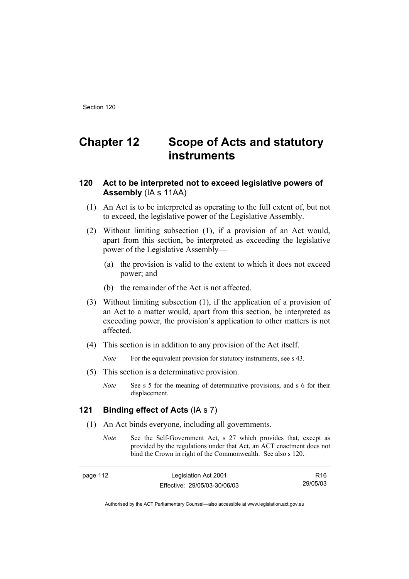# **Chapter 12 Scope of Acts and statutory instruments**

## **120 Act to be interpreted not to exceed legislative powers of Assembly** (IA s 11AA)

- (1) An Act is to be interpreted as operating to the full extent of, but not to exceed, the legislative power of the Legislative Assembly.
- (2) Without limiting subsection (1), if a provision of an Act would, apart from this section, be interpreted as exceeding the legislative power of the Legislative Assembly—
	- (a) the provision is valid to the extent to which it does not exceed power; and
	- (b) the remainder of the Act is not affected.
- (3) Without limiting subsection (1), if the application of a provision of an Act to a matter would, apart from this section, be interpreted as exceeding power, the provision's application to other matters is not affected.
- (4) This section is in addition to any provision of the Act itself.

*Note* For the equivalent provision for statutory instruments, see s 43.

- (5) This section is a determinative provision.
	- *Note* See s 5 for the meaning of determinative provisions, and s 6 for their displacement.

## **121 Binding effect of Acts** (IA s 7)

- (1) An Act binds everyone, including all governments.
	- *Note* See the Self-Government Act, s 27 which provides that, except as provided by the regulations under that Act, an ACT enactment does not bind the Crown in right of the Commonwealth. See also s 120.

| nane |  |  |
|------|--|--|
|------|--|--|

**Legislation Act 2001** Effective: 29/05/03-30/06/03

R16 29/05/03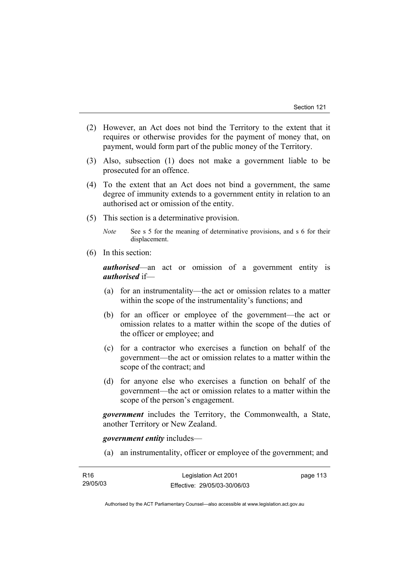- (2) However, an Act does not bind the Territory to the extent that it requires or otherwise provides for the payment of money that, on payment, would form part of the public money of the Territory.
- (3) Also, subsection (1) does not make a government liable to be prosecuted for an offence.
- (4) To the extent that an Act does not bind a government, the same degree of immunity extends to a government entity in relation to an authorised act or omission of the entity.
- (5) This section is a determinative provision.

*Note* See s 5 for the meaning of determinative provisions, and s 6 for their displacement.

(6) In this section:

*authorised*—an act or omission of a government entity is *authorised* if—

- (a) for an instrumentality—the act or omission relates to a matter within the scope of the instrumentality's functions; and
- (b) for an officer or employee of the government—the act or omission relates to a matter within the scope of the duties of the officer or employee; and
- (c) for a contractor who exercises a function on behalf of the government—the act or omission relates to a matter within the scope of the contract; and
- (d) for anyone else who exercises a function on behalf of the government—the act or omission relates to a matter within the scope of the person's engagement.

*government* includes the Territory, the Commonwealth, a State, another Territory or New Zealand.

*government entity* includes—

(a) an instrumentality, officer or employee of the government; and

| R16      | Legislation Act 2001         | page 113 |
|----------|------------------------------|----------|
| 29/05/03 | Effective: 29/05/03-30/06/03 |          |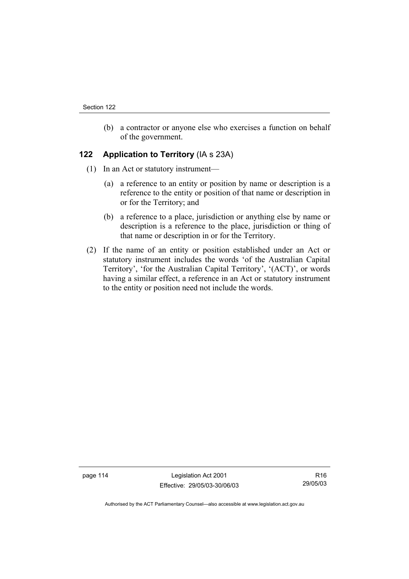(b) a contractor or anyone else who exercises a function on behalf of the government.

## **122 Application to Territory** (IA s 23A)

- (1) In an Act or statutory instrument—
	- (a) a reference to an entity or position by name or description is a reference to the entity or position of that name or description in or for the Territory; and
	- (b) a reference to a place, jurisdiction or anything else by name or description is a reference to the place, jurisdiction or thing of that name or description in or for the Territory.
- (2) If the name of an entity or position established under an Act or statutory instrument includes the words 'of the Australian Capital Territory', 'for the Australian Capital Territory', '(ACT)', or words having a similar effect, a reference in an Act or statutory instrument to the entity or position need not include the words.

page 114 Legislation Act 2001 Effective: 29/05/03-30/06/03

R16 29/05/03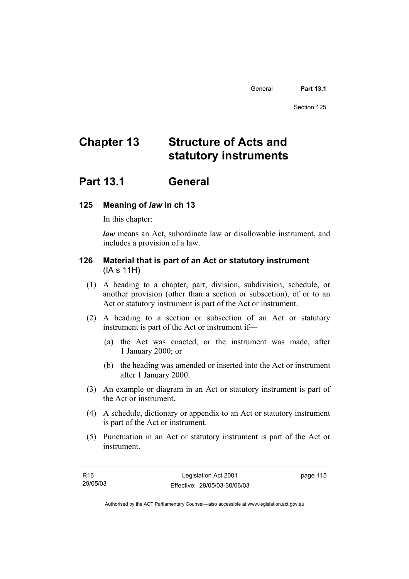# **Chapter 13 Structure of Acts and statutory instruments**

## **Part 13.1 General**

## **125 Meaning of** *law* **in ch 13**

In this chapter:

*law* means an Act, subordinate law or disallowable instrument, and includes a provision of a law.

## **126 Material that is part of an Act or statutory instrument**  (IA s 11H)

- (1) A heading to a chapter, part, division, subdivision, schedule, or another provision (other than a section or subsection), of or to an Act or statutory instrument is part of the Act or instrument.
- (2) A heading to a section or subsection of an Act or statutory instrument is part of the Act or instrument if—
	- (a) the Act was enacted, or the instrument was made, after 1 January 2000; or
	- (b) the heading was amended or inserted into the Act or instrument after 1 January 2000.
- (3) An example or diagram in an Act or statutory instrument is part of the Act or instrument.
- (4) A schedule, dictionary or appendix to an Act or statutory instrument is part of the Act or instrument.
- (5) Punctuation in an Act or statutory instrument is part of the Act or instrument.

| R16      | Legislation Act 2001         | page 115 |
|----------|------------------------------|----------|
| 29/05/03 | Effective: 29/05/03-30/06/03 |          |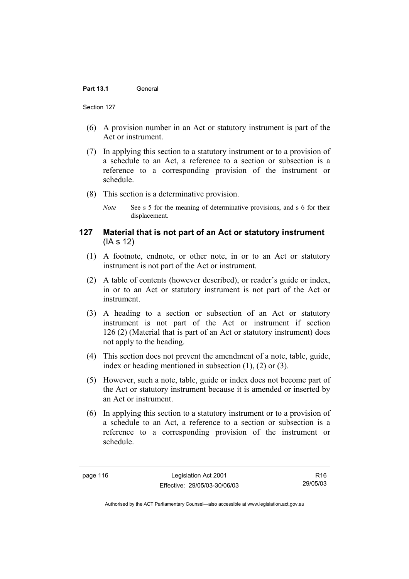- (6) A provision number in an Act or statutory instrument is part of the Act or instrument.
- (7) In applying this section to a statutory instrument or to a provision of a schedule to an Act, a reference to a section or subsection is a reference to a corresponding provision of the instrument or schedule.
- (8) This section is a determinative provision.
	- *Note* See s 5 for the meaning of determinative provisions, and s 6 for their displacement.

## **127 Material that is not part of an Act or statutory instrument**  (IA s 12)

- (1) A footnote, endnote, or other note, in or to an Act or statutory instrument is not part of the Act or instrument.
- (2) A table of contents (however described), or reader's guide or index, in or to an Act or statutory instrument is not part of the Act or instrument.
- (3) A heading to a section or subsection of an Act or statutory instrument is not part of the Act or instrument if section 126 (2) (Material that is part of an Act or statutory instrument) does not apply to the heading.
- (4) This section does not prevent the amendment of a note, table, guide, index or heading mentioned in subsection (1), (2) or (3).
- (5) However, such a note, table, guide or index does not become part of the Act or statutory instrument because it is amended or inserted by an Act or instrument.
- (6) In applying this section to a statutory instrument or to a provision of a schedule to an Act, a reference to a section or subsection is a reference to a corresponding provision of the instrument or schedule.

page 116 Legislation Act 2001 Effective: 29/05/03-30/06/03

R16 29/05/03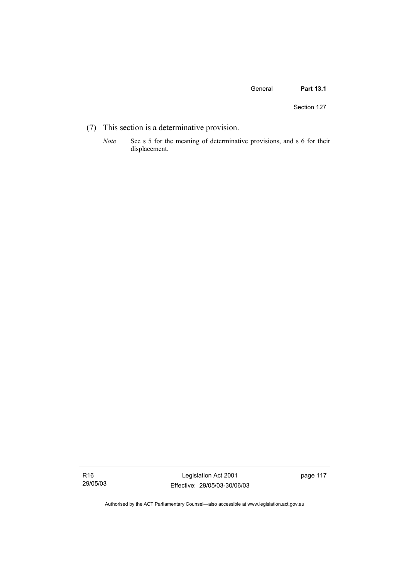Section 127

- (7) This section is a determinative provision.
	- *Note* See s 5 for the meaning of determinative provisions, and s 6 for their displacement.

R16 29/05/03

Legislation Act 2001 Effective: 29/05/03-30/06/03 page 117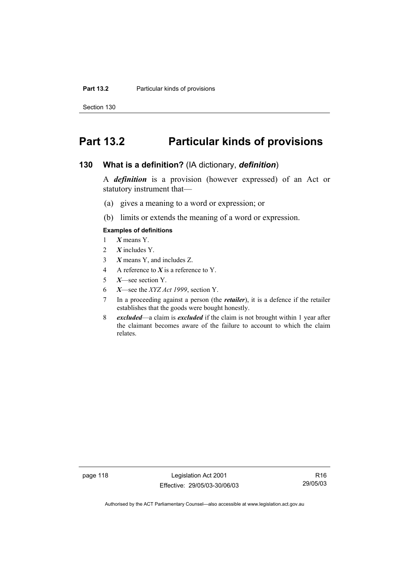Section 130

## **Part 13.2 Particular kinds of provisions**

#### **130 What is a definition?** (IA dictionary, *definition*)

A *definition* is a provision (however expressed) of an Act or statutory instrument that—

- (a) gives a meaning to a word or expression; or
- (b) limits or extends the meaning of a word or expression.

#### **Examples of definitions**

- 1 *X* means Y.
- 2 *X* includes Y.
- 3 *X* means Y, and includes Z.
- 4 A reference to *X* is a reference to Y.
- 5 *X*—see section Y.
- 6 *X*—see the *XYZ Act 1999*, section Y.
- 7 In a proceeding against a person (the *retailer*), it is a defence if the retailer establishes that the goods were bought honestly.
- 8 *excluded*—a claim is *excluded* if the claim is not brought within 1 year after the claimant becomes aware of the failure to account to which the claim relates.

page 118 Legislation Act 2001 Effective: 29/05/03-30/06/03

R16 29/05/03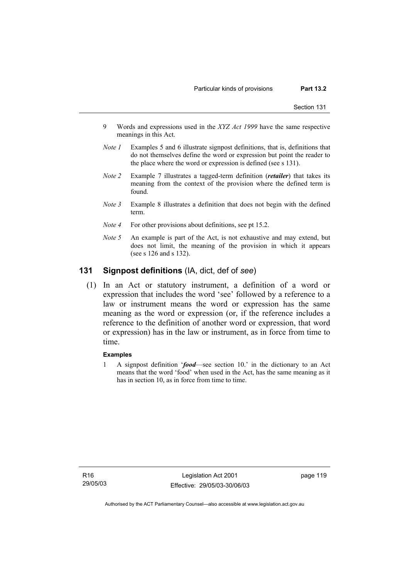- 9 Words and expressions used in the *XYZ Act 1999* have the same respective meanings in this Act.
- *Note 1* Examples 5 and 6 illustrate signpost definitions, that is, definitions that do not themselves define the word or expression but point the reader to the place where the word or expression is defined (see s 131).
- *Note 2* Example 7 illustrates a tagged-term definition (*retailer*) that takes its meaning from the context of the provision where the defined term is found.
- *Note 3* Example 8 illustrates a definition that does not begin with the defined term.
- *Note 4* For other provisions about definitions, see pt 15.2.
- *Note 5* An example is part of the Act, is not exhaustive and may extend, but does not limit, the meaning of the provision in which it appears (see s 126 and s 132).

## **131 Signpost definitions** (IA, dict, def of *see*)

 (1) In an Act or statutory instrument, a definition of a word or expression that includes the word 'see' followed by a reference to a law or instrument means the word or expression has the same meaning as the word or expression (or, if the reference includes a reference to the definition of another word or expression, that word or expression) has in the law or instrument, as in force from time to time.

#### **Examples**

1 A signpost definition '*food*—see section 10.' in the dictionary to an Act means that the word 'food' when used in the Act, has the same meaning as it has in section 10, as in force from time to time.

R16 29/05/03

Legislation Act 2001 Effective: 29/05/03-30/06/03 page 119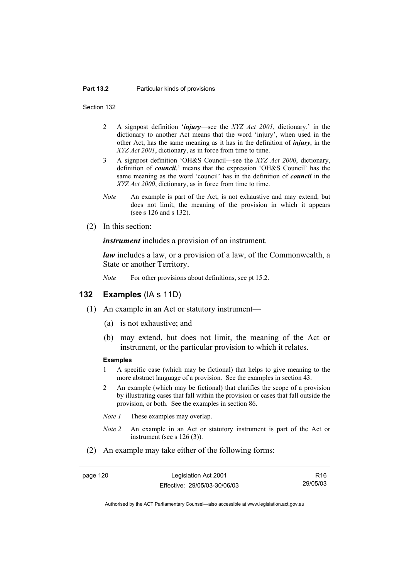#### **Part 13.2** Particular kinds of provisions

Section 132

- 2 A signpost definition '*injury*—see the *XYZ Act 2001*, dictionary.' in the dictionary to another Act means that the word 'injury', when used in the other Act, has the same meaning as it has in the definition of *injury*, in the *XYZ Act 2001*, dictionary, as in force from time to time.
- 3 A signpost definition 'OH&S Council—see the *XYZ Act 2000*, dictionary, definition of *council*.' means that the expression 'OH&S Council' has the same meaning as the word 'council' has in the definition of *council* in the *XYZ Act 2000*, dictionary, as in force from time to time.
- *Note* An example is part of the Act, is not exhaustive and may extend, but does not limit, the meaning of the provision in which it appears (see s 126 and s 132).
- (2) In this section:

*instrument* includes a provision of an instrument.

*law* includes a law, or a provision of a law, of the Commonwealth, a State or another Territory.

*Note* For other provisions about definitions, see pt 15.2.

### **132 Examples** (IA s 11D)

- (1) An example in an Act or statutory instrument—
	- (a) is not exhaustive; and
	- (b) may extend, but does not limit, the meaning of the Act or instrument, or the particular provision to which it relates.

#### **Examples**

- 1 A specific case (which may be fictional) that helps to give meaning to the more abstract language of a provision. See the examples in section 43.
- 2 An example (which may be fictional) that clarifies the scope of a provision by illustrating cases that fall within the provision or cases that fall outside the provision, or both. See the examples in section 86.
- *Note 1* These examples may overlap.
- *Note 2* An example in an Act or statutory instrument is part of the Act or instrument (see s 126 (3)).
- (2) An example may take either of the following forms:

page 120 Legislation Act 2001 Effective: 29/05/03-30/06/03

R16 29/05/03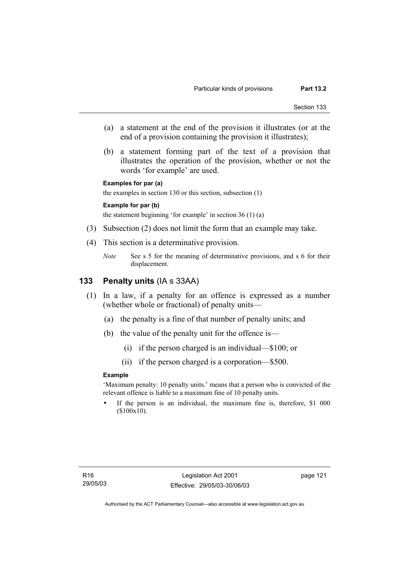- (a) a statement at the end of the provision it illustrates (or at the end of a provision containing the provision it illustrates);
- (b) a statement forming part of the text of a provision that illustrates the operation of the provision, whether or not the words 'for example' are used.

```
Examples for par (a)
```
the examples in section 130 or this section, subsection (1)

#### **Example for par (b)**

the statement beginning 'for example' in section 36 (1) (a)

- (3) Subsection (2) does not limit the form that an example may take.
- (4) This section is a determinative provision.
	- *Note* See s 5 for the meaning of determinative provisions, and s 6 for their displacement.

#### **133 Penalty units** (IA s 33AA)

- (1) In a law, if a penalty for an offence is expressed as a number (whether whole or fractional) of penalty units—
	- (a) the penalty is a fine of that number of penalty units; and
	- (b) the value of the penalty unit for the offence is—
		- (i) if the person charged is an individual—\$100; or
		- (ii) if the person charged is a corporation—\$500.

#### **Example**

'Maximum penalty: 10 penalty units.' means that a person who is convicted of the relevant offence is liable to a maximum fine of 10 penalty units.

If the person is an individual, the maximum fine is, therefore, \$1 000 (\$100x10).

page 121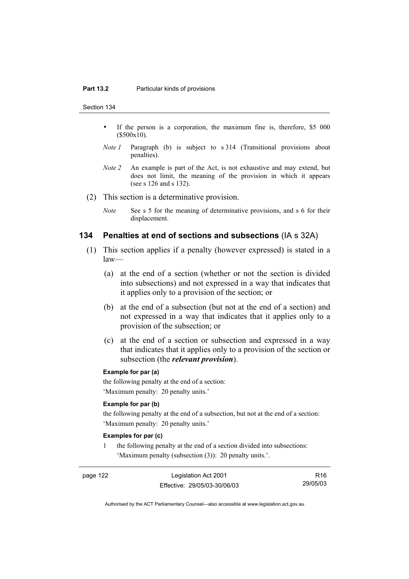Section 134

- If the person is a corporation, the maximum fine is, therefore, \$5 000 (\$500x10).
- *Note 1* Paragraph (b) is subject to s 314 (Transitional provisions about penalties).
- *Note 2* An example is part of the Act, is not exhaustive and may extend, but does not limit, the meaning of the provision in which it appears (see s 126 and s 132).
- (2) This section is a determinative provision.
	- *Note* See s 5 for the meaning of determinative provisions, and s 6 for their displacement.

#### **134 Penalties at end of sections and subsections** (IA s 32A)

- (1) This section applies if a penalty (however expressed) is stated in a law—
	- (a) at the end of a section (whether or not the section is divided into subsections) and not expressed in a way that indicates that it applies only to a provision of the section; or
	- (b) at the end of a subsection (but not at the end of a section) and not expressed in a way that indicates that it applies only to a provision of the subsection; or
	- (c) at the end of a section or subsection and expressed in a way that indicates that it applies only to a provision of the section or subsection (the *relevant provision*).

#### **Example for par (a)**

the following penalty at the end of a section: 'Maximum penalty: 20 penalty units.'

#### **Example for par (b)**

the following penalty at the end of a subsection, but not at the end of a section: 'Maximum penalty: 20 penalty units.'

#### **Examples for par (c)**

1 the following penalty at the end of a section divided into subsections: 'Maximum penalty (subsection (3)): 20 penalty units.'.

page 122 Legislation Act 2001 Effective: 29/05/03-30/06/03

R16 29/05/03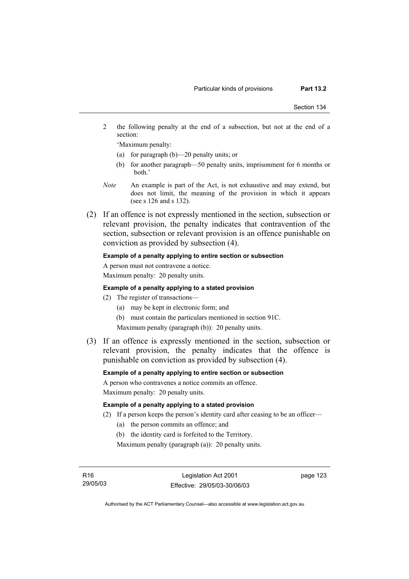2 the following penalty at the end of a subsection, but not at the end of a section:

'Maximum penalty:

- (a) for paragraph (b)—20 penalty units; or
- (b) for another paragraph—50 penalty units, imprisonment for 6 months or both.'
- *Note* An example is part of the Act, is not exhaustive and may extend, but does not limit, the meaning of the provision in which it appears (see s 126 and s 132).
- (2) If an offence is not expressly mentioned in the section, subsection or relevant provision, the penalty indicates that contravention of the section, subsection or relevant provision is an offence punishable on conviction as provided by subsection (4).

#### **Example of a penalty applying to entire section or subsection**

A person must not contravene a notice. Maximum penalty: 20 penalty units.

#### **Example of a penalty applying to a stated provision**

- (2) The register of transactions—
	- (a) may be kept in electronic form; and
	- (b) must contain the particulars mentioned in section 91C.

Maximum penalty (paragraph (b)): 20 penalty units.

 (3) If an offence is expressly mentioned in the section, subsection or relevant provision, the penalty indicates that the offence is punishable on conviction as provided by subsection (4).

#### **Example of a penalty applying to entire section or subsection**

A person who contravenes a notice commits an offence.

Maximum penalty: 20 penalty units.

#### **Example of a penalty applying to a stated provision**

- (2) If a person keeps the person's identity card after ceasing to be an officer—
	- (a) the person commits an offence; and
	- (b) the identity card is forfeited to the Territory.

Maximum penalty (paragraph (a)): 20 penalty units.

R16 29/05/03 page 123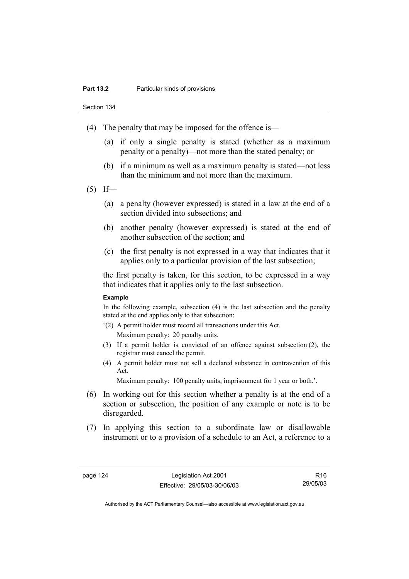Section 134

- (4) The penalty that may be imposed for the offence is—
	- (a) if only a single penalty is stated (whether as a maximum penalty or a penalty)—not more than the stated penalty; or
	- (b) if a minimum as well as a maximum penalty is stated—not less than the minimum and not more than the maximum.
- $(5)$  If—
	- (a) a penalty (however expressed) is stated in a law at the end of a section divided into subsections; and
	- (b) another penalty (however expressed) is stated at the end of another subsection of the section; and
	- (c) the first penalty is not expressed in a way that indicates that it applies only to a particular provision of the last subsection;

the first penalty is taken, for this section, to be expressed in a way that indicates that it applies only to the last subsection.

#### **Example**

In the following example, subsection (4) is the last subsection and the penalty stated at the end applies only to that subsection:

- '(2) A permit holder must record all transactions under this Act. Maximum penalty: 20 penalty units.
- (3) If a permit holder is convicted of an offence against subsection (2), the registrar must cancel the permit.
- (4) A permit holder must not sell a declared substance in contravention of this Act.

Maximum penalty: 100 penalty units, imprisonment for 1 year or both.'.

- (6) In working out for this section whether a penalty is at the end of a section or subsection, the position of any example or note is to be disregarded.
- (7) In applying this section to a subordinate law or disallowable instrument or to a provision of a schedule to an Act, a reference to a

page 124 Legislation Act 2001 Effective: 29/05/03-30/06/03

R16 29/05/03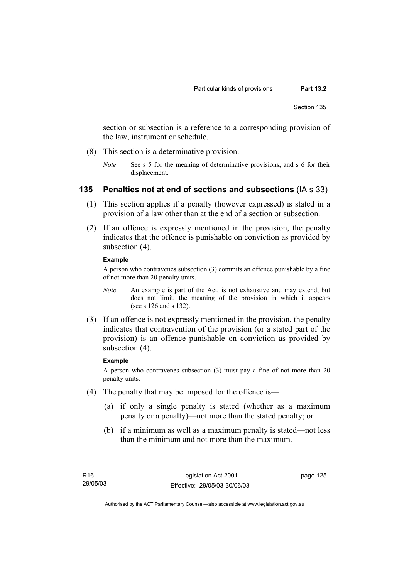section or subsection is a reference to a corresponding provision of the law, instrument or schedule.

- (8) This section is a determinative provision.
	- *Note* See s 5 for the meaning of determinative provisions, and s 6 for their displacement.

#### **135 Penalties not at end of sections and subsections** (IA s 33)

- (1) This section applies if a penalty (however expressed) is stated in a provision of a law other than at the end of a section or subsection.
- (2) If an offence is expressly mentioned in the provision, the penalty indicates that the offence is punishable on conviction as provided by subsection  $(4)$ .

#### **Example**

A person who contravenes subsection (3) commits an offence punishable by a fine of not more than 20 penalty units.

- *Note* An example is part of the Act, is not exhaustive and may extend, but does not limit, the meaning of the provision in which it appears (see s 126 and s 132).
- (3) If an offence is not expressly mentioned in the provision, the penalty indicates that contravention of the provision (or a stated part of the provision) is an offence punishable on conviction as provided by subsection (4).

#### **Example**

A person who contravenes subsection (3) must pay a fine of not more than 20 penalty units.

- (4) The penalty that may be imposed for the offence is—
	- (a) if only a single penalty is stated (whether as a maximum penalty or a penalty)—not more than the stated penalty; or
	- (b) if a minimum as well as a maximum penalty is stated—not less than the minimum and not more than the maximum.

page 125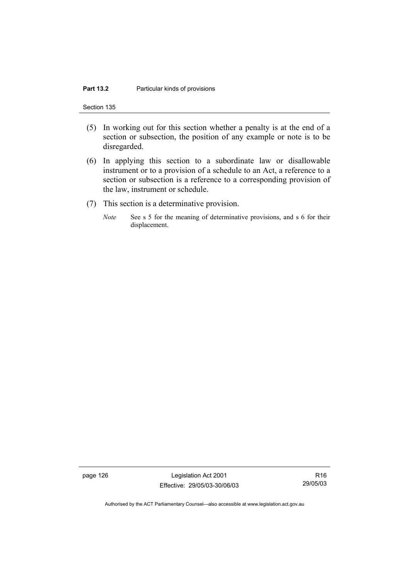Section 135

- (5) In working out for this section whether a penalty is at the end of a section or subsection, the position of any example or note is to be disregarded.
- (6) In applying this section to a subordinate law or disallowable instrument or to a provision of a schedule to an Act, a reference to a section or subsection is a reference to a corresponding provision of the law, instrument or schedule.
- (7) This section is a determinative provision.
	- *Note* See s 5 for the meaning of determinative provisions, and s 6 for their displacement.

page 126 Legislation Act 2001 Effective: 29/05/03-30/06/03

R16 29/05/03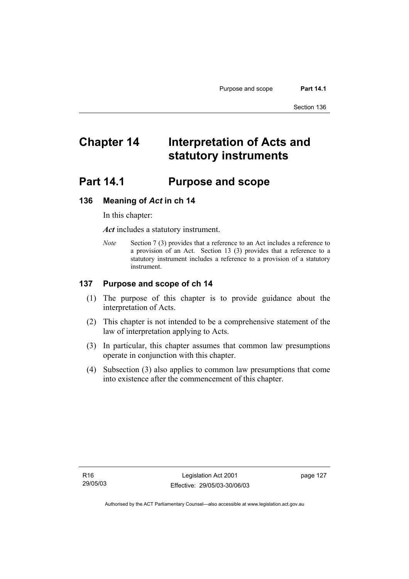# **Chapter 14 Interpretation of Acts and statutory instruments**

# **Part 14.1 Purpose and scope**

#### **136 Meaning of** *Act* **in ch 14**

In this chapter:

*Act* includes a statutory instrument.

*Note* Section 7 (3) provides that a reference to an Act includes a reference to a provision of an Act. Section 13 (3) provides that a reference to a statutory instrument includes a reference to a provision of a statutory instrument.

### **137 Purpose and scope of ch 14**

- (1) The purpose of this chapter is to provide guidance about the interpretation of Acts.
- (2) This chapter is not intended to be a comprehensive statement of the law of interpretation applying to Acts.
- (3) In particular, this chapter assumes that common law presumptions operate in conjunction with this chapter.
- (4) Subsection (3) also applies to common law presumptions that come into existence after the commencement of this chapter.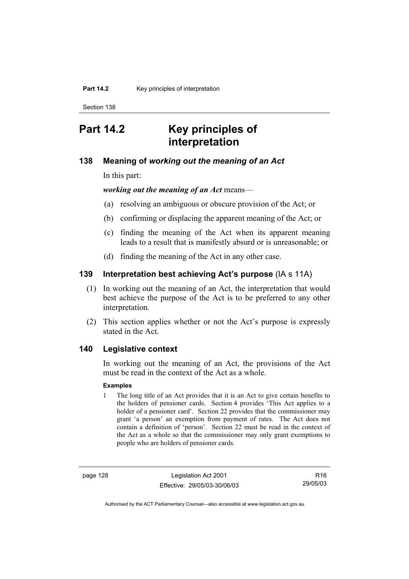# **Part 14.2 Key principles of interpretation**

#### **138 Meaning of** *working out the meaning of an Act*

In this part:

*working out the meaning of an Act* means—

- (a) resolving an ambiguous or obscure provision of the Act; or
- (b) confirming or displacing the apparent meaning of the Act; or
- (c) finding the meaning of the Act when its apparent meaning leads to a result that is manifestly absurd or is unreasonable; or
- (d) finding the meaning of the Act in any other case.

# **139 Interpretation best achieving Act's purpose** (IA s 11A)

- (1) In working out the meaning of an Act, the interpretation that would best achieve the purpose of the Act is to be preferred to any other interpretation.
- (2) This section applies whether or not the Act's purpose is expressly stated in the Act.

#### **140 Legislative context**

In working out the meaning of an Act, the provisions of the Act must be read in the context of the Act as a whole.

#### **Examples**

1 The long title of an Act provides that it is an Act to give certain benefits to the holders of pensioner cards. Section 4 provides 'This Act applies to a holder of a pensioner card'. Section 22 provides that the commissioner may grant 'a person' an exemption from payment of rates. The Act does not contain a definition of 'person'. Section 22 must be read in the context of the Act as a whole so that the commissioner may only grant exemptions to people who are holders of pensioner cards.

page 128 Legislation Act 2001 Effective: 29/05/03-30/06/03

R16 29/05/03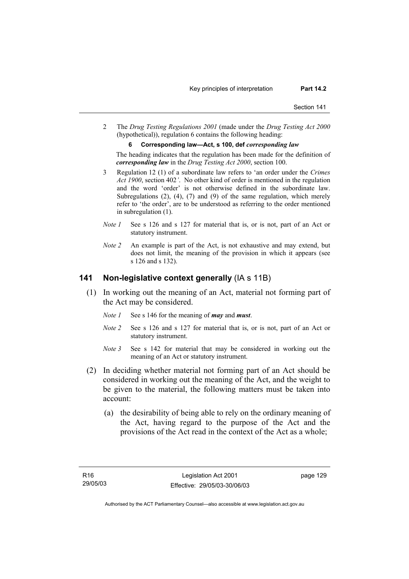2 The *Drug Testing Regulations 2001* (made under the *Drug Testing Act 2000* (hypothetical)), regulation 6 contains the following heading:

#### **6 Corresponding law—Act, s 100, def** *corresponding law*

The heading indicates that the regulation has been made for the definition of *corresponding law* in the *Drug Testing Act 2000*, section 100.

- 3 Regulation 12 (1) of a subordinate law refers to 'an order under the *Crimes Act 1900*, section 402*'*. No other kind of order is mentioned in the regulation and the word 'order' is not otherwise defined in the subordinate law. Subregulations (2), (4), (7) and (9) of the same regulation, which merely refer to 'the order', are to be understood as referring to the order mentioned in subregulation (1).
- *Note 1* See s 126 and s 127 for material that is, or is not, part of an Act or statutory instrument.
- *Note 2* An example is part of the Act, is not exhaustive and may extend, but does not limit, the meaning of the provision in which it appears (see s 126 and s 132).

#### **141 Non-legislative context generally** (IA s 11B)

- (1) In working out the meaning of an Act, material not forming part of the Act may be considered.
	- *Note 1* See s 146 for the meaning of *may* and *must*.
	- *Note 2* See s 126 and s 127 for material that is, or is not, part of an Act or statutory instrument.
	- *Note 3* See s 142 for material that may be considered in working out the meaning of an Act or statutory instrument.
- (2) In deciding whether material not forming part of an Act should be considered in working out the meaning of the Act, and the weight to be given to the material, the following matters must be taken into account:
	- (a) the desirability of being able to rely on the ordinary meaning of the Act, having regard to the purpose of the Act and the provisions of the Act read in the context of the Act as a whole;

page 129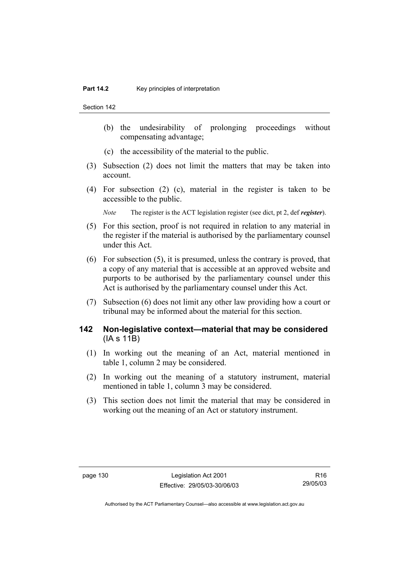- (b) the undesirability of prolonging proceedings without compensating advantage;
- (c) the accessibility of the material to the public.
- (3) Subsection (2) does not limit the matters that may be taken into account.
- (4) For subsection (2) (c), material in the register is taken to be accessible to the public.

*Note* The register is the ACT legislation register (see dict, pt 2, def *register*).

- (5) For this section, proof is not required in relation to any material in the register if the material is authorised by the parliamentary counsel under this Act.
- (6) For subsection (5), it is presumed, unless the contrary is proved, that a copy of any material that is accessible at an approved website and purports to be authorised by the parliamentary counsel under this Act is authorised by the parliamentary counsel under this Act.
- (7) Subsection (6) does not limit any other law providing how a court or tribunal may be informed about the material for this section.

### **142 Non-legislative context—material that may be considered**  (IA s 11B)

- (1) In working out the meaning of an Act, material mentioned in table 1, column 2 may be considered.
- (2) In working out the meaning of a statutory instrument, material mentioned in table 1, column 3 may be considered.
- (3) This section does not limit the material that may be considered in working out the meaning of an Act or statutory instrument.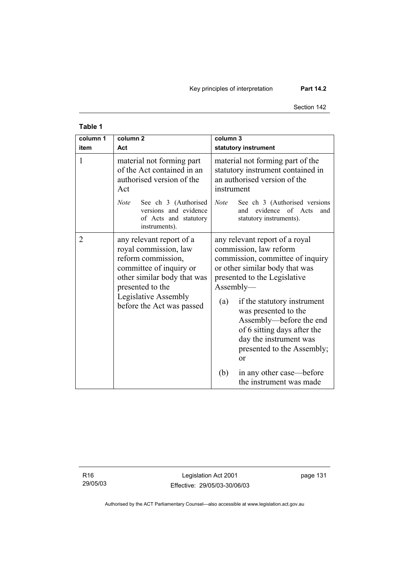Key principles of interpretation **Part 14.2** 

#### Section 142

# **Table 1**

| column 1<br>item | column <sub>2</sub><br>Act                                                                                                                                                                                 | column 3<br>statutory instrument                                                                                                                                                                                                                                                                                                                                                 |
|------------------|------------------------------------------------------------------------------------------------------------------------------------------------------------------------------------------------------------|----------------------------------------------------------------------------------------------------------------------------------------------------------------------------------------------------------------------------------------------------------------------------------------------------------------------------------------------------------------------------------|
| 1                | material not forming part<br>of the Act contained in an<br>authorised version of the<br>Act                                                                                                                | material not forming part of the<br>statutory instrument contained in<br>an authorised version of the<br>instrument                                                                                                                                                                                                                                                              |
|                  | <b>Note</b><br>See ch 3 (Authorised<br>versions and evidence<br>of Acts and statutory<br>instruments).                                                                                                     | See ch 3 (Authorised versions<br><b>Note</b><br>evidence of Acts<br>and<br>and<br>statutory instruments).                                                                                                                                                                                                                                                                        |
| $\overline{2}$   | any relevant report of a<br>royal commission, law<br>reform commission,<br>committee of inquiry or<br>other similar body that was<br>presented to the<br>Legislative Assembly<br>before the Act was passed | any relevant report of a royal<br>commission, law reform<br>commission, committee of inquiry<br>or other similar body that was<br>presented to the Legislative<br>$\Lambda$ ssembly—<br>(a)<br>if the statutory instrument<br>was presented to the<br>Assembly—before the end<br>of 6 sitting days after the<br>day the instrument was<br>presented to the Assembly;<br>$\alpha$ |
|                  |                                                                                                                                                                                                            | (b)<br>in any other case—before<br>the instrument was made                                                                                                                                                                                                                                                                                                                       |

R16 29/05/03

Legislation Act 2001 Effective: 29/05/03-30/06/03 page 131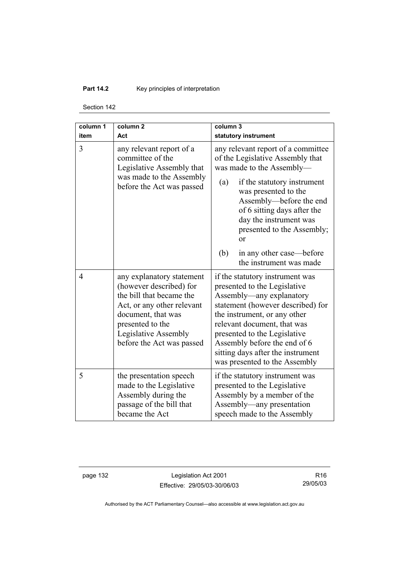# **Part 14.2 Key principles of interpretation**

Section 142

| column 1<br>item | column <sub>2</sub><br>Act                                                                                                                                                                                    | column 3<br>statutory instrument                                                                                                                                                                                                                                                                                                      |  |
|------------------|---------------------------------------------------------------------------------------------------------------------------------------------------------------------------------------------------------------|---------------------------------------------------------------------------------------------------------------------------------------------------------------------------------------------------------------------------------------------------------------------------------------------------------------------------------------|--|
| 3                | any relevant report of a<br>committee of the<br>Legislative Assembly that<br>was made to the Assembly<br>before the Act was passed                                                                            | any relevant report of a committee<br>of the Legislative Assembly that<br>was made to the Assembly-<br>if the statutory instrument<br>(a)<br>was presented to the<br>Assembly-before the end<br>of 6 sitting days after the<br>day the instrument was<br>presented to the Assembly;<br>$\alpha$<br>(b)<br>in any other case—before    |  |
|                  |                                                                                                                                                                                                               | the instrument was made                                                                                                                                                                                                                                                                                                               |  |
| $\overline{4}$   | any explanatory statement<br>(however described) for<br>the bill that became the<br>Act, or any other relevant<br>document, that was<br>presented to the<br>Legislative Assembly<br>before the Act was passed | if the statutory instrument was<br>presented to the Legislative<br>Assembly—any explanatory<br>statement (however described) for<br>the instrument, or any other<br>relevant document, that was<br>presented to the Legislative<br>Assembly before the end of 6<br>sitting days after the instrument<br>was presented to the Assembly |  |
| 5                | the presentation speech<br>made to the Legislative<br>Assembly during the<br>passage of the bill that<br>became the Act                                                                                       | if the statutory instrument was<br>presented to the Legislative<br>Assembly by a member of the<br>Assembly-any presentation<br>speech made to the Assembly                                                                                                                                                                            |  |

page 132 Legislation Act 2001 Effective: 29/05/03-30/06/03

R16 29/05/03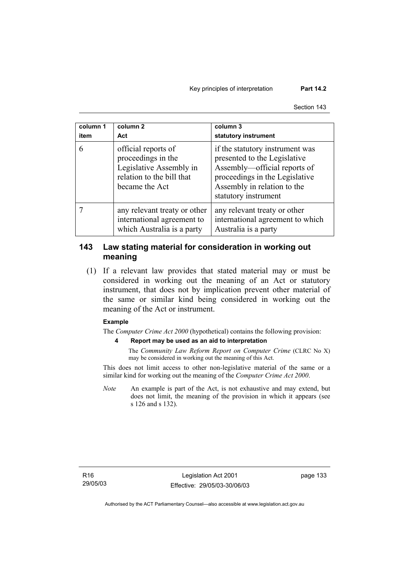#### Key principles of interpretation **Part 14.2**

Section 143

| column 1<br>item | column <sub>2</sub><br>Act                                                                                          | column 3<br>statutory instrument                                                                                                                                                         |
|------------------|---------------------------------------------------------------------------------------------------------------------|------------------------------------------------------------------------------------------------------------------------------------------------------------------------------------------|
| 6                | official reports of<br>proceedings in the<br>Legislative Assembly in<br>relation to the bill that<br>became the Act | if the statutory instrument was<br>presented to the Legislative<br>Assembly—official reports of<br>proceedings in the Legislative<br>Assembly in relation to the<br>statutory instrument |
|                  | any relevant treaty or other<br>international agreement to<br>which Australia is a party                            | any relevant treaty or other<br>international agreement to which<br>Australia is a party                                                                                                 |

# **143 Law stating material for consideration in working out meaning**

 (1) If a relevant law provides that stated material may or must be considered in working out the meaning of an Act or statutory instrument, that does not by implication prevent other material of the same or similar kind being considered in working out the meaning of the Act or instrument.

#### **Example**

The *Computer Crime Act 2000* (hypothetical) contains the following provision:

#### **4 Report may be used as an aid to interpretation**

The *Community Law Reform Report on Computer Crime* (CLRC No X) may be considered in working out the meaning of this Act.

This does not limit access to other non-legislative material of the same or a similar kind for working out the meaning of the *Computer Crime Act 2000*.

*Note* An example is part of the Act, is not exhaustive and may extend, but does not limit, the meaning of the provision in which it appears (see s 126 and s 132).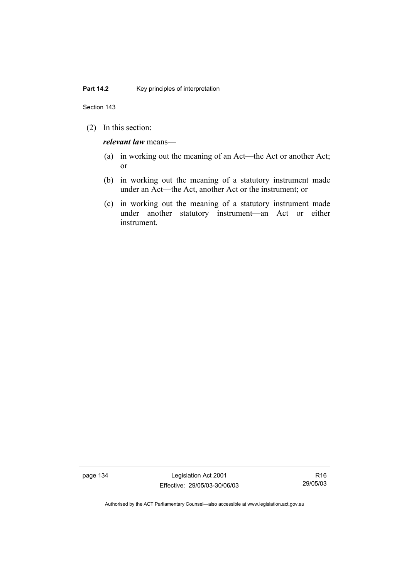(2) In this section:

*relevant law* means—

- (a) in working out the meaning of an Act—the Act or another Act; or
- (b) in working out the meaning of a statutory instrument made under an Act—the Act, another Act or the instrument; or
- (c) in working out the meaning of a statutory instrument made under another statutory instrument—an Act or either instrument.

page 134 Legislation Act 2001 Effective: 29/05/03-30/06/03

R16 29/05/03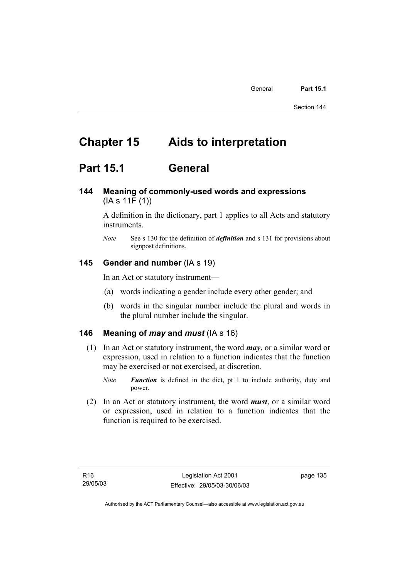# **Chapter 15 Aids to interpretation**

# **Part 15.1 General**

# **144 Meaning of commonly-used words and expressions**  (IA s 11F (1))

A definition in the dictionary, part 1 applies to all Acts and statutory instruments.

*Note* See s 130 for the definition of *definition* and s 131 for provisions about signpost definitions.

# **145 Gender and number** (IA s 19)

In an Act or statutory instrument—

- (a) words indicating a gender include every other gender; and
- (b) words in the singular number include the plural and words in the plural number include the singular.

#### **146 Meaning of** *may* **and** *must* (IA s 16)

- (1) In an Act or statutory instrument, the word *may*, or a similar word or expression, used in relation to a function indicates that the function may be exercised or not exercised, at discretion.
	- *Note Function* is defined in the dict, pt 1 to include authority, duty and power.
- (2) In an Act or statutory instrument, the word *must*, or a similar word or expression, used in relation to a function indicates that the function is required to be exercised.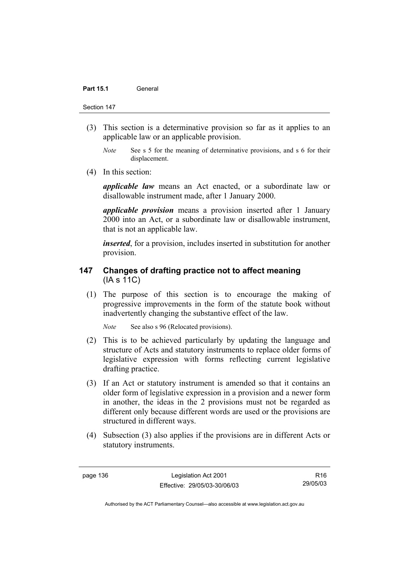- (3) This section is a determinative provision so far as it applies to an applicable law or an applicable provision.
	- *Note* See s 5 for the meaning of determinative provisions, and s 6 for their displacement.
- (4) In this section:

*applicable law* means an Act enacted, or a subordinate law or disallowable instrument made, after 1 January 2000.

*applicable provision* means a provision inserted after 1 January 2000 into an Act, or a subordinate law or disallowable instrument, that is not an applicable law.

*inserted*, for a provision, includes inserted in substitution for another provision.

# **147 Changes of drafting practice not to affect meaning**  (IA s 11C)

 (1) The purpose of this section is to encourage the making of progressive improvements in the form of the statute book without inadvertently changing the substantive effect of the law.

*Note* See also s 96 (Relocated provisions).

- (2) This is to be achieved particularly by updating the language and structure of Acts and statutory instruments to replace older forms of legislative expression with forms reflecting current legislative drafting practice.
- (3) If an Act or statutory instrument is amended so that it contains an older form of legislative expression in a provision and a newer form in another, the ideas in the 2 provisions must not be regarded as different only because different words are used or the provisions are structured in different ways.
- (4) Subsection (3) also applies if the provisions are in different Acts or statutory instruments.

page 136 Legislation Act 2001 Effective: 29/05/03-30/06/03

R16 29/05/03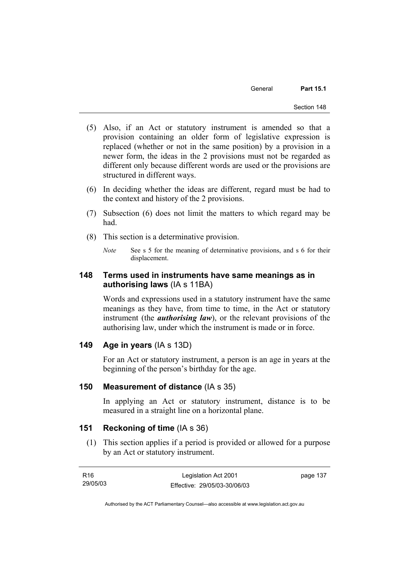General **Part 15.1** 

- (5) Also, if an Act or statutory instrument is amended so that a provision containing an older form of legislative expression is replaced (whether or not in the same position) by a provision in a newer form, the ideas in the 2 provisions must not be regarded as different only because different words are used or the provisions are structured in different ways.
- (6) In deciding whether the ideas are different, regard must be had to the context and history of the 2 provisions.
- (7) Subsection (6) does not limit the matters to which regard may be had.
- (8) This section is a determinative provision.

# **148 Terms used in instruments have same meanings as in authorising laws** (IA s 11BA)

Words and expressions used in a statutory instrument have the same meanings as they have, from time to time, in the Act or statutory instrument (the *authorising law*), or the relevant provisions of the authorising law, under which the instrument is made or in force.

### **149 Age in years** (IA s 13D)

For an Act or statutory instrument, a person is an age in years at the beginning of the person's birthday for the age.

### **150 Measurement of distance** (IA s 35)

In applying an Act or statutory instrument, distance is to be measured in a straight line on a horizontal plane.

### **151 Reckoning of time** (IA s 36)

 (1) This section applies if a period is provided or allowed for a purpose by an Act or statutory instrument.

| R16      | Legislation Act 2001         | page 137 |
|----------|------------------------------|----------|
| 29/05/03 | Effective: 29/05/03-30/06/03 |          |

*Note* See s 5 for the meaning of determinative provisions, and s 6 for their displacement.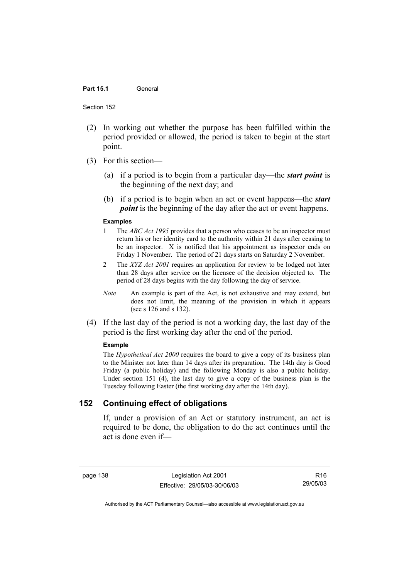#### Part 15.1 **General**

Section 152

- (2) In working out whether the purpose has been fulfilled within the period provided or allowed, the period is taken to begin at the start point.
- (3) For this section—
	- (a) if a period is to begin from a particular day—the *start point* is the beginning of the next day; and
	- (b) if a period is to begin when an act or event happens—the *start point* is the beginning of the day after the act or event happens.

#### **Examples**

- 1 The *ABC Act 1995* provides that a person who ceases to be an inspector must return his or her identity card to the authority within 21 days after ceasing to be an inspector. X is notified that his appointment as inspector ends on Friday 1 November. The period of 21 days starts on Saturday 2 November.
- 2 The *XYZ Act 2001* requires an application for review to be lodged not later than 28 days after service on the licensee of the decision objected to. The period of 28 days begins with the day following the day of service.
- *Note* An example is part of the Act, is not exhaustive and may extend, but does not limit, the meaning of the provision in which it appears (see s 126 and s 132).
- (4) If the last day of the period is not a working day, the last day of the period is the first working day after the end of the period.

#### **Example**

The *Hypothetical Act 2000* requires the board to give a copy of its business plan to the Minister not later than 14 days after its preparation. The 14th day is Good Friday (a public holiday) and the following Monday is also a public holiday. Under section 151 (4), the last day to give a copy of the business plan is the Tuesday following Easter (the first working day after the 14th day).

# **152 Continuing effect of obligations**

If, under a provision of an Act or statutory instrument, an act is required to be done, the obligation to do the act continues until the act is done even if—

page 138 Legislation Act 2001 Effective: 29/05/03-30/06/03

R16 29/05/03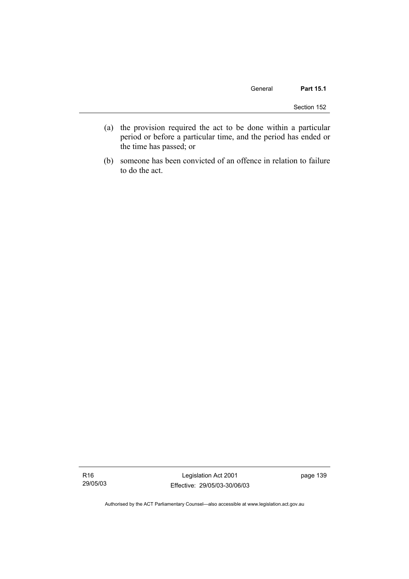- (a) the provision required the act to be done within a particular period or before a particular time, and the period has ended or the time has passed; or
- (b) someone has been convicted of an offence in relation to failure to do the act.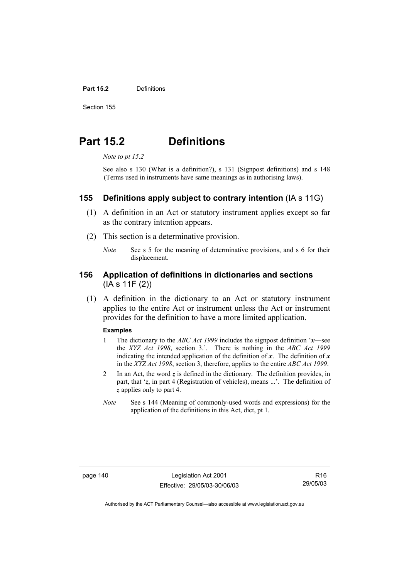#### **Part 15.2** Definitions

Section 155

# **Part 15.2 Definitions**

*Note to pt 15.2* 

See also s 130 (What is a definition?), s 131 (Signpost definitions) and s 148 (Terms used in instruments have same meanings as in authorising laws).

#### **155 Definitions apply subject to contrary intention** (IA s 11G)

- (1) A definition in an Act or statutory instrument applies except so far as the contrary intention appears.
- (2) This section is a determinative provision.
	- *Note* See s 5 for the meaning of determinative provisions, and s 6 for their displacement.

# **156 Application of definitions in dictionaries and sections**  (IA s 11F (2))

 (1) A definition in the dictionary to an Act or statutory instrument applies to the entire Act or instrument unless the Act or instrument provides for the definition to have a more limited application.

#### **Examples**

- 1 The dictionary to the *ABC Act 1999* includes the signpost definition '*x*—see the *XYZ Act 1998*, section 3.'. There is nothing in the *ABC Act 1999* indicating the intended application of the definition of  $x$ . The definition of  $x$ in the *XYZ Act 1998*, section 3, therefore, applies to the entire *ABC Act 1999*.
- 2 In an Act, the word *z* is defined in the dictionary. The definition provides, in part, that '*z*, in part 4 (Registration of vehicles), means ...'. The definition of *z* applies only to part 4.
- *Note* See s 144 (Meaning of commonly-used words and expressions) for the application of the definitions in this Act, dict, pt 1.

page 140 Legislation Act 2001 Effective: 29/05/03-30/06/03

R16 29/05/03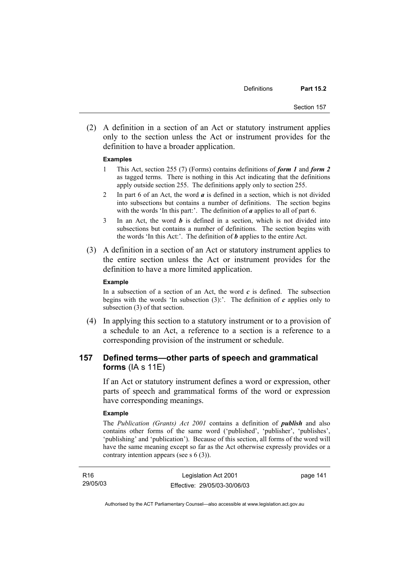(2) A definition in a section of an Act or statutory instrument applies only to the section unless the Act or instrument provides for the definition to have a broader application.

#### **Examples**

- 1 This Act, section 255 (7) (Forms) contains definitions of *form 1* and *form 2* as tagged terms. There is nothing in this Act indicating that the definitions apply outside section 255. The definitions apply only to section 255.
- 2 In part 6 of an Act, the word *a* is defined in a section, which is not divided into subsections but contains a number of definitions. The section begins with the words 'In this part:'. The definition of *a* applies to all of part 6.
- 3 In an Act, the word *b* is defined in a section, which is not divided into subsections but contains a number of definitions. The section begins with the words 'In this Act:'. The definition of *b* applies to the entire Act.
- (3) A definition in a section of an Act or statutory instrument applies to the entire section unless the Act or instrument provides for the definition to have a more limited application.

#### **Example**

In a subsection of a section of an Act, the word  $c$  is defined. The subsection begins with the words 'In subsection (3):'. The definition of *c* applies only to subsection (3) of that section.

 (4) In applying this section to a statutory instrument or to a provision of a schedule to an Act, a reference to a section is a reference to a corresponding provision of the instrument or schedule.

# **157 Defined terms—other parts of speech and grammatical forms** (IA s 11E)

If an Act or statutory instrument defines a word or expression, other parts of speech and grammatical forms of the word or expression have corresponding meanings.

#### **Example**

The *Publication (Grants) Act 2001* contains a definition of *publish* and also contains other forms of the same word ('published', 'publisher', 'publishes', 'publishing' and 'publication'). Because of this section, all forms of the word will have the same meaning except so far as the Act otherwise expressly provides or a contrary intention appears (see s 6 (3)).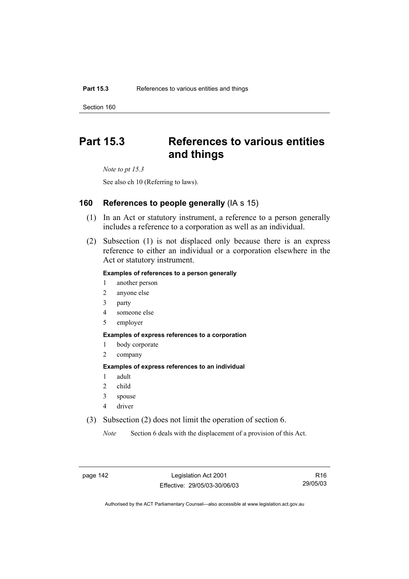# **Part 15.3 References to various entities and things**

*Note to pt 15.3* 

See also ch 10 (Referring to laws).

#### **160 References to people generally** (IA s 15)

- (1) In an Act or statutory instrument, a reference to a person generally includes a reference to a corporation as well as an individual.
- (2) Subsection (1) is not displaced only because there is an express reference to either an individual or a corporation elsewhere in the Act or statutory instrument.

#### **Examples of references to a person generally**

- 1 another person
- 2 anyone else
- 3 party
- 4 someone else
- 5 employer

#### **Examples of express references to a corporation**

- 1 body corporate
- 2 company

#### **Examples of express references to an individual**

- 1 adult
- 2 child
- 3 spouse
- 4 driver
- (3) Subsection (2) does not limit the operation of section 6.

*Note* Section 6 deals with the displacement of a provision of this Act.

page 142 Legislation Act 2001 Effective: 29/05/03-30/06/03

R16 29/05/03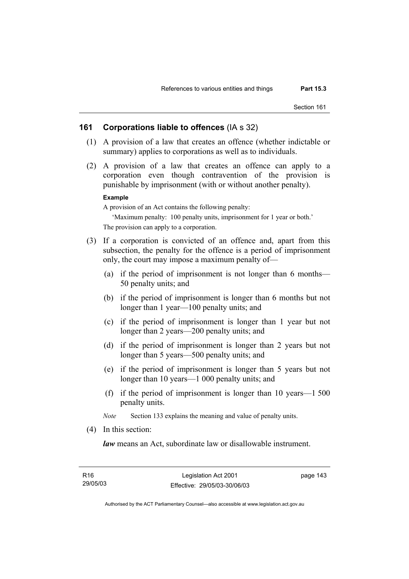#### **161 Corporations liable to offences** (IA s 32)

- (1) A provision of a law that creates an offence (whether indictable or summary) applies to corporations as well as to individuals.
- (2) A provision of a law that creates an offence can apply to a corporation even though contravention of the provision is punishable by imprisonment (with or without another penalty).

#### **Example**

A provision of an Act contains the following penalty:

'Maximum penalty: 100 penalty units, imprisonment for 1 year or both.' The provision can apply to a corporation.

- (3) If a corporation is convicted of an offence and, apart from this subsection, the penalty for the offence is a period of imprisonment only, the court may impose a maximum penalty of—
	- (a) if the period of imprisonment is not longer than 6 months— 50 penalty units; and
	- (b) if the period of imprisonment is longer than 6 months but not longer than 1 year—100 penalty units; and
	- (c) if the period of imprisonment is longer than 1 year but not longer than 2 years—200 penalty units; and
	- (d) if the period of imprisonment is longer than 2 years but not longer than 5 years—500 penalty units; and
	- (e) if the period of imprisonment is longer than 5 years but not longer than 10 years—1 000 penalty units; and
	- (f) if the period of imprisonment is longer than 10 years—1 500 penalty units.

*Note* Section 133 explains the meaning and value of penalty units.

(4) In this section:

*law* means an Act, subordinate law or disallowable instrument.

| R16      | Legislation Act 2001         | page 143 |
|----------|------------------------------|----------|
| 29/05/03 | Effective: 29/05/03-30/06/03 |          |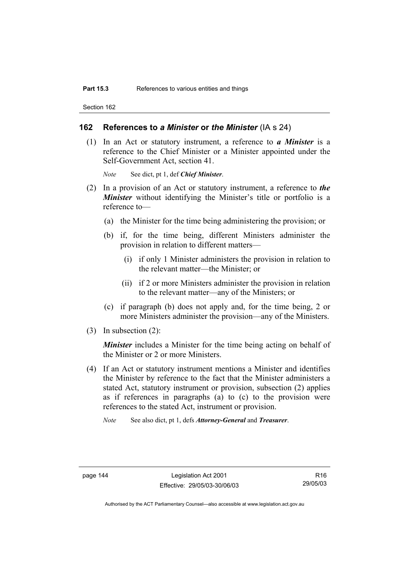#### **162 References to** *a Minister* **or** *the Minister* (IA s 24)

 (1) In an Act or statutory instrument, a reference to *a Minister* is a reference to the Chief Minister or a Minister appointed under the Self-Government Act, section 41.

*Note* See dict, pt 1, def *Chief Minister*.

- (2) In a provision of an Act or statutory instrument, a reference to *the Minister* without identifying the Minister's title or portfolio is a reference to—
	- (a) the Minister for the time being administering the provision; or
	- (b) if, for the time being, different Ministers administer the provision in relation to different matters—
		- (i) if only 1 Minister administers the provision in relation to the relevant matter—the Minister; or
		- (ii) if 2 or more Ministers administer the provision in relation to the relevant matter—any of the Ministers; or
	- (c) if paragraph (b) does not apply and, for the time being, 2 or more Ministers administer the provision—any of the Ministers.
- (3) In subsection (2):

*Minister* includes a Minister for the time being acting on behalf of the Minister or 2 or more Ministers.

- (4) If an Act or statutory instrument mentions a Minister and identifies the Minister by reference to the fact that the Minister administers a stated Act, statutory instrument or provision, subsection (2) applies as if references in paragraphs (a) to (c) to the provision were references to the stated Act, instrument or provision.
	- *Note* See also dict, pt 1, defs *Attorney-General* and *Treasurer*.

page 144 Legislation Act 2001 Effective: 29/05/03-30/06/03

R16 29/05/03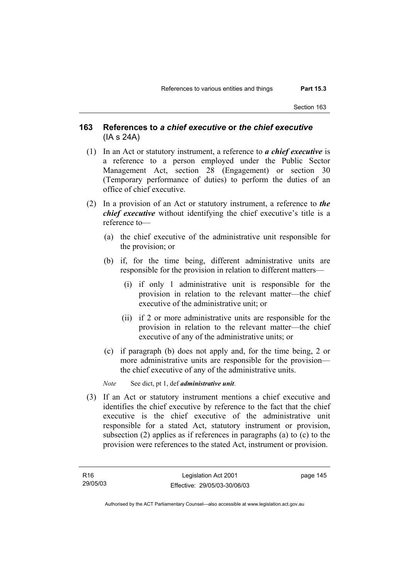### **163 References to** *a chief executive* **or** *the chief executive* (IA s 24A)

- (1) In an Act or statutory instrument, a reference to *a chief executive* is a reference to a person employed under the Public Sector Management Act, section 28 (Engagement) or section 30 (Temporary performance of duties) to perform the duties of an office of chief executive.
- (2) In a provision of an Act or statutory instrument, a reference to *the chief executive* without identifying the chief executive's title is a reference to—
	- (a) the chief executive of the administrative unit responsible for the provision; or
	- (b) if, for the time being, different administrative units are responsible for the provision in relation to different matters—
		- (i) if only 1 administrative unit is responsible for the provision in relation to the relevant matter—the chief executive of the administrative unit; or
		- (ii) if 2 or more administrative units are responsible for the provision in relation to the relevant matter—the chief executive of any of the administrative units; or
	- (c) if paragraph (b) does not apply and, for the time being, 2 or more administrative units are responsible for the provision the chief executive of any of the administrative units.
	- *Note* See dict, pt 1, def *administrative unit*.
- (3) If an Act or statutory instrument mentions a chief executive and identifies the chief executive by reference to the fact that the chief executive is the chief executive of the administrative unit responsible for a stated Act, statutory instrument or provision, subsection (2) applies as if references in paragraphs (a) to (c) to the provision were references to the stated Act, instrument or provision.

page 145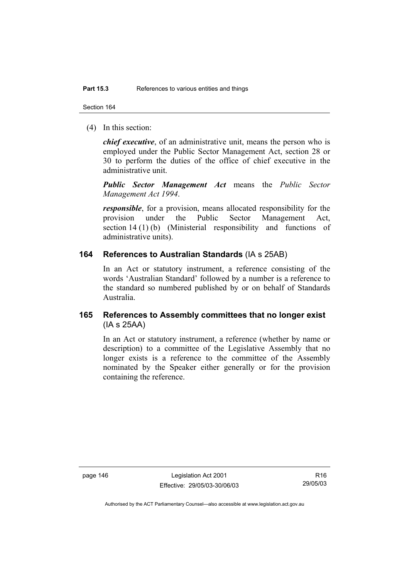(4) In this section:

*chief executive*, of an administrative unit, means the person who is employed under the Public Sector Management Act, section 28 or 30 to perform the duties of the office of chief executive in the administrative unit.

*Public Sector Management Act* means the *Public Sector Management Act 1994*.

*responsible*, for a provision, means allocated responsibility for the provision under the Public Sector Management Act, section 14 (1) (b) (Ministerial responsibility and functions of administrative units).

#### **164 References to Australian Standards** (IA s 25AB)

In an Act or statutory instrument, a reference consisting of the words 'Australian Standard' followed by a number is a reference to the standard so numbered published by or on behalf of Standards Australia.

# **165 References to Assembly committees that no longer exist**  (IA s 25AA)

In an Act or statutory instrument, a reference (whether by name or description) to a committee of the Legislative Assembly that no longer exists is a reference to the committee of the Assembly nominated by the Speaker either generally or for the provision containing the reference.

page 146 Legislation Act 2001 Effective: 29/05/03-30/06/03

R16 29/05/03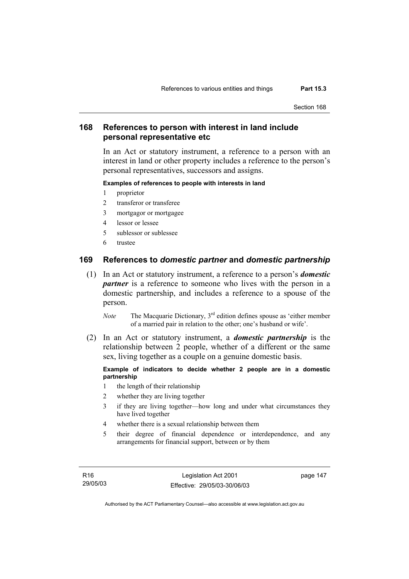# **168 References to person with interest in land include personal representative etc**

In an Act or statutory instrument, a reference to a person with an interest in land or other property includes a reference to the person's personal representatives, successors and assigns.

#### **Examples of references to people with interests in land**

- 1 proprietor
- 2 transferor or transferee
- 3 mortgagor or mortgagee
- 4 lessor or lessee
- 5 sublessor or sublessee
- 6 trustee

### **169 References to** *domestic partner* **and** *domestic partnership*

 (1) In an Act or statutory instrument, a reference to a person's *domestic partner* is a reference to someone who lives with the person in a domestic partnership, and includes a reference to a spouse of the person.

*Note* The Macquarie Dictionary, 3<sup>rd</sup> edition defines spouse as 'either member of a married pair in relation to the other; one's husband or wife'.

 (2) In an Act or statutory instrument, a *domestic partnership* is the relationship between 2 people, whether of a different or the same sex, living together as a couple on a genuine domestic basis.

#### **Example of indicators to decide whether 2 people are in a domestic partnership**

- 1 the length of their relationship
- 2 whether they are living together
- 3 if they are living together—how long and under what circumstances they have lived together
- 4 whether there is a sexual relationship between them
- 5 their degree of financial dependence or interdependence, and any arrangements for financial support, between or by them

R16 29/05/03 page 147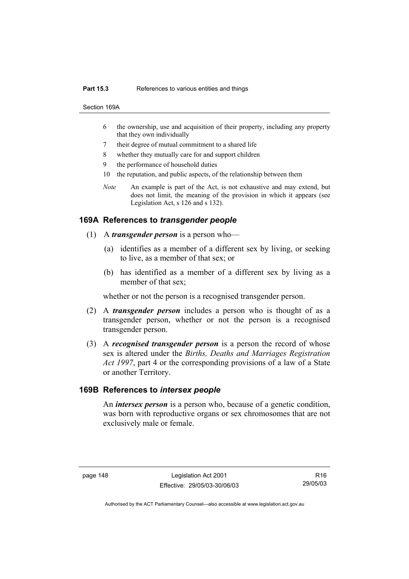#### **Part 15.3** References to various entities and things

Section 169A

- 6 the ownership, use and acquisition of their property, including any property that they own individually
- 7 their degree of mutual commitment to a shared life
- 8 whether they mutually care for and support children
- 9 the performance of household duties
- 10 the reputation, and public aspects, of the relationship between them
- *Note* An example is part of the Act, is not exhaustive and may extend, but does not limit, the meaning of the provision in which it appears (see Legislation Act, s 126 and s 132).

#### **169A References to** *transgender people*

- (1) A *transgender person* is a person who—
	- (a) identifies as a member of a different sex by living, or seeking to live, as a member of that sex; or
	- (b) has identified as a member of a different sex by living as a member of that sex;

whether or not the person is a recognised transgender person.

- (2) A *transgender person* includes a person who is thought of as a transgender person, whether or not the person is a recognised transgender person.
- (3) A *recognised transgender person* is a person the record of whose sex is altered under the *Births, Deaths and Marriages Registration Act 1997*, part 4 or the corresponding provisions of a law of a State or another Territory.

#### **169B References to** *intersex people*

 An *intersex person* is a person who, because of a genetic condition, was born with reproductive organs or sex chromosomes that are not exclusively male or female.

page 148 Legislation Act 2001 Effective: 29/05/03-30/06/03

R16 29/05/03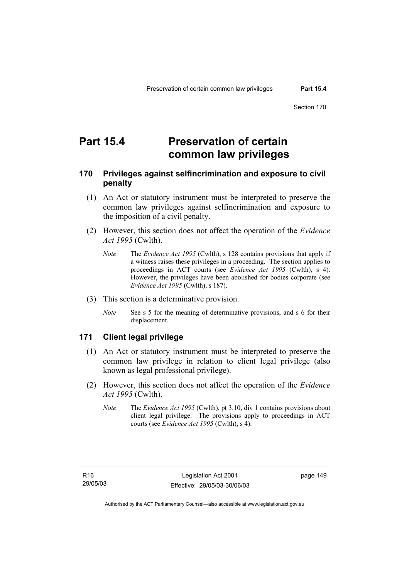# **Part 15.4 Preservation of certain common law privileges**

# **170 Privileges against selfincrimination and exposure to civil penalty**

- (1) An Act or statutory instrument must be interpreted to preserve the common law privileges against selfincrimination and exposure to the imposition of a civil penalty.
- (2) However, this section does not affect the operation of the *Evidence Act 1995* (Cwlth).
	- *Note* The *Evidence Act 1995* (Cwlth), s 128 contains provisions that apply if a witness raises these privileges in a proceeding. The section applies to proceedings in ACT courts (see *Evidence Act 1995* (Cwlth), s 4). However, the privileges have been abolished for bodies corporate (see *Evidence Act 1995* (Cwlth), s 187).
- (3) This section is a determinative provision.
	- *Note* See s 5 for the meaning of determinative provisions, and s 6 for their displacement.

# **171 Client legal privilege**

- (1) An Act or statutory instrument must be interpreted to preserve the common law privilege in relation to client legal privilege (also known as legal professional privilege).
- (2) However, this section does not affect the operation of the *Evidence Act 1995* (Cwlth).
	- *Note* The *Evidence Act 1995* (Cwlth), pt 3.10, div 1 contains provisions about client legal privilege. The provisions apply to proceedings in ACT courts (see *Evidence Act 1995* (Cwlth), s 4).

page 149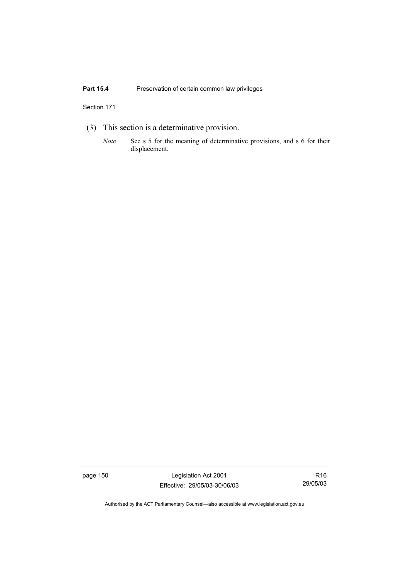# Part 15.4 **Preservation of certain common law privileges**

#### Section 171

- (3) This section is a determinative provision.
	- *Note* See s 5 for the meaning of determinative provisions, and s 6 for their displacement.

page 150 Legislation Act 2001 Effective: 29/05/03-30/06/03

R16 29/05/03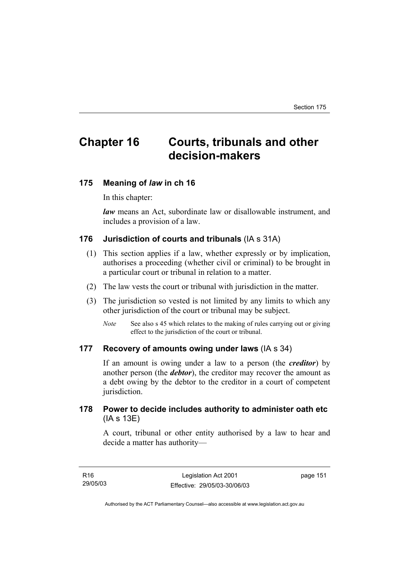# **Chapter 16 Courts, tribunals and other decision-makers**

#### **175 Meaning of** *law* **in ch 16**

In this chapter:

*law* means an Act, subordinate law or disallowable instrument, and includes a provision of a law.

### **176 Jurisdiction of courts and tribunals** (IA s 31A)

- (1) This section applies if a law, whether expressly or by implication, authorises a proceeding (whether civil or criminal) to be brought in a particular court or tribunal in relation to a matter.
- (2) The law vests the court or tribunal with jurisdiction in the matter.
- (3) The jurisdiction so vested is not limited by any limits to which any other jurisdiction of the court or tribunal may be subject.
	- *Note* See also s 45 which relates to the making of rules carrying out or giving effect to the jurisdiction of the court or tribunal.

#### **177 Recovery of amounts owing under laws** (IA s 34)

If an amount is owing under a law to a person (the *creditor*) by another person (the *debtor*), the creditor may recover the amount as a debt owing by the debtor to the creditor in a court of competent jurisdiction.

### **178 Power to decide includes authority to administer oath etc**  (IA s 13E)

A court, tribunal or other entity authorised by a law to hear and decide a matter has authority—

| R16      | Legislation Act 2001         | page 151 |
|----------|------------------------------|----------|
| 29/05/03 | Effective: 29/05/03-30/06/03 |          |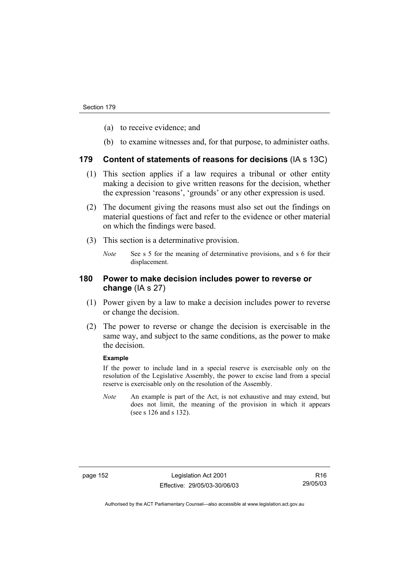- (a) to receive evidence; and
- (b) to examine witnesses and, for that purpose, to administer oaths.

#### **179 Content of statements of reasons for decisions** (IA s 13C)

- (1) This section applies if a law requires a tribunal or other entity making a decision to give written reasons for the decision, whether the expression 'reasons', 'grounds' or any other expression is used.
- (2) The document giving the reasons must also set out the findings on material questions of fact and refer to the evidence or other material on which the findings were based.
- (3) This section is a determinative provision.
	- *Note* See s 5 for the meaning of determinative provisions, and s 6 for their displacement.

### **180 Power to make decision includes power to reverse or change** (IA s 27)

- (1) Power given by a law to make a decision includes power to reverse or change the decision.
- (2) The power to reverse or change the decision is exercisable in the same way, and subject to the same conditions, as the power to make the decision.

#### **Example**

If the power to include land in a special reserve is exercisable only on the resolution of the Legislative Assembly, the power to excise land from a special reserve is exercisable only on the resolution of the Assembly.

*Note* An example is part of the Act, is not exhaustive and may extend, but does not limit, the meaning of the provision in which it appears (see s 126 and s 132).

page 152 Legislation Act 2001 Effective: 29/05/03-30/06/03

R16 29/05/03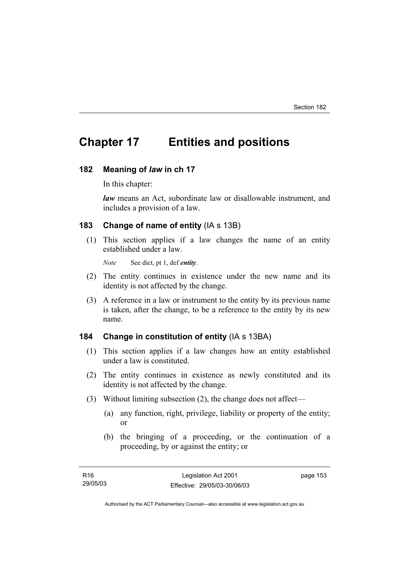# **Chapter 17 Entities and positions**

#### **182 Meaning of** *law* **in ch 17**

In this chapter:

*law* means an Act, subordinate law or disallowable instrument, and includes a provision of a law.

### **183 Change of name of entity** (IA s 13B)

 (1) This section applies if a law changes the name of an entity established under a law.

*Note* See dict, pt 1, def *entity*.

- (2) The entity continues in existence under the new name and its identity is not affected by the change.
- (3) A reference in a law or instrument to the entity by its previous name is taken, after the change, to be a reference to the entity by its new name.

# **184 Change in constitution of entity** (IA s 13BA)

- (1) This section applies if a law changes how an entity established under a law is constituted.
- (2) The entity continues in existence as newly constituted and its identity is not affected by the change.
- (3) Without limiting subsection (2), the change does not affect—
	- (a) any function, right, privilege, liability or property of the entity; or
	- (b) the bringing of a proceeding, or the continuation of a proceeding, by or against the entity; or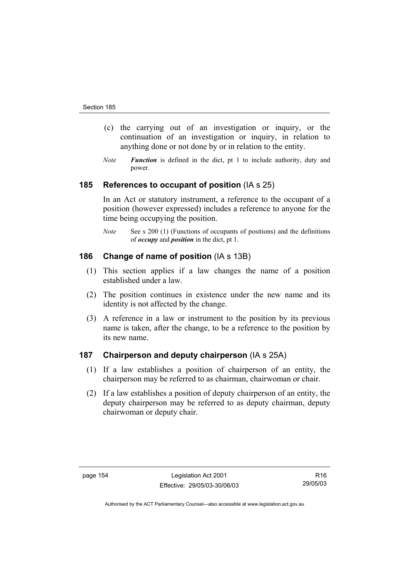- (c) the carrying out of an investigation or inquiry, or the continuation of an investigation or inquiry, in relation to anything done or not done by or in relation to the entity.
- *Note Function* is defined in the dict, pt 1 to include authority, duty and power.

### **185 References to occupant of position** (IA s 25)

In an Act or statutory instrument, a reference to the occupant of a position (however expressed) includes a reference to anyone for the time being occupying the position.

*Note* See s 200 (1) (Functions of occupants of positions) and the definitions of *occupy* and *position* in the dict, pt 1.

#### **186 Change of name of position** (IA s 13B)

- (1) This section applies if a law changes the name of a position established under a law.
- (2) The position continues in existence under the new name and its identity is not affected by the change.
- (3) A reference in a law or instrument to the position by its previous name is taken, after the change, to be a reference to the position by its new name.

# **187 Chairperson and deputy chairperson** (IA s 25A)

- (1) If a law establishes a position of chairperson of an entity, the chairperson may be referred to as chairman, chairwoman or chair.
- (2) If a law establishes a position of deputy chairperson of an entity, the deputy chairperson may be referred to as deputy chairman, deputy chairwoman or deputy chair.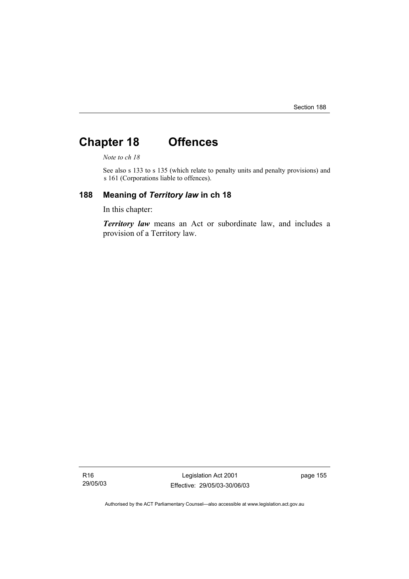# **Chapter 18 Offences**

*Note to ch 18* 

See also s 133 to s 135 (which relate to penalty units and penalty provisions) and s 161 (Corporations liable to offences).

# **188 Meaning of** *Territory law* **in ch 18**

In this chapter:

*Territory law* means an Act or subordinate law, and includes a provision of a Territory law.

R16 29/05/03

Legislation Act 2001 Effective: 29/05/03-30/06/03 page 155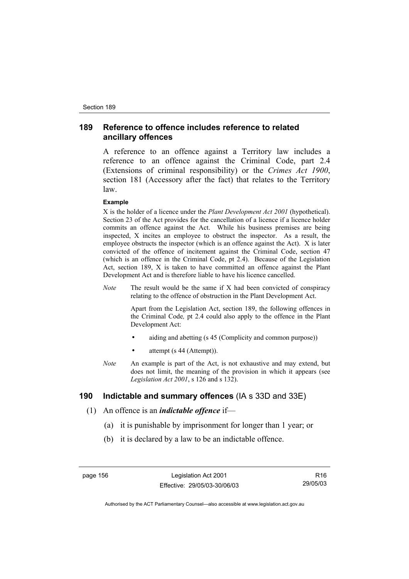# **189 Reference to offence includes reference to related ancillary offences**

A reference to an offence against a Territory law includes a reference to an offence against the Criminal Code, part 2.4 (Extensions of criminal responsibility) or the *Crimes Act 1900*, section 181 (Accessory after the fact) that relates to the Territory law.

#### **Example**

X is the holder of a licence under the *Plant Development Act 2001* (hypothetical). Section 23 of the Act provides for the cancellation of a licence if a licence holder commits an offence against the Act. While his business premises are being inspected, X incites an employee to obstruct the inspector. As a result, the employee obstructs the inspector (which is an offence against the Act). X is later convicted of the offence of incitement against the Criminal Code, section 47 (which is an offence in the Criminal Code, pt 2.4). Because of the Legislation Act, section 189, X is taken to have committed an offence against the Plant Development Act and is therefore liable to have his licence cancelled.

*Note* The result would be the same if X had been convicted of conspiracy relating to the offence of obstruction in the Plant Development Act.

> Apart from the Legislation Act, section 189, the following offences in the Criminal Code*,* pt 2.4 could also apply to the offence in the Plant Development Act:

- aiding and abetting (s 45 (Complicity and common purpose))
- attempt (s 44 (Attempt)).
- *Note* An example is part of the Act, is not exhaustive and may extend, but does not limit, the meaning of the provision in which it appears (see *Legislation Act 2001*, s 126 and s 132).

### **190 Indictable and summary offences** (IA s 33D and 33E)

- (1) An offence is an *indictable offence* if—
	- (a) it is punishable by imprisonment for longer than 1 year; or
	- (b) it is declared by a law to be an indictable offence.

page 156 Legislation Act 2001 Effective: 29/05/03-30/06/03

R16 29/05/03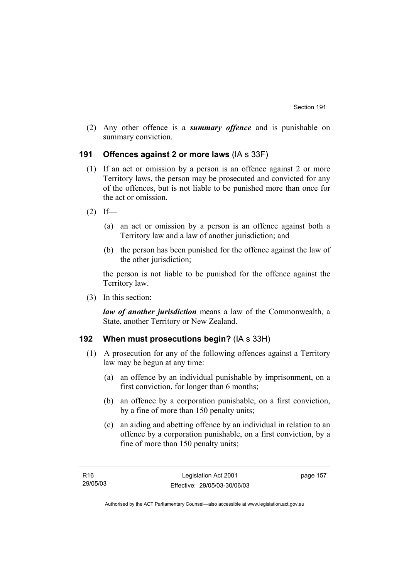(2) Any other offence is a *summary offence* and is punishable on summary conviction.

### **191 Offences against 2 or more laws** (IA s 33F)

- (1) If an act or omission by a person is an offence against 2 or more Territory laws, the person may be prosecuted and convicted for any of the offences, but is not liable to be punished more than once for the act or omission.
- $(2)$  If—
	- (a) an act or omission by a person is an offence against both a Territory law and a law of another jurisdiction; and
	- (b) the person has been punished for the offence against the law of the other jurisdiction;

the person is not liable to be punished for the offence against the Territory law.

(3) In this section:

*law of another jurisdiction* means a law of the Commonwealth, a State, another Territory or New Zealand.

# **192 When must prosecutions begin?** (IA s 33H)

- (1) A prosecution for any of the following offences against a Territory law may be begun at any time:
	- (a) an offence by an individual punishable by imprisonment, on a first conviction, for longer than 6 months;
	- (b) an offence by a corporation punishable, on a first conviction, by a fine of more than 150 penalty units;
	- (c) an aiding and abetting offence by an individual in relation to an offence by a corporation punishable, on a first conviction, by a fine of more than 150 penalty units;

page 157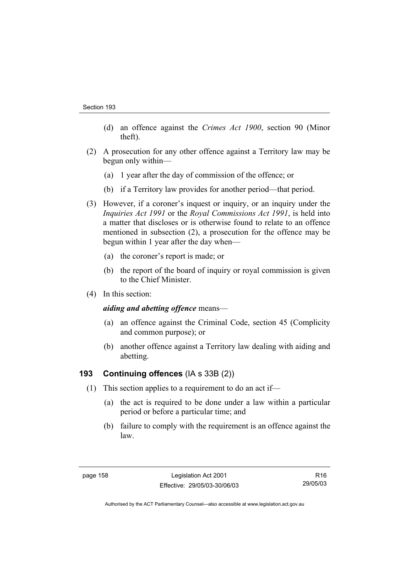- (d) an offence against the *Crimes Act 1900*, section 90 (Minor theft).
- (2) A prosecution for any other offence against a Territory law may be begun only within—
	- (a) 1 year after the day of commission of the offence; or
	- (b) if a Territory law provides for another period—that period.
- (3) However, if a coroner's inquest or inquiry, or an inquiry under the *Inquiries Act 1991* or the *Royal Commissions Act 1991*, is held into a matter that discloses or is otherwise found to relate to an offence mentioned in subsection (2), a prosecution for the offence may be begun within 1 year after the day when—
	- (a) the coroner's report is made; or
	- (b) the report of the board of inquiry or royal commission is given to the Chief Minister.
- (4) In this section:

#### *aiding and abetting offence* means—

- (a) an offence against the Criminal Code, section 45 (Complicity and common purpose); or
- (b) another offence against a Territory law dealing with aiding and abetting.

# **193 Continuing offences** (IA s 33B (2))

- (1) This section applies to a requirement to do an act if—
	- (a) the act is required to be done under a law within a particular period or before a particular time; and
	- (b) failure to comply with the requirement is an offence against the law.

R16 29/05/03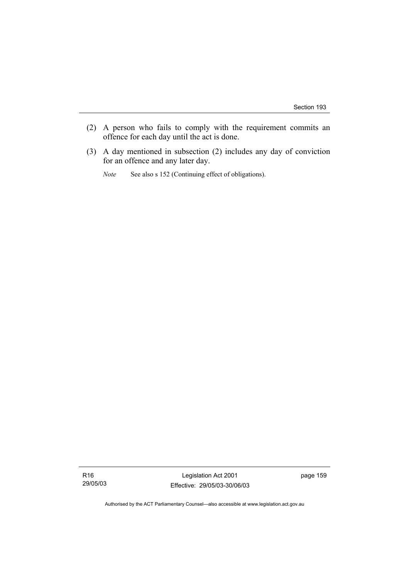- (2) A person who fails to comply with the requirement commits an offence for each day until the act is done.
- (3) A day mentioned in subsection (2) includes any day of conviction for an offence and any later day.
	- *Note* See also s 152 (Continuing effect of obligations).

Legislation Act 2001 Effective: 29/05/03-30/06/03 page 159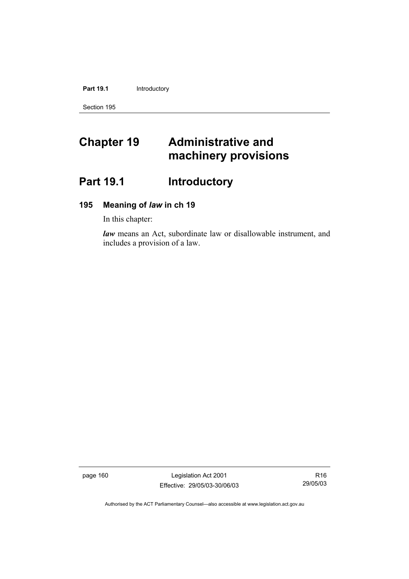Part 19.1 **Introductory** 

Section 195

# **Chapter 19 Administrative and machinery provisions**

# Part 19.1 **Introductory**

# **195 Meaning of** *law* **in ch 19**

In this chapter:

*law* means an Act, subordinate law or disallowable instrument, and includes a provision of a law.

page 160 Legislation Act 2001 Effective: 29/05/03-30/06/03

R16 29/05/03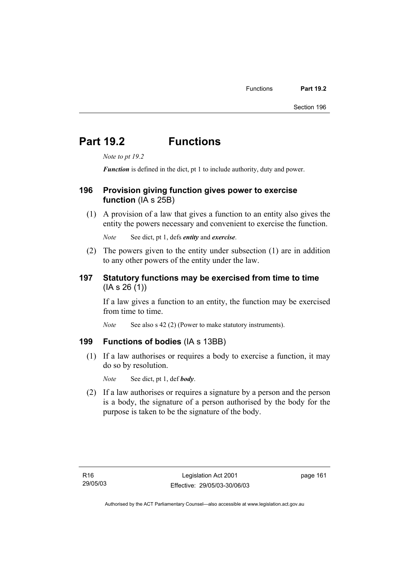# **Part 19.2 Functions**

*Note to pt 19.2* 

*Function* is defined in the dict, pt 1 to include authority, duty and power.

#### **196 Provision giving function gives power to exercise function** (IA s 25B)

 (1) A provision of a law that gives a function to an entity also gives the entity the powers necessary and convenient to exercise the function.

*Note* See dict, pt 1, defs *entity* and *exercise*.

 (2) The powers given to the entity under subsection (1) are in addition to any other powers of the entity under the law.

# **197 Statutory functions may be exercised from time to time**  (IA s 26 (1))

If a law gives a function to an entity, the function may be exercised from time to time.

*Note* See also s 42 (2) (Power to make statutory instruments).

#### **199 Functions of bodies** (IA s 13BB)

 (1) If a law authorises or requires a body to exercise a function, it may do so by resolution.

*Note* See dict, pt 1, def *body*.

 (2) If a law authorises or requires a signature by a person and the person is a body, the signature of a person authorised by the body for the purpose is taken to be the signature of the body.

page 161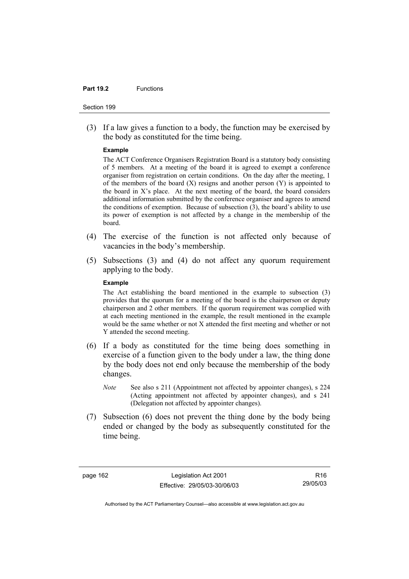#### **Part 19.2** Functions

#### Section 199

 (3) If a law gives a function to a body, the function may be exercised by the body as constituted for the time being.

#### **Example**

The ACT Conference Organisers Registration Board is a statutory body consisting of 5 members. At a meeting of the board it is agreed to exempt a conference organiser from registration on certain conditions. On the day after the meeting, 1 of the members of the board  $(X)$  resigns and another person  $(Y)$  is appointed to the board in X's place. At the next meeting of the board, the board considers additional information submitted by the conference organiser and agrees to amend the conditions of exemption. Because of subsection (3), the board's ability to use its power of exemption is not affected by a change in the membership of the board.

- (4) The exercise of the function is not affected only because of vacancies in the body's membership.
- (5) Subsections (3) and (4) do not affect any quorum requirement applying to the body.

#### **Example**

The Act establishing the board mentioned in the example to subsection (3) provides that the quorum for a meeting of the board is the chairperson or deputy chairperson and 2 other members. If the quorum requirement was complied with at each meeting mentioned in the example, the result mentioned in the example would be the same whether or not X attended the first meeting and whether or not Y attended the second meeting.

- (6) If a body as constituted for the time being does something in exercise of a function given to the body under a law, the thing done by the body does not end only because the membership of the body changes.
	- *Note* See also s 211 (Appointment not affected by appointer changes), s 224 (Acting appointment not affected by appointer changes), and s 241 (Delegation not affected by appointer changes).
- (7) Subsection (6) does not prevent the thing done by the body being ended or changed by the body as subsequently constituted for the time being.

page 162 Legislation Act 2001 Effective: 29/05/03-30/06/03

R16 29/05/03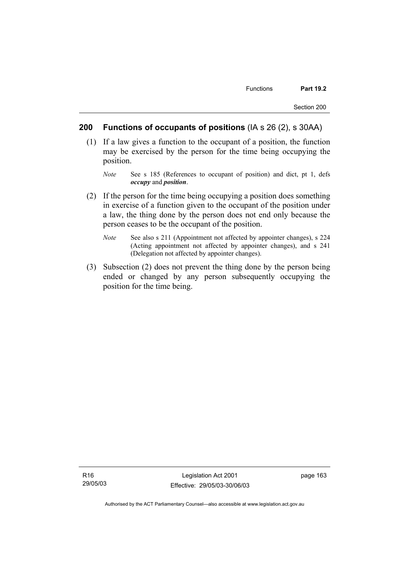### **200 Functions of occupants of positions** (IA s 26 (2), s 30AA)

- (1) If a law gives a function to the occupant of a position, the function may be exercised by the person for the time being occupying the position.
	- *Note* See s 185 (References to occupant of position) and dict, pt 1, defs *occupy* and *position*.
- (2) If the person for the time being occupying a position does something in exercise of a function given to the occupant of the position under a law, the thing done by the person does not end only because the person ceases to be the occupant of the position.
	- *Note* See also s 211 (Appointment not affected by appointer changes), s 224 (Acting appointment not affected by appointer changes), and s 241 (Delegation not affected by appointer changes).
- (3) Subsection (2) does not prevent the thing done by the person being ended or changed by any person subsequently occupying the position for the time being.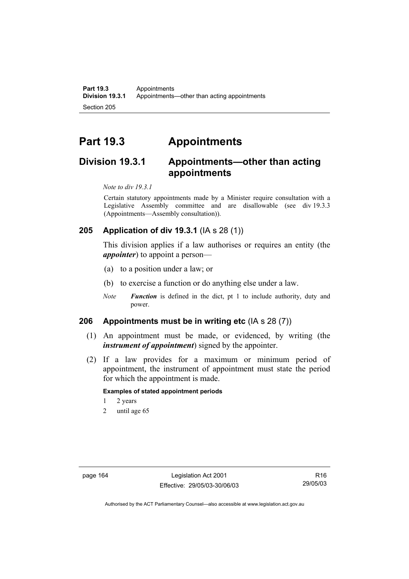**Part 19.3 Appointments**<br>**Division 19.3.1 Appointments** Appointments—other than acting appointments Section 205

# **Part 19.3 Appointments**

# **Division 19.3.1 Appointments—other than acting appointments**

*Note to div 19.3.1* 

Certain statutory appointments made by a Minister require consultation with a Legislative Assembly committee and are disallowable (see div 19.3.3 (Appointments—Assembly consultation)).

# **205 Application of div 19.3.1** (IA s 28 (1))

This division applies if a law authorises or requires an entity (the *appointer*) to appoint a person—

- (a) to a position under a law; or
- (b) to exercise a function or do anything else under a law.
- *Note Function* is defined in the dict, pt 1 to include authority, duty and power.

### **206 Appointments must be in writing etc** (IA s 28 (7))

- (1) An appointment must be made, or evidenced, by writing (the *instrument of appointment*) signed by the appointer.
- (2) If a law provides for a maximum or minimum period of appointment, the instrument of appointment must state the period for which the appointment is made.

#### **Examples of stated appointment periods**

- 1 2 years
- 2 until age 65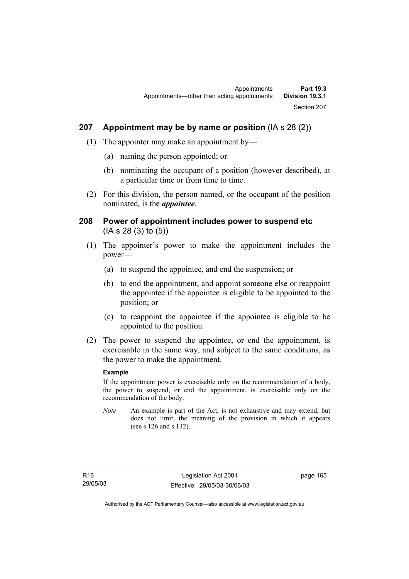## **207 Appointment may be by name or position** (IA s 28 (2))

- (1) The appointer may make an appointment by—
	- (a) naming the person appointed; or
	- (b) nominating the occupant of a position (however described), at a particular time or from time to time.
- (2) For this division, the person named, or the occupant of the position nominated, is the *appointee*.

## **208 Power of appointment includes power to suspend etc**  (IA s 28 (3) to (5))

- (1) The appointer's power to make the appointment includes the power—
	- (a) to suspend the appointee, and end the suspension; or
	- (b) to end the appointment, and appoint someone else or reappoint the appointee if the appointee is eligible to be appointed to the position; or
	- (c) to reappoint the appointee if the appointee is eligible to be appointed to the position.
- (2) The power to suspend the appointee, or end the appointment, is exercisable in the same way, and subject to the same conditions, as the power to make the appointment.

#### **Example**

If the appointment power is exercisable only on the recommendation of a body, the power to suspend, or end the appointment, is exercisable only on the recommendation of the body.

*Note* An example is part of the Act, is not exhaustive and may extend, but does not limit, the meaning of the provision in which it appears (see s 126 and s 132).

page 165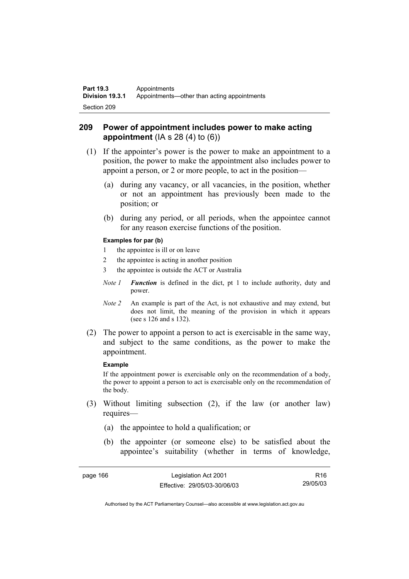# **209 Power of appointment includes power to make acting appointment** (IA s 28 (4) to (6))

- (1) If the appointer's power is the power to make an appointment to a position, the power to make the appointment also includes power to appoint a person, or 2 or more people, to act in the position—
	- (a) during any vacancy, or all vacancies, in the position, whether or not an appointment has previously been made to the position; or
	- (b) during any period, or all periods, when the appointee cannot for any reason exercise functions of the position.

#### **Examples for par (b)**

- 1 the appointee is ill or on leave
- 2 the appointee is acting in another position
- 3 the appointee is outside the ACT or Australia
- *Note 1 Function* is defined in the dict, pt 1 to include authority, duty and power.
- *Note 2* An example is part of the Act, is not exhaustive and may extend, but does not limit, the meaning of the provision in which it appears (see s 126 and s 132).
- (2) The power to appoint a person to act is exercisable in the same way, and subject to the same conditions, as the power to make the appointment.

#### **Example**

If the appointment power is exercisable only on the recommendation of a body, the power to appoint a person to act is exercisable only on the recommendation of the body.

- (3) Without limiting subsection (2), if the law (or another law) requires—
	- (a) the appointee to hold a qualification; or
	- (b) the appointer (or someone else) to be satisfied about the appointee's suitability (whether in terms of knowledge,

| page 166 | Legislation Act 2001         | R <sub>16</sub> |
|----------|------------------------------|-----------------|
|          | Effective: 29/05/03-30/06/03 | 29/05/03        |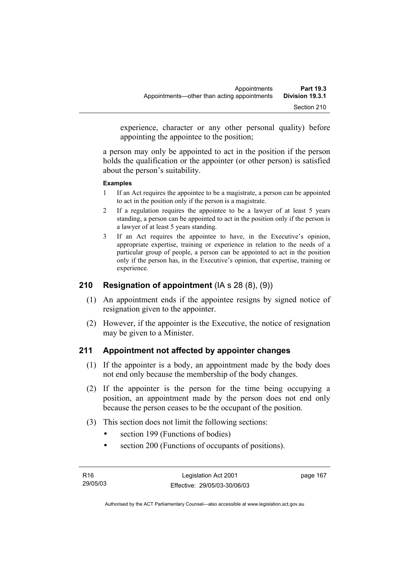experience, character or any other personal quality) before appointing the appointee to the position;

a person may only be appointed to act in the position if the person holds the qualification or the appointer (or other person) is satisfied about the person's suitability.

#### **Examples**

- 1 If an Act requires the appointee to be a magistrate, a person can be appointed to act in the position only if the person is a magistrate.
- 2 If a regulation requires the appointee to be a lawyer of at least 5 years standing, a person can be appointed to act in the position only if the person is a lawyer of at least 5 years standing.
- 3 If an Act requires the appointee to have, in the Executive's opinion, appropriate expertise, training or experience in relation to the needs of a particular group of people, a person can be appointed to act in the position only if the person has, in the Executive's opinion, that expertise, training or experience.

# **210 Resignation of appointment** (IA s 28 (8), (9))

- (1) An appointment ends if the appointee resigns by signed notice of resignation given to the appointer.
- (2) However, if the appointer is the Executive, the notice of resignation may be given to a Minister.

## **211 Appointment not affected by appointer changes**

- (1) If the appointer is a body, an appointment made by the body does not end only because the membership of the body changes.
- (2) If the appointer is the person for the time being occupying a position, an appointment made by the person does not end only because the person ceases to be the occupant of the position.
- (3) This section does not limit the following sections:
	- section 199 (Functions of bodies)
	- section 200 (Functions of occupants of positions).

| R16      | Legislation Act 2001         | page 167 |
|----------|------------------------------|----------|
| 29/05/03 | Effective: 29/05/03-30/06/03 |          |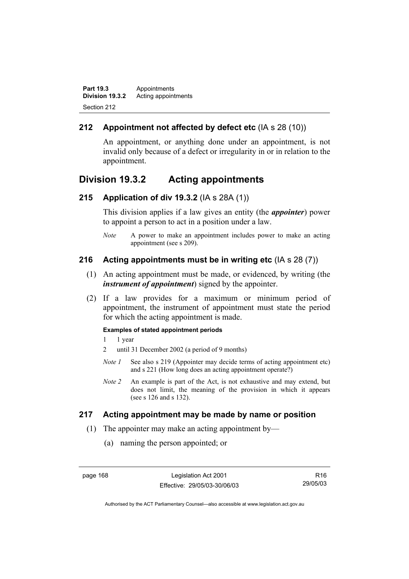**Part 19.3 Appointments**<br>**Division 19.3.2** Acting appoint **Division 19.3.2** Acting appointments Section 212

# **212 Appointment not affected by defect etc** (IA s 28 (10))

An appointment, or anything done under an appointment, is not invalid only because of a defect or irregularity in or in relation to the appointment.

# **Division 19.3.2 Acting appointments**

#### **215 Application of div 19.3.2** (IA s 28A (1))

This division applies if a law gives an entity (the *appointer*) power to appoint a person to act in a position under a law.

*Note* A power to make an appointment includes power to make an acting appointment (see s 209).

## **216 Acting appointments must be in writing etc** (IA s 28 (7))

- (1) An acting appointment must be made, or evidenced, by writing (the *instrument of appointment*) signed by the appointer.
- (2) If a law provides for a maximum or minimum period of appointment, the instrument of appointment must state the period for which the acting appointment is made.

#### **Examples of stated appointment periods**

- 1 1 year
- 2 until 31 December 2002 (a period of 9 months)
- *Note 1* See also s 219 (Appointer may decide terms of acting appointment etc) and s 221 (How long does an acting appointment operate?)
- *Note 2* An example is part of the Act, is not exhaustive and may extend, but does not limit, the meaning of the provision in which it appears (see s 126 and s 132).

## **217 Acting appointment may be made by name or position**

- (1) The appointer may make an acting appointment by—
	- (a) naming the person appointed; or

page 168 Legislation Act 2001 Effective: 29/05/03-30/06/03

R16 29/05/03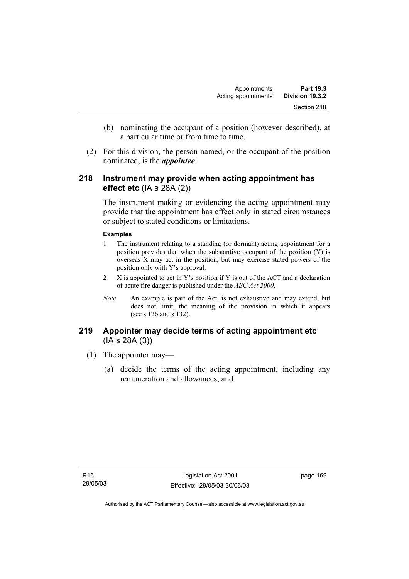- (b) nominating the occupant of a position (however described), at a particular time or from time to time.
- (2) For this division, the person named, or the occupant of the position nominated, is the *appointee*.

# **218 Instrument may provide when acting appointment has effect etc** (IA s 28A (2))

The instrument making or evidencing the acting appointment may provide that the appointment has effect only in stated circumstances or subject to stated conditions or limitations.

#### **Examples**

- 1 The instrument relating to a standing (or dormant) acting appointment for a position provides that when the substantive occupant of the position (Y) is overseas X may act in the position, but may exercise stated powers of the position only with Y's approval.
- 2 X is appointed to act in Y's position if Y is out of the ACT and a declaration of acute fire danger is published under the *ABC Act 2000*.
- *Note* An example is part of the Act, is not exhaustive and may extend, but does not limit, the meaning of the provision in which it appears (see s 126 and s 132).

# **219 Appointer may decide terms of acting appointment etc**  (IA s 28A (3))

- (1) The appointer may—
	- (a) decide the terms of the acting appointment, including any remuneration and allowances; and

page 169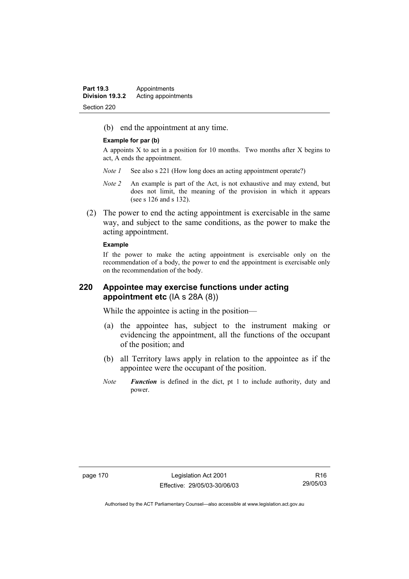(b) end the appointment at any time.

#### **Example for par (b)**

A appoints X to act in a position for 10 months. Two months after X begins to act, A ends the appointment.

- *Note 1* See also s 221 (How long does an acting appointment operate?)
- *Note 2* An example is part of the Act, is not exhaustive and may extend, but does not limit, the meaning of the provision in which it appears (see s 126 and s 132).
- (2) The power to end the acting appointment is exercisable in the same way, and subject to the same conditions, as the power to make the acting appointment.

#### **Example**

If the power to make the acting appointment is exercisable only on the recommendation of a body, the power to end the appointment is exercisable only on the recommendation of the body.

## **220 Appointee may exercise functions under acting appointment etc** (IA s 28A (8))

While the appointee is acting in the position—

- (a) the appointee has, subject to the instrument making or evidencing the appointment, all the functions of the occupant of the position; and
- (b) all Territory laws apply in relation to the appointee as if the appointee were the occupant of the position.
- *Note Function* is defined in the dict, pt 1 to include authority, duty and power.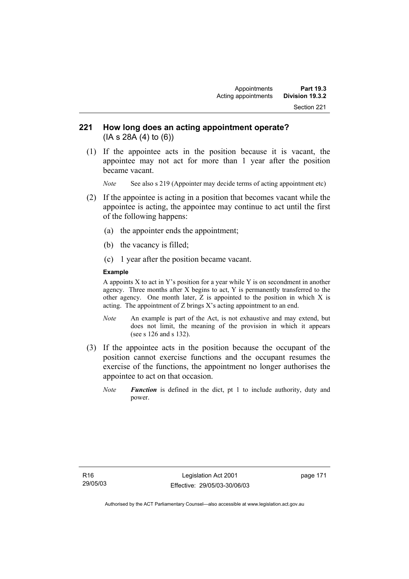# **221 How long does an acting appointment operate?**  (IA s 28A (4) to (6))

 (1) If the appointee acts in the position because it is vacant, the appointee may not act for more than 1 year after the position became vacant.

*Note* See also s 219 (Appointer may decide terms of acting appointment etc)

- (2) If the appointee is acting in a position that becomes vacant while the appointee is acting, the appointee may continue to act until the first of the following happens:
	- (a) the appointer ends the appointment;
	- (b) the vacancy is filled;
	- (c) 1 year after the position became vacant.

#### **Example**

A appoints X to act in Y's position for a year while Y is on secondment in another agency. Three months after X begins to act, Y is permanently transferred to the other agency. One month later,  $\overline{Z}$  is appointed to the position in which  $\overline{X}$  is acting. The appointment of Z brings X's acting appointment to an end.

- *Note* An example is part of the Act, is not exhaustive and may extend, but does not limit, the meaning of the provision in which it appears (see s 126 and s 132).
- (3) If the appointee acts in the position because the occupant of the position cannot exercise functions and the occupant resumes the exercise of the functions, the appointment no longer authorises the appointee to act on that occasion.
	- *Note Function* is defined in the dict, pt 1 to include authority, duty and power.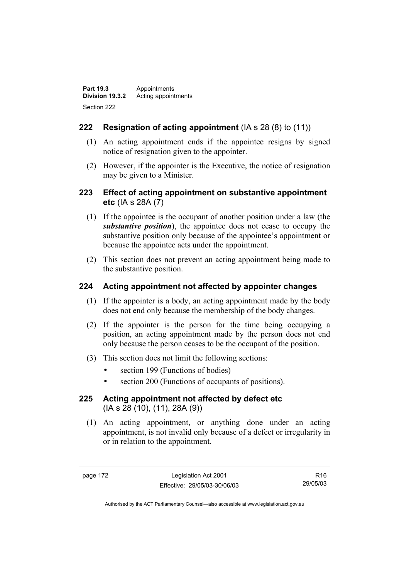# **222 Resignation of acting appointment** (IA s 28 (8) to (11))

- (1) An acting appointment ends if the appointee resigns by signed notice of resignation given to the appointer.
- (2) However, if the appointer is the Executive, the notice of resignation may be given to a Minister.

# **223 Effect of acting appointment on substantive appointment etc** (IA s 28A (7)

- (1) If the appointee is the occupant of another position under a law (the *substantive position*), the appointee does not cease to occupy the substantive position only because of the appointee's appointment or because the appointee acts under the appointment.
- (2) This section does not prevent an acting appointment being made to the substantive position.

# **224 Acting appointment not affected by appointer changes**

- (1) If the appointer is a body, an acting appointment made by the body does not end only because the membership of the body changes.
- (2) If the appointer is the person for the time being occupying a position, an acting appointment made by the person does not end only because the person ceases to be the occupant of the position.
- (3) This section does not limit the following sections:
	- section 199 (Functions of bodies)
	- section 200 (Functions of occupants of positions).

# **225 Acting appointment not affected by defect etc**  (IA s 28 (10), (11), 28A (9))

 (1) An acting appointment, or anything done under an acting appointment, is not invalid only because of a defect or irregularity in or in relation to the appointment.

page 172 Legislation Act 2001 Effective: 29/05/03-30/06/03

R16 29/05/03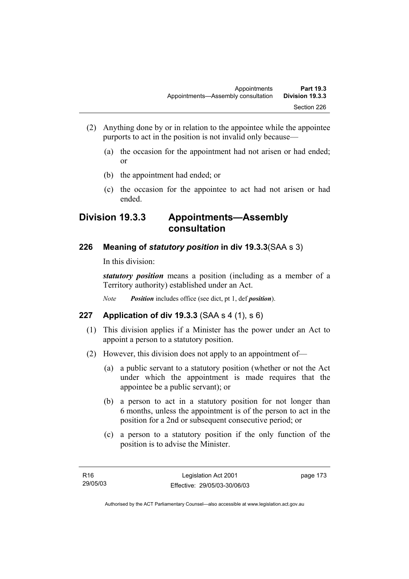- (2) Anything done by or in relation to the appointee while the appointee purports to act in the position is not invalid only because—
	- (a) the occasion for the appointment had not arisen or had ended; or
	- (b) the appointment had ended; or
	- (c) the occasion for the appointee to act had not arisen or had ended.

# **Division 19.3.3 Appointments—Assembly consultation**

# **226 Meaning of** *statutory position* **in div 19.3.3**(SAA s 3)

In this division:

*statutory position* means a position (including as a member of a Territory authority) established under an Act.

*Note Position* includes office (see dict, pt 1, def *position*).

## **227 Application of div 19.3.3** (SAA s 4 (1), s 6)

- (1) This division applies if a Minister has the power under an Act to appoint a person to a statutory position.
- (2) However, this division does not apply to an appointment of—
	- (a) a public servant to a statutory position (whether or not the Act under which the appointment is made requires that the appointee be a public servant); or
	- (b) a person to act in a statutory position for not longer than 6 months, unless the appointment is of the person to act in the position for a 2nd or subsequent consecutive period; or
	- (c) a person to a statutory position if the only function of the position is to advise the Minister.

page 173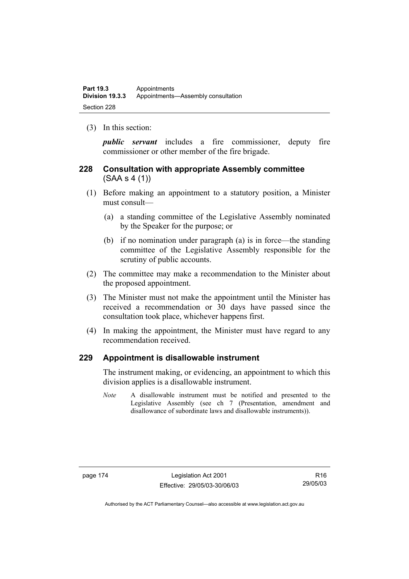(3) In this section:

*public servant* includes a fire commissioner, deputy fire commissioner or other member of the fire brigade.

# **228 Consultation with appropriate Assembly committee**  (SAA s 4 (1))

- (1) Before making an appointment to a statutory position, a Minister must consult—
	- (a) a standing committee of the Legislative Assembly nominated by the Speaker for the purpose; or
	- (b) if no nomination under paragraph (a) is in force—the standing committee of the Legislative Assembly responsible for the scrutiny of public accounts.
- (2) The committee may make a recommendation to the Minister about the proposed appointment.
- (3) The Minister must not make the appointment until the Minister has received a recommendation or 30 days have passed since the consultation took place, whichever happens first.
- (4) In making the appointment, the Minister must have regard to any recommendation received.

## **229 Appointment is disallowable instrument**

The instrument making, or evidencing, an appointment to which this division applies is a disallowable instrument.

*Note* A disallowable instrument must be notified and presented to the Legislative Assembly (see ch 7 (Presentation, amendment and disallowance of subordinate laws and disallowable instruments)).

page 174 Legislation Act 2001 Effective: 29/05/03-30/06/03

R16 29/05/03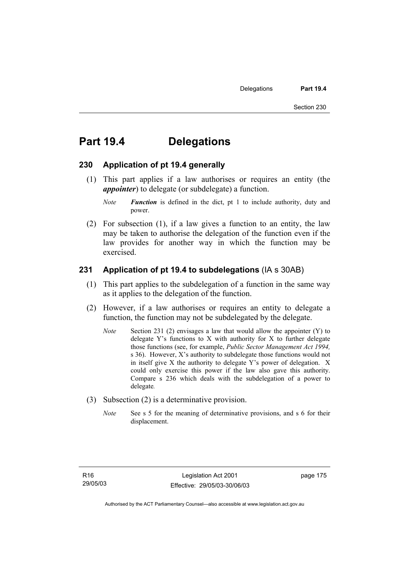# **Part 19.4 Delegations**

#### **230 Application of pt 19.4 generally**

 (1) This part applies if a law authorises or requires an entity (the *appointer*) to delegate (or subdelegate) a function.

*Note Function* is defined in the dict, pt 1 to include authority, duty and power.

 (2) For subsection (1), if a law gives a function to an entity, the law may be taken to authorise the delegation of the function even if the law provides for another way in which the function may be exercised.

### **231 Application of pt 19.4 to subdelegations** (IA s 30AB)

- (1) This part applies to the subdelegation of a function in the same way as it applies to the delegation of the function.
- (2) However, if a law authorises or requires an entity to delegate a function, the function may not be subdelegated by the delegate.
	- *Note* Section 231 (2) envisages a law that would allow the appointer (Y) to delegate Y's functions to X with authority for X to further delegate those functions (see, for example, *Public Sector Management Act 1994,*  s 36). However, X's authority to subdelegate those functions would not in itself give X the authority to delegate Y's power of delegation. X could only exercise this power if the law also gave this authority. Compare s 236 which deals with the subdelegation of a power to delegate*.*
- (3) Subsection (2) is a determinative provision.
	- *Note* See s 5 for the meaning of determinative provisions, and s 6 for their displacement.

page 175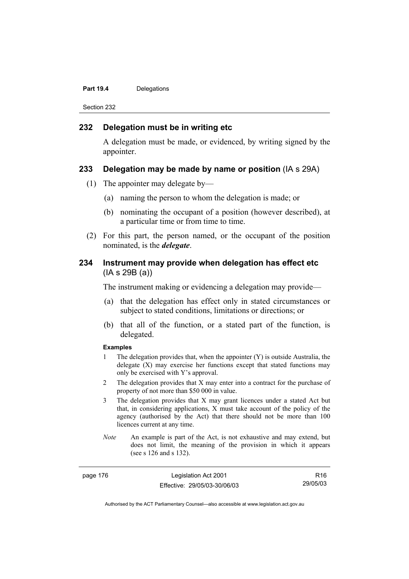#### Part 19.4 **Delegations**

Section 232

#### **232 Delegation must be in writing etc**

A delegation must be made, or evidenced, by writing signed by the appointer.

#### **233 Delegation may be made by name or position** (IA s 29A)

- (1) The appointer may delegate by—
	- (a) naming the person to whom the delegation is made; or
	- (b) nominating the occupant of a position (however described), at a particular time or from time to time.
- (2) For this part, the person named, or the occupant of the position nominated, is the *delegate*.

## **234 Instrument may provide when delegation has effect etc**  (IA s 29B (a))

The instrument making or evidencing a delegation may provide—

- (a) that the delegation has effect only in stated circumstances or subject to stated conditions, limitations or directions; or
- (b) that all of the function, or a stated part of the function, is delegated.

#### **Examples**

- 1 The delegation provides that, when the appointer (Y) is outside Australia, the delegate  $(X)$  may exercise her functions except that stated functions may only be exercised with Y's approval.
- 2 The delegation provides that X may enter into a contract for the purchase of property of not more than \$50 000 in value.
- 3 The delegation provides that X may grant licences under a stated Act but that, in considering applications, X must take account of the policy of the agency (authorised by the Act) that there should not be more than 100 licences current at any time.
- *Note* An example is part of the Act, is not exhaustive and may extend, but does not limit, the meaning of the provision in which it appears (see s 126 and s 132).

page 176 Legislation Act 2001 Effective: 29/05/03-30/06/03

R16 29/05/03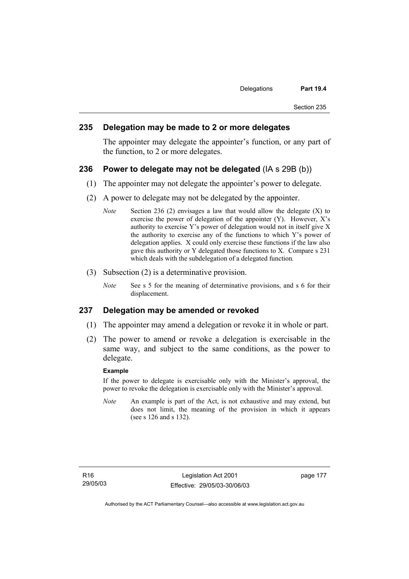#### **235 Delegation may be made to 2 or more delegates**

The appointer may delegate the appointer's function, or any part of the function, to 2 or more delegates.

#### **236 Power to delegate may not be delegated** (IA s 29B (b))

- (1) The appointer may not delegate the appointer's power to delegate.
- (2) A power to delegate may not be delegated by the appointer.
	- *Note* Section 236 (2) envisages a law that would allow the delegate (X) to exercise the power of delegation of the appointer  $(Y)$ . However,  $X$ 's authority to exercise Y's power of delegation would not in itself give X the authority to exercise any of the functions to which Y's power of delegation applies. X could only exercise these functions if the law also gave this authority or Y delegated those functions to X. Compare s 231 which deals with the subdelegation of a delegated function*.*
- (3) Subsection (2) is a determinative provision.
	- *Note* See s 5 for the meaning of determinative provisions, and s 6 for their displacement.

#### **237 Delegation may be amended or revoked**

- (1) The appointer may amend a delegation or revoke it in whole or part.
- (2) The power to amend or revoke a delegation is exercisable in the same way, and subject to the same conditions, as the power to delegate.

#### **Example**

If the power to delegate is exercisable only with the Minister's approval, the power to revoke the delegation is exercisable only with the Minister's approval.

*Note* An example is part of the Act, is not exhaustive and may extend, but does not limit, the meaning of the provision in which it appears (see s 126 and s 132).

page 177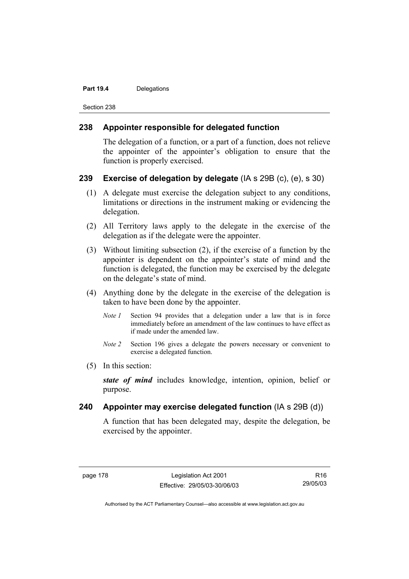#### Part 19.4 **Delegations**

Section 238

### **238 Appointer responsible for delegated function**

The delegation of a function, or a part of a function, does not relieve the appointer of the appointer's obligation to ensure that the function is properly exercised.

### **239 Exercise of delegation by delegate** (IA s 29B (c), (e), s 30)

- (1) A delegate must exercise the delegation subject to any conditions, limitations or directions in the instrument making or evidencing the delegation.
- (2) All Territory laws apply to the delegate in the exercise of the delegation as if the delegate were the appointer.
- (3) Without limiting subsection (2), if the exercise of a function by the appointer is dependent on the appointer's state of mind and the function is delegated, the function may be exercised by the delegate on the delegate's state of mind.
- (4) Anything done by the delegate in the exercise of the delegation is taken to have been done by the appointer.
	- *Note 1* Section 94 provides that a delegation under a law that is in force immediately before an amendment of the law continues to have effect as if made under the amended law.
	- *Note 2* Section 196 gives a delegate the powers necessary or convenient to exercise a delegated function.
- (5) In this section:

*state of mind* includes knowledge, intention, opinion, belief or purpose.

## **240 Appointer may exercise delegated function** (IA s 29B (d))

A function that has been delegated may, despite the delegation, be exercised by the appointer.

R16 29/05/03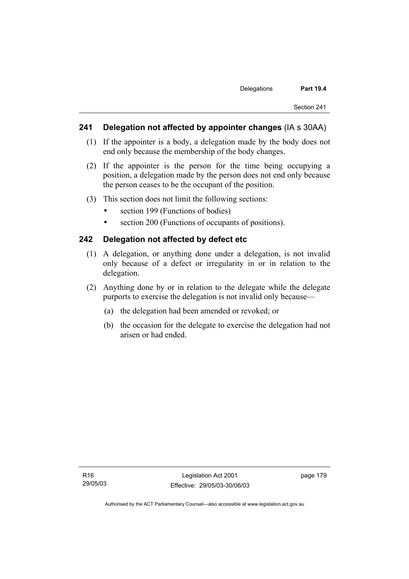### **241 Delegation not affected by appointer changes** (IA s 30AA)

- (1) If the appointer is a body, a delegation made by the body does not end only because the membership of the body changes.
- (2) If the appointer is the person for the time being occupying a position, a delegation made by the person does not end only because the person ceases to be the occupant of the position.
- (3) This section does not limit the following sections:
	- section 199 (Functions of bodies)
	- section 200 (Functions of occupants of positions).

#### **242 Delegation not affected by defect etc**

- (1) A delegation, or anything done under a delegation, is not invalid only because of a defect or irregularity in or in relation to the delegation.
- (2) Anything done by or in relation to the delegate while the delegate purports to exercise the delegation is not invalid only because—
	- (a) the delegation had been amended or revoked; or
	- (b) the occasion for the delegate to exercise the delegation had not arisen or had ended.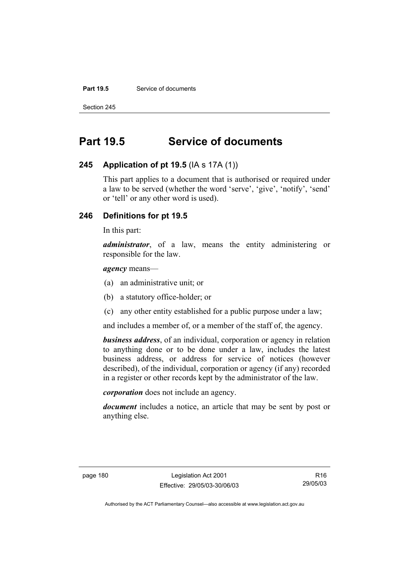#### **Part 19.5** Service of documents

Section 245

# **Part 19.5 Service of documents**

### **245 Application of pt 19.5** (IA s 17A (1))

This part applies to a document that is authorised or required under a law to be served (whether the word 'serve', 'give', 'notify', 'send' or 'tell' or any other word is used).

# **246 Definitions for pt 19.5**

In this part:

*administrator*, of a law, means the entity administering or responsible for the law.

### *agency* means—

- (a) an administrative unit; or
- (b) a statutory office-holder; or
- (c) any other entity established for a public purpose under a law;

and includes a member of, or a member of the staff of, the agency.

*business address*, of an individual, corporation or agency in relation to anything done or to be done under a law, includes the latest business address, or address for service of notices (however described), of the individual, corporation or agency (if any) recorded in a register or other records kept by the administrator of the law.

*corporation* does not include an agency.

*document* includes a notice, an article that may be sent by post or anything else.

page 180 Legislation Act 2001 Effective: 29/05/03-30/06/03

R16 29/05/03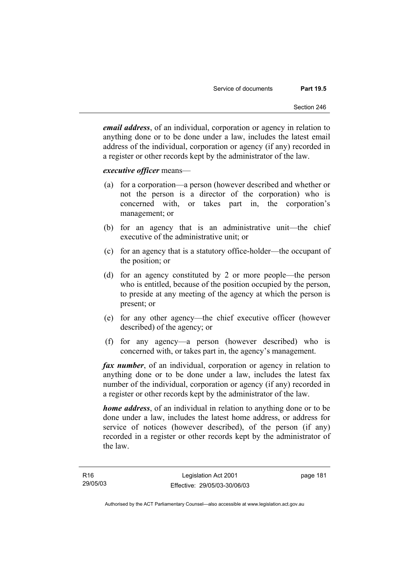*email address*, of an individual, corporation or agency in relation to anything done or to be done under a law, includes the latest email address of the individual, corporation or agency (if any) recorded in a register or other records kept by the administrator of the law.

#### *executive officer* means—

- (a) for a corporation—a person (however described and whether or not the person is a director of the corporation) who is concerned with, or takes part in, the corporation's management; or
- (b) for an agency that is an administrative unit—the chief executive of the administrative unit; or
- (c) for an agency that is a statutory office-holder—the occupant of the position; or
- (d) for an agency constituted by 2 or more people—the person who is entitled, because of the position occupied by the person, to preside at any meeting of the agency at which the person is present; or
- (e) for any other agency—the chief executive officer (however described) of the agency; or
- (f) for any agency—a person (however described) who is concerned with, or takes part in, the agency's management.

*fax number*, of an individual, corporation or agency in relation to anything done or to be done under a law, includes the latest fax number of the individual, corporation or agency (if any) recorded in a register or other records kept by the administrator of the law.

*home address*, of an individual in relation to anything done or to be done under a law, includes the latest home address, or address for service of notices (however described), of the person (if any) recorded in a register or other records kept by the administrator of the law.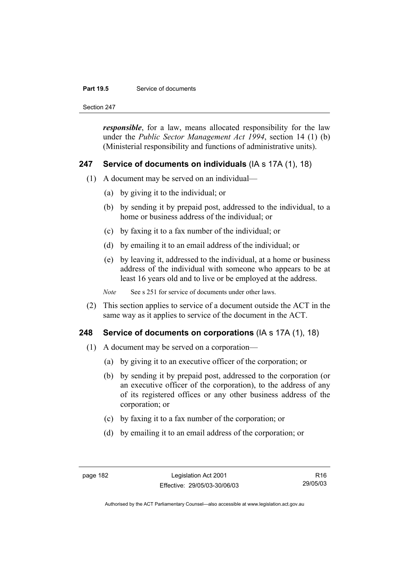#### **Part 19.5** Service of documents

Section 247

*responsible*, for a law, means allocated responsibility for the law under the *Public Sector Management Act 1994*, section 14 (1) (b) (Ministerial responsibility and functions of administrative units).

## **247 Service of documents on individuals** (IA s 17A (1), 18)

- (1) A document may be served on an individual—
	- (a) by giving it to the individual; or
	- (b) by sending it by prepaid post, addressed to the individual, to a home or business address of the individual; or
	- (c) by faxing it to a fax number of the individual; or
	- (d) by emailing it to an email address of the individual; or
	- (e) by leaving it, addressed to the individual, at a home or business address of the individual with someone who appears to be at least 16 years old and to live or be employed at the address.

*Note* See s 251 for service of documents under other laws.

 (2) This section applies to service of a document outside the ACT in the same way as it applies to service of the document in the ACT.

## **248 Service of documents on corporations** (IA s 17A (1), 18)

- (1) A document may be served on a corporation—
	- (a) by giving it to an executive officer of the corporation; or
	- (b) by sending it by prepaid post, addressed to the corporation (or an executive officer of the corporation), to the address of any of its registered offices or any other business address of the corporation; or
	- (c) by faxing it to a fax number of the corporation; or
	- (d) by emailing it to an email address of the corporation; or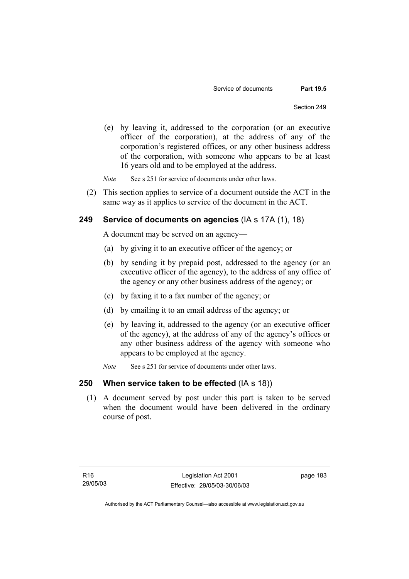- (e) by leaving it, addressed to the corporation (or an executive officer of the corporation), at the address of any of the corporation's registered offices, or any other business address of the corporation, with someone who appears to be at least 16 years old and to be employed at the address.
- *Note* See s 251 for service of documents under other laws.
- (2) This section applies to service of a document outside the ACT in the same way as it applies to service of the document in the ACT.

## **249 Service of documents on agencies** (IA s 17A (1), 18)

A document may be served on an agency—

- (a) by giving it to an executive officer of the agency; or
- (b) by sending it by prepaid post, addressed to the agency (or an executive officer of the agency), to the address of any office of the agency or any other business address of the agency; or
- (c) by faxing it to a fax number of the agency; or
- (d) by emailing it to an email address of the agency; or
- (e) by leaving it, addressed to the agency (or an executive officer of the agency), at the address of any of the agency's offices or any other business address of the agency with someone who appears to be employed at the agency.
- *Note* See s 251 for service of documents under other laws.

## **250 When service taken to be effected** (IA s 18))

 (1) A document served by post under this part is taken to be served when the document would have been delivered in the ordinary course of post.

page 183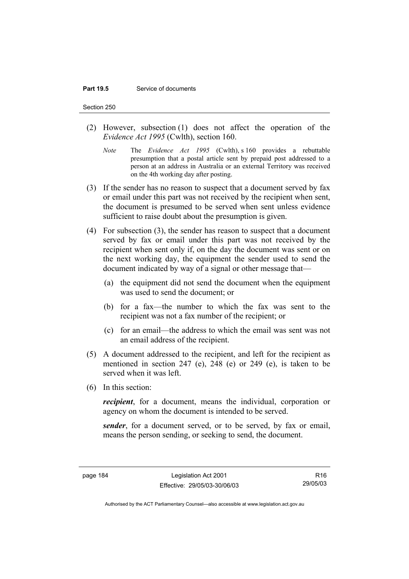#### **Part 19.5** Service of documents

Section 250

- (2) However, subsection (1) does not affect the operation of the *Evidence Act 1995* (Cwlth), section 160.
	- *Note* The *Evidence Act 1995* (Cwlth), s 160 provides a rebuttable presumption that a postal article sent by prepaid post addressed to a person at an address in Australia or an external Territory was received on the 4th working day after posting.
- (3) If the sender has no reason to suspect that a document served by fax or email under this part was not received by the recipient when sent, the document is presumed to be served when sent unless evidence sufficient to raise doubt about the presumption is given.
- (4) For subsection (3), the sender has reason to suspect that a document served by fax or email under this part was not received by the recipient when sent only if, on the day the document was sent or on the next working day, the equipment the sender used to send the document indicated by way of a signal or other message that—
	- (a) the equipment did not send the document when the equipment was used to send the document; or
	- (b) for a fax—the number to which the fax was sent to the recipient was not a fax number of the recipient; or
	- (c) for an email—the address to which the email was sent was not an email address of the recipient.
- (5) A document addressed to the recipient, and left for the recipient as mentioned in section 247 (e), 248 (e) or 249 (e), is taken to be served when it was left.
- (6) In this section:

*recipient*, for a document, means the individual, corporation or agency on whom the document is intended to be served.

*sender*, for a document served, or to be served, by fax or email, means the person sending, or seeking to send, the document.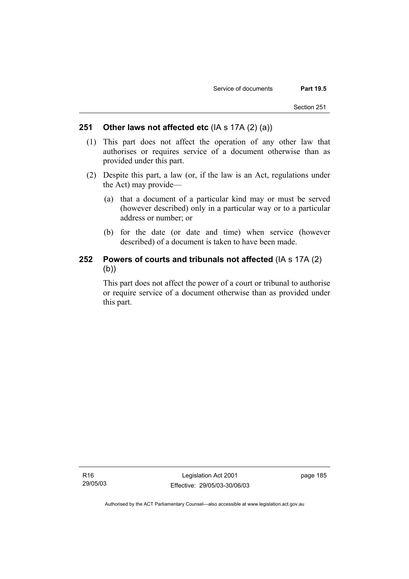#### **251 Other laws not affected etc** (IA s 17A (2) (a))

- (1) This part does not affect the operation of any other law that authorises or requires service of a document otherwise than as provided under this part.
- (2) Despite this part, a law (or, if the law is an Act, regulations under the Act) may provide—
	- (a) that a document of a particular kind may or must be served (however described) only in a particular way or to a particular address or number; or
	- (b) for the date (or date and time) when service (however described) of a document is taken to have been made.

# **252 Powers of courts and tribunals not affected** (IA s 17A (2) (b))

This part does not affect the power of a court or tribunal to authorise or require service of a document otherwise than as provided under this part.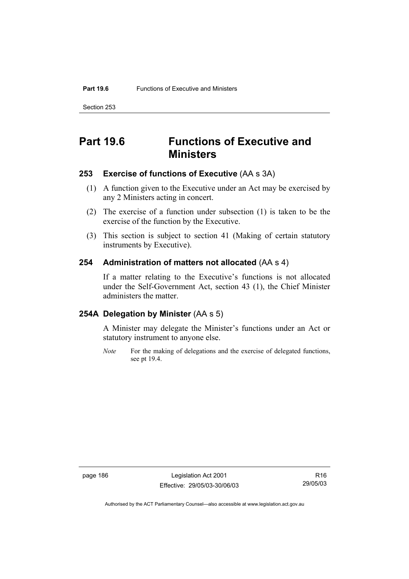Section 253

# **Part 19.6 Functions of Executive and Ministers**

### **253 Exercise of functions of Executive** (AA s 3A)

- (1) A function given to the Executive under an Act may be exercised by any 2 Ministers acting in concert.
- (2) The exercise of a function under subsection (1) is taken to be the exercise of the function by the Executive.
- (3) This section is subject to section 41 (Making of certain statutory instruments by Executive).

## **254 Administration of matters not allocated** (AA s 4)

If a matter relating to the Executive's functions is not allocated under the Self-Government Act, section 43 (1), the Chief Minister administers the matter.

# **254A Delegation by Minister** (AA s 5)

A Minister may delegate the Minister's functions under an Act or statutory instrument to anyone else.

*Note* For the making of delegations and the exercise of delegated functions, see pt 19.4.

page 186 Legislation Act 2001 Effective: 29/05/03-30/06/03

R16 29/05/03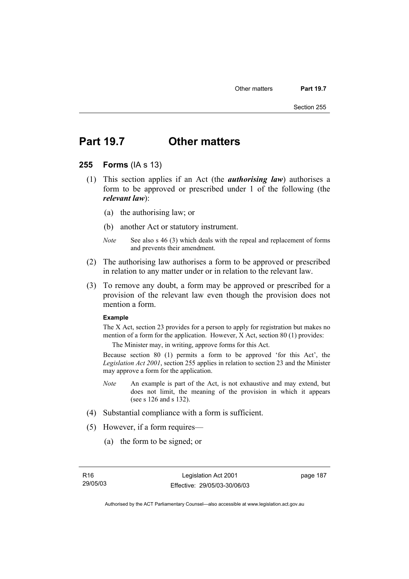# **Part 19.7 Other matters**

#### **255 Forms** (IA s 13)

- (1) This section applies if an Act (the *authorising law*) authorises a form to be approved or prescribed under 1 of the following (the *relevant law*):
	- (a) the authorising law; or
	- (b) another Act or statutory instrument.
	- *Note* See also s 46 (3) which deals with the repeal and replacement of forms and prevents their amendment.
- (2) The authorising law authorises a form to be approved or prescribed in relation to any matter under or in relation to the relevant law.
- (3) To remove any doubt, a form may be approved or prescribed for a provision of the relevant law even though the provision does not mention a form.

#### **Example**

The X Act, section 23 provides for a person to apply for registration but makes no mention of a form for the application. However, X Act, section 80 (1) provides:

The Minister may, in writing, approve forms for this Act.

Because section 80 (1) permits a form to be approved 'for this Act', the *Legislation Act 2001*, section 255 applies in relation to section 23 and the Minister may approve a form for the application.

- *Note* An example is part of the Act, is not exhaustive and may extend, but does not limit, the meaning of the provision in which it appears (see s 126 and s 132).
- (4) Substantial compliance with a form is sufficient.
- (5) However, if a form requires—
	- (a) the form to be signed; or

page 187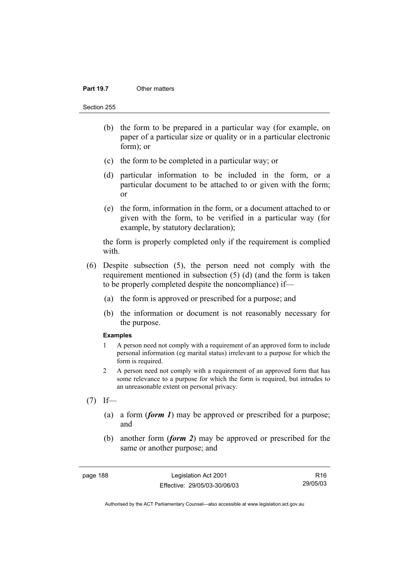#### **Part 19.7** Other matters

Section 255

- (b) the form to be prepared in a particular way (for example, on paper of a particular size or quality or in a particular electronic form); or
- (c) the form to be completed in a particular way; or
- (d) particular information to be included in the form, or a particular document to be attached to or given with the form; or
- (e) the form, information in the form, or a document attached to or given with the form, to be verified in a particular way (for example, by statutory declaration);

the form is properly completed only if the requirement is complied with.

- (6) Despite subsection (5), the person need not comply with the requirement mentioned in subsection (5) (d) (and the form is taken to be properly completed despite the noncompliance) if—
	- (a) the form is approved or prescribed for a purpose; and
	- (b) the information or document is not reasonably necessary for the purpose.

#### **Examples**

- 1 A person need not comply with a requirement of an approved form to include personal information (eg marital status) irrelevant to a purpose for which the form is required.
- 2 A person need not comply with a requirement of an approved form that has some relevance to a purpose for which the form is required, but intrudes to an unreasonable extent on personal privacy.
- $(7)$  If—
	- (a) a form (*form 1*) may be approved or prescribed for a purpose; and
	- (b) another form (*form 2*) may be approved or prescribed for the same or another purpose; and

page 188 Legislation Act 2001 Effective: 29/05/03-30/06/03

R16 29/05/03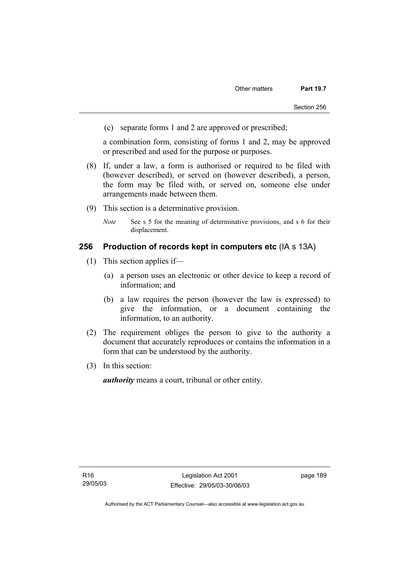(c) separate forms 1 and 2 are approved or prescribed;

a combination form, consisting of forms 1 and 2, may be approved or prescribed and used for the purpose or purposes.

- (8) If, under a law, a form is authorised or required to be filed with (however described), or served on (however described), a person, the form may be filed with, or served on, someone else under arrangements made between them.
- (9) This section is a determinative provision.
	- *Note* See s 5 for the meaning of determinative provisions, and s 6 for their displacement.

#### **256 Production of records kept in computers etc** (IA s 13A)

- (1) This section applies if—
	- (a) a person uses an electronic or other device to keep a record of information; and
	- (b) a law requires the person (however the law is expressed) to give the information, or a document containing the information, to an authority.
- (2) The requirement obliges the person to give to the authority a document that accurately reproduces or contains the information in a form that can be understood by the authority.
- (3) In this section:

*authority* means a court, tribunal or other entity.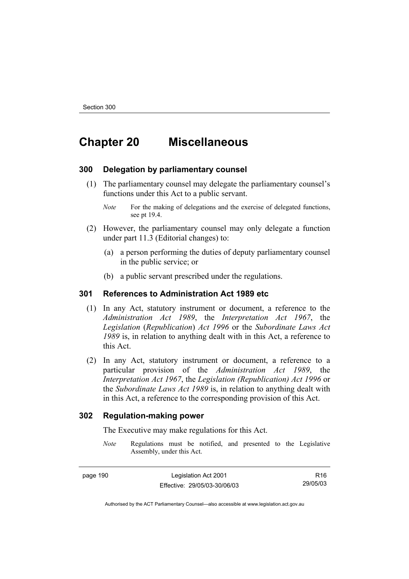# **Chapter 20 Miscellaneous**

#### **300 Delegation by parliamentary counsel**

 (1) The parliamentary counsel may delegate the parliamentary counsel's functions under this Act to a public servant.

- (2) However, the parliamentary counsel may only delegate a function under part 11.3 (Editorial changes) to:
	- (a) a person performing the duties of deputy parliamentary counsel in the public service; or
	- (b) a public servant prescribed under the regulations.

## **301 References to Administration Act 1989 etc**

- (1) In any Act, statutory instrument or document, a reference to the *Administration Act 1989*, the *Interpretation Act 1967*, the *Legislation* (*Republication*) *Act 1996* or the *Subordinate Laws Act 1989* is, in relation to anything dealt with in this Act, a reference to this Act.
- (2) In any Act, statutory instrument or document, a reference to a particular provision of the *Administration Act 1989*, the *Interpretation Act 1967*, the *Legislation (Republication) Act 1996* or the *Subordinate Laws Act 1989* is, in relation to anything dealt with in this Act, a reference to the corresponding provision of this Act.

#### **302 Regulation-making power**

The Executive may make regulations for this Act.

*Note* Regulations must be notified, and presented to the Legislative Assembly, under this Act.

page 190 Legislation Act 2001 Effective: 29/05/03-30/06/03

R16 29/05/03

*Note* For the making of delegations and the exercise of delegated functions, see pt 19.4.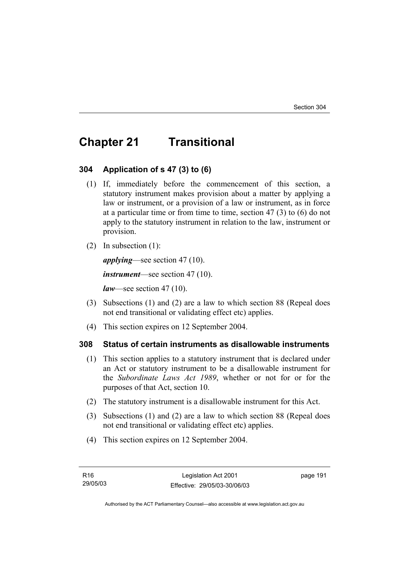# **Chapter 21 Transitional**

#### **304 Application of s 47 (3) to (6)**

- (1) If, immediately before the commencement of this section, a statutory instrument makes provision about a matter by applying a law or instrument, or a provision of a law or instrument, as in force at a particular time or from time to time, section 47 (3) to (6) do not apply to the statutory instrument in relation to the law, instrument or provision.
- (2) In subsection (1):

*applying*—see section 47 (10).

*instrument*—see section 47 (10).

*law*—see section 47 (10).

- (3) Subsections (1) and (2) are a law to which section 88 (Repeal does not end transitional or validating effect etc) applies.
- (4) This section expires on 12 September 2004.

# **308 Status of certain instruments as disallowable instruments**

- (1) This section applies to a statutory instrument that is declared under an Act or statutory instrument to be a disallowable instrument for the *Subordinate Laws Act 1989*, whether or not for or for the purposes of that Act, section 10.
- (2) The statutory instrument is a disallowable instrument for this Act.
- (3) Subsections (1) and (2) are a law to which section 88 (Repeal does not end transitional or validating effect etc) applies.
- (4) This section expires on 12 September 2004.

page 191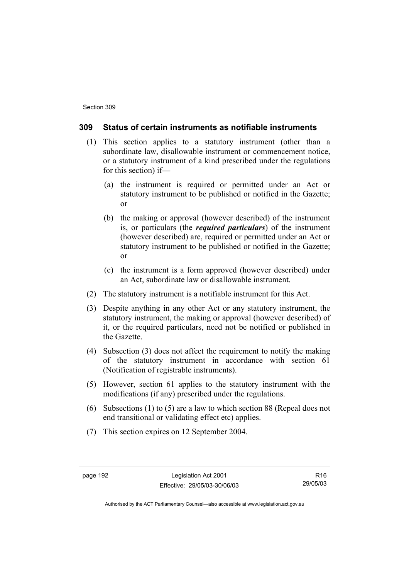#### **309 Status of certain instruments as notifiable instruments**

- (1) This section applies to a statutory instrument (other than a subordinate law, disallowable instrument or commencement notice, or a statutory instrument of a kind prescribed under the regulations for this section) if—
	- (a) the instrument is required or permitted under an Act or statutory instrument to be published or notified in the Gazette; or
	- (b) the making or approval (however described) of the instrument is, or particulars (the *required particulars*) of the instrument (however described) are, required or permitted under an Act or statutory instrument to be published or notified in the Gazette; or
	- (c) the instrument is a form approved (however described) under an Act, subordinate law or disallowable instrument.
- (2) The statutory instrument is a notifiable instrument for this Act.
- (3) Despite anything in any other Act or any statutory instrument, the statutory instrument, the making or approval (however described) of it, or the required particulars, need not be notified or published in the Gazette.
- (4) Subsection (3) does not affect the requirement to notify the making of the statutory instrument in accordance with section 61 (Notification of registrable instruments).
- (5) However, section 61 applies to the statutory instrument with the modifications (if any) prescribed under the regulations.
- (6) Subsections (1) to (5) are a law to which section 88 (Repeal does not end transitional or validating effect etc) applies.
- (7) This section expires on 12 September 2004.

page 192 Legislation Act 2001 Effective: 29/05/03-30/06/03

R16 29/05/03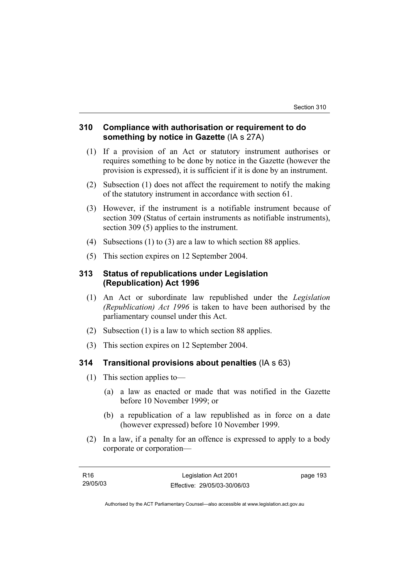## **310 Compliance with authorisation or requirement to do something by notice in Gazette** (IA s 27A)

- (1) If a provision of an Act or statutory instrument authorises or requires something to be done by notice in the Gazette (however the provision is expressed), it is sufficient if it is done by an instrument.
- (2) Subsection (1) does not affect the requirement to notify the making of the statutory instrument in accordance with section 61.
- (3) However, if the instrument is a notifiable instrument because of section 309 (Status of certain instruments as notifiable instruments), section 309 (5) applies to the instrument.
- (4) Subsections (1) to (3) are a law to which section 88 applies.
- (5) This section expires on 12 September 2004.

## **313 Status of republications under Legislation (Republication) Act 1996**

- (1) An Act or subordinate law republished under the *Legislation (Republication) Act 1996* is taken to have been authorised by the parliamentary counsel under this Act.
- (2) Subsection (1) is a law to which section 88 applies.
- (3) This section expires on 12 September 2004.

### **314 Transitional provisions about penalties** (IA s 63)

- (1) This section applies to—
	- (a) a law as enacted or made that was notified in the Gazette before 10 November 1999; or
	- (b) a republication of a law republished as in force on a date (however expressed) before 10 November 1999.
- (2) In a law, if a penalty for an offence is expressed to apply to a body corporate or corporation—

| R16      | Legislation Act 2001         | page 193 |
|----------|------------------------------|----------|
| 29/05/03 | Effective: 29/05/03-30/06/03 |          |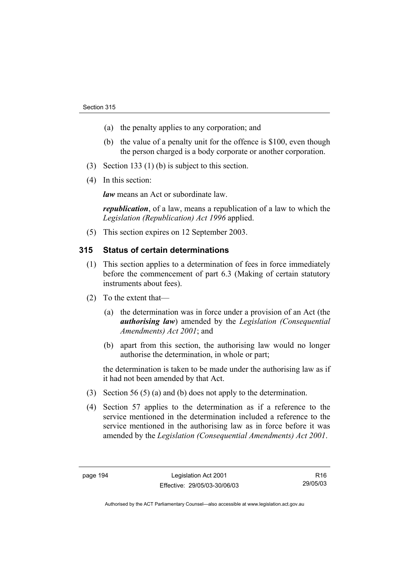- (a) the penalty applies to any corporation; and
- (b) the value of a penalty unit for the offence is \$100, even though the person charged is a body corporate or another corporation.
- (3) Section 133 (1) (b) is subject to this section.
- (4) In this section:

*law* means an Act or subordinate law.

*republication*, of a law, means a republication of a law to which the *Legislation (Republication) Act 1996* applied.

(5) This section expires on 12 September 2003.

## **315 Status of certain determinations**

- (1) This section applies to a determination of fees in force immediately before the commencement of part 6.3 (Making of certain statutory instruments about fees).
- (2) To the extent that—
	- (a) the determination was in force under a provision of an Act (the *authorising law*) amended by the *Legislation (Consequential Amendments) Act 2001*; and
	- (b) apart from this section, the authorising law would no longer authorise the determination, in whole or part;

the determination is taken to be made under the authorising law as if it had not been amended by that Act.

- (3) Section 56 (5) (a) and (b) does not apply to the determination.
- (4) Section 57 applies to the determination as if a reference to the service mentioned in the determination included a reference to the service mentioned in the authorising law as in force before it was amended by the *Legislation (Consequential Amendments) Act 2001*.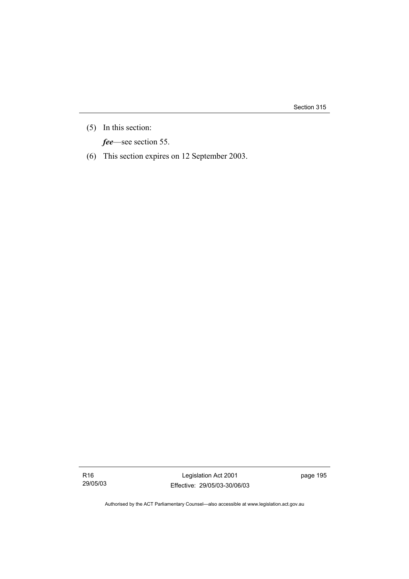Section 315

(5) In this section:

*fee*—see section 55.

(6) This section expires on 12 September 2003.

R16 29/05/03

Legislation Act 2001 Effective: 29/05/03-30/06/03 page 195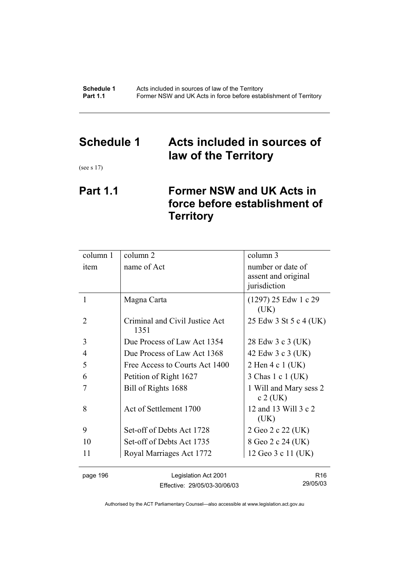# **Schedule 1 Acts included in sources of law of the Territory**

(see s 17)

# **Part 1.1 Former NSW and UK Acts in force before establishment of Territory**

| column 1 | column 2                               | column 3                                                 |
|----------|----------------------------------------|----------------------------------------------------------|
| item     | name of Act                            | number or date of<br>assent and original<br>jurisdiction |
| 1        | Magna Carta                            | $(1297)$ 25 Edw 1 c 29<br>(UK)                           |
| 2        | Criminal and Civil Justice Act<br>1351 | 25 Edw 3 St 5 c 4 (UK)                                   |
| 3        | Due Process of Law Act 1354            | 28 Edw 3 c 3 (UK)                                        |
| 4        | Due Process of Law Act 1368            | 42 Edw 3 c 3 (UK)                                        |
| 5        | Free Access to Courts Act 1400         | 2 Hen 4 c 1 (UK)                                         |
| 6        | Petition of Right 1627                 | 3 Chas 1 c 1 (UK)                                        |
| 7        | Bill of Rights 1688                    | 1 Will and Mary sess 2<br>$c$ 2 (UK)                     |
| 8        | Act of Settlement 1700                 | 12 and 13 Will 3 c 2<br>(UK)                             |
| 9        | Set-off of Debts Act 1728              | 2 Geo 2 c 22 (UK)                                        |
| 10       | Set-off of Debts Act 1735              | 8 Geo 2 c 24 (UK)                                        |
| 11       | Royal Marriages Act 1772               | 12 Geo 3 c 11 (UK)                                       |
| page 196 | Legislation Act 2001                   | R <sub>16</sub>                                          |

Effective: 29/05/03-30/06/03

29/05/03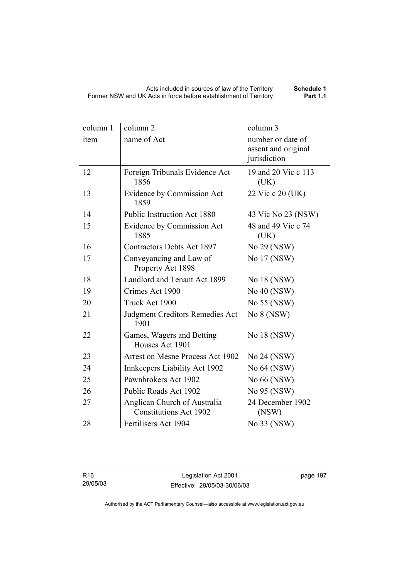| column 1 | column 2                                                      | column 3                    |
|----------|---------------------------------------------------------------|-----------------------------|
| item     | name of Act                                                   | number or date of           |
|          |                                                               | assent and original         |
|          |                                                               | jurisdiction                |
| 12       | Foreign Tribunals Evidence Act<br>1856                        | 19 and 20 Vic c 113<br>(UK) |
| 13       | Evidence by Commission Act<br>1859                            | 22 Vic c 20 (UK)            |
| 14       | Public Instruction Act 1880                                   | 43 Vic No 23 (NSW)          |
| 15       | Evidence by Commission Act<br>1885                            | 48 and 49 Vic c 74<br>(UK)  |
| 16       | <b>Contractors Debts Act 1897</b>                             | No 29 (NSW)                 |
| 17       | Conveyancing and Law of<br>Property Act 1898                  | No 17 (NSW)                 |
| 18       | Landlord and Tenant Act 1899                                  | No 18 (NSW)                 |
| 19       | Crimes Act 1900                                               | No 40 (NSW)                 |
| 20       | Truck Act 1900                                                | No 55 (NSW)                 |
| 21       | <b>Judgment Creditors Remedies Act</b><br>1901                | No 8 (NSW)                  |
| 22       | Games, Wagers and Betting<br>Houses Act 1901                  | No 18 (NSW)                 |
| 23       | Arrest on Mesne Process Act 1902                              | No 24 (NSW)                 |
| 24       | Innkeepers Liability Act 1902                                 | No 64 (NSW)                 |
| 25       | Pawnbrokers Act 1902                                          | No 66 (NSW)                 |
| 26       | Public Roads Act 1902                                         | No 95 (NSW)                 |
| 27       | Anglican Church of Australia<br><b>Constitutions Act 1902</b> | 24 December 1902<br>(NSW)   |
| 28       | Fertilisers Act 1904                                          | No 33 (NSW)                 |

page 197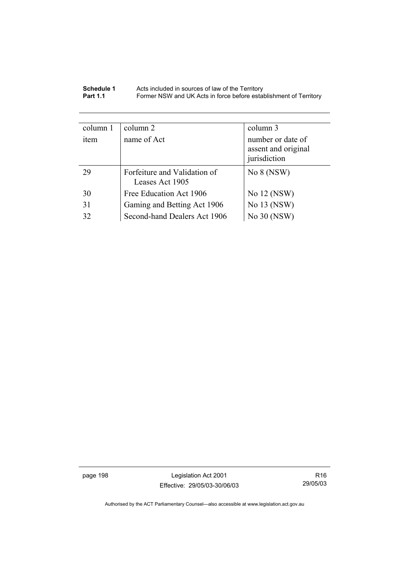| Schedule 1      | Acts included in sources of law of the Territory                  |
|-----------------|-------------------------------------------------------------------|
| <b>Part 1.1</b> | Former NSW and UK Acts in force before establishment of Territory |

| column 1 | column 2                                        | column 3                                                 |
|----------|-------------------------------------------------|----------------------------------------------------------|
| item     | name of Act                                     | number or date of<br>assent and original<br>jurisdiction |
| 29       | Forfeiture and Validation of<br>Leases Act 1905 | No $8$ (NSW)                                             |
| 30       | Free Education Act 1906                         | No 12 (NSW)                                              |
| 31       | Gaming and Betting Act 1906                     | No 13 (NSW)                                              |
| 32       | Second-hand Dealers Act 1906                    | No 30 (NSW)                                              |

page 198 Legislation Act 2001 Effective: 29/05/03-30/06/03

R16 29/05/03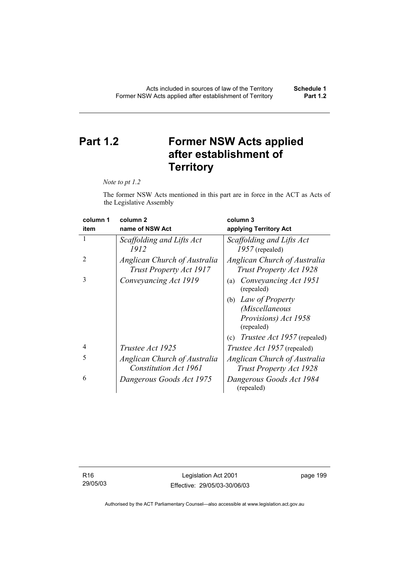# **Part 1.2 Former NSW Acts applied after establishment of Territory**

*Note to pt 1.2* 

The former NSW Acts mentioned in this part are in force in the ACT as Acts of the Legislative Assembly

| column 1       | column <sub>2</sub>                                     | column 3                                                       |
|----------------|---------------------------------------------------------|----------------------------------------------------------------|
| item           | name of NSW Act                                         | applying Territory Act                                         |
|                | Scaffolding and Lifts Act<br>1912                       | Scaffolding and Lifts Act<br>$1957$ (repealed)                 |
| $\overline{2}$ | Anglican Church of Australia<br>Trust Property Act 1917 | Anglican Church of Australia<br><b>Trust Property Act 1928</b> |
| 3              | Conveyancing Act 1919                                   | Conveyancing Act 1951<br>(a)<br>(repealed)                     |
|                |                                                         | Law of Property<br>(b)                                         |
|                |                                                         | (Miscellaneous                                                 |
|                |                                                         | Provisions) Act 1958<br>(repealed)                             |
|                |                                                         | <i>Trustee Act 1957</i> (repealed)<br>(c)                      |
| 4              | <i>Trustee Act 1925</i>                                 | <i>Trustee Act 1957</i> (repealed)                             |
| 5              | Anglican Church of Australia                            | Anglican Church of Australia                                   |
|                | Constitution Act 1961                                   | <b>Trust Property Act 1928</b>                                 |
| 6              | Dangerous Goods Act 1975                                | Dangerous Goods Act 1984<br>(repealed)                         |

R16 29/05/03

Legislation Act 2001 Effective: 29/05/03-30/06/03 page 199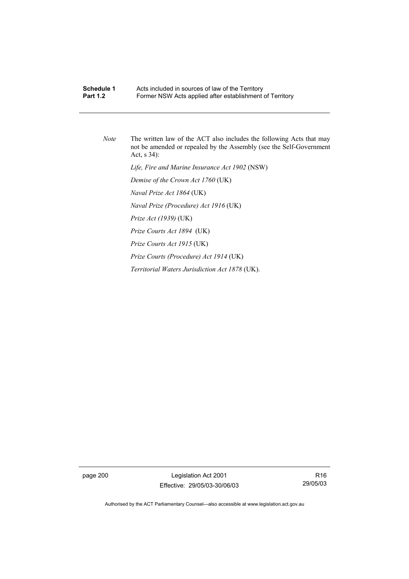#### **Schedule 1** Acts included in sources of law of the Territory<br>**Part 1.2** Former NSW Acts annied after establishment Former NSW Acts applied after establishment of Territory

*Note* The written law of the ACT also includes the following Acts that may not be amended or repealed by the Assembly (see the Self-Government Act, s 34):

 *Life, Fire and Marine Insurance Act 1902* (NSW)

 *Demise of the Crown Act 1760* (UK)

 *Naval Prize Act 1864* (UK)

 *Naval Prize (Procedure) Act 1916* (UK)

 *Prize Act (1939)* (UK)

 *Prize Courts Act 1894* (UK)

 *Prize Courts Act 1915* (UK)

 *Prize Courts (Procedure) Act 1914* (UK)

 *Territorial Waters Jurisdiction Act 1878* (UK).

page 200 Legislation Act 2001 Effective: 29/05/03-30/06/03

R16 29/05/03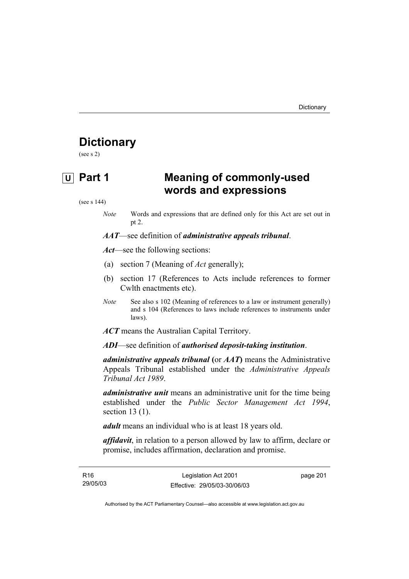# **Dictionary**

(see s 2)

# **U Part 1 Meaning of commonly-used words and expressions**

(see s 144)

*Note* Words and expressions that are defined only for this Act are set out in pt 2.

*AAT*—see definition of *administrative appeals tribunal*.

*Act*—see the following sections:

- (a) section 7 (Meaning of *Act* generally);
- (b) section 17 (References to Acts include references to former Cwlth enactments etc).
- *Note* See also s 102 (Meaning of references to a law or instrument generally) and s 104 (References to laws include references to instruments under laws).

*ACT* means the Australian Capital Territory.

*ADI*—see definition of *authorised deposit-taking institution*.

*administrative appeals tribunal* **(**or *AAT***)** means the Administrative Appeals Tribunal established under the *Administrative Appeals Tribunal Act 1989*.

*administrative unit* means an administrative unit for the time being established under the *Public Sector Management Act 1994*, section 13 (1).

*adult* means an individual who is at least 18 years old.

*affidavit*, in relation to a person allowed by law to affirm, declare or promise, includes affirmation, declaration and promise.

| R16      | Legislation Act 2001         | page 201 |
|----------|------------------------------|----------|
| 29/05/03 | Effective: 29/05/03-30/06/03 |          |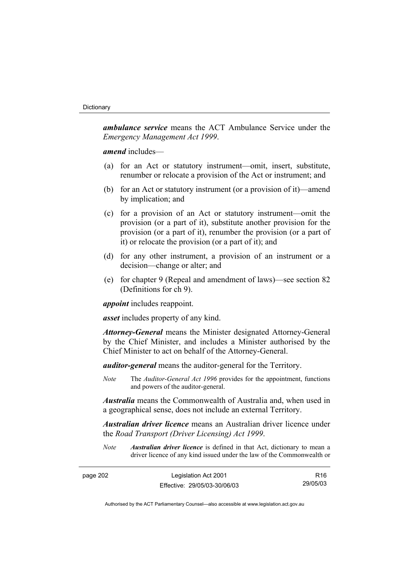#### **Dictionary**

*ambulance service* means the ACT Ambulance Service under the *Emergency Management Act 1999*.

*amend* includes—

- (a) for an Act or statutory instrument—omit, insert, substitute, renumber or relocate a provision of the Act or instrument; and
- (b) for an Act or statutory instrument (or a provision of it)—amend by implication; and
- (c) for a provision of an Act or statutory instrument—omit the provision (or a part of it), substitute another provision for the provision (or a part of it), renumber the provision (or a part of it) or relocate the provision (or a part of it); and
- (d) for any other instrument, a provision of an instrument or a decision—change or alter; and
- (e) for chapter 9 (Repeal and amendment of laws)—see section 82 (Definitions for ch 9).

*appoint* includes reappoint.

*asset* includes property of any kind.

*Attorney-General* means the Minister designated Attorney-General by the Chief Minister, and includes a Minister authorised by the Chief Minister to act on behalf of the Attorney-General.

*auditor-general* means the auditor-general for the Territory.

*Note* The *Auditor-General Act 1996* provides for the appointment, functions and powers of the auditor-general.

*Australia* means the Commonwealth of Australia and, when used in a geographical sense, does not include an external Territory.

*Australian driver licence* means an Australian driver licence under the *Road Transport (Driver Licensing) Act 1999*.

*Note Australian driver licence* is defined in that Act, dictionary to mean a driver licence of any kind issued under the law of the Commonwealth or

| page 202 | Legislation Act 2001         | R <sub>16</sub> |
|----------|------------------------------|-----------------|
|          | Effective: 29/05/03-30/06/03 | 29/05/03        |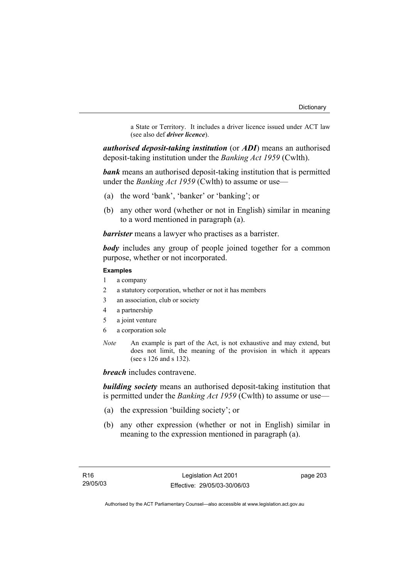a State or Territory. It includes a driver licence issued under ACT law (see also def *driver licence*).

*authorised deposit-taking institution* (or *ADI*) means an authorised deposit-taking institution under the *Banking Act 1959* (Cwlth).

*bank* means an authorised deposit-taking institution that is permitted under the *Banking Act 1959* (Cwlth) to assume or use—

- (a) the word 'bank', 'banker' or 'banking'; or
- (b) any other word (whether or not in English) similar in meaning to a word mentioned in paragraph (a).

*barrister* means a lawyer who practises as a barrister.

*body* includes any group of people joined together for a common purpose, whether or not incorporated.

#### **Examples**

- 1 a company
- 2 a statutory corporation, whether or not it has members
- 3 an association, club or society
- 4 a partnership
- 5 a joint venture
- 6 a corporation sole
- *Note* An example is part of the Act, is not exhaustive and may extend, but does not limit, the meaning of the provision in which it appears (see s 126 and s 132).

*breach* includes contravene.

*building society* means an authorised deposit-taking institution that is permitted under the *Banking Act 1959* (Cwlth) to assume or use—

- (a) the expression 'building society'; or
- (b) any other expression (whether or not in English) similar in meaning to the expression mentioned in paragraph (a).

page 203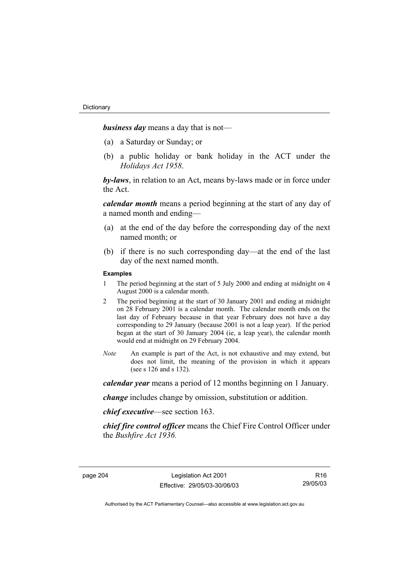*business day* means a day that is not—

- (a) a Saturday or Sunday; or
- (b) a public holiday or bank holiday in the ACT under the *Holidays Act 1958*.

*by-laws*, in relation to an Act, means by-laws made or in force under the Act.

*calendar month* means a period beginning at the start of any day of a named month and ending—

- (a) at the end of the day before the corresponding day of the next named month; or
- (b) if there is no such corresponding day—at the end of the last day of the next named month.

#### **Examples**

- 1 The period beginning at the start of 5 July 2000 and ending at midnight on 4 August 2000 is a calendar month.
- 2 The period beginning at the start of 30 January 2001 and ending at midnight on 28 February 2001 is a calendar month. The calendar month ends on the last day of February because in that year February does not have a day corresponding to 29 January (because 2001 is not a leap year). If the period began at the start of 30 January 2004 (ie, a leap year), the calendar month would end at midnight on 29 February 2004.
- *Note* An example is part of the Act, is not exhaustive and may extend, but does not limit, the meaning of the provision in which it appears (see s 126 and s 132).

*calendar year* means a period of 12 months beginning on 1 January.

*change* includes change by omission, substitution or addition.

*chief executive*—see section 163.

*chief fire control officer* means the Chief Fire Control Officer under the *Bushfire Act 1936.* 

R16 29/05/03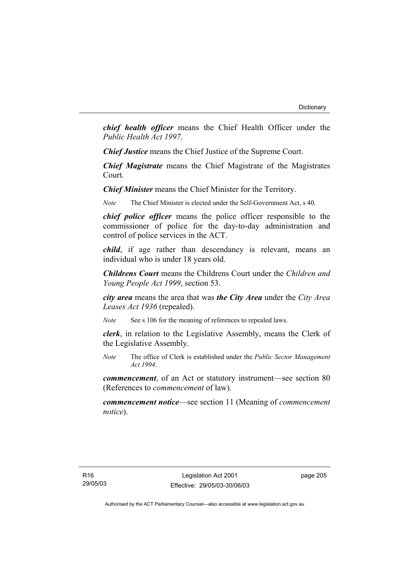*chief health officer* means the Chief Health Officer under the *Public Health Act 1997*.

*Chief Justice* means the Chief Justice of the Supreme Court.

*Chief Magistrate* means the Chief Magistrate of the Magistrates Court.

*Chief Minister* means the Chief Minister for the Territory.

*Note* The Chief Minister is elected under the Self-Government Act, s 40.

*chief police officer* means the police officer responsible to the commissioner of police for the day-to-day administration and control of police services in the ACT.

*child*, if age rather than descendancy is relevant, means an individual who is under 18 years old.

*Childrens Court* means the Childrens Court under the *Children and Young People Act 1999*, section 53.

*city area* means the area that was *the City Area* under the *City Area Leases Act 1936* (repealed).

*Note* See s 106 for the meaning of references to repealed laws.

*clerk*, in relation to the Legislative Assembly, means the Clerk of the Legislative Assembly.

*Note* The office of Clerk is established under the *Public Sector Management Act 1994*.

*commencement*, of an Act or statutory instrument—see section 80 (References to *commencement* of law).

*commencement notice*—see section 11 (Meaning of *commencement notice*).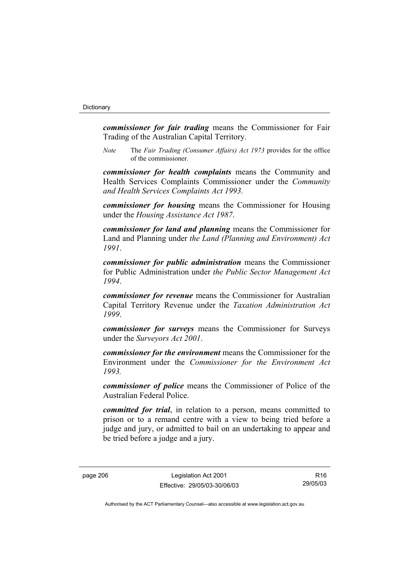*commissioner for fair trading* means the Commissioner for Fair Trading of the Australian Capital Territory.

*Note* The *Fair Trading (Consumer Affairs) Act 1973* provides for the office of the commissioner.

*commissioner for health complaints* means the Community and Health Services Complaints Commissioner under the *Community and Health Services Complaints Act 1993.* 

*commissioner for housing* means the Commissioner for Housing under the *Housing Assistance Act 1987*.

*commissioner for land and planning* means the Commissioner for Land and Planning under *the Land (Planning and Environment) Act 1991*.

*commissioner for public administration* means the Commissioner for Public Administration under *the Public Sector Management Act 1994*.

*commissioner for revenue* means the Commissioner for Australian Capital Territory Revenue under the *Taxation Administration Act 1999*.

*commissioner for surveys* means the Commissioner for Surveys under the *Surveyors Act 2001*.

*commissioner for the environment* means the Commissioner for the Environment under the *Commissioner for the Environment Act 1993.* 

*commissioner of police* means the Commissioner of Police of the Australian Federal Police.

*committed for trial*, in relation to a person, means committed to prison or to a remand centre with a view to being tried before a judge and jury, or admitted to bail on an undertaking to appear and be tried before a judge and a jury.

page 206 Legislation Act 2001 Effective: 29/05/03-30/06/03

R16 29/05/03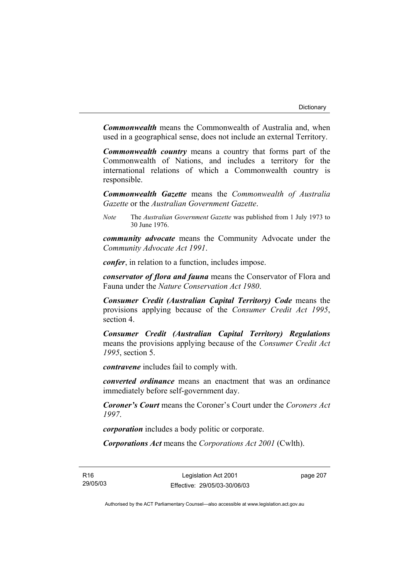*Commonwealth* means the Commonwealth of Australia and, when used in a geographical sense, does not include an external Territory.

*Commonwealth country* means a country that forms part of the Commonwealth of Nations, and includes a territory for the international relations of which a Commonwealth country is responsible.

*Commonwealth Gazette* means the *Commonwealth of Australia Gazette* or the *Australian Government Gazette*.

*Note* The *Australian Government Gazette* was published from 1 July 1973 to 30 June 1976.

*community advocate* means the Community Advocate under the *Community Advocate Act 1991*.

*confer*, in relation to a function, includes impose.

*conservator of flora and fauna* means the Conservator of Flora and Fauna under the *Nature Conservation Act 1980*.

*Consumer Credit (Australian Capital Territory) Code* means the provisions applying because of the *Consumer Credit Act 1995*, section 4.

*Consumer Credit (Australian Capital Territory) Regulations* means the provisions applying because of the *Consumer Credit Act 1995*, section 5.

*contravene* includes fail to comply with.

*converted ordinance* means an enactment that was an ordinance immediately before self-government day.

*Coroner's Court* means the Coroner's Court under the *Coroners Act 1997*.

*corporation* includes a body politic or corporate.

*Corporations Act* means the *Corporations Act 2001* (Cwlth).

R16 29/05/03

Legislation Act 2001 Effective: 29/05/03-30/06/03 page 207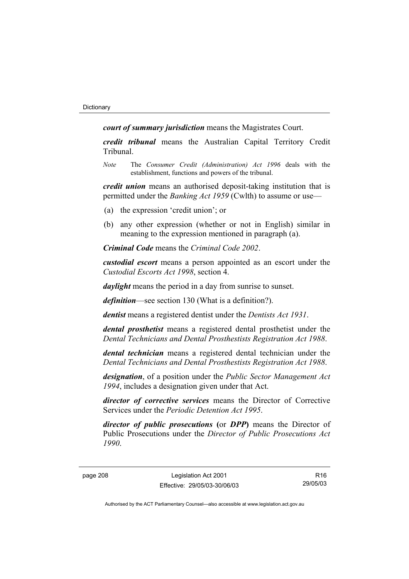*court of summary jurisdiction* means the Magistrates Court.

*credit tribunal* means the Australian Capital Territory Credit Tribunal.

*Note* The *Consumer Credit (Administration) Act 1996* deals with the establishment, functions and powers of the tribunal.

*credit union* means an authorised deposit-taking institution that is permitted under the *Banking Act 1959* (Cwlth) to assume or use—

- (a) the expression 'credit union'; or
- (b) any other expression (whether or not in English) similar in meaning to the expression mentioned in paragraph (a).

*Criminal Code* means the *Criminal Code 2002*.

*custodial escort* means a person appointed as an escort under the *Custodial Escorts Act 1998*, section 4.

*daylight* means the period in a day from sunrise to sunset.

*definition*—see section 130 (What is a definition?).

*dentist* means a registered dentist under the *Dentists Act 1931*.

*dental prosthetist* means a registered dental prosthetist under the *Dental Technicians and Dental Prosthestists Registration Act 1988*.

*dental technician* means a registered dental technician under the *Dental Technicians and Dental Prosthestists Registration Act 1988*.

*designation*, of a position under the *Public Sector Management Act 1994*, includes a designation given under that Act.

*director of corrective services* means the Director of Corrective Services under the *Periodic Detention Act 1995*.

*director of public prosecutions* **(**or *DPP***)** means the Director of Public Prosecutions under the *Director of Public Prosecutions Act 1990*.

page 208 Legislation Act 2001 Effective: 29/05/03-30/06/03

R16 29/05/03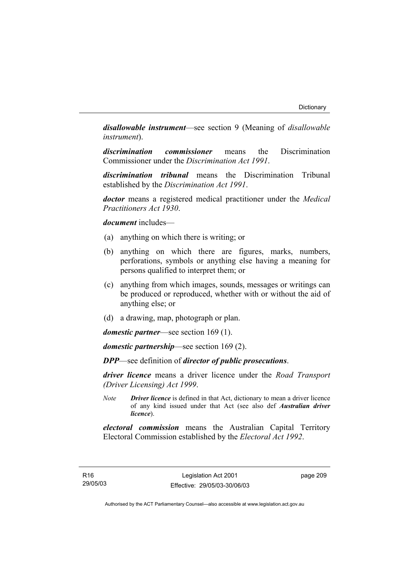*disallowable instrument*—see section 9 (Meaning of *disallowable instrument*).

*discrimination commissioner* means the Discrimination Commissioner under the *Discrimination Act 1991*.

*discrimination tribunal* means the Discrimination Tribunal established by the *Discrimination Act 1991*.

*doctor* means a registered medical practitioner under the *Medical Practitioners Act 1930*.

*document* includes—

- (a) anything on which there is writing; or
- (b) anything on which there are figures, marks, numbers, perforations, symbols or anything else having a meaning for persons qualified to interpret them; or
- (c) anything from which images, sounds, messages or writings can be produced or reproduced, whether with or without the aid of anything else; or
- (d) a drawing, map, photograph or plan.

*domestic partner*—see section 169 (1).

*domestic partnership*—see section 169 (2).

*DPP*—see definition of *director of public prosecutions*.

*driver licence* means a driver licence under the *Road Transport (Driver Licensing) Act 1999*.

*Note Driver licence* is defined in that Act, dictionary to mean a driver licence of any kind issued under that Act (see also def *Australian driver licence*).

*electoral commission* means the Australian Capital Territory Electoral Commission established by the *Electoral Act 1992*.

page 209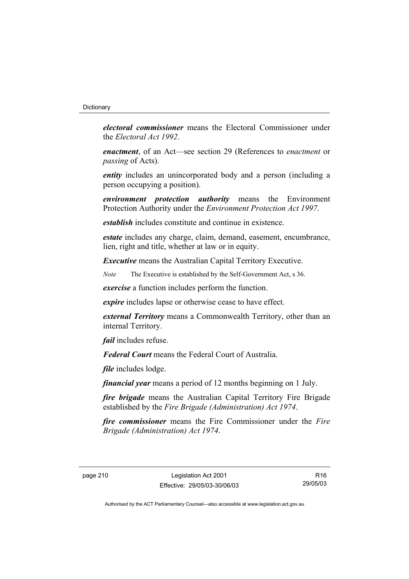#### **Dictionary**

*electoral commissioner* means the Electoral Commissioner under the *Electoral Act 1992*.

*enactment*, of an Act—see section 29 (References to *enactment* or *passing* of Acts).

*entity* includes an unincorporated body and a person (including a person occupying a position).

*environment protection authority* means the Environment Protection Authority under the *Environment Protection Act 1997*.

*establish* includes constitute and continue in existence.

*estate* includes any charge, claim, demand, easement, encumbrance, lien, right and title, whether at law or in equity.

*Executive* means the Australian Capital Territory Executive.

*Note* The Executive is established by the Self-Government Act, s 36.

*exercise* a function includes perform the function.

*expire* includes lapse or otherwise cease to have effect.

*external Territory* means a Commonwealth Territory, other than an internal Territory.

*fail* includes refuse.

*Federal Court* means the Federal Court of Australia.

*file* includes lodge.

*financial year* means a period of 12 months beginning on 1 July.

*fire brigade* means the Australian Capital Territory Fire Brigade established by the *Fire Brigade (Administration) Act 1974*.

*fire commissioner* means the Fire Commissioner under the *Fire Brigade (Administration) Act 1974*.

R16 29/05/03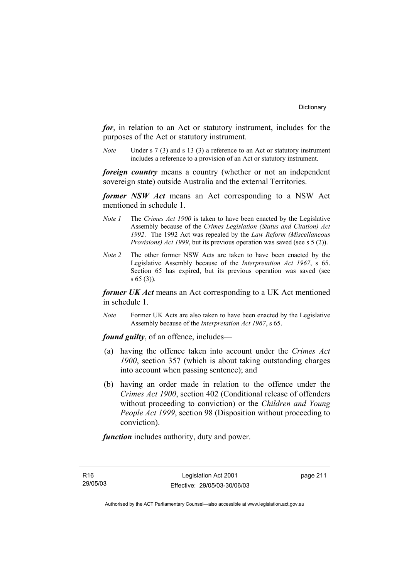*for*, in relation to an Act or statutory instrument, includes for the purposes of the Act or statutory instrument.

*Note* Under s 7 (3) and s 13 (3) a reference to an Act or statutory instrument includes a reference to a provision of an Act or statutory instrument.

*foreign country* means a country (whether or not an independent sovereign state) outside Australia and the external Territories.

*former NSW Act* means an Act corresponding to a NSW Act mentioned in schedule 1.

- *Note 1* The *Crimes Act 1900* is taken to have been enacted by the Legislative Assembly because of the *Crimes Legislation (Status and Citation) Act 1992*. The 1992 Act was repealed by the *Law Reform (Miscellaneous Provisions) Act 1999*, but its previous operation was saved (see s 5 (2)).
- *Note 2* The other former NSW Acts are taken to have been enacted by the Legislative Assembly because of the *Interpretation Act 1967*, s 65. Section 65 has expired, but its previous operation was saved (see s 65 (3)).

*former UK Act* means an Act corresponding to a UK Act mentioned in schedule 1.

*Note* Former UK Acts are also taken to have been enacted by the Legislative Assembly because of the *Interpretation Act 1967*, s 65.

*found guilty*, of an offence, includes—

- (a) having the offence taken into account under the *Crimes Act 1900*, section 357 (which is about taking outstanding charges into account when passing sentence); and
- (b) having an order made in relation to the offence under the *Crimes Act 1900*, section 402 (Conditional release of offenders without proceeding to conviction) or the *Children and Young People Act 1999*, section 98 (Disposition without proceeding to conviction).

*function* includes authority, duty and power.

R16 29/05/03 page 211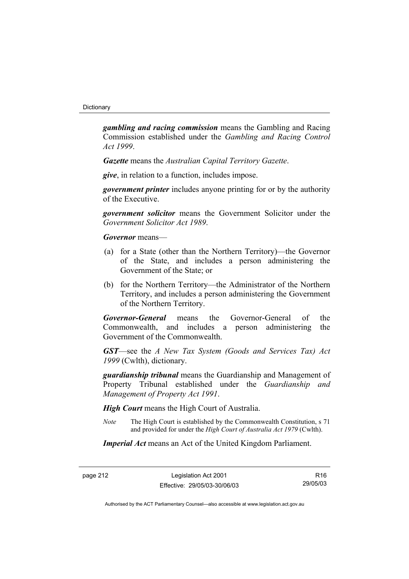*gambling and racing commission* means the Gambling and Racing Commission established under the *Gambling and Racing Control Act 1999*.

*Gazette* means the *Australian Capital Territory Gazette*.

*give*, in relation to a function, includes impose.

*government printer* includes anyone printing for or by the authority of the Executive.

*government solicitor* means the Government Solicitor under the *Government Solicitor Act 1989*.

*Governor* means—

- (a) for a State (other than the Northern Territory)—the Governor of the State, and includes a person administering the Government of the State; or
- (b) for the Northern Territory—the Administrator of the Northern Territory, and includes a person administering the Government of the Northern Territory.

*Governor-General* means the Governor-General of the Commonwealth, and includes a person administering the Government of the Commonwealth.

*GST*—see the *A New Tax System (Goods and Services Tax) Act 1999* (Cwlth), dictionary.

*guardianship tribunal* means the Guardianship and Management of Property Tribunal established under the *Guardianship and Management of Property Act 1991*.

*High Court* means the High Court of Australia.

*Note* The High Court is established by the Commonwealth Constitution, s 71 and provided for under the *High Court of Australia Act 1979* (Cwlth).

*Imperial Act* means an Act of the United Kingdom Parliament.

page 212 Legislation Act 2001 Effective: 29/05/03-30/06/03

R16 29/05/03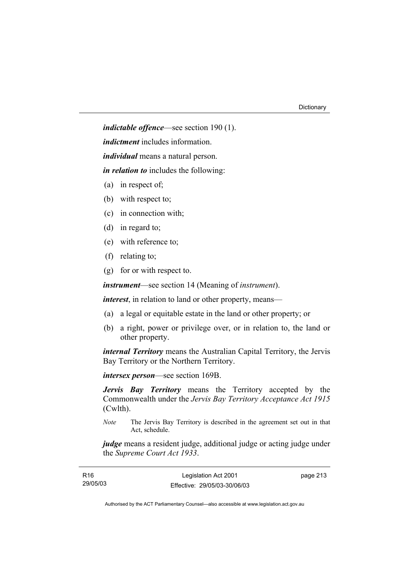*indictable offence*—see section 190 (1).

*indictment* includes information.

*individual* means a natural person.

*in relation to* includes the following:

- (a) in respect of;
- (b) with respect to;
- (c) in connection with;
- (d) in regard to;
- (e) with reference to;
- (f) relating to;
- (g) for or with respect to.

*instrument*—see section 14 (Meaning of *instrument*).

*interest*, in relation to land or other property, means—

- (a) a legal or equitable estate in the land or other property; or
- (b) a right, power or privilege over, or in relation to, the land or other property.

*internal Territory* means the Australian Capital Territory, the Jervis Bay Territory or the Northern Territory.

*intersex person*—see section 169B.

*Jervis Bay Territory* means the Territory accepted by the Commonwealth under the *Jervis Bay Territory Acceptance Act 1915* (Cwlth).

*Note* The Jervis Bay Territory is described in the agreement set out in that Act, schedule.

*judge* means a resident judge, additional judge or acting judge under the *Supreme Court Act 1933*.

| R16      | Legislation Act 2001         | page 213 |
|----------|------------------------------|----------|
| 29/05/03 | Effective: 29/05/03-30/06/03 |          |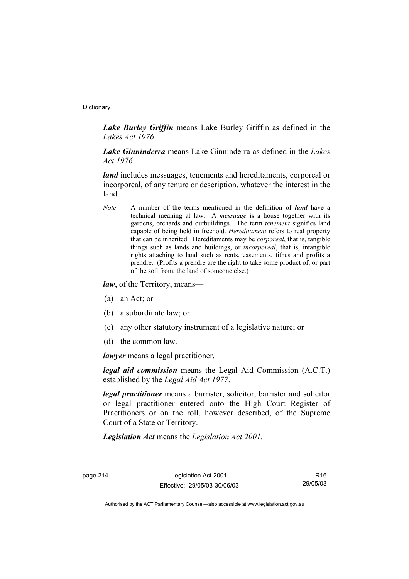#### **Dictionary**

*Lake Burley Griffin* means Lake Burley Griffin as defined in the *Lakes Act 1976*.

*Lake Ginninderra* means Lake Ginninderra as defined in the *Lakes Act 1976*.

*land* includes messuages, tenements and hereditaments, corporeal or incorporeal, of any tenure or description, whatever the interest in the land.

*Note* A number of the terms mentioned in the definition of *land* have a technical meaning at law. A *messuage* is a house together with its gardens, orchards and outbuildings. The term *tenement* signifies land capable of being held in freehold. *Hereditament* refers to real property that can be inherited. Hereditaments may be *corporeal*, that is, tangible things such as lands and buildings, or *incorporeal*, that is, intangible rights attaching to land such as rents, easements, tithes and profits a prendre. (Profits a prendre are the right to take some product of, or part of the soil from, the land of someone else.)

*law*, of the Territory, means—

- (a) an Act; or
- (b) a subordinate law; or
- (c) any other statutory instrument of a legislative nature; or
- (d) the common law.

*lawyer* means a legal practitioner.

*legal aid commission* means the Legal Aid Commission (A.C.T.) established by the *Legal Aid Act 1977*.

*legal practitioner* means a barrister, solicitor, barrister and solicitor or legal practitioner entered onto the High Court Register of Practitioners or on the roll, however described, of the Supreme Court of a State or Territory.

*Legislation Act* means the *Legislation Act 2001*.

page 214 Legislation Act 2001 Effective: 29/05/03-30/06/03

R16 29/05/03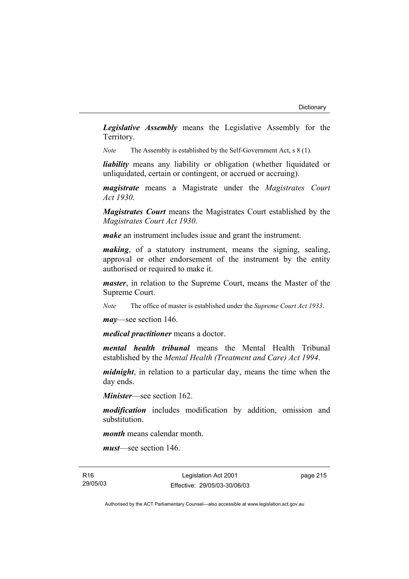*Legislative Assembly* means the Legislative Assembly for the Territory.

*Note* The Assembly is established by the Self-Government Act, s 8 (1).

*liability* means any liability or obligation (whether liquidated or unliquidated, certain or contingent, or accrued or accruing).

*magistrate* means a Magistrate under the *Magistrates Court Act 1930*.

*Magistrates Court* means the Magistrates Court established by the *Magistrates Court Act 1930*.

*make* an instrument includes issue and grant the instrument.

*making*, of a statutory instrument, means the signing, sealing, approval or other endorsement of the instrument by the entity authorised or required to make it.

*master*, in relation to the Supreme Court, means the Master of the Supreme Court.

*Note* The office of master is established under the *Supreme Court Act 1933*.

*may*—see section 146.

*medical practitioner* means a doctor.

*mental health tribunal* means the Mental Health Tribunal established by the *Mental Health (Treatment and Care) Act 1994*.

*midnight*, in relation to a particular day, means the time when the day ends.

*Minister*—see section 162.

*modification* includes modification by addition, omission and substitution.

*month* means calendar month.

*must*—see section 146.

R16 29/05/03

Legislation Act 2001 Effective: 29/05/03-30/06/03 page 215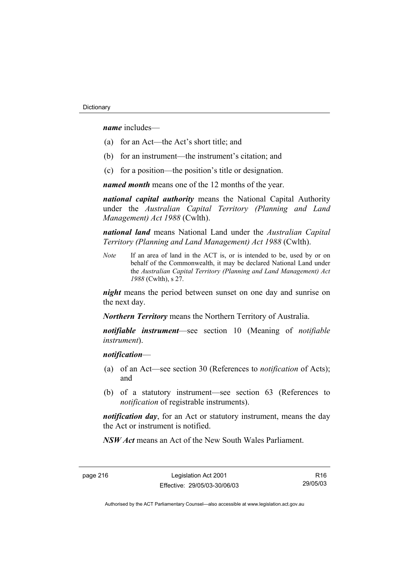*name* includes—

- (a) for an Act—the Act's short title; and
- (b) for an instrument—the instrument's citation; and
- (c) for a position—the position's title or designation.

*named month* means one of the 12 months of the year.

*national capital authority* means the National Capital Authority under the *Australian Capital Territory (Planning and Land Management) Act 1988* (Cwlth).

*national land* means National Land under the *Australian Capital Territory (Planning and Land Management) Act 1988* (Cwlth).

*Note* If an area of land in the ACT is, or is intended to be, used by or on behalf of the Commonwealth, it may be declared National Land under the *Australian Capital Territory (Planning and Land Management) Act 1988* (Cwlth), s 27.

*night* means the period between sunset on one day and sunrise on the next day.

*Northern Territory* means the Northern Territory of Australia.

*notifiable instrument*—see section 10 (Meaning of *notifiable instrument*).

### *notification*—

- (a) of an Act—see section 30 (References to *notification* of Acts); and
- (b) of a statutory instrument—see section 63 (References to *notification* of registrable instruments).

*notification day*, for an Act or statutory instrument, means the day the Act or instrument is notified.

*NSW Act* means an Act of the New South Wales Parliament.

page 216 Legislation Act 2001 Effective: 29/05/03-30/06/03

R16 29/05/03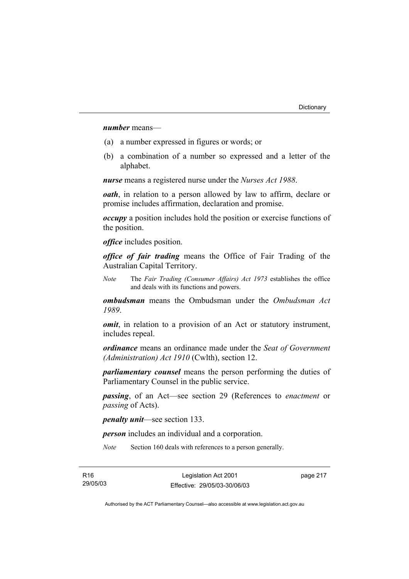### *number* means—

- (a) a number expressed in figures or words; or
- (b) a combination of a number so expressed and a letter of the alphabet.

*nurse* means a registered nurse under the *Nurses Act 1988*.

*oath*, in relation to a person allowed by law to affirm, declare or promise includes affirmation, declaration and promise.

*occupy* a position includes hold the position or exercise functions of the position.

*office* includes position.

*office of fair trading* means the Office of Fair Trading of the Australian Capital Territory.

*Note* The *Fair Trading (Consumer Affairs) Act 1973* establishes the office and deals with its functions and powers.

*ombudsman* means the Ombudsman under the *Ombudsman Act 1989*.

*omit*, in relation to a provision of an Act or statutory instrument, includes repeal.

*ordinance* means an ordinance made under the *Seat of Government (Administration) Act 1910* (Cwlth), section 12.

*parliamentary counsel* means the person performing the duties of Parliamentary Counsel in the public service.

*passing*, of an Act—see section 29 (References to *enactment* or *passing* of Acts).

*penalty unit*—see section 133.

*person* includes an individual and a corporation.

*Note* Section 160 deals with references to a person generally.

page 217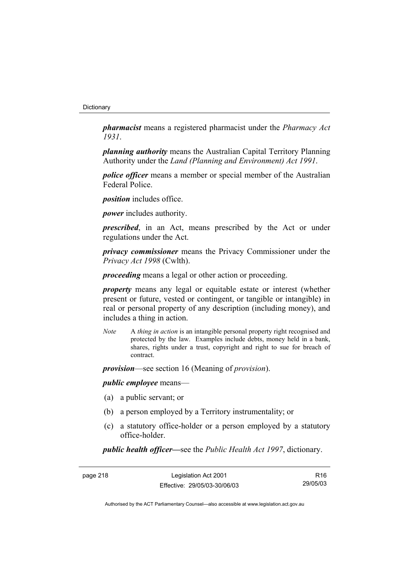*pharmacist* means a registered pharmacist under the *Pharmacy Act 1931*.

*planning authority* means the Australian Capital Territory Planning Authority under the *Land (Planning and Environment) Act 1991*.

*police officer* means a member or special member of the Australian Federal Police.

*position* includes office.

*power* includes authority.

*prescribed*, in an Act, means prescribed by the Act or under regulations under the Act.

*privacy commissioner* means the Privacy Commissioner under the *Privacy Act 1998* (Cwlth).

*proceeding* means a legal or other action or proceeding.

*property* means any legal or equitable estate or interest (whether present or future, vested or contingent, or tangible or intangible) in real or personal property of any description (including money), and includes a thing in action.

*Note* A *thing in action* is an intangible personal property right recognised and protected by the law. Examples include debts, money held in a bank, shares, rights under a trust, copyright and right to sue for breach of contract.

*provision*—see section 16 (Meaning of *provision*).

*public employee* means—

- (a) a public servant; or
- (b) a person employed by a Territory instrumentality; or
- (c) a statutory office-holder or a person employed by a statutory office-holder.

*public health officer—*see the *Public Health Act 1997*, dictionary.

page 218 Legislation Act 2001 Effective: 29/05/03-30/06/03

R16 29/05/03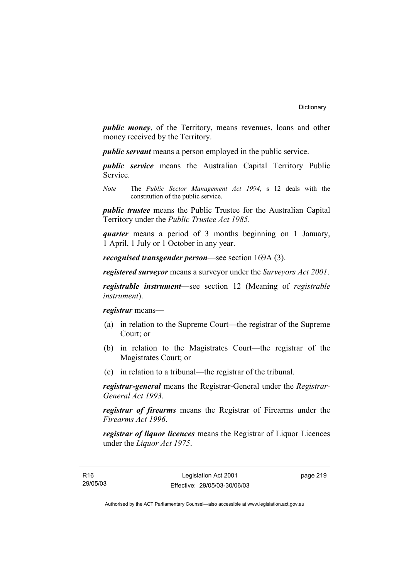*public money*, of the Territory, means revenues, loans and other money received by the Territory.

*public servant* means a person employed in the public service.

*public service* means the Australian Capital Territory Public Service.

*Note* The *Public Sector Management Act 1994*, s 12 deals with the constitution of the public service.

*public trustee* means the Public Trustee for the Australian Capital Territory under the *Public Trustee Act 1985*.

*quarter* means a period of 3 months beginning on 1 January, 1 April, 1 July or 1 October in any year.

*recognised transgender person*—see section 169A (3).

*registered surveyor* means a surveyor under the *Surveyors Act 2001*.

*registrable instrument*—see section 12 (Meaning of *registrable instrument*).

*registrar* means—

- (a) in relation to the Supreme Court—the registrar of the Supreme Court; or
- (b) in relation to the Magistrates Court—the registrar of the Magistrates Court; or
- (c) in relation to a tribunal—the registrar of the tribunal.

*registrar-general* means the Registrar-General under the *Registrar-General Act 1993*.

*registrar of firearms* means the Registrar of Firearms under the *Firearms Act 1996*.

*registrar of liquor licences* means the Registrar of Liquor Licences under the *Liquor Act 1975*.

page 219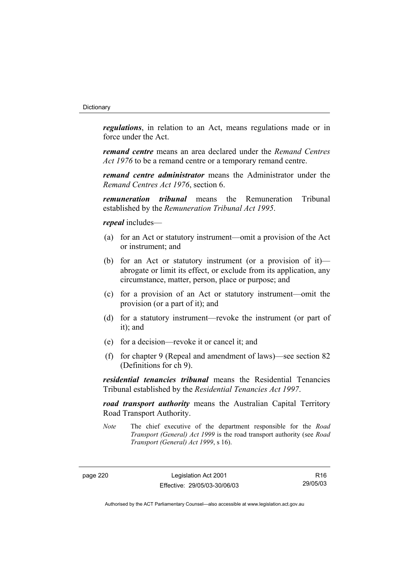*regulations*, in relation to an Act, means regulations made or in force under the Act.

*remand centre* means an area declared under the *Remand Centres Act 1976* to be a remand centre or a temporary remand centre.

*remand centre administrator* means the Administrator under the *Remand Centres Act 1976*, section 6.

*remuneration tribunal* means the Remuneration Tribunal established by the *Remuneration Tribunal Act 1995*.

*repeal* includes—

- (a) for an Act or statutory instrument—omit a provision of the Act or instrument; and
- (b) for an Act or statutory instrument (or a provision of it) abrogate or limit its effect, or exclude from its application, any circumstance, matter, person, place or purpose; and
- (c) for a provision of an Act or statutory instrument—omit the provision (or a part of it); and
- (d) for a statutory instrument—revoke the instrument (or part of it); and
- (e) for a decision—revoke it or cancel it; and
- (f) for chapter 9 (Repeal and amendment of laws)—see section 82 (Definitions for ch 9).

*residential tenancies tribunal* means the Residential Tenancies Tribunal established by the *Residential Tenancies Act 1997*.

*road transport authority* means the Australian Capital Territory Road Transport Authority.

*Note* The chief executive of the department responsible for the *Road Transport (General) Act 1999* is the road transport authority (see *Road Transport (General) Act 1999*, s 16).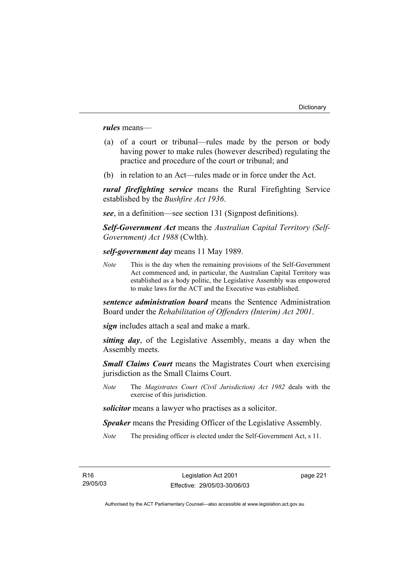*rules* means—

- (a) of a court or tribunal—rules made by the person or body having power to make rules (however described) regulating the practice and procedure of the court or tribunal; and
- (b) in relation to an Act—rules made or in force under the Act.

*rural firefighting service* means the Rural Firefighting Service established by the *Bushfire Act 1936*.

*see*, in a definition—see section 131 (Signpost definitions).

*Self-Government Act* means the *Australian Capital Territory (Self-Government) Act 1988* (Cwlth).

*self-government day* means 11 May 1989.

*Note* This is the day when the remaining provisions of the Self-Government Act commenced and, in particular, the Australian Capital Territory was established as a body politic, the Legislative Assembly was empowered to make laws for the ACT and the Executive was established.

*sentence administration board* means the Sentence Administration Board under the *Rehabilitation of Offenders (Interim) Act 2001*.

*sign* includes attach a seal and make a mark.

*sitting day*, of the Legislative Assembly, means a day when the Assembly meets.

*Small Claims Court* means the Magistrates Court when exercising jurisdiction as the Small Claims Court.

*Note* The *Magistrates Court (Civil Jurisdiction) Act 1982* deals with the exercise of this jurisdiction.

*solicitor* means a lawyer who practises as a solicitor.

*Speaker* means the Presiding Officer of the Legislative Assembly.

*Note* The presiding officer is elected under the Self-Government Act, s 11.

page 221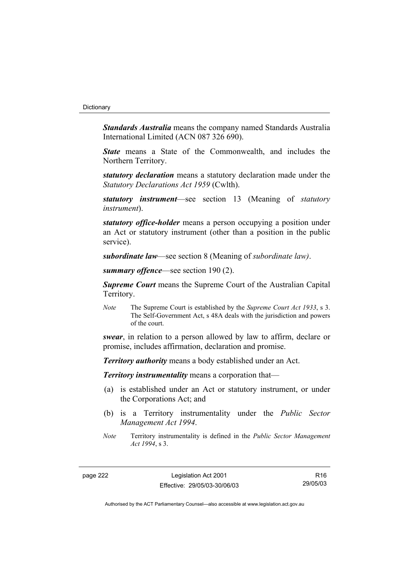#### **Dictionary**

*Standards Australia* means the company named Standards Australia International Limited (ACN 087 326 690).

*State* means a State of the Commonwealth, and includes the Northern Territory.

*statutory declaration* means a statutory declaration made under the *Statutory Declarations Act 1959* (Cwlth).

*statutory instrument*—see section 13 (Meaning of *statutory instrument*).

*statutory office-holder* means a person occupying a position under an Act or statutory instrument (other than a position in the public service).

*subordinate law*—see section 8 (Meaning of *subordinate law)*.

*summary offence*—see section 190 (2).

*Supreme Court* means the Supreme Court of the Australian Capital Territory.

*Note* The Supreme Court is established by the *Supreme Court Act 1933*, s 3. The Self-Government Act, s 48A deals with the jurisdiction and powers of the court.

*swear*, in relation to a person allowed by law to affirm, declare or promise, includes affirmation, declaration and promise.

*Territory authority* means a body established under an Act.

*Territory instrumentality* means a corporation that—

- (a) is established under an Act or statutory instrument, or under the Corporations Act; and
- (b) is a Territory instrumentality under the *Public Sector Management Act 1994*.
- *Note* Territory instrumentality is defined in the *Public Sector Management Act 1994*, s 3.

page 222 Legislation Act 2001 Effective: 29/05/03-30/06/03

R16 29/05/03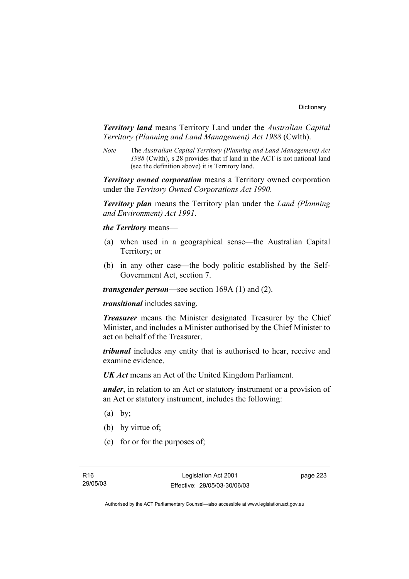*Territory land* means Territory Land under the *Australian Capital Territory (Planning and Land Management) Act 1988* (Cwlth).

*Note* The *Australian Capital Territory (Planning and Land Management) Act 1988* (Cwlth), s 28 provides that if land in the ACT is not national land (see the definition above) it is Territory land.

*Territory owned corporation* means a Territory owned corporation under the *Territory Owned Corporations Act 1990*.

*Territory plan* means the Territory plan under the *Land (Planning and Environment) Act 1991*.

*the Territory* means—

- (a) when used in a geographical sense—the Australian Capital Territory; or
- (b) in any other case—the body politic established by the Self-Government Act, section 7.

*transgender person*—see section 169A (1) and (2).

*transitional* includes saving.

*Treasurer* means the Minister designated Treasurer by the Chief Minister, and includes a Minister authorised by the Chief Minister to act on behalf of the Treasurer.

*tribunal* includes any entity that is authorised to hear, receive and examine evidence.

*UK Act* means an Act of the United Kingdom Parliament.

*under*, in relation to an Act or statutory instrument or a provision of an Act or statutory instrument, includes the following:

- $(a)$  by;
- (b) by virtue of;
- (c) for or for the purposes of;

page 223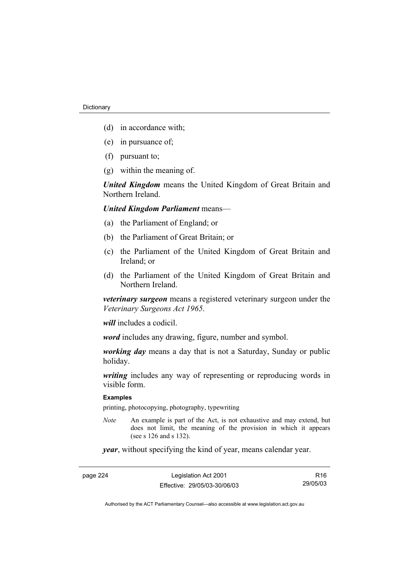- (d) in accordance with;
- (e) in pursuance of;
- (f) pursuant to;
- (g) within the meaning of.

*United Kingdom* means the United Kingdom of Great Britain and Northern Ireland.

# *United Kingdom Parliament* means—

- (a) the Parliament of England; or
- (b) the Parliament of Great Britain; or
- (c) the Parliament of the United Kingdom of Great Britain and Ireland; or
- (d) the Parliament of the United Kingdom of Great Britain and Northern Ireland.

*veterinary surgeon* means a registered veterinary surgeon under the *Veterinary Surgeons Act 1965*.

*will* includes a codicil.

*word* includes any drawing, figure, number and symbol.

*working day* means a day that is not a Saturday, Sunday or public holiday.

*writing* includes any way of representing or reproducing words in visible form.

#### **Examples**

printing, photocopying, photography, typewriting

*Note* An example is part of the Act, is not exhaustive and may extend, but does not limit, the meaning of the provision in which it appears (see s 126 and s 132).

*year*, without specifying the kind of year, means calendar year.

page 224 Legislation Act 2001 Effective: 29/05/03-30/06/03 R16 29/05/03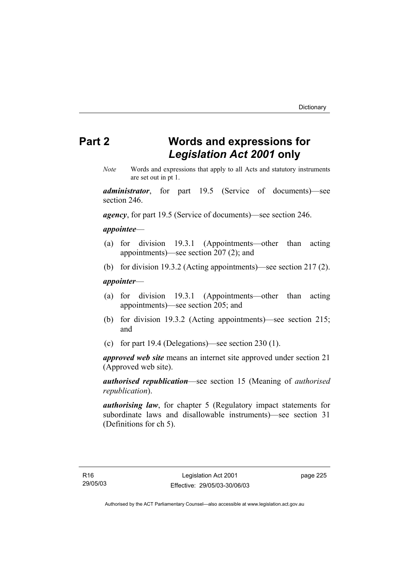# **Part 2 Words and expressions for**  *Legislation Act 2001* **only**

*Note* Words and expressions that apply to all Acts and statutory instruments are set out in pt 1.

*administrator*, for part 19.5 (Service of documents)—see section 246.

*agency*, for part 19.5 (Service of documents)—see section 246.

### *appointee*—

- (a) for division 19.3.1 (Appointments—other than acting appointments)—see section 207 (2); and
- (b) for division 19.3.2 (Acting appointments)—see section 217 (2).

# *appointer*—

- (a) for division 19.3.1 (Appointments—other than acting appointments)—see section 205; and
- (b) for division 19.3.2 (Acting appointments)—see section 215; and
- (c) for part 19.4 (Delegations)—see section 230 (1).

*approved web site* means an internet site approved under section 21 (Approved web site).

*authorised republication*—see section 15 (Meaning of *authorised republication*).

*authorising law*, for chapter 5 (Regulatory impact statements for subordinate laws and disallowable instruments)—see section 31 (Definitions for ch 5).

page 225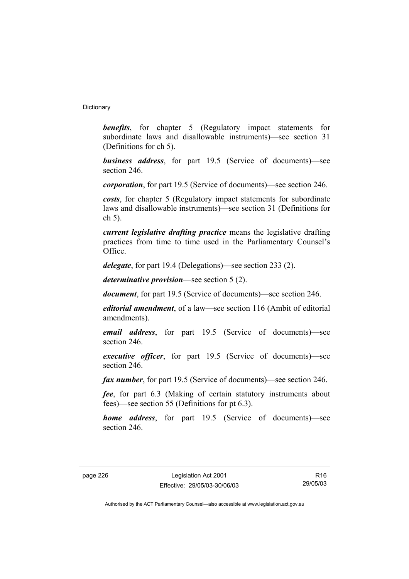#### **Dictionary**

**benefits**, for chapter 5 (Regulatory impact statements for subordinate laws and disallowable instruments)—see section 31 (Definitions for ch 5).

*business address*, for part 19.5 (Service of documents)—see section 246.

*corporation*, for part 19.5 (Service of documents)—see section 246.

*costs*, for chapter 5 (Regulatory impact statements for subordinate laws and disallowable instruments)—see section 31 (Definitions for ch 5).

*current legislative drafting practice* means the legislative drafting practices from time to time used in the Parliamentary Counsel's Office.

*delegate*, for part 19.4 (Delegations)—see section 233 (2).

*determinative provision*—see section 5 (2).

*document*, for part 19.5 (Service of documents)—see section 246.

*editorial amendment*, of a law—see section 116 (Ambit of editorial amendments).

*email address*, for part 19.5 (Service of documents)—see section 246.

*executive officer*, for part 19.5 (Service of documents)—see section 246.

*fax number*, for part 19.5 (Service of documents)—see section 246.

*fee*, for part 6.3 (Making of certain statutory instruments about fees)—see section 55 (Definitions for pt 6.3).

*home address*, for part 19.5 (Service of documents)—see section 246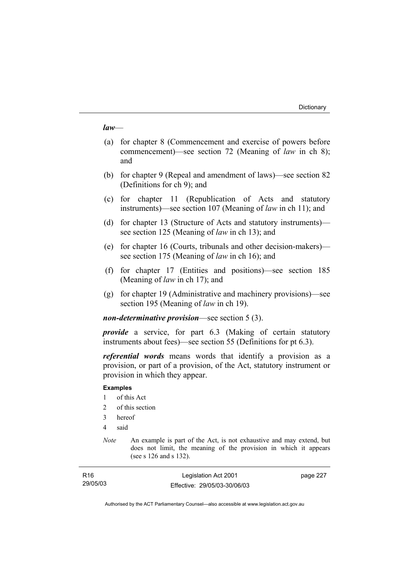#### *law*—

- (a) for chapter 8 (Commencement and exercise of powers before commencement)—see section 72 (Meaning of *law* in ch 8); and
- (b) for chapter 9 (Repeal and amendment of laws)—see section 82 (Definitions for ch 9); and
- (c) for chapter 11 (Republication of Acts and statutory instruments)—see section 107 (Meaning of *law* in ch 11); and
- (d) for chapter 13 (Structure of Acts and statutory instruments) see section 125 (Meaning of *law* in ch 13); and
- (e) for chapter 16 (Courts, tribunals and other decision-makers) see section 175 (Meaning of *law* in ch 16); and
- (f) for chapter 17 (Entities and positions)—see section 185 (Meaning of *law* in ch 17); and
- (g) for chapter 19 (Administrative and machinery provisions)—see section 195 (Meaning of *law* in ch 19).

*non-determinative provision*—see section 5 (3).

*provide* a service, for part 6.3 (Making of certain statutory instruments about fees)—see section 55 (Definitions for pt 6.3).

*referential words* means words that identify a provision as a provision, or part of a provision, of the Act, statutory instrument or provision in which they appear.

### **Examples**

- 1 of this Act
- 2 of this section
- 3 hereof
- 4 said
- *Note* An example is part of the Act, is not exhaustive and may extend, but does not limit, the meaning of the provision in which it appears (see s 126 and s 132).

| R16      | Legislation Act 2001         | page 227 |
|----------|------------------------------|----------|
| 29/05/03 | Effective: 29/05/03-30/06/03 |          |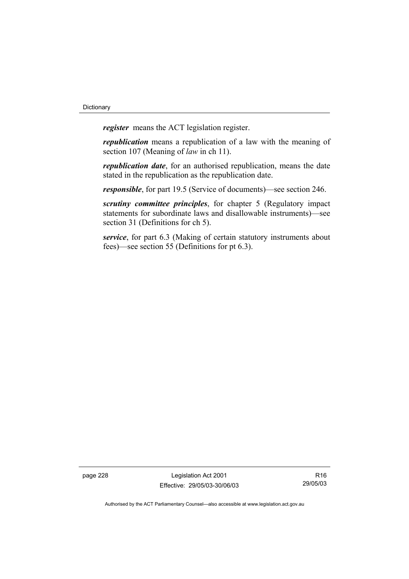*register* means the ACT legislation register.

*republication* means a republication of a law with the meaning of section 107 (Meaning of *law* in ch 11).

*republication date*, for an authorised republication, means the date stated in the republication as the republication date.

*responsible*, for part 19.5 (Service of documents)—see section 246.

*scrutiny committee principles*, for chapter 5 (Regulatory impact statements for subordinate laws and disallowable instruments)—see section 31 (Definitions for ch 5).

*service*, for part 6.3 (Making of certain statutory instruments about fees)—see section 55 (Definitions for pt 6.3).

page 228 Legislation Act 2001 Effective: 29/05/03-30/06/03

R16 29/05/03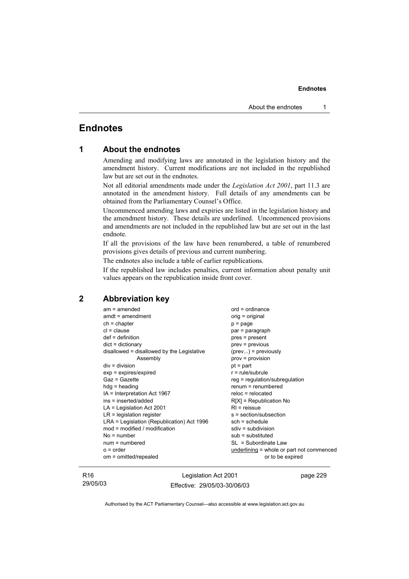# **Endnotes**

| 1 |  |  | <b>About the endnotes</b> |
|---|--|--|---------------------------|
|---|--|--|---------------------------|

Amending and modifying laws are annotated in the legislation history and the amendment history. Current modifications are not included in the republished law but are set out in the endnotes.

Not all editorial amendments made under the *Legislation Act 2001*, part 11.3 are annotated in the amendment history. Full details of any amendments can be obtained from the Parliamentary Counsel's Office.

Uncommenced amending laws and expiries are listed in the legislation history and the amendment history. These details are underlined. Uncommenced provisions and amendments are not included in the republished law but are set out in the last endnote.

If all the provisions of the law have been renumbered, a table of renumbered provisions gives details of previous and current numbering.

The endnotes also include a table of earlier republications.

If the republished law includes penalties, current information about penalty unit values appears on the republication inside front cover.

# **2 Abbreviation key**

| $am = amended$                             | $ord = ordinance$                         |
|--------------------------------------------|-------------------------------------------|
| $amdt = amendment$                         | orig = original                           |
| $ch = chapter$                             | $p = page$                                |
| $cl = clause$                              | par = paragraph                           |
| $def = definition$                         | pres = present                            |
| $dict = dictionary$                        | $prev = previous$                         |
| disallowed = disallowed by the Legislative | $(\text{prev})$ = previously              |
| Assembly                                   | $prov = provision$                        |
| $div = division$                           | $pt = part$                               |
| $exp = expires/expired$                    | $r = rule/subrule$                        |
| Gaz = Gazette                              | $reg = regulation/subregulation$          |
| $hdg =$ heading                            | $remum = renumbered$                      |
| $IA = Interpretation Act 1967$             | $reloc = relocated$                       |
| ins = inserted/added                       | $R[X]$ = Republication No                 |
| $LA =$ Legislation Act 2001                | $RI =$ reissue                            |
| $LR =$ legislation register                | s = section/subsection                    |
| LRA = Legislation (Republication) Act 1996 | $sch = schedule$                          |
| $mod = modified / modified$                | $sdiv = subdivision$                      |
| $No = number$                              | $sub =$ substituted                       |
| $num = numbered$                           | $SL = Subordinate Law$                    |
| $o = order$                                | underlining = whole or part not commenced |
| om = omitted/repealed                      | or to be expired                          |
|                                            |                                           |

R16 29/05/03

Legislation Act 2001 Effective: 29/05/03-30/06/03 page 229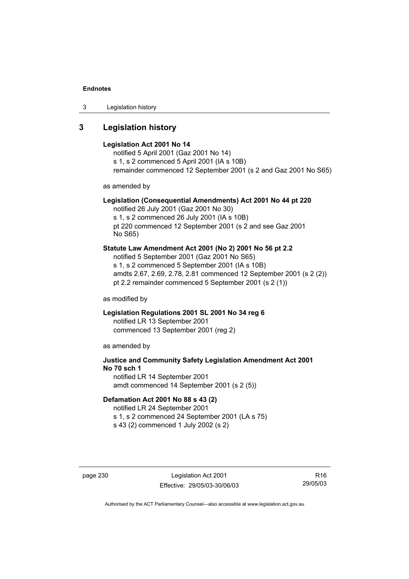3 Legislation history

# **3 Legislation history**

#### **Legislation Act 2001 No 14**

notified 5 April 2001 (Gaz 2001 No 14) s 1, s 2 commenced 5 April 2001 (IA s 10B) remainder commenced 12 September 2001 (s 2 and Gaz 2001 No S65)

as amended by

#### **Legislation (Consequential Amendments) Act 2001 No 44 pt 220**

notified 26 July 2001 (Gaz 2001 No 30) s 1, s 2 commenced 26 July 2001 (IA s 10B) pt 220 commenced 12 September 2001 (s 2 and see Gaz 2001 No S65)

#### **Statute Law Amendment Act 2001 (No 2) 2001 No 56 pt 2.2**

notified 5 September 2001 (Gaz 2001 No S65) s 1, s 2 commenced 5 September 2001 (IA s 10B) amdts 2.67, 2.69, 2.78, 2.81 commenced 12 September 2001 (s 2 (2)) pt 2.2 remainder commenced 5 September 2001 (s 2 (1))

as modified by

#### **Legislation Regulations 2001 SL 2001 No 34 reg 6**  notified LR 13 September 2001 commenced 13 September 2001 (reg 2)

as amended by

# **Justice and Community Safety Legislation Amendment Act 2001 No 70 sch 1**  notified LR 14 September 2001

amdt commenced 14 September 2001 (s 2 (5))

#### **Defamation Act 2001 No 88 s 43 (2)**

notified LR 24 September 2001 s 1, s 2 commenced 24 September 2001 (LA s 75) s 43 (2) commenced 1 July 2002 (s 2)

page 230 Legislation Act 2001 Effective: 29/05/03-30/06/03

R16 29/05/03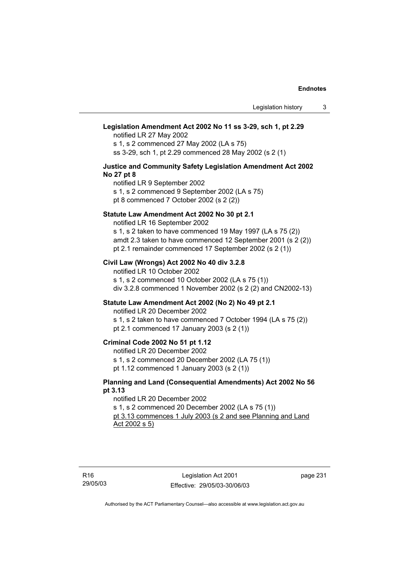# **Legislation Amendment Act 2002 No 11 ss 3-29, sch 1, pt 2.29**

notified LR 27 May 2002

s 1, s 2 commenced 27 May 2002 (LA s 75) ss 3-29, sch 1, pt 2.29 commenced 28 May 2002 (s 2 (1)

#### **Justice and Community Safety Legislation Amendment Act 2002 No 27 pt 8**

notified LR 9 September 2002 s 1, s 2 commenced 9 September 2002 (LA s 75) pt 8 commenced 7 October 2002 (s 2 (2))

#### **Statute Law Amendment Act 2002 No 30 pt 2.1**

notified LR 16 September 2002 s 1, s 2 taken to have commenced 19 May 1997 (LA s 75 (2)) amdt 2.3 taken to have commenced 12 September 2001 (s 2 (2)) pt 2.1 remainder commenced 17 September 2002 (s 2 (1))

### **Civil Law (Wrongs) Act 2002 No 40 div 3.2.8**

notified LR 10 October 2002 s 1, s 2 commenced 10 October 2002 (LA s 75 (1)) div 3.2.8 commenced 1 November 2002 (s 2 (2) and CN2002-13)

#### **Statute Law Amendment Act 2002 (No 2) No 49 pt 2.1**

notified LR 20 December 2002

s 1, s 2 taken to have commenced 7 October 1994 (LA s 75 (2)) pt 2.1 commenced 17 January 2003 (s 2 (1))

#### **Criminal Code 2002 No 51 pt 1.12**

notified LR 20 December 2002

s 1, s 2 commenced 20 December 2002 (LA 75 (1))

pt 1.12 commenced 1 January 2003 (s 2 (1))

#### **Planning and Land (Consequential Amendments) Act 2002 No 56 pt 3.13**

notified LR 20 December 2002 s 1, s 2 commenced 20 December 2002 (LA s 75 (1)) pt 3.13 commences 1 July 2003 (s 2 and see Planning and Land Act 2002 s 5)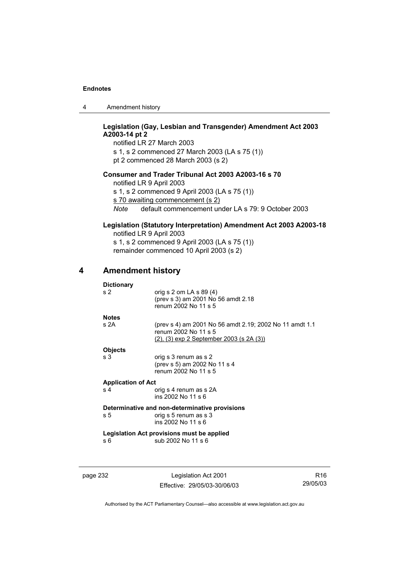4 Amendment history

### **Legislation (Gay, Lesbian and Transgender) Amendment Act 2003 A2003-14 pt 2**

notified LR 27 March 2003 s 1, s 2 commenced 27 March 2003 (LA s 75 (1)) pt 2 commenced 28 March 2003 (s 2)

# **Consumer and Trader Tribunal Act 2003 A2003-16 s 70**

notified LR 9 April 2003

s 1, s 2 commenced 9 April 2003 (LA s 75 (1))

s 70 awaiting commencement (s 2)

*Note* default commencement under LA s 79: 9 October 2003

# **Legislation (Statutory Interpretation) Amendment Act 2003 A2003-18**

notified LR 9 April 2003 s 1, s 2 commenced 9 April 2003 (LA s 75 (1)) remainder commenced 10 April 2003 (s 2)

# **4 Amendment history**

### **Dictionary**

| s <sub>2</sub>                                 | orig s 2 om LA s 89 (4)<br>(prev s 3) am 2001 No 56 amdt 2.18<br>renum 2002 No 11 s 5                                               |  |  |  |
|------------------------------------------------|-------------------------------------------------------------------------------------------------------------------------------------|--|--|--|
| <b>Notes</b>                                   |                                                                                                                                     |  |  |  |
| s 2A                                           | (prev s 4) am 2001 No 56 amdt 2.19; 2002 No 11 amdt 1.1<br>renum 2002 No 11 s 5<br>$(2)$ , $(3)$ exp 2 September 2003 (s 2A $(3)$ ) |  |  |  |
| <b>Objects</b>                                 |                                                                                                                                     |  |  |  |
| s 3                                            | orig s 3 renum as s 2                                                                                                               |  |  |  |
|                                                | (prev s 5) am 2002 No 11 s 4                                                                                                        |  |  |  |
|                                                | renum 2002 No 11 s 5                                                                                                                |  |  |  |
| <b>Application of Act</b>                      |                                                                                                                                     |  |  |  |
| s <sub>4</sub>                                 | orig s 4 renum as s 2A                                                                                                              |  |  |  |
|                                                | ins 2002 No 11 s 6                                                                                                                  |  |  |  |
| Determinative and non-determinative provisions |                                                                                                                                     |  |  |  |
| s 5                                            | orig s 5 renum as s 3                                                                                                               |  |  |  |
|                                                | ins 2002 No 11 s 6                                                                                                                  |  |  |  |
| Legislation Act provisions must be applied     |                                                                                                                                     |  |  |  |
|                                                |                                                                                                                                     |  |  |  |

s 6 sub 2002 No 11 s 6

page 232 Legislation Act 2001 Effective: 29/05/03-30/06/03

R16 29/05/03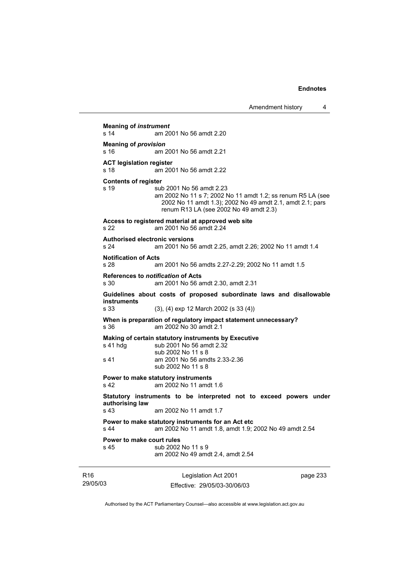**Meaning of** *instrument*  s 14 am 2001 No 56 amdt 2.20 **Meaning of** *provision*  s 16 am 2001 No 56 amdt 2.21 **ACT legislation register**  s 18 am 2001 No 56 amdt 2.22 **Contents of register**  s 19 sub 2001 No 56 amdt 2.23 am 2002 No 11 s 7; 2002 No 11 amdt 1.2; ss renum R5 LA (see 2002 No 11 amdt 1.3); 2002 No 49 amdt 2.1, amdt 2.1; pars renum R13 LA (see 2002 No 49 amdt 2.3) **Access to registered material at approved web site**  s 22 am 2001 No 56 amdt 2.24 **Authorised electronic versions**  s 24 am 2001 No 56 amdt 2.25, amdt 2.26; 2002 No 11 amdt 1.4 **Notification of Acts**  s 28 am 2001 No 56 amdts 2.27-2.29; 2002 No 11 amdt 1.5 **References to** *notification* **of Acts**  s 30 am 2001 No 56 amdt 2.30, amdt 2.31 **Guidelines about costs of proposed subordinate laws and disallowable instruments**  s 33 (3), (4) exp 12 March 2002 (s 33 (4)) **When is preparation of regulatory impact statement unnecessary?**  s 36 am 2002 No 30 amdt 2.1 **Making of certain statutory instruments by Executive**  s 41 hdg sub 2001 No 56 amdt 2.32 sub 2002 No 11 s 8 s 41 am 2001 No 56 amdts 2.33-2.36 sub 2002 No 11 s 8 **Power to make statutory instruments**  s 42 am 2002 No 11 amdt 1.6 **Statutory instruments to be interpreted not to exceed powers under authorising law**  s 43 am 2002 No 11 amdt 1.7 **Power to make statutory instruments for an Act etc**  s 44 am 2002 No 11 amdt 1.8, amdt 1.9; 2002 No 49 amdt 2.54 **Power to make court rules**  s 45 sub 2002 No 11 s 9 am 2002 No 49 amdt 2.4, amdt 2.54

R16 29/05/03 Legislation Act 2001 Effective: 29/05/03-30/06/03

page 233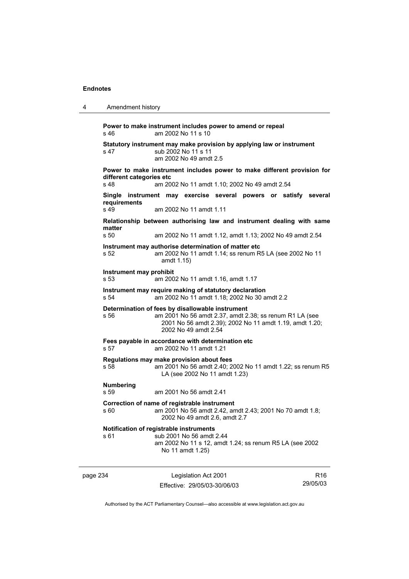```
4 Amendment history 
Power to make instrument includes power to amend or repeal 
s 46 am 2002 No 11 s 10 
Statutory instrument may make provision by applying law or instrument 
s 47 sub 2002 No 11 s 11
                am 2002 No 49 amdt 2.5 
Power to make instrument includes power to make different provision for 
different categories etc 
s 48 am 2002 No 11 amdt 1.10; 2002 No 49 amdt 2.54 
Single instrument may exercise several powers or satisfy several 
requirements 
s 49 am 2002 No 11 amdt 1.11 
Relationship between authorising law and instrument dealing with same 
matter 
s 50 am 2002 No 11 amdt 1.12, amdt 1.13; 2002 No 49 amdt 2.54 
Instrument may authorise determination of matter etc 
s 52 am 2002 No 11 amdt 1.14; ss renum R5 LA (see 2002 No 11 
                 amdt 1.15) 
Instrument may prohibit 
s 53 am 2002 No 11 amdt 1.16, amdt 1.17 
Instrument may require making of statutory declaration 
s 54 am 2002 No 11 amdt 1.18; 2002 No 30 amdt 2.2 
Determination of fees by disallowable instrument 
s 56 am 2001 No 56 amdt 2.37, amdt 2.38; ss renum R1 LA (see 
                 2001 No 56 amdt 2.39); 2002 No 11 amdt 1.19, amdt 1.20; 
                 2002 No 49 amdt 2.54 
Fees payable in accordance with determination etc 
s 57 am 2002 No 11 amdt 1.21 
Regulations may make provision about fees 
s 58 am 2001 No 56 amdt 2.40; 2002 No 11 amdt 1.22; ss renum R5 
                 LA (see 2002 No 11 amdt 1.23) 
Numbering 
s 59 am 2001 No 56 amdt 2.41 
Correction of name of registrable instrument 
s 60 am 2001 No 56 amdt 2.42, amdt 2.43; 2001 No 70 amdt 1.8; 
                 2002 No 49 amdt 2.6, amdt 2.7 
Notification of registrable instruments 
s 61 sub 2001 No 56 amdt 2.44 
                am 2002 No 11 s 12, amdt 1.24; ss renum R5 LA (see 2002 
                 No 11 amdt 1.25)
```
page 234 Legislation Act 2001 Effective: 29/05/03-30/06/03

R16 29/05/03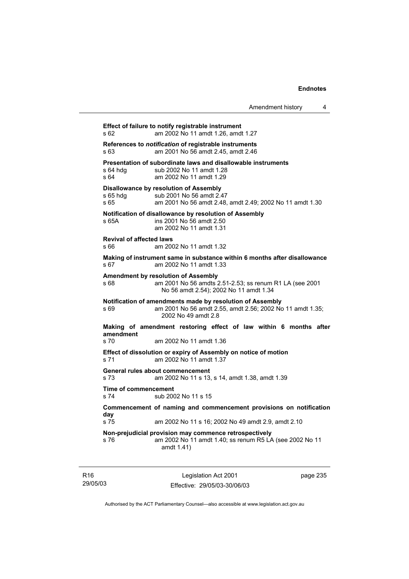| Amendment history |  |
|-------------------|--|
|-------------------|--|

| s 62                                     | Effect of failure to notify registrable instrument<br>am 2002 No 11 amdt 1.26, amdt 1.27                                                      |
|------------------------------------------|-----------------------------------------------------------------------------------------------------------------------------------------------|
| s 63                                     | References to notification of registrable instruments<br>am 2001 No 56 amdt 2.45, amdt 2.46                                                   |
| s 64 hda<br>s 64                         | Presentation of subordinate laws and disallowable instruments<br>sub 2002 No 11 amdt 1.28<br>am 2002 No 11 amdt 1.29                          |
| s 65 hdg<br>s 65                         | <b>Disallowance by resolution of Assembly</b><br>sub 2001 No 56 amdt 2.47<br>am 2001 No 56 amdt 2.48, amdt 2.49; 2002 No 11 amdt 1.30         |
| s 65A                                    | Notification of disallowance by resolution of Assembly<br>ins 2001 No 56 amdt 2.50<br>am 2002 No 11 amdt 1.31                                 |
| <b>Revival of affected laws</b><br>s 66  | am 2002 No 11 amdt 1.32                                                                                                                       |
| s 67                                     | Making of instrument same in substance within 6 months after disallowance<br>am 2002 No 11 amdt 1.33                                          |
| s 68                                     | Amendment by resolution of Assembly<br>am 2001 No 56 amdts 2.51-2.53; ss renum R1 LA (see 2001<br>No 56 amdt 2.54); 2002 No 11 amdt 1.34      |
| s 69                                     | Notification of amendments made by resolution of Assembly<br>am 2001 No 56 amdt 2.55, amdt 2.56; 2002 No 11 amdt 1.35;<br>2002 No 49 amdt 2.8 |
|                                          | Making of amendment restoring effect of law within 6 months after                                                                             |
| amendment<br>s <sub>70</sub>             | am 2002 No 11 amdt 1.36                                                                                                                       |
| s 71                                     | Effect of dissolution or expiry of Assembly on notice of motion<br>am 2002 No 11 amdt 1.37                                                    |
| General rules about commencement<br>s 73 | am 2002 No 11 s 13, s 14, amdt 1.38, amdt 1.39                                                                                                |
| Time of commencement<br>s 74             | sub 2002 No 11 s 15                                                                                                                           |
| day                                      | Commencement of naming and commencement provisions on notification                                                                            |
| s 75                                     | am 2002 No 11 s 16; 2002 No 49 amdt 2.9, amdt 2.10                                                                                            |
| s 76                                     | Non-prejudicial provision may commence retrospectively<br>am 2002 No 11 amdt 1.40; ss renum R5 LA (see 2002 No 11<br>amdt 1.41)               |
|                                          |                                                                                                                                               |

R16 29/05/03

Legislation Act 2001 Effective: 29/05/03-30/06/03 page 235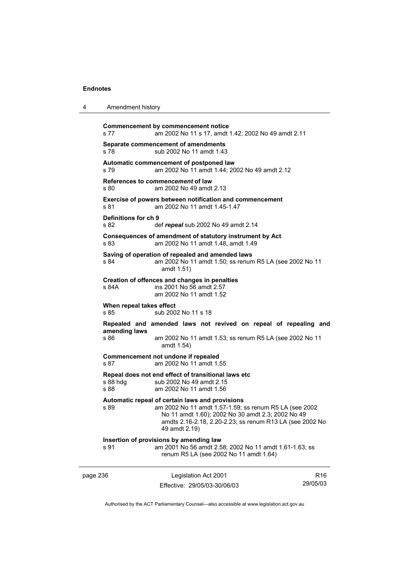4 Amendment history

| s 77                             | <b>Commencement by commencement notice</b><br>am 2002 No 11 s 17, amdt 1.42; 2002 No 49 amdt 2.11                                                                                                                                           |                 |
|----------------------------------|---------------------------------------------------------------------------------------------------------------------------------------------------------------------------------------------------------------------------------------------|-----------------|
| s 78                             | Separate commencement of amendments<br>sub 2002 No 11 amdt 1.43                                                                                                                                                                             |                 |
| s 79                             | Automatic commencement of postponed law<br>am 2002 No 11 amdt 1.44; 2002 No 49 amdt 2.12                                                                                                                                                    |                 |
| s 80                             | References to commencement of law<br>am 2002 No 49 amdt 2.13                                                                                                                                                                                |                 |
| s 81                             | Exercise of powers between notification and commencement<br>am 2002 No 11 amdt 1.45-1.47                                                                                                                                                    |                 |
| Definitions for ch 9<br>s 82     | def repeal sub 2002 No 49 amdt 2.14                                                                                                                                                                                                         |                 |
| s 83                             | Consequences of amendment of statutory instrument by Act<br>am 2002 No 11 amdt 1.48, amdt 1.49                                                                                                                                              |                 |
| s 84                             | Saving of operation of repealed and amended laws<br>am 2002 No 11 amdt 1.50; ss renum R5 LA (see 2002 No 11<br>amdt 1.51)                                                                                                                   |                 |
| s 84A                            | Creation of offences and changes in penalties<br>ins 2001 No 56 amdt 2.57<br>am 2002 No 11 amdt 1.52                                                                                                                                        |                 |
| When repeal takes effect<br>s 85 | sub 2002 No 11 s 18                                                                                                                                                                                                                         |                 |
|                                  | Repealed and amended laws not revived on repeal of repealing and                                                                                                                                                                            |                 |
| amending laws<br>s 86            | am 2002 No 11 amdt 1.53; ss renum R5 LA (see 2002 No 11<br>amdt 1.54)                                                                                                                                                                       |                 |
| s 87                             | Commencement not undone if repealed<br>am 2002 No 11 amdt 1.55                                                                                                                                                                              |                 |
| s 88 hdg<br>s 88                 | Repeal does not end effect of transitional laws etc<br>sub 2002 No 49 amdt 2.15<br>am 2002 No 11 amdt 1.56                                                                                                                                  |                 |
| s 89                             | Automatic repeal of certain laws and provisions<br>am 2002 No 11 amdt 1.57-1.59; ss renum R5 LA (see 2002<br>No 11 amdt 1.60); 2002 No 30 amdt 2.3; 2002 No 49<br>amdts 2.16-2.18, 2.20-2.23; ss renum R13 LA (see 2002 No<br>49 amdt 2.19) |                 |
| s 91                             | Insertion of provisions by amending law<br>am 2001 No 56 amdt 2.58; 2002 No 11 amdt 1.61-1.63; ss<br>renum R5 LA (see 2002 No 11 amdt 1.64)                                                                                                 |                 |
| page 236                         | Legislation Act 2001                                                                                                                                                                                                                        | R <sub>16</sub> |
|                                  | Fffective: 29/05/03-30/06/03                                                                                                                                                                                                                | 29/05/03        |

Authorised by the ACT Parliamentary Counsel—also accessible at www.legislation.act.gov.au

Effective: 29/05/03-30/06/03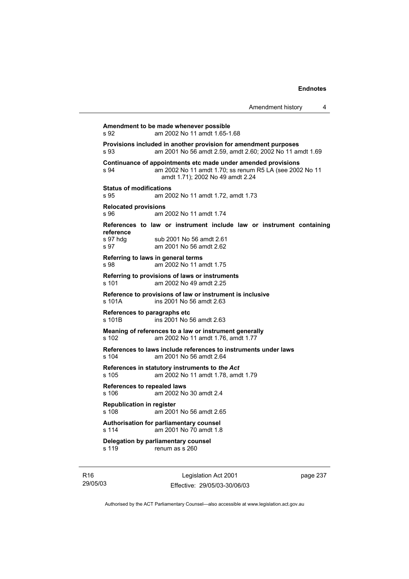|                                                    |                                                                                                                                                              | Amendment history | 4 |
|----------------------------------------------------|--------------------------------------------------------------------------------------------------------------------------------------------------------------|-------------------|---|
| s 92                                               | Amendment to be made whenever possible<br>am 2002 No 11 amdt 1.65-1.68                                                                                       |                   |   |
| s 93                                               | Provisions included in another provision for amendment purposes<br>am 2001 No 56 amdt 2.59, amdt 2.60; 2002 No 11 amdt 1.69                                  |                   |   |
| s 94                                               | Continuance of appointments etc made under amended provisions<br>am 2002 No 11 amdt 1.70; ss renum R5 LA (see 2002 No 11<br>amdt 1.71); 2002 No 49 amdt 2.24 |                   |   |
| <b>Status of modifications</b><br>s 95             | am 2002 No 11 amdt 1.72, amdt 1.73                                                                                                                           |                   |   |
| <b>Relocated provisions</b><br>s 96                | am 2002 No 11 amdt 1.74                                                                                                                                      |                   |   |
| reference<br>s 97 hdg<br>s 97                      | References to law or instrument include law or instrument containing<br>sub 2001 No 56 amdt 2.61<br>am 2001 No 56 amdt 2.62                                  |                   |   |
| Referring to laws in general terms<br>s 98         | am 2002 No 11 amdt 1.75                                                                                                                                      |                   |   |
| $s$ 101                                            | Referring to provisions of laws or instruments<br>am 2002 No 49 amdt 2.25                                                                                    |                   |   |
| s 101A                                             | Reference to provisions of law or instrument is inclusive<br>ins 2001 No 56 amdt 2.63                                                                        |                   |   |
| References to paragraphs etc<br>s 101 <sub>B</sub> | ins 2001 No 56 amdt 2.63                                                                                                                                     |                   |   |
| s 102                                              | Meaning of references to a law or instrument generally<br>am 2002 No 11 amdt 1.76, amdt 1.77                                                                 |                   |   |
| s 104                                              | References to laws include references to instruments under laws<br>am 2001 No 56 amdt 2.64                                                                   |                   |   |
| s 105                                              | References in statutory instruments to the Act<br>am 2002 No 11 amdt 1.78, amdt 1.79                                                                         |                   |   |
| References to repealed laws<br>s 106               | am 2002 No 30 amdt 2.4                                                                                                                                       |                   |   |
| <b>Republication in register</b><br>s 108          | am 2001 No 56 amdt 2.65                                                                                                                                      |                   |   |
| Authorisation for parliamentary counsel<br>s 114   | am 2001 No 70 amdt 1.8                                                                                                                                       |                   |   |
| Delegation by parliamentary counsel<br>s 119       | renum as s 260                                                                                                                                               |                   |   |

R16 29/05/03

Legislation Act 2001 Effective: 29/05/03-30/06/03 page 237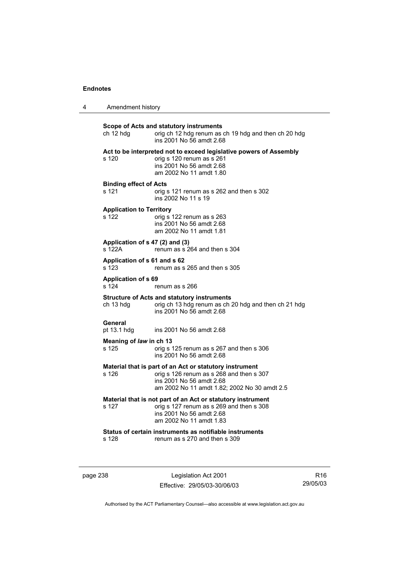| 4 | Amendment history                         |                                                                                                                                                                                 |  |
|---|-------------------------------------------|---------------------------------------------------------------------------------------------------------------------------------------------------------------------------------|--|
|   | ch 12 hdg                                 | Scope of Acts and statutory instruments<br>orig ch 12 hdg renum as ch 19 hdg and then ch 20 hdg<br>ins 2001 No 56 amdt 2.68                                                     |  |
|   | s 120                                     | Act to be interpreted not to exceed legislative powers of Assembly<br>orig s 120 renum as s 261<br>ins 2001 No 56 amdt 2.68<br>am 2002 No 11 amdt 1.80                          |  |
|   | <b>Binding effect of Acts</b><br>s 121    | orig s 121 renum as s 262 and then s 302<br>ins 2002 No 11 s 19                                                                                                                 |  |
|   | <b>Application to Territory</b><br>s 122  | orig s 122 renum as s 263<br>ins 2001 No 56 amdt 2.68<br>am 2002 No 11 amdt 1.81                                                                                                |  |
|   | Application of s 47 (2) and (3)<br>s 122A | renum as s 264 and then s 304                                                                                                                                                   |  |
|   | Application of s 61 and s 62<br>s 123     | renum as s 265 and then s 305                                                                                                                                                   |  |
|   | <b>Application of s 69</b><br>s 124       | renum as s 266                                                                                                                                                                  |  |
|   | ch 13 hdg                                 | <b>Structure of Acts and statutory instruments</b><br>orig ch 13 hdg renum as ch 20 hdg and then ch 21 hdg<br>ins 2001 No 56 amdt 2.68                                          |  |
|   | General<br>pt 13.1 hdg                    | ins 2001 No 56 amdt 2.68                                                                                                                                                        |  |
|   | Meaning of law in ch 13<br>s 125          | orig s 125 renum as s 267 and then s 306<br>ins 2001 No 56 amdt 2.68                                                                                                            |  |
|   | s 126                                     | Material that is part of an Act or statutory instrument<br>orig s 126 renum as s 268 and then s 307<br>ins 2001 No 56 amdt 2.68<br>am 2002 No 11 amdt 1.82; 2002 No 30 amdt 2.5 |  |
|   | s 127                                     | Material that is not part of an Act or statutory instrument<br>orig s 127 renum as s 269 and then s 308<br>ins 2001 No 56 amdt 2.68<br>am 2002 No 11 amdt 1.83                  |  |
|   | s 128                                     | Status of certain instruments as notifiable instruments<br>renum as s 270 and then s 309                                                                                        |  |

page 238 Legislation Act 2001 Effective: 29/05/03-30/06/03

R16 29/05/03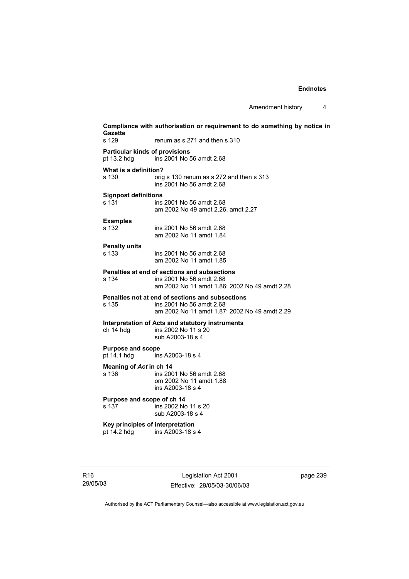**Compliance with authorisation or requirement to do something by notice in Gazette**  s 129 renum as s 271 and then s 310 **Particular kinds of provisions**  pt 13.2 hdg ins 2001 No 56 amdt 2.68 **What is a definition?**  s 130 orig s 130 renum as s 272 and then s 313 ins 2001 No 56 amdt 2.68 **Signpost definitions**  s 131 ins 2001 No 56 amdt 2.68 am 2002 No 49 amdt 2.26, amdt 2.27 **Examples**  ins 2001 No 56 amdt 2.68 am 2002 No 11 amdt 1.84 **Penalty units**  ins 2001 No 56 amdt 2.68 am 2002 No 11 amdt 1.85 **Penalties at end of sections and subsections**  s 134 ins 2001 No 56 amdt 2.68 am 2002 No 11 amdt 1.86; 2002 No 49 amdt 2.28 **Penalties not at end of sections and subsections**  s 135 ins 2001 No 56 amdt 2.68 am 2002 No 11 amdt 1.87; 2002 No 49 amdt 2.29 **Interpretation of Acts and statutory instruments**  ch 14 hdg ins 2002 No 11 s 20 sub A2003-18 s 4 **Purpose and scope**  pt 14.1 hdg ins A2003-18 s 4 **Meaning of** *Act* **in ch 14**  s 136 ins 2001 No 56 amdt 2.68 om 2002 No 11 amdt 1.88 ins A2003-18 s 4 **Purpose and scope of ch 14**  s 137 ins 2002 No 11 s 20 sub A2003-18 s 4 **Key principles of interpretation**  pt 14.2 hdg ins A2003-18 s 4

Legislation Act 2001 Effective: 29/05/03-30/06/03 page 239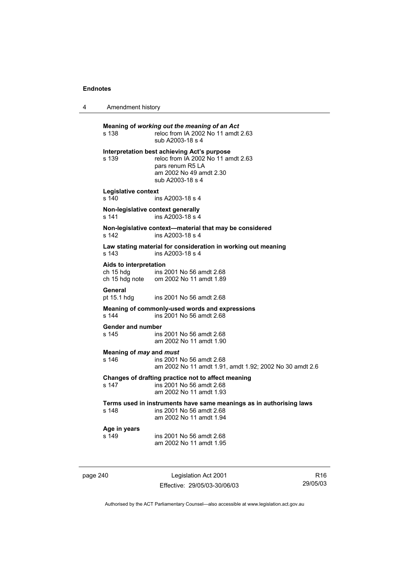4 Amendment history

**Meaning of** *working out the meaning of an Act* s 138 reloc from IA 2002 No 11 amdt 2.63 sub A2003-18 s 4 **Interpretation best achieving Act's purpose**  s 139 reloc from IA 2002 No 11 amdt 2.63 pars renum R5 LA am 2002 No 49 amdt 2.30 sub A2003-18 s 4 **Legislative context**  s 140 ins A2003-18 s 4 **Non-legislative context generally**  s 141 ins A2003-18 s 4 **Non-legislative context—material that may be considered**  s 142 ins A2003-18 s 4 **Law stating material for consideration in working out meaning**  s 143 ins A2003-18 s 4 **Aids to interpretation**  ch 15 hdg ins 2001 No 56 amdt 2.68 ch 15 hdg note om 2002 No 11 amdt 1.89 General<br>pt 15.1 hdg ins 2001 No 56 amdt 2.68 **Meaning of commonly-used words and expressions**  s 144 ins 2001 No 56 amdt 2.68 **Gender and number**  ins 2001 No 56 amdt 2.68 am 2002 No 11 amdt 1.90 **Meaning of** *may* **and** *must***<br>
s 146 <b>ins 2001** ins 2001 No 56 amdt 2.68 am 2002 No 11 amdt 1.91, amdt 1.92; 2002 No 30 amdt 2.6 **Changes of drafting practice not to affect meaning**  s 147 ins 2001 No 56 amdt 2.68 am 2002 No 11 amdt 1.93 **Terms used in instruments have same meanings as in authorising laws**  s 148 ins 2001 No 56 amdt 2.68 am 2002 No 11 amdt 1.94 **Age in years**  s 149 ins 2001 No 56 amdt 2.68 am 2002 No 11 amdt 1.95

page 240 Legislation Act 2001 Effective: 29/05/03-30/06/03

R16 29/05/03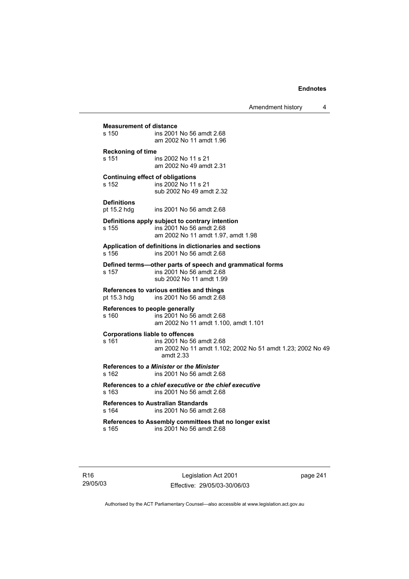Amendment history 4

# **Measurement of distance**<br>s 150 **ins 2001**

ins 2001 No 56 amdt 2.68 am 2002 No 11 amdt 1.96 **Reckoning of time** 

s 151 ins 2002 No 11 s 21 am 2002 No 49 amdt 2.31

## **Continuing effect of obligations**

s 152 ins 2002 No 11 s 21 sub 2002 No 49 amdt 2.32

#### **Definitions**

pt 15.2 hdg ins 2001 No 56 amdt 2.68

# **Definitions apply subject to contrary intention**

s 155 ins 2001 No 56 amdt 2.68 am 2002 No 11 amdt 1.97, amdt 1.98

**Application of definitions in dictionaries and sections**  s 156 ins 2001 No 56 amdt 2.68

# **Defined terms—other parts of speech and grammatical forms**

s 157 ins 2001 No 56 amdt 2.68 sub 2002 No 11 amdt 1.99

# **References to various entities and things**  ins 2001 No 56 amdt 2.68

# **References to people generally**

s 160 ins 2001 No 56 amdt 2.68 am 2002 No 11 amdt 1.100, amdt 1.101

# **Corporations liable to offences**

## s 161 ins 2001 No 56 amdt 2.68 am 2002 No 11 amdt 1.102; 2002 No 51 amdt 1.23; 2002 No 49 amdt 2.33

#### **References to** *a Minister* **or** *the Minister* s 162 ins 2001 No 56 amdt 2.68

**References to** *a chief executive* **or** *the chief executive* s 163 ins 2001 No 56 amdt 2.68

#### **References to Australian Standards**  s 164 ins 2001 No 56 amdt 2.68

#### **References to Assembly committees that no longer exist**  s 165 ins 2001 No 56 amdt 2.68

page 241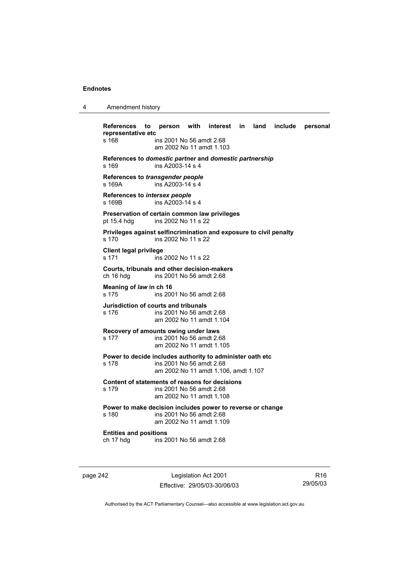4 Amendment history

| References to<br>representative etc                                         |                                                                  | person with interest in land include personal |  |  |
|-----------------------------------------------------------------------------|------------------------------------------------------------------|-----------------------------------------------|--|--|
| s 168                                                                       | ins 2001 No 56 amdt 2.68<br>am 2002 No 11 amdt 1.103             |                                               |  |  |
| References to domestic partner and domestic partnership<br>s 169            | ins A2003-14 s 4                                                 |                                               |  |  |
| References to transgender people<br>s 169A                                  | ins A2003-14 s 4                                                 |                                               |  |  |
| References to intersex people<br>s 169B                                     | ins $A2003-14$ s 4                                               |                                               |  |  |
| Preservation of certain common law privileges<br>pt 15.4 hdg                | ins 2002 No 11 s 22                                              |                                               |  |  |
| Privileges against selfincrimination and exposure to civil penalty<br>s 170 | ins 2002 No 11 s 22                                              |                                               |  |  |
| <b>Client legal privilege</b><br>s 171                                      | ins 2002 No 11 s 22                                              |                                               |  |  |
| Courts, tribunals and other decision-makers<br>ch 16 hdg                    | ins 2001 No 56 amdt 2.68                                         |                                               |  |  |
| Meaning of law in ch 16<br>s 175                                            | ins 2001 No 56 amdt 2.68                                         |                                               |  |  |
| Jurisdiction of courts and tribunals<br>s 176                               | ins 2001 No 56 amdt 2.68<br>am 2002 No 11 amdt 1.104             |                                               |  |  |
| Recovery of amounts owing under laws<br>s 177                               | ins 2001 No 56 amdt 2.68<br>am 2002 No 11 amdt 1.105             |                                               |  |  |
| Power to decide includes authority to administer oath etc<br>s 178          | ins 2001 No 56 amdt 2.68<br>am 2002 No 11 amdt 1.106, amdt 1.107 |                                               |  |  |
| Content of statements of reasons for decisions<br>s 179                     | ins 2001 No 56 amdt 2.68<br>am 2002 No 11 amdt 1.108             |                                               |  |  |
| Power to make decision includes power to reverse or change<br>s 180         | ins 2001 No 56 amdt 2.68<br>am 2002 No 11 amdt 1.109             |                                               |  |  |
| <b>Entities and positions</b><br>ch 17 hdg                                  | ins 2001 No 56 amdt 2.68                                         |                                               |  |  |

page 242 Legislation Act 2001 Effective: 29/05/03-30/06/03

R16 29/05/03

L,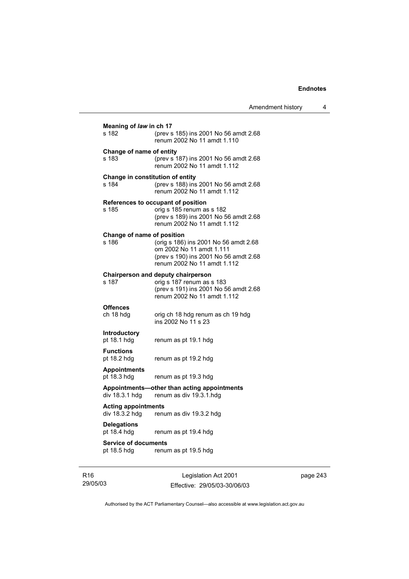|                                           |                                                                                                                                           | Amendment history | 4 |
|-------------------------------------------|-------------------------------------------------------------------------------------------------------------------------------------------|-------------------|---|
| Meaning of law in ch 17                   |                                                                                                                                           |                   |   |
| s 182                                     | (prev s 185) ins 2001 No 56 amdt 2.68<br>renum 2002 No 11 amdt 1.110                                                                      |                   |   |
| Change of name of entity<br>s 183         | (prev s 187) ins 2001 No 56 amdt 2.68<br>renum 2002 No 11 amdt 1.112                                                                      |                   |   |
| Change in constitution of entity<br>s 184 | (prev s 188) ins 2001 No 56 amdt 2.68<br>renum 2002 No 11 amdt 1.112                                                                      |                   |   |
| s 185                                     | References to occupant of position<br>orig s 185 renum as s 182<br>(prev s 189) ins 2001 No 56 amdt 2.68<br>renum 2002 No 11 amdt 1.112   |                   |   |
| Change of name of position<br>s 186       | (orig s 186) ins 2001 No 56 amdt 2.68<br>om 2002 No 11 amdt 1.111<br>(prev s 190) ins 2001 No 56 amdt 2.68<br>renum 2002 No 11 amdt 1.112 |                   |   |
| s 187                                     | Chairperson and deputy chairperson<br>orig s 187 renum as s 183<br>(prev s 191) ins 2001 No 56 amdt 2.68<br>renum 2002 No 11 amdt 1.112   |                   |   |
| Offences<br>ch 18 hdg                     | orig ch 18 hdg renum as ch 19 hdg<br>ins 2002 No 11 s 23                                                                                  |                   |   |
| Introductory<br>pt 18.1 hdg               | renum as pt 19.1 hdg                                                                                                                      |                   |   |
| <b>Functions</b><br>pt 18.2 hdg           | renum as pt 19.2 hdg                                                                                                                      |                   |   |
| Appointments<br>pt 18.3 hdg               | renum as pt 19.3 hdg                                                                                                                      |                   |   |
| div 18.3.1 hdg                            | Appointments—other than acting appointments<br>renum as div 19.3.1.hdg                                                                    |                   |   |
| Acting appointments<br>div 18.3.2 hdg     | renum as div 19.3.2 hdg                                                                                                                   |                   |   |
| Delegations<br>pt 18.4 hdg                | renum as pt 19.4 hdg                                                                                                                      |                   |   |
| Service of documents<br>pt 18.5 hdg       | renum as pt 19.5 hdg                                                                                                                      |                   |   |
|                                           |                                                                                                                                           |                   |   |

R16 29/05/03

Legislation Act 2001 Effective: 29/05/03-30/06/03 page 243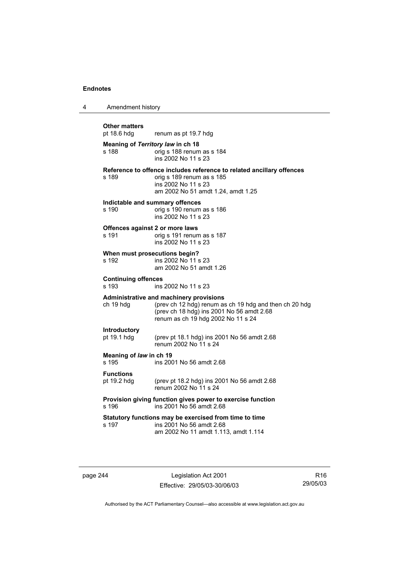| 4 | Amendment history                          |                                                                                                                                                                                      |  |
|---|--------------------------------------------|--------------------------------------------------------------------------------------------------------------------------------------------------------------------------------------|--|
|   | <b>Other matters</b><br>pt 18.6 hdg        | renum as pt 19.7 hdg                                                                                                                                                                 |  |
|   | Meaning of Territory law in ch 18<br>s 188 | orig s 188 renum as s 184<br>ins 2002 No 11 s 23                                                                                                                                     |  |
|   | s 189                                      | Reference to offence includes reference to related ancillary offences<br>orig s 189 renum as s 185<br>ins 2002 No 11 s 23<br>am 2002 No 51 amdt 1.24, amdt 1.25                      |  |
|   | Indictable and summary offences<br>s 190   | orig s 190 renum as s 186<br>ins 2002 No 11 s 23                                                                                                                                     |  |
|   | Offences against 2 or more laws<br>s 191   | orig s 191 renum as s 187<br>ins 2002 No 11 s 23                                                                                                                                     |  |
|   | When must prosecutions begin?<br>s 192     | ins 2002 No 11 s 23<br>am 2002 No 51 amdt 1.26                                                                                                                                       |  |
|   | <b>Continuing offences</b><br>s 193        | ins 2002 No 11 s 23                                                                                                                                                                  |  |
|   | ch 19 hdg                                  | Administrative and machinery provisions<br>(prev ch 12 hdg) renum as ch 19 hdg and then ch 20 hdg<br>(prev ch 18 hdg) ins 2001 No 56 amdt 2.68<br>renum as ch 19 hdg 2002 No 11 s 24 |  |
|   | Introductory<br>pt 19.1 hdg                | (prev pt 18.1 hdg) ins 2001 No 56 amdt 2.68<br>renum 2002 No 11 s 24                                                                                                                 |  |
|   | Meaning of law in ch 19<br>s 195           | ins 2001 No 56 amdt 2.68                                                                                                                                                             |  |
|   | <b>Functions</b><br>pt 19.2 hdg            | (prev pt 18.2 hdg) ins 2001 No 56 amdt 2.68<br>renum 2002 No 11 s 24                                                                                                                 |  |
|   | s 196                                      | Provision giving function gives power to exercise function<br>ins 2001 No 56 amdt 2.68                                                                                               |  |
|   | s 197                                      | Statutory functions may be exercised from time to time<br>ins 2001 No 56 amdt 2.68<br>am 2002 No 11 amdt 1.113, amdt 1.114                                                           |  |

page 244 Legislation Act 2001 Effective: 29/05/03-30/06/03

R16 29/05/03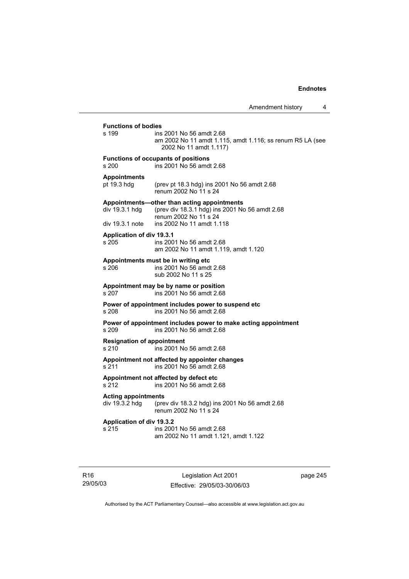**Functions of bodies**  ins 2001 No 56 amdt 2.68 am 2002 No 11 amdt 1.115, amdt 1.116; ss renum R5 LA (see 2002 No 11 amdt 1.117) **Functions of occupants of positions**  s 200 ins 2001 No 56 amdt 2.68 **Appointments**  pt 19.3 hdg (prev pt 18.3 hdg) ins 2001 No 56 amdt 2.68 renum 2002 No 11 s 24 **Appointments—other than acting appointments**  div 19.3.1 hdg (prev div 18.3.1 hdg) ins 2001 No 56 amdt 2.68 renum 2002 No 11 s 24<br>: 1 div 19.3.1 note ins 2002 No 11 amdt ins 2002 No 11 amdt 1.118 **Application of div 19.3.1**  s 205 ins 2001 No 56 amdt 2.68 am 2002 No 11 amdt 1.119, amdt 1.120 **Appointments must be in writing etc**  s 206 ins 2001 No 56 amdt 2.68 sub 2002 No 11 s 25 **Appointment may be by name or position**  s 207 ins 2001 No 56 amdt 2.68 **Power of appointment includes power to suspend etc**  s 208 ins 2001 No 56 amdt 2.68 **Power of appointment includes power to make acting appointment**  s 209 ins 2001 No 56 amdt 2.68 **Resignation of appointment**  s 210 ins 2001 No 56 amdt 2.68 **Appointment not affected by appointer changes**  s 211 ins 2001 No 56 amdt 2.68

**Appointment not affected by defect etc** 

s 212 ins 2001 No 56 amdt 2.68

**Acting appointments** 

(prev div 18.3.2 hdg) ins 2001 No 56 amdt 2.68 renum 2002 No 11 s 24

# **Application of div 19.3.2**

s 215 ins 2001 No 56 amdt 2.68 am 2002 No 11 amdt 1.121, amdt 1.122

R16 29/05/03

Legislation Act 2001 Effective: 29/05/03-30/06/03 page 245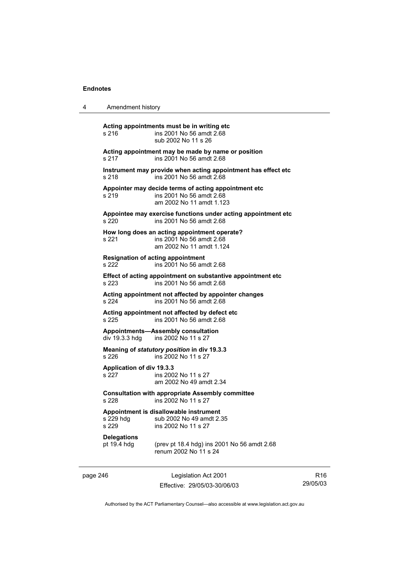|       | Acting appointments must be in writing etc. |
|-------|---------------------------------------------|
|       |                                             |
| c 216 | $inc$ 2001 No 56 amdt 2.68                  |

4 Amendment history

s 216 ins 2001 No 56 amdt 2.68 sub 2002 No 11 s 26 **Acting appointment may be made by name or position**  s 217 ins 2001 No 56 amdt 2.68 **Instrument may provide when acting appointment has effect etc**  s 218 ins 2001 No 56 amdt 2.68 **Appointer may decide terms of acting appointment etc**  s 219 ins 2001 No 56 amdt 2.68 am 2002 No 11 amdt 1.123 **Appointee may exercise functions under acting appointment etc**  s 220 ins 2001 No 56 amdt 2.68 **How long does an acting appointment operate?**  s 221 ins 2001 No 56 amdt 2.68 am 2002 No 11 amdt 1.124 **Resignation of acting appointment**  s 222 ins 2001 No 56 amdt 2.68 **Effect of acting appointment on substantive appointment etc**  s 223 ins 2001 No 56 amdt 2.68 **Acting appointment not affected by appointer changes**  s 224 ins 2001 No 56 amdt 2.68 **Acting appointment not affected by defect etc**  s 225 ins 2001 No 56 amdt 2.68 **Appointments—Assembly consultation**  div 19.3.3 hdg ins 2002 No 11 s 27 **Meaning of** *statutory position* **in div 19.3.3**  s 226 ins 2002 No 11 s 27 **Application of div 19.3.3**  s 227 ins 2002 No 11 s 27 am 2002 No 49 amdt 2.34 **Consultation with appropriate Assembly committee**  ins 2002 No 11 s 27 **Appointment is disallowable instrument**  s 229 hdg sub 2002 No 49 amdt 2.35<br>s 229 s ins 2002 No 11 s 27

# ins 2002 No 11 s 27

**Delegations** 

pt 19.4 hdg (prev pt 18.4 hdg) ins 2001 No 56 amdt 2.68 renum 2002 No 11 s 24

page 246 Legislation Act 2001 Effective: 29/05/03-30/06/03

R16 29/05/03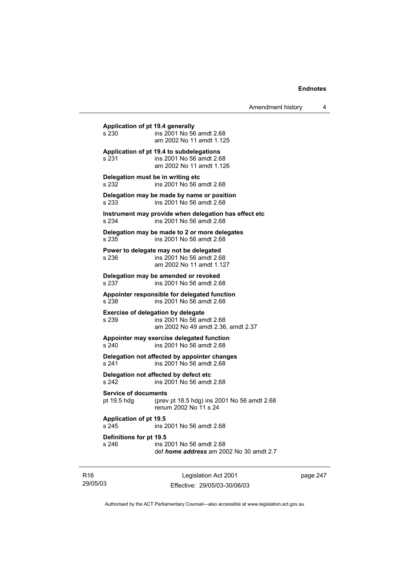**Application of pt 19.4 generally**  s 230 ins 2001 No 56 amdt 2.68 am 2002 No 11 amdt 1.125 **Application of pt 19.4 to subdelegations**  s 231 ins 2001 No 56 amdt 2.68 am 2002 No 11 amdt 1.126 **Delegation must be in writing etc**  s 232 ins 2001 No 56 amdt 2.68 **Delegation may be made by name or position**  s 233 ins 2001 No 56 amdt 2.68 **Instrument may provide when delegation has effect etc**  s 234 ins 2001 No 56 amdt 2.68 **Delegation may be made to 2 or more delegates**  s 235 ins 2001 No 56 amdt 2.68 **Power to delegate may not be delegated**  s 236 ins 2001 No 56 amdt 2.68 am 2002 No 11 amdt 1.127 **Delegation may be amended or revoked**  s 237 ins 2001 No 56 amdt 2.68 **Appointer responsible for delegated function**  s 238 ins 2001 No 56 amdt 2.68 **Exercise of delegation by delegate**  s 239 ins 2001 No 56 amdt 2.68 am 2002 No 49 amdt 2.36, amdt 2.37 **Appointer may exercise delegated function**  s 240 ins 2001 No 56 amdt 2.68 **Delegation not affected by appointer changes**  ins 2001 No 56 amdt 2.68 **Delegation not affected by defect etc**  s 242 ins 2001 No 56 amdt 2.68 **Service of documents**  pt 19.5 hdg (prev pt 18.5 hdg) ins 2001 No 56 amdt 2.68 renum 2002 No 11 s 24 **Application of pt 19.5**  s 245 ins 2001 No 56 amdt 2.68 **Definitions for pt 19.5**  s 246 ins 2001 No 56 amdt 2.68 def *home address* am 2002 No 30 amdt 2.7

R16 29/05/03

Legislation Act 2001 Effective: 29/05/03-30/06/03 page 247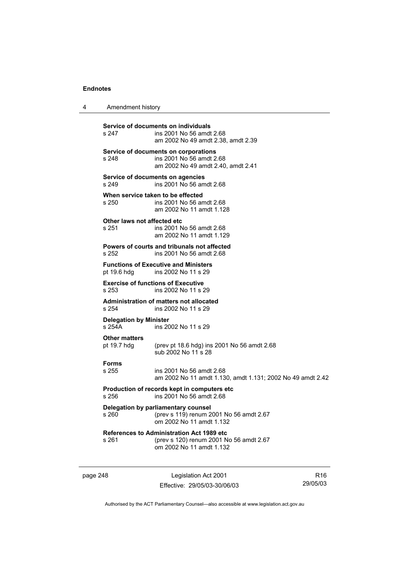| Amendment history<br>4 |
|------------------------|
|------------------------|

**Service of documents on individuals**  ins 2001 No 56 amdt 2.68 am 2002 No 49 amdt 2.38, amdt 2.39 **Service of documents on corporations**  s 248 ins 2001 No 56 amdt 2.68 am 2002 No 49 amdt 2.40, amdt 2.41 **Service of documents on agencies**  s 249 ins 2001 No 56 amdt 2.68 **When service taken to be effected**  s 250 ins 2001 No 56 amdt 2.68 am 2002 No 11 amdt 1.128 **Other laws not affected etc**  s 251 ins 2001 No 56 amdt 2.68 am 2002 No 11 amdt 1.129 **Powers of courts and tribunals not affected**  s 252 ins 2001 No 56 amdt 2.68 **Functions of Executive and Ministers**  pt 19.6 hdg ins 2002 No 11 s 29 **Exercise of functions of Executive**<br>s 253 **ins 2002 No 11 s** 2 ins 2002 No 11 s 29 **Administration of matters not allocated**  s 254 ins 2002 No 11 s 29 **Delegation by Minister**  s 254A ins 2002 No 11 s 29 **Other matters**  pt 19.7 hdg (prev pt 18.6 hdg) ins 2001 No 56 amdt 2.68 sub 2002 No 11 s 28 **Forms**  s 255 ins 2001 No 56 amdt 2.68 am 2002 No 11 amdt 1.130, amdt 1.131; 2002 No 49 amdt 2.42 **Production of records kept in computers etc**  s 256 ins 2001 No 56 amdt 2.68 **Delegation by parliamentary counsel**  s 260 (prev s 119) renum 2001 No 56 amdt 2.67 om 2002 No 11 amdt 1.132 **References to Administration Act 1989 etc**  s 261 (prev s 120) renum 2001 No 56 amdt 2.67 om 2002 No 11 amdt 1.132

page 248 Legislation Act 2001 Effective: 29/05/03-30/06/03

R16 29/05/03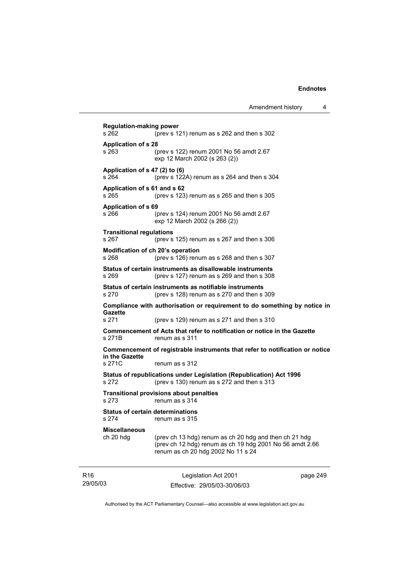Legislation Act 2001 **Regulation-making power**  s 262 (prev s 121) renum as s 262 and then s 302 **Application of s 28**  s 263 (prev s 122) renum 2001 No 56 amdt 2.67 exp 12 March 2002 (s 263 (2)) **Application of s 47 (2) to (6)**  s 264 (prev s 122A) renum as s 264 and then s 304 **Application of s 61 and s 62**  s 265 (prev s 123) renum as s 265 and then s 305 **Application of s 69**  s 266 (prev s 124) renum 2001 No 56 amdt 2.67 exp 12 March 2002 (s 266 (2)) **Transitional regulations**  s 267 (prev s 125) renum as s 267 and then s 306 **Modification of ch 20's operation**  s 268 (prev s 126) renum as s 268 and then s 307 **Status of certain instruments as disallowable instruments**  s 269 (prev s 127) renum as s 269 and then s 308 **Status of certain instruments as notifiable instruments**  s 270 (prev s 128) renum as s 270 and then s 309 **Compliance with authorisation or requirement to do something by notice in Gazette**  s 271 (prev s 129) renum as s 271 and then s 310 **Commencement of Acts that refer to notification or notice in the Gazette**  s 271B renum as s 311 **Commencement of registrable instruments that refer to notification or notice in the Gazette**  s 271C renum as s 312 **Status of republications under Legislation (Republication) Act 1996**  s 272 (prev s 130) renum as s 272 and then s 313 **Transitional provisions about penalties** s 273 renum as s 314 **Status of certain determinations**  s 274 renum as s 315 **Miscellaneous**  ch 20 hdg (prev ch 13 hdg) renum as ch 20 hdg and then ch 21 hdg (prev ch 12 hdg) renum as ch 19 hdg 2001 No 56 amdt 2.66 renum as ch 20 hdg 2002 No 11 s 24

R16 29/05/03

Effective: 29/05/03-30/06/03

page 249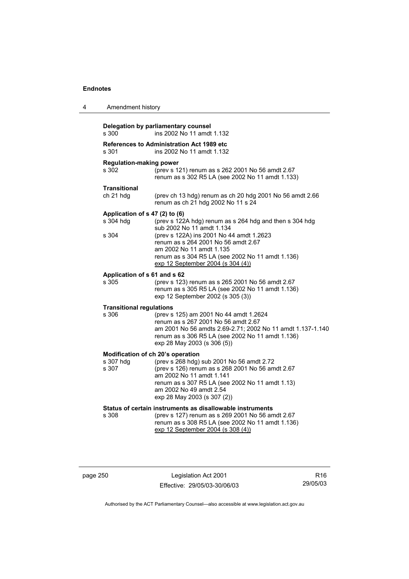| 4 | Amendment history                                    |                                                                                                                                                                                                                                                                                              |
|---|------------------------------------------------------|----------------------------------------------------------------------------------------------------------------------------------------------------------------------------------------------------------------------------------------------------------------------------------------------|
|   | s 300                                                | Delegation by parliamentary counsel<br>ins 2002 No 11 amdt 1.132                                                                                                                                                                                                                             |
|   | s 301                                                | <b>References to Administration Act 1989 etc</b><br>ins 2002 No 11 amdt 1.132                                                                                                                                                                                                                |
|   | <b>Regulation-making power</b><br>s 302              | (prev s 121) renum as s 262 2001 No 56 amdt 2.67<br>renum as s 302 R5 LA (see 2002 No 11 amdt 1.133)                                                                                                                                                                                         |
|   | <b>Transitional</b><br>ch 21 hdg                     | (prev ch 13 hdg) renum as ch 20 hdg 2001 No 56 amdt 2.66<br>renum as ch 21 hdg 2002 No 11 s 24                                                                                                                                                                                               |
|   | Application of s 47 (2) to (6)<br>s 304 hdg<br>s 304 | (prev s 122A hdg) renum as s 264 hdg and then s 304 hdg<br>sub 2002 No 11 amdt 1.134<br>(prev s 122A) ins 2001 No 44 amdt 1.2623<br>renum as s 264 2001 No 56 amdt 2.67<br>am 2002 No 11 amdt 1.135<br>renum as s 304 R5 LA (see 2002 No 11 amdt 1.136)<br>exp 12 September 2004 (s 304 (4)) |
|   | Application of s 61 and s 62<br>s 305                | (prev s 123) renum as s 265 2001 No 56 amdt 2.67<br>renum as s 305 R5 LA (see 2002 No 11 amdt 1.136)<br>exp 12 September 2002 (s 305 (3))                                                                                                                                                    |
|   | <b>Transitional regulations</b><br>s 306             | (prev s 125) am 2001 No 44 amdt 1.2624<br>renum as s 267 2001 No 56 amdt 2.67<br>am 2001 No 56 amdts 2.69-2.71; 2002 No 11 amdt 1.137-1.140<br>renum as s 306 R5 LA (see 2002 No 11 amdt 1.136)<br>exp 28 May 2003 (s 306 (5))                                                               |
|   | s 307 hdg<br>s 307                                   | Modification of ch 20's operation<br>(prev s 268 hdg) sub 2001 No 56 amdt 2.72<br>(prev s 126) renum as s 268 2001 No 56 amdt 2.67<br>am 2002 No 11 amdt 1.141<br>renum as s 307 R5 LA (see 2002 No 11 amdt 1.13)<br>am 2002 No 49 amdt 2.54<br>exp 28 May 2003 (s 307 (2))                  |
|   | s 308                                                | Status of certain instruments as disallowable instruments<br>(prev s 127) renum as s 269 2001 No 56 amdt 2.67<br>renum as s 308 R5 LA (see 2002 No 11 amdt 1.136)<br>exp 12 September 2004 (s 308 (4))                                                                                       |

page 250 Legislation Act 2001 Effective: 29/05/03-30/06/03

R16 29/05/03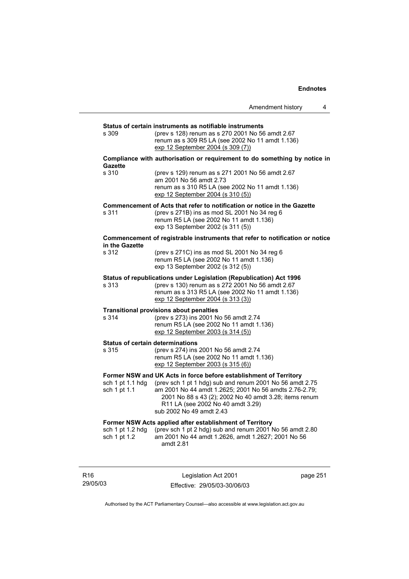|                                         | Amendment history<br>4                                                                                                                                                                                                                        |
|-----------------------------------------|-----------------------------------------------------------------------------------------------------------------------------------------------------------------------------------------------------------------------------------------------|
| s 309                                   | Status of certain instruments as notifiable instruments<br>(prev s 128) renum as s 270 2001 No 56 amdt 2.67<br>renum as s 309 R5 LA (see 2002 No 11 amdt 1.136)<br>exp 12 September 2004 (s 309 (7))                                          |
| <b>Gazette</b>                          | Compliance with authorisation or requirement to do something by notice in                                                                                                                                                                     |
| s 310                                   | (prev s 129) renum as s 271 2001 No 56 amdt 2.67<br>am 2001 No 56 amdt 2.73<br>renum as s 310 R5 LA (see 2002 No 11 amdt 1.136)<br>exp 12 September 2004 (s 310 (5))                                                                          |
| s 311                                   | Commencement of Acts that refer to notification or notice in the Gazette<br>(prev s 271B) ins as mod SL 2001 No 34 reg 6<br>renum R5 LA (see 2002 No 11 amdt 1.136)<br>exp 13 September 2002 (s 311 (5))                                      |
| in the Gazette                          | Commencement of registrable instruments that refer to notification or notice                                                                                                                                                                  |
| s 312                                   | (prev s 271C) ins as mod SL 2001 No 34 reg 6<br>renum R5 LA (see 2002 No 11 amdt 1.136)<br>exp 13 September 2002 (s 312 (5))                                                                                                                  |
| s 313                                   | Status of republications under Legislation (Republication) Act 1996<br>(prev s 130) renum as s 272 2001 No 56 amdt 2.67<br>renum as s 313 R5 LA (see 2002 No 11 amdt 1.136)<br>exp 12 September 2004 (s 313 (3))                              |
| s 314                                   | <b>Transitional provisions about penalties</b><br>(prev s 273) ins 2001 No 56 amdt 2.74<br>renum R5 LA (see 2002 No 11 amdt 1.136)<br>exp 12 September 2003 (s 314 (5))                                                                       |
| <b>Status of certain determinations</b> |                                                                                                                                                                                                                                               |
| s 315                                   | (prev s 274) ins 2001 No 56 amdt 2.74<br>renum R5 LA (see 2002 No 11 amdt 1.136)<br>exp 12 September 2003 (s 315 (6))                                                                                                                         |
|                                         | Former NSW and UK Acts in force before establishment of Territory                                                                                                                                                                             |
| sch 1 pt 1.1 hdg<br>sch 1 pt 1.1        | (prev sch 1 pt 1 hdg) sub and renum 2001 No 56 amdt 2.75<br>am 2001 No 44 amdt 1.2625; 2001 No 56 amdts 2.76-2.79;<br>2001 No 88 s 43 (2); 2002 No 40 amdt 3.28; items renum<br>R11 LA (see 2002 No 40 amdt 3.29)<br>sub 2002 No 49 amdt 2.43 |
|                                         | Former NSW Acts applied after establishment of Territory                                                                                                                                                                                      |
| sch 1 pt 1.2 hdg<br>sch 1 pt 1.2        | (prev sch 1 pt 2 hdg) sub and renum 2001 No 56 amdt 2.80<br>am 2001 No 44 amdt 1.2626, amdt 1.2627; 2001 No 56<br>amdt 2.81                                                                                                                   |
|                                         |                                                                                                                                                                                                                                               |

R16 29/05/03

Legislation Act 2001 Effective: 29/05/03-30/06/03 page 251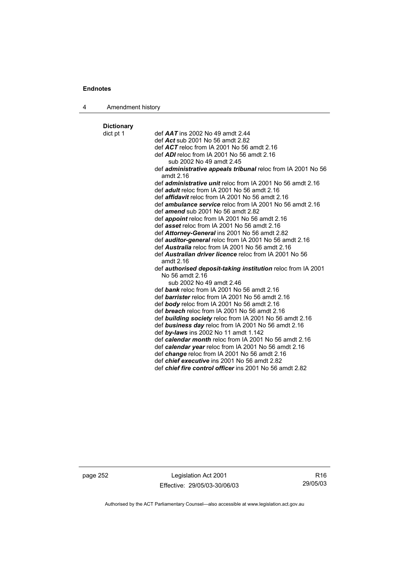| 4 | Amendment history |
|---|-------------------|
|---|-------------------|

# **Dictionary**

def **AAT** ins 2002 No 49 amdt 2.44 def *Act* sub 2001 No 56 amdt 2.82 def *ACT* reloc from IA 2001 No 56 amdt 2.16 def *ADI* reloc from IA 2001 No 56 amdt 2.16 sub 2002 No 49 amdt 2.45 def *administrative appeals tribunal* reloc from IA 2001 No 56 amdt 2.16 def *administrative unit* reloc from IA 2001 No 56 amdt 2.16 def *adult* reloc from IA 2001 No 56 amdt 2.16 def *affidavit* reloc from IA 2001 No 56 amdt 2.16 def *ambulance service* reloc from IA 2001 No 56 amdt 2.16 def *amend* sub 2001 No 56 amdt 2.82 def *appoint* reloc from IA 2001 No 56 amdt 2.16 def *asset* reloc from IA 2001 No 56 amdt 2.16 def *Attorney-General* ins 2001 No 56 amdt 2.82 def *auditor-general* reloc from IA 2001 No 56 amdt 2.16 def *Australia* reloc from IA 2001 No 56 amdt 2.16 def *Australian driver licence* reloc from IA 2001 No 56 amdt 2.16 def *authorised deposit-taking institution* reloc from IA 2001 No 56 amdt 2.16 sub 2002 No 49 amdt 2.46 def *bank* reloc from IA 2001 No 56 amdt 2.16 def *barrister* reloc from IA 2001 No 56 amdt 2.16 def *body* reloc from IA 2001 No 56 amdt 2.16 def *breach* reloc from IA 2001 No 56 amdt 2.16 def *building society* reloc from IA 2001 No 56 amdt 2.16 def *business day* reloc from IA 2001 No 56 amdt 2.16 def *by-laws* ins 2002 No 11 amdt 1.142 def *calendar month* reloc from IA 2001 No 56 amdt 2.16 def *calendar year* reloc from IA 2001 No 56 amdt 2.16 def *change* reloc from IA 2001 No 56 amdt 2.16 def *chief executive* ins 2001 No 56 amdt 2.82 def *chief fire control officer* ins 2001 No 56 amdt 2.82

page 252 Legislation Act 2001 Effective: 29/05/03-30/06/03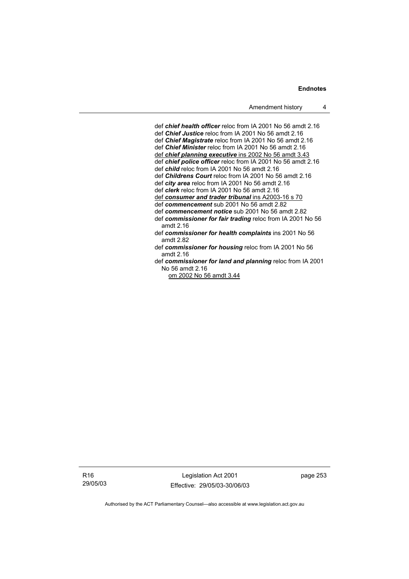def *chief health officer* reloc from IA 2001 No 56 amdt 2.16 def *Chief Justice* reloc from IA 2001 No 56 amdt 2.16 def *Chief Magistrate* reloc from IA 2001 No 56 amdt 2.16 def *Chief Minister* reloc from IA 2001 No 56 amdt 2.16 def *chief planning executive* ins 2002 No 56 amdt 3.43 def *chief police officer* reloc from IA 2001 No 56 amdt 2.16 def *child* reloc from IA 2001 No 56 amdt 2.16 def *Childrens Court* reloc from IA 2001 No 56 amdt 2.16 def *city area* reloc from IA 2001 No 56 amdt 2.16 def *clerk* reloc from IA 2001 No 56 amdt 2.16 def *consumer and trader tribunal* ins A2003-16 s 70 def *commencement* sub 2001 No 56 amdt 2.82 def *commencement notice* sub 2001 No 56 amdt 2.82 def *commissioner for fair trading* reloc from IA 2001 No 56 amdt 2.16 def *commissioner for health complaints* ins 2001 No 56 amdt 2.82 def *commissioner for housing* reloc from IA 2001 No 56 amdt 2.16 def *commissioner for land and planning* reloc from IA 2001 No 56 amdt 2.16

om 2002 No 56 amdt 3.44

R16 29/05/03

Legislation Act 2001 Effective: 29/05/03-30/06/03 page 253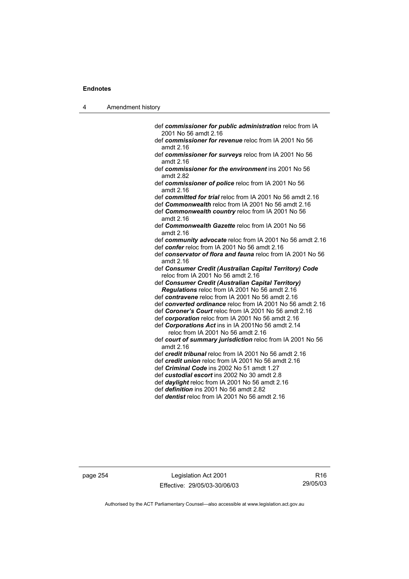| л | Amendment history |
|---|-------------------|
|---|-------------------|

- def *commissioner for public administration* reloc from IA 2001 No 56 amdt 2.16
- def *commissioner for revenue* reloc from IA 2001 No 56 amdt 2.16
- def *commissioner for surveys* reloc from IA 2001 No 56 amdt 2.16
- def *commissioner for the environment* ins 2001 No 56 amdt 2.82
- def *commissioner of police* reloc from IA 2001 No 56 amdt 2.16
- def *committed for trial* reloc from IA 2001 No 56 amdt 2.16
- def *Commonwealth* reloc from IA 2001 No 56 amdt 2.16 def *Commonwealth country* reloc from IA 2001 No 56 amdt 2.16
- def *Commonwealth Gazette* reloc from IA 2001 No 56 amdt 2.16
- def *community advocate* reloc from IA 2001 No 56 amdt 2.16 def *confer* reloc from IA 2001 No 56 amdt 2.16
- def *conservator of flora and fauna* reloc from IA 2001 No 56 amdt 2.16
- def *Consumer Credit (Australian Capital Territory) Code* reloc from IA 2001 No 56 amdt 2.16
- def *Consumer Credit (Australian Capital Territory) Regulations* reloc from IA 2001 No 56 amdt 2.16
- def *contravene* reloc from IA 2001 No 56 amdt 2.16
- def *converted ordinance* reloc from IA 2001 No 56 amdt 2.16
- def *Coroner's Court* reloc from IA 2001 No 56 amdt 2.16
- def *corporation* reloc from IA 2001 No 56 amdt 2.16
- def *Corporations Act* ins in IA 2001No 56 amdt 2.14
	- reloc from IA 2001 No 56 amdt 2.16
- def *court of summary jurisdiction* reloc from IA 2001 No 56 amdt 2.16
- def *credit tribunal* reloc from IA 2001 No 56 amdt 2.16
- def *credit union* reloc from IA 2001 No 56 amdt 2.16
- def *Criminal Code* ins 2002 No 51 amdt 1.27
- def *custodial escort* ins 2002 No 30 amdt 2.8 def *daylight* reloc from IA 2001 No 56 amdt 2.16
- def *definition* ins 2001 No 56 amdt 2.82
- 
- def *dentist* reloc from IA 2001 No 56 amdt 2.16

page 254 Legislation Act 2001 Effective: 29/05/03-30/06/03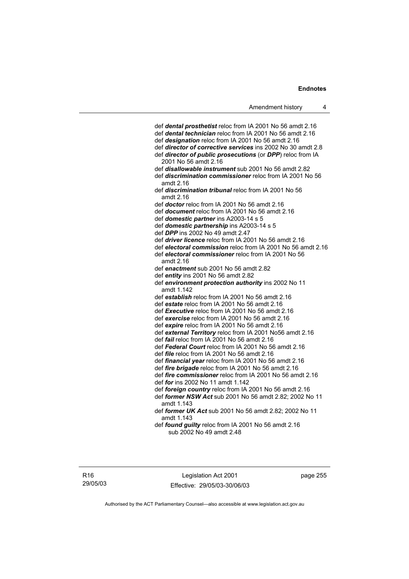def *dental prosthetist* reloc from IA 2001 No 56 amdt 2.16 def *dental technician* reloc from IA 2001 No 56 amdt 2.16 def *designation* reloc from IA 2001 No 56 amdt 2.16 def *director of corrective services* ins 2002 No 30 amdt 2.8 def *director of public prosecutions* (or *DPP*) reloc from IA 2001 No 56 amdt 2.16 def *disallowable instrument* sub 2001 No 56 amdt 2.82 def *discrimination commissioner* reloc from IA 2001 No 56 amdt 2.16 def *discrimination tribunal* reloc from IA 2001 No 56 amdt 2.16 def *doctor* reloc from IA 2001 No 56 amdt 2.16 def *document* reloc from IA 2001 No 56 amdt 2.16 def *domestic partner* ins A2003-14 s 5 def *domestic partnership* ins A2003-14 s 5 def *DPP* ins 2002 No 49 amdt 2.47 def *driver licence* reloc from IA 2001 No 56 amdt 2.16 def *electoral commission* reloc from IA 2001 No 56 amdt 2.16 def *electoral commissioner* reloc from IA 2001 No 56 amdt 2.16 def *enactment* sub 2001 No 56 amdt 2.82 def *entity* ins 2001 No 56 amdt 2.82 def *environment protection authority* ins 2002 No 11 amdt 1.142 def *establish* reloc from IA 2001 No 56 amdt 2.16 def *estate* reloc from IA 2001 No 56 amdt 2.16 def *Executive* reloc from IA 2001 No 56 amdt 2.16 def *exercise* reloc from IA 2001 No 56 amdt 2.16 def *expire* reloc from IA 2001 No 56 amdt 2.16 def *external Territory* reloc from IA 2001 No56 amdt 2.16 def *fail* reloc from IA 2001 No 56 amdt 2.16 def *Federal Court* reloc from IA 2001 No 56 amdt 2.16 def *file* reloc from IA 2001 No 56 amdt 2.16 def *financial year* reloc from IA 2001 No 56 amdt 2.16 def *fire brigade* reloc from IA 2001 No 56 amdt 2.16 def *fire commissioner* reloc from IA 2001 No 56 amdt 2.16 def *for* ins 2002 No 11 amdt 1.142 def *foreign country* reloc from IA 2001 No 56 amdt 2.16 def *former NSW Act* sub 2001 No 56 amdt 2.82; 2002 No 11 amdt 1.143 def *former UK Act* sub 2001 No 56 amdt 2.82; 2002 No 11 amdt 1.143 def *found guilty* reloc from IA 2001 No 56 amdt 2.16 sub 2002 No 49 amdt 2.48

Legislation Act 2001 Effective: 29/05/03-30/06/03 page 255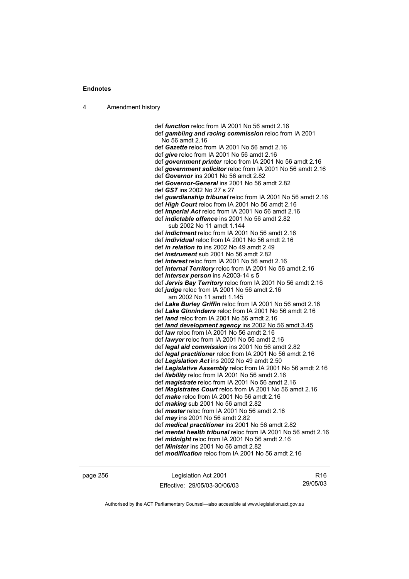| л | Amendment history |
|---|-------------------|
|---|-------------------|

 def *function* reloc from IA 2001 No 56 amdt 2.16 def *gambling and racing commission* reloc from IA 2001 No 56 amdt 2.16 def *Gazette* reloc from IA 2001 No 56 amdt 2.16 def *give* reloc from IA 2001 No 56 amdt 2.16 def *government printer* reloc from IA 2001 No 56 amdt 2.16 def *government solicitor* reloc from IA 2001 No 56 amdt 2.16 def *Governor* ins 2001 No 56 amdt 2.82 def *Governor-General* ins 2001 No 56 amdt 2.82 def *GST* ins 2002 No 27 s 27 def *guardianship tribunal* reloc from IA 2001 No 56 amdt 2.16 def *High Court* reloc from IA 2001 No 56 amdt 2.16 def *Imperial Act* reloc from IA 2001 No 56 amdt 2.16 def *indictable offence* ins 2001 No 56 amdt 2.82 sub 2002 No 11 amdt 1.144 def *indictment* reloc from IA 2001 No 56 amdt 2.16 def *individual* reloc from IA 2001 No 56 amdt 2.16 def *in relation to* ins 2002 No 49 amdt 2.49 def *instrument* sub 2001 No 56 amdt 2.82 def *interest* reloc from IA 2001 No 56 amdt 2.16 def *internal Territory* reloc from IA 2001 No 56 amdt 2.16 def *intersex person* ins A2003-14 s 5 def *Jervis Bay Territory* reloc from IA 2001 No 56 amdt 2.16 def *judge* reloc from IA 2001 No 56 amdt 2.16 am 2002 No 11 amdt 1.145 def *Lake Burley Griffin* reloc from IA 2001 No 56 amdt 2.16 def *Lake Ginninderra* reloc from IA 2001 No 56 amdt 2.16 def *land* reloc from IA 2001 No 56 amdt 2.16 def *land development agency* ins 2002 No 56 amdt 3.45 def *law* reloc from IA 2001 No 56 amdt 2.16 def *lawyer* reloc from IA 2001 No 56 amdt 2.16 def *legal aid commission* ins 2001 No 56 amdt 2.82 def *legal practitioner* reloc from IA 2001 No 56 amdt 2.16 def *Legislation Act* ins 2002 No 49 amdt 2.50 def *Legislative Assembly* reloc from IA 2001 No 56 amdt 2.16 def *liability* reloc from IA 2001 No 56 amdt 2.16 def *magistrate* reloc from IA 2001 No 56 amdt 2.16 def *Magistrates Court* reloc from IA 2001 No 56 amdt 2.16 def *make* reloc from IA 2001 No 56 amdt 2.16 def *making* sub 2001 No 56 amdt 2.82 def *master* reloc from IA 2001 No 56 amdt 2.16 def *may* ins 2001 No 56 amdt 2.82 def *medical practitioner* ins 2001 No 56 amdt 2.82 def *mental health tribunal* reloc from IA 2001 No 56 amdt 2.16 def *midnight* reloc from IA 2001 No 56 amdt 2.16 def *Minister* ins 2001 No 56 amdt 2.82 def *modification* reloc from IA 2001 No 56 amdt 2.16

page 256 Legislation Act 2001 Effective: 29/05/03-30/06/03

R16 29/05/03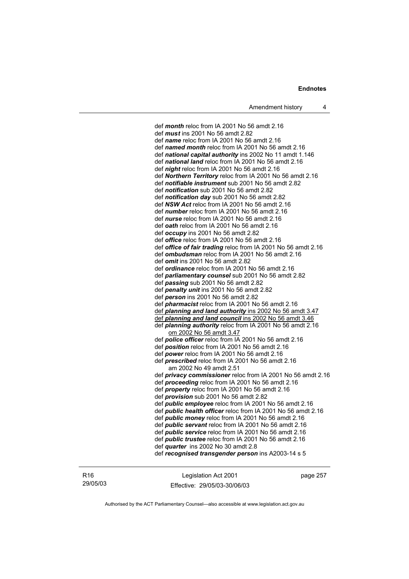def *month* reloc from IA 2001 No 56 amdt 2.16 def *mus t* ins 2001 No 56 amdt 2.82 def *name* reloc from IA 2001 No 56 amdt 2.16 def *named month* reloc from IA 2001 No 56 amdt 2.16 def *national capital authority* ins 2002 No 11 amdt 1.146 def *national land* reloc from IA 2001 No 56 amdt 2.16 def *night* reloc from IA 2001 No 56 amdt 2.16 def *Northern Territory* reloc from IA 2001 No 56 amdt 2.16 def *notifiable instrument* sub 2001 No 56 amdt 2.82 def *notification* sub 2001 No 56 amdt 2.82 def *notification day* sub 2001 No 56 amdt 2.82 def *NSW Act* reloc from IA 2001 No 56 amdt 2.16 def *number* reloc from IA 2001 No 56 amdt 2.16 def *nurse* reloc from IA 2001 No 56 amdt 2.16 def *oath* reloc from IA 2001 No 56 amdt 2.16 def *occupy* ins 2001 No 56 amdt 2.82 def *office* reloc from IA 2001 No 56 amdt 2.16 def *office of fair trading* reloc from IA 2001 No 56 amdt 2.16 def *ombudsman* reloc from IA 2001 No 56 amdt 2.16 def *omit* ins 2001 No 56 amdt 2.82 def *ordinance* reloc from IA 2001 No 56 amdt 2.16 def *parliamentary counsel* sub 2001 No 56 amdt 2.82 def *passing* sub 2001 No 56 amdt 2.82 def *penalty unit* ins 2001 No 56 amdt 2.82 def *person* ins 2001 No 56 amdt 2.82 def *pharmacist* reloc from IA 2001 No 56 amdt 2.16 def *planning and land authority* ins 2002 No 56 amdt 3.47 def *planning and land council* ins 2002 No 56 amdt 3.46 def *planning authority* reloc from IA 2001 No 56 amdt 2.16 om 2002 No 56 amdt 3.47 def *police officer* reloc from IA 2001 No 56 amdt 2.16 def *position* reloc from IA 2001 No 56 amdt 2.16 def *power* reloc from IA 2001 No 56 amdt 2.16 def *prescribed* reloc from IA 2001 No 56 amdt 2.16 am 2002 No 49 amdt 2.51 def *privacy commissioner* reloc from IA 2001 No 56 amdt 2.16 def *proceeding* reloc from IA 2001 No 56 amdt 2.16 def *property* reloc from IA 2001 No 56 amdt 2.16 def *provision* sub 2001 No 56 amdt 2.82 def *public employee* reloc from IA 2001 No 56 amdt 2.16 def *public health officer* reloc from IA 2001 No 56 amdt 2.16 def *public money* reloc from IA 2001 No 56 amdt 2.16 def *public servant* reloc from IA 2001 No 56 amdt 2.16 def *public service* reloc from IA 2001 No 56 amdt 2.16 def *public trustee* reloc from IA 2001 No 56 amdt 2.16 def *quarter* ins 2002 No 30 amdt 2.8 def *recognised transgender person* ins A2003-14 s 5

| R16      |
|----------|
| 29/05/03 |

Legislation Act 2001 Effective: 29/05/03-30/06/03 page 257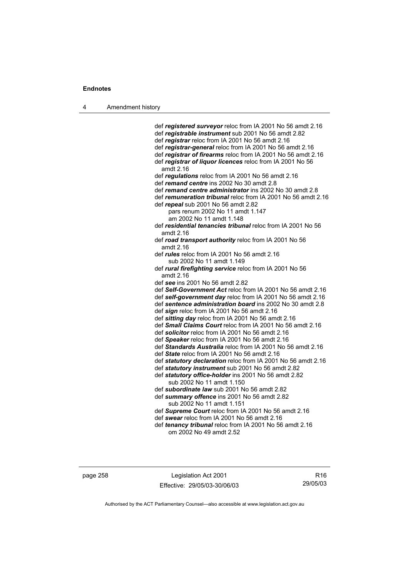| л | Amendment history |
|---|-------------------|
|---|-------------------|

 def *registered surveyor* reloc from IA 2001 No 56 amdt 2.16 def *registrable instrument* sub 2001 No 56 amdt 2.82 def *registrar* reloc from IA 2001 No 56 amdt 2.16 def *registrar-general* reloc from IA 2001 No 56 amdt 2.16 def *registrar of firearms* reloc from IA 2001 No 56 amdt 2.16 def *registrar of liquor licences* reloc from IA 2001 No 56 amdt 2.16 def *regulations* reloc from IA 2001 No 56 amdt 2.16 def *remand centre* ins 2002 No 30 amdt 2.8 def *remand centre administrator* ins 2002 No 30 amdt 2.8 def *remuneration tribunal* reloc from IA 2001 No 56 amdt 2.16 def *repeal* sub 2001 No 56 amdt 2.82 pars renum 2002 No 11 amdt 1.147 am 2002 No 11 amdt 1.148 def *residential tenancies tribunal* reloc from IA 2001 No 56 amdt 2.16 def *road transport authority* reloc from IA 2001 No 56 amdt 2.16 def *rules* reloc from IA 2001 No 56 amdt 2.16 sub 2002 No 11 amdt 1.149 def *rural firefighting service* reloc from IA 2001 No 56 amdt 2.16 def *see* ins 2001 No 56 amdt 2.82 def *Self-Government Act* reloc from IA 2001 No 56 amdt 2.16 def *self-government day* reloc from IA 2001 No 56 amdt 2.16 def *sentence administration board* ins 2002 No 30 amdt 2.8 def *sign* reloc from IA 2001 No 56 amdt 2.16 def *sitting day* reloc from IA 2001 No 56 amdt 2.16 def *Small Claims Court* reloc from IA 2001 No 56 amdt 2.16 def *solicitor* reloc from IA 2001 No 56 amdt 2.16 def *Speaker* reloc from IA 2001 No 56 amdt 2.16 def *Standards Australia* reloc from IA 2001 No 56 amdt 2.16 def *State* reloc from IA 2001 No 56 amdt 2.16 def *statutory declaration* reloc from IA 2001 No 56 amdt 2.16 def *statutory instrument* sub 2001 No 56 amdt 2.82 def *statutory office-holder* ins 2001 No 56 amdt 2.82 sub 2002 No 11 amdt 1.150 def *subordinate law* sub 2001 No 56 amdt 2.82 def *summary offence* ins 2001 No 56 amdt 2.82 sub 2002 No 11 amdt 1.151 def *Supreme Court* reloc from IA 2001 No 56 amdt 2.16 def *swear* reloc from IA 2001 No 56 amdt 2.16 def *tenancy tribunal* reloc from IA 2001 No 56 amdt 2.16 om 2002 No 49 amdt 2.52

page 258 Legislation Act 2001 Effective: 29/05/03-30/06/03

R16 29/05/03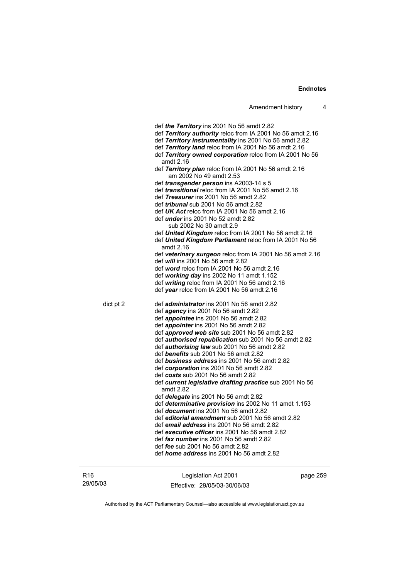def *the Territory* ins 2001 No 56 amdt 2.82 def *Territory authority* reloc from IA 2001 No 56 amdt 2.16 def *Territory instrumentality* ins 2001 No 56 amdt 2.82 def *Territory land* reloc from IA 2001 No 56 amdt 2.16 def *Territory owned corporation* reloc from IA 2001 No 56 amdt 2.16 def *Territory plan* reloc from IA 2001 No 56 amdt 2.16 am 2002 No 49 amdt 2.53 def *transgender person* ins A2003-14 s 5 def *transitional* reloc from IA 2001 No 56 amdt 2.16 def *Treasurer* ins 2001 No 56 amdt 2.82 def *tribunal* sub 2001 No 56 amdt 2.82 def *UK Act* reloc from IA 2001 No 56 amdt 2.16 def *under* ins 2001 No 52 amdt 2.82 sub 2002 No 30 amdt 2.9 def *United Kingdom* reloc from IA 2001 No 56 amdt 2.16 def *United Kingdom Parliament* reloc from IA 2001 No 56 amdt 2.16 def *veterinary surgeon* reloc from IA 2001 No 56 amdt 2.16 def *will* ins 2001 No 56 amdt 2.82 def *word* reloc from IA 2001 No 56 amdt 2.16 def *working day* ins 2002 No 11 amdt 1.152 def *writing* reloc from IA 2001 No 56 amdt 2.16 def *year* reloc from IA 2001 No 56 amdt 2.16 dict pt 2 def *administrator* ins 2001 No 56 amdt 2.82 def *agency* ins 2001 No 56 amdt 2.82 def *appointee* ins 2001 No 56 amdt 2.82 def *appointer* ins 2001 No 56 amdt 2.82 def *approved web site* sub 2001 No 56 amdt 2.82 def *authorised republication* sub 2001 No 56 amdt 2.82 def *authorising law* sub 2001 No 56 amdt 2.82 def *benefits* sub 2001 No 56 amdt 2.82 def *business address* ins 2001 No 56 amdt 2.82 def *corporation* ins 2001 No 56 amdt 2.82 def *costs* sub 2001 No 56 amdt 2.82 def *current legislative drafting practice* sub 2001 No 56 amdt 2.82 def *delegate* ins 2001 No 56 amdt 2.82 def *determinative provision* ins 2002 No 11 amdt 1.153 def *document* ins 2001 No 56 amdt 2.82 def *editorial amendment* sub 2001 No 56 amdt 2.82 def *email address* ins 2001 No 56 amdt 2.82 def *executive officer* ins 2001 No 56 amdt 2.82 def *fax number* ins 2001 No 56 amdt 2.82 def *fee* sub 2001 No 56 amdt 2.82 def *home address* ins 2001 No 56 amdt 2.82

| R16      |
|----------|
| 29/05/03 |

Legislation Act 2001 Effective: 29/05/03-30/06/03 page 259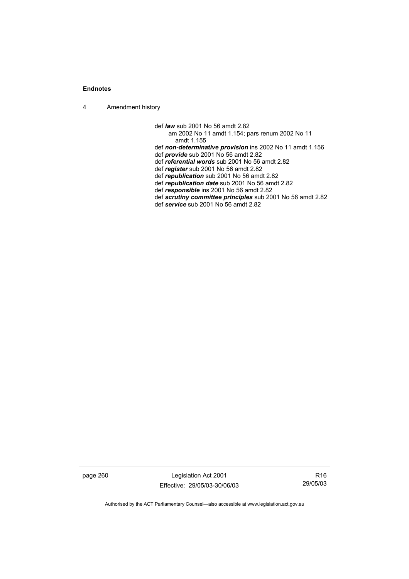4 Amendment history

 def *law* sub 2001 No 56 amdt 2.82 am 2002 No 11 amdt 1.154; pars renum 2002 No 11 amdt 1.155 def *non-determinative provision* ins 2002 No 11 amdt 1.156 def *provide* sub 2001 No 56 amdt 2.82 def *referential words* sub 2001 No 56 amdt 2.82 def *register* sub 2001 No 56 amdt 2.82 def *republication* sub 2001 No 56 amdt 2.82 def *republication date* sub 2001 No 56 amdt 2.82 def *responsible* ins 2001 No 56 amdt 2.82 def *scrutiny committee principles* sub 2001 No 56 amdt 2.82 def *service* sub 2001 No 56 amdt 2.82

page 260 Legislation Act 2001 Effective: 29/05/03-30/06/03

R16 29/05/03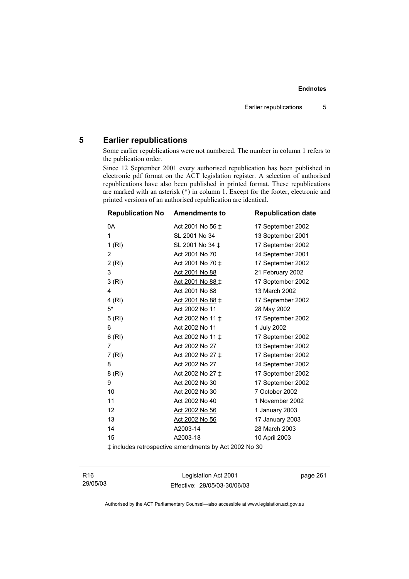# **5 Earlier republications**

Some earlier republications were not numbered. The number in column 1 refers to the publication order.

Since 12 September 2001 every authorised republication has been published in electronic pdf format on the ACT legislation register. A selection of authorised republications have also been published in printed format. These republications are marked with an asterisk (\*) in column 1. Except for the footer, electronic and printed versions of an authorised republication are identical.

| <b>Republication No</b> | <b>Amendments to</b>                                     | <b>Republication date</b> |
|-------------------------|----------------------------------------------------------|---------------------------|
| 0A                      | Act 2001 No 56 ‡                                         | 17 September 2002         |
| 1                       | SL 2001 No 34                                            | 13 September 2001         |
| 1 (RI)                  | SL 2001 No 34 ‡                                          | 17 September 2002         |
| 2                       | Act 2001 No 70                                           | 14 September 2001         |
| 2(RI)                   | Act 2001 No 70 ‡                                         | 17 September 2002         |
| 3                       | Act 2001 No 88                                           | 21 February 2002          |
| 3(RI)                   | Act 2001 No 88 ‡                                         | 17 September 2002         |
| 4                       | Act 2001 No 88                                           | 13 March 2002             |
| 4 (RI)                  | <u>Act 2001 No 88</u> ‡                                  | 17 September 2002         |
| $5*$                    | Act 2002 No 11                                           | 28 May 2002               |
| 5(RI)                   | Act 2002 No 11 ‡                                         | 17 September 2002         |
| 6                       | Act 2002 No 11                                           | 1 July 2002               |
| 6(RI)                   | Act 2002 No 11 ±                                         | 17 September 2002         |
| 7                       | Act 2002 No 27                                           | 13 September 2002         |
| 7(RI)                   | Act 2002 No 27 ‡                                         | 17 September 2002         |
| 8                       | Act 2002 No 27                                           | 14 September 2002         |
| 8 (RI)                  | Act 2002 No 27 ‡                                         | 17 September 2002         |
| 9                       | Act 2002 No 30                                           | 17 September 2002         |
| 10                      | Act 2002 No 30                                           | 7 October 2002            |
| 11                      | Act 2002 No 40                                           | 1 November 2002           |
| 12                      | Act 2002 No 56                                           | 1 January 2003            |
| 13                      | <u>Act 2002 No 56</u>                                    | 17 January 2003           |
| 14                      | A2003-14                                                 | 28 March 2003             |
| 15                      | A2003-18                                                 | 10 April 2003             |
|                         | $+$ includes retreased ive amondments by Ast 2002 No. 20 |                           |

‡ includes retrospective amendments by Act 2002 No 30

| R16      |  |
|----------|--|
| 29/05/03 |  |

Legislation Act 2001 Effective: 29/05/03-30/06/03 page 261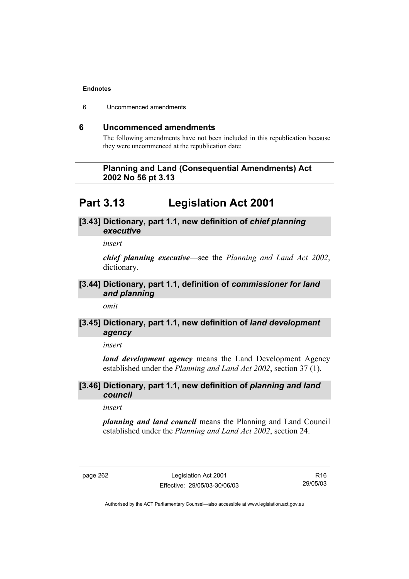6 Uncommenced amendments

# **6 Uncommenced amendments**

The following amendments have not been included in this republication because they were uncommenced at the republication date:

# **Planning and Land (Consequential Amendments) Act 2002 No 56 pt 3.13**

# **Part 3.13 Legislation Act 2001**

# **[3.43] Dictionary, part 1.1, new definition of** *chief planning executive*

*insert* 

*chief planning executive*—see the *Planning and Land Act 2002*, dictionary.

# **[3.44] Dictionary, part 1.1, definition of** *commissioner for land and planning*

*omit* 

# **[3.45] Dictionary, part 1.1, new definition of** *land development agency*

*insert* 

*land development agency* means the Land Development Agency established under the *Planning and Land Act 2002*, section 37 (1).

# **[3.46] Dictionary, part 1.1, new definition of** *planning and land council*

*insert* 

*planning and land council* means the Planning and Land Council established under the *Planning and Land Act 2002*, section 24.

page 262 Legislation Act 2001 Effective: 29/05/03-30/06/03

R16 29/05/03